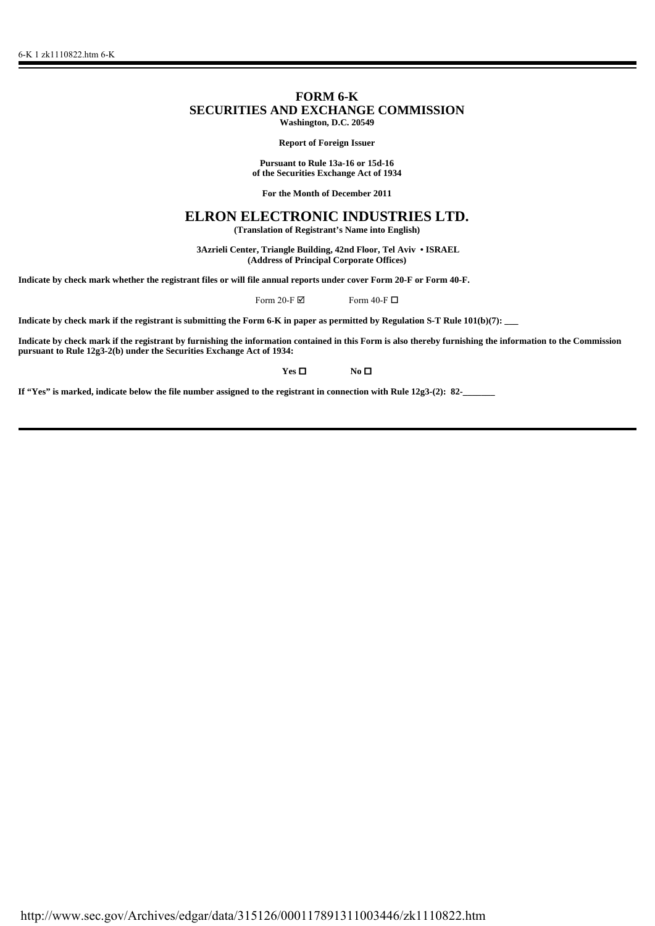# **FORM 6-K SECURITIES AND EXCHANGE COMMISSION Washington, D.C. 20549**

**Report of Foreign Issuer**

**Pursuant to Rule 13a-16 or 15d-16 of the Securities Exchange Act of 1934**

**For the Month of December 2011**

# **ELRON ELECTRONIC INDUSTRIES LTD.**

**(Translation of Registrant's Name into English)**

 **3Azrieli Center, Triangle Building, 42nd Floor, Tel Aviv • ISRAEL (Address of Principal Corporate Offices)**

**Indicate by check mark whether the registrant files or will file annual reports under cover Form 20-F or Form 40-F.**

Form 20-F $\boxtimes$  Form 40-F $\Box$ 

**Indicate by check mark if the registrant is submitting the Form 6-K in paper as permitted by Regulation S-T Rule 101(b)(7): \_\_\_**

**Indicate by check mark if the registrant by furnishing the information contained in this Form is also thereby furnishing the information to the Commission pursuant to Rule 12g3-2(b) under the Securities Exchange Act of 1934:**

**Yes □ No □** 

If "Yes" is marked, indicate below the file number assigned to the registrant in connection with Rule 12g3-(2): 82-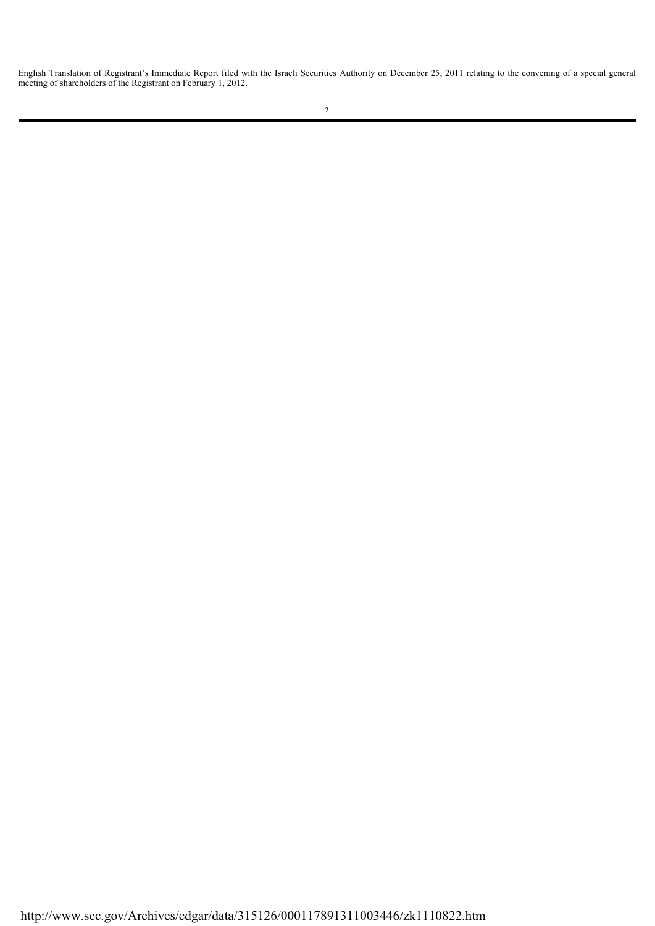English Translation of Registrant's Immediate Report filed with the Israeli Securities Authority on December 25, 2011 relating to the convening of a special general meeting of shareholders of the Registrant on February 1, 2012.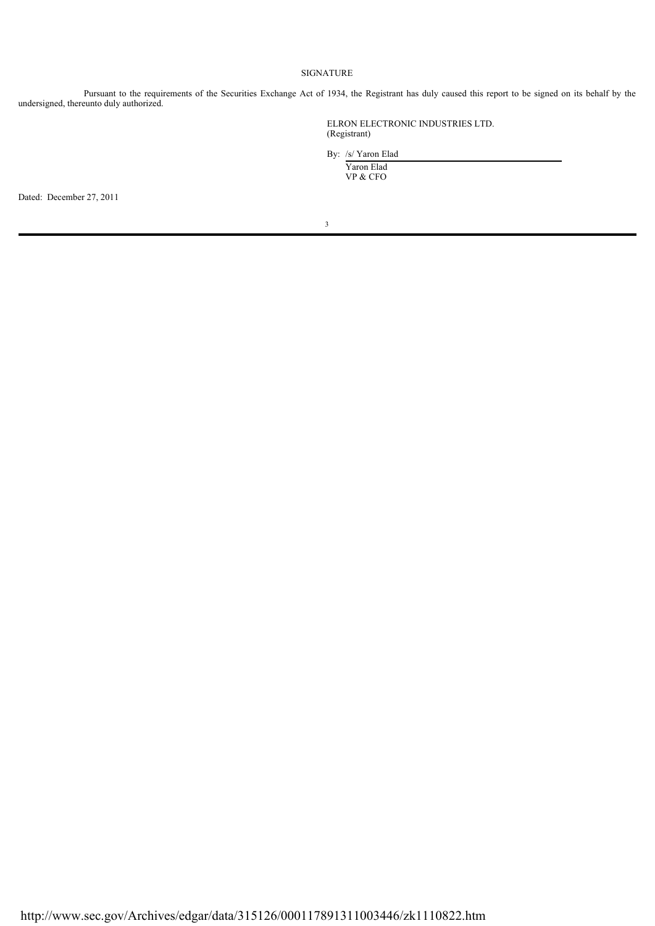# SIGNATURE

Pursuant to the requirements of the Securities Exchange Act of 1934, the Registrant has duly caused this report to be signed on its behalf by the undersigned, thereunto duly authorized.

> ELRON ELECTRONIC INDUSTRIES LTD. (Registrant)

 By: /s/ Yaron Elad Yaron Elad

VP & CFO

Dated: December 27, 2011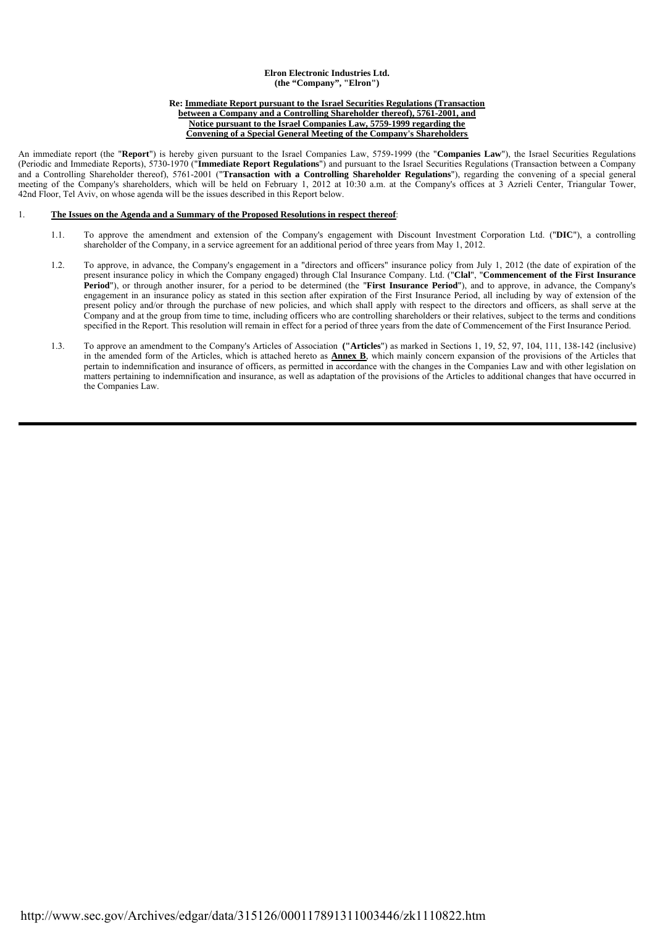### **Elron Electronic Industries Ltd. (the "Company", "Elron")**

#### **Re: Immediate Report pursuant to the Israel Securities Regulations (Transaction between a Company and a Controlling Shareholder thereof), 5761-2001, and Notice pursuant to the Israel Companies Law, 5759-1999 regarding the**

**Convening of a Special General Meeting of the Company's Shareholders**

An immediate report (the "**Report**") is hereby given pursuant to the Israel Companies Law, 5759-1999 (the "**Companies Law**"), the Israel Securities Regulations (Periodic and Immediate Reports), 5730-1970 ("**Immediate Report Regulations**") and pursuant to the Israel Securities Regulations (Transaction between a Company and a Controlling Shareholder thereof), 5761-2001 ("**Transaction with a Controlling Shareholder Regulations**"), regarding the convening of a special general meeting of the Company's shareholders, which will be held on February 1, 2012 at 10:30 a.m. at the Company's offices at 3 Azrieli Center, Triangular Tower, 42nd Floor, Tel Aviv, on whose agenda will be the issues described in this Report below.

## 1. **The Issues on the Agenda and a Summary of the Proposed Resolutions in respect thereof**:

- 1.1. To approve the amendment and extension of the Company's engagement with Discount Investment Corporation Ltd. ("**DIC**"), a controlling shareholder of the Company, in a service agreement for an additional period of three years from May 1, 2012.
- 1.2. To approve, in advance, the Company's engagement in a "directors and officers" insurance policy from July 1, 2012 (the date of expiration of the present insurance policy in which the Company engaged) through Clal Insurance Company. Ltd. ("**Clal**", "**Commencement of the First Insurance Period**"), or through another insurer, for a period to be determined (the "**First Insurance Period**"), and to approve, in advance, the Company's engagement in an insurance policy as stated in this section after expiration of the First Insurance Period, all including by way of extension of the present policy and/or through the purchase of new policies, and which shall apply with respect to the directors and officers, as shall serve at the Company and at the group from time to time, including officers who are controlling shareholders or their relatives, subject to the terms and conditions specified in the Report. This resolution will remain in effect for a period of three years from the date of Commencement of the First Insurance Period.
- 1.3. To approve an amendment to the Company's Articles of Association **("Articles**") as marked in Sections 1, 19, 52, 97, 104, 111, 138-142 (inclusive) in the amended form of the Articles, which is attached hereto as **Annex B**, which mainly concern expansion of the provisions of the Articles that pertain to indemnification and insurance of officers, as permitted in accordance with the changes in the Companies Law and with other legislation on matters pertaining to indemnification and insurance, as well as adaptation of the provisions of the Articles to additional changes that have occurred in the Companies Law.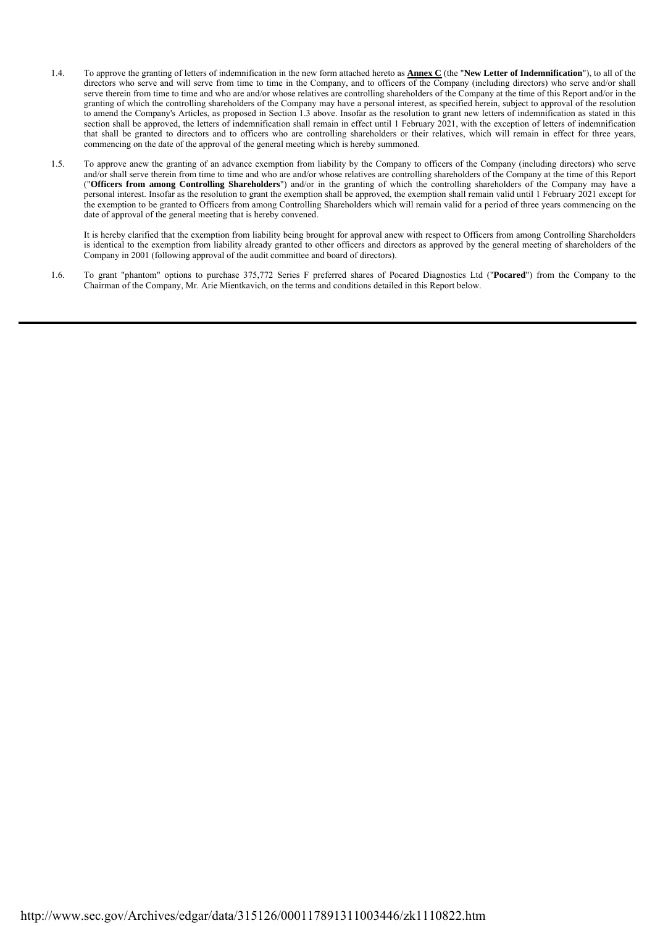- 1.4. To approve the granting of letters of indemnification in the new form attached hereto as **Annex C** (the "**New Letter of Indemnification**"), to all of the directors who serve and will serve from time to time in the Company, and to officers of the Company (including directors) who serve and/or shall serve therein from time to time and who are and/or whose relatives are controlling shareholders of the Company at the time of this Report and/or in the granting of which the controlling shareholders of the Company may have a personal interest, as specified herein, subject to approval of the resolution to amend the Company's Articles, as proposed in Section 1.3 above. Insofar as the resolution to grant new letters of indemnification as stated in this section shall be approved, the letters of indemnification shall remain in effect until 1 February 2021, with the exception of letters of indemnification that shall be granted to directors and to officers who are controlling shareholders or their relatives, which will remain in effect for three years, commencing on the date of the approval of the general meeting which is hereby summoned.
- 1.5. To approve anew the granting of an advance exemption from liability by the Company to officers of the Company (including directors) who serve and/or shall serve therein from time to time and who are and/or whose relatives are controlling shareholders of the Company at the time of this Report ("**Officers from among Controlling Shareholders**") and/or in the granting of which the controlling shareholders of the Company may have a personal interest. Insofar as the resolution to grant the exemption shall be approved, the exemption shall remain valid until 1 February 2021 except for the exemption to be granted to Officers from among Controlling Shareholders which will remain valid for a period of three years commencing on the date of approval of the general meeting that is hereby convened.

It is hereby clarified that the exemption from liability being brought for approval anew with respect to Officers from among Controlling Shareholders is identical to the exemption from liability already granted to other officers and directors as approved by the general meeting of shareholders of the Company in 2001 (following approval of the audit committee and board of directors).

 1.6. To grant "phantom" options to purchase 375,772 Series F preferred shares of Pocared Diagnostics Ltd ("**Pocared**") from the Company to the Chairman of the Company, Mr. Arie Mientkavich, on the terms and conditions detailed in this Report below.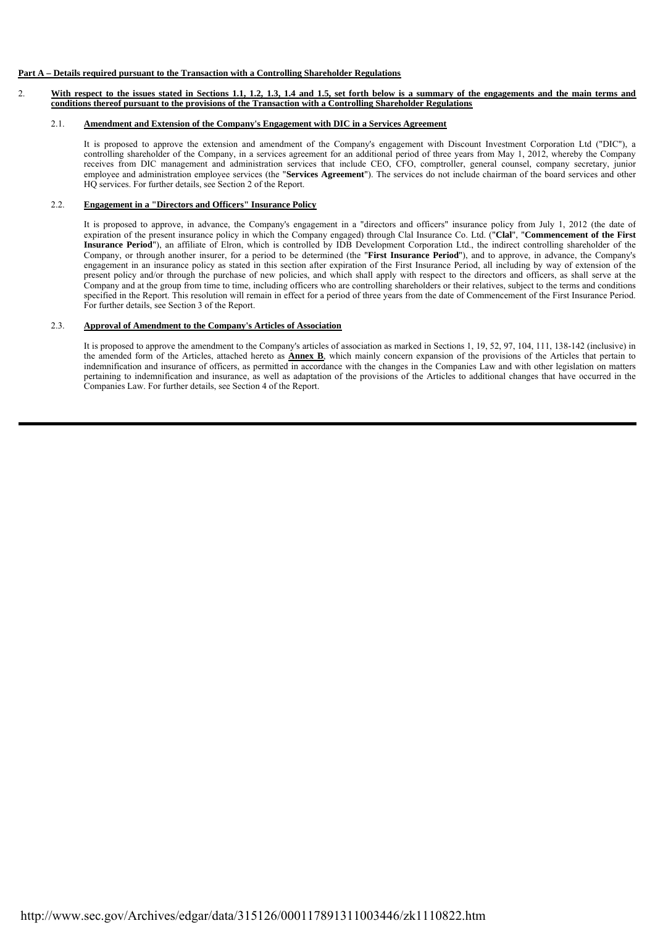# **Part A – Details required pursuant to the Transaction with a Controlling Shareholder Regulations**

2. **With respect to the issues stated in Sections 1.1, 1.2, 1.3, 1.4 and 1.5, set forth below is a summary of the engagements and the main terms and conditions thereof pursuant to the provisions of the Transaction with a Controlling Shareholder Regulations**

## 2.1. **Amendment and Extension of the Company's Engagement with DIC in a Services Agreement**

It is proposed to approve the extension and amendment of the Company's engagement with Discount Investment Corporation Ltd ("DIC"), a controlling shareholder of the Company, in a services agreement for an additional period of three years from May 1, 2012, whereby the Company receives from DIC management and administration services that include CEO, CFO, comptroller, general counsel, company secretary, junior employee and administration employee services (the "**Services Agreement**"). The services do not include chairman of the board services and other HQ services. For further details, see Section 2 of the Report.

# 2.2. **Engagement in a "Directors and Officers" Insurance Policy**

It is proposed to approve, in advance, the Company's engagement in a "directors and officers" insurance policy from July 1, 2012 (the date of expiration of the present insurance policy in which the Company engaged) through Clal Insurance Co. Ltd. ("**Clal**", "**Commencement of the First Insurance Period**"), an affiliate of Elron, which is controlled by IDB Development Corporation Ltd., the indirect controlling shareholder of the Company, or through another insurer, for a period to be determined (the "**First Insurance Period**"), and to approve, in advance, the Company's engagement in an insurance policy as stated in this section after expiration of the First Insurance Period, all including by way of extension of the present policy and/or through the purchase of new policies, and which shall apply with respect to the directors and officers, as shall serve at the Company and at the group from time to time, including officers who are controlling shareholders or their relatives, subject to the terms and conditions specified in the Report. This resolution will remain in effect for a period of three years from the date of Commencement of the First Insurance Period. For further details, see Section 3 of the Report.

# 2.3. **Approval of Amendment to the Company's Articles of Association**

It is proposed to approve the amendment to the Company's articles of association as marked in Sections 1, 19, 52, 97, 104, 111, 138-142 (inclusive) in the amended form of the Articles, attached hereto as **Annex B**, which mainly concern expansion of the provisions of the Articles that pertain to indemnification and insurance of officers, as permitted in accordance with the changes in the Companies Law and with other legislation on matters pertaining to indemnification and insurance, as well as adaptation of the provisions of the Articles to additional changes that have occurred in the Companies Law. For further details, see Section 4 of the Report.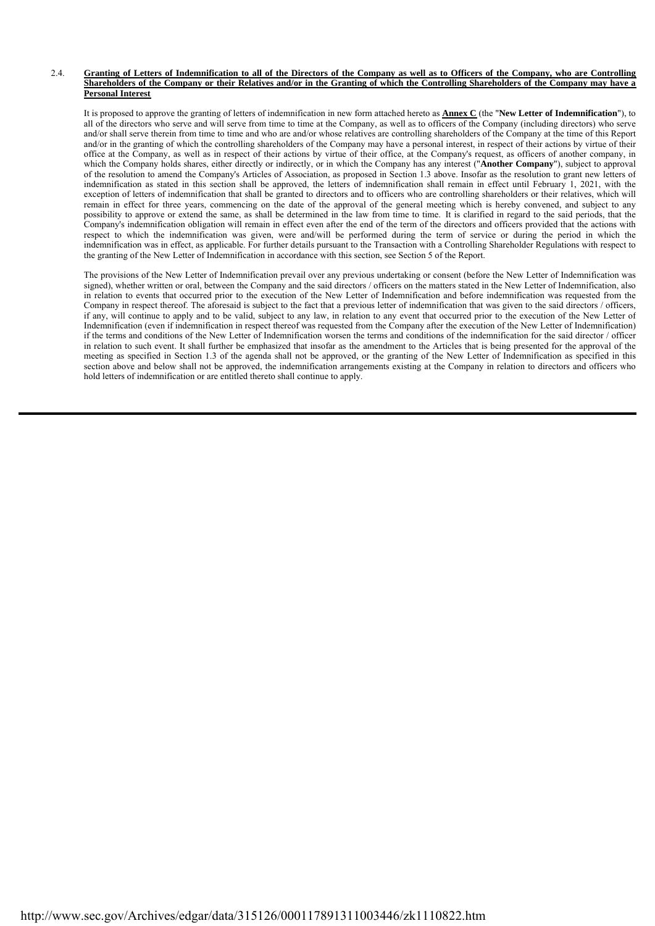#### 2.4. **Granting of Letters of Indemnification to all of the Directors of the Company as well as to Officers of the Company, who are Controlling Shareholders of the Company or their Relatives and/or in the Granting of which the Controlling Shareholders of the Company may have a Personal Interest**

It is proposed to approve the granting of letters of indemnification in new form attached hereto as **Annex C** (the "**New Letter of Indemnification**"), to all of the directors who serve and will serve from time to time at the Company, as well as to officers of the Company (including directors) who serve and/or shall serve therein from time to time and who are and/or whose relatives are controlling shareholders of the Company at the time of this Report and/or in the granting of which the controlling shareholders of the Company may have a personal interest, in respect of their actions by virtue of their office at the Company, as well as in respect of their actions by virtue of their office, at the Company's request, as officers of another company, in which the Company holds shares, either directly or indirectly, or in which the Company has any interest ("**Another Company**"), subject to approval of the resolution to amend the Company's Articles of Association, as proposed in Section 1.3 above. Insofar as the resolution to grant new letters of indemnification as stated in this section shall be approved, the letters of indemnification shall remain in effect until February 1, 2021, with the exception of letters of indemnification that shall be granted to directors and to officers who are controlling shareholders or their relatives, which will remain in effect for three years, commencing on the date of the approval of the general meeting which is hereby convened, and subject to any possibility to approve or extend the same, as shall be determined in the law from time to time. It is clarified in regard to the said periods, that the Company's indemnification obligation will remain in effect even after the end of the term of the directors and officers provided that the actions with respect to which the indemnification was given, were and/will be performed during the term of service or during the period in which the indemnification was in effect, as applicable. For further details pursuant to the Transaction with a Controlling Shareholder Regulations with respect to the granting of the New Letter of Indemnification in accordance with this section, see Section 5 of the Report.

The provisions of the New Letter of Indemnification prevail over any previous undertaking or consent (before the New Letter of Indemnification was signed), whether written or oral, between the Company and the said directors / officers on the matters stated in the New Letter of Indemnification, also in relation to events that occurred prior to the execution of the New Letter of Indemnification and before indemnification was requested from the Company in respect thereof. The aforesaid is subject to the fact that a previous letter of indemnification that was given to the said directors / officers, if any, will continue to apply and to be valid, subject to any law, in relation to any event that occurred prior to the execution of the New Letter of Indemnification (even if indemnification in respect thereof was requested from the Company after the execution of the New Letter of Indemnification) if the terms and conditions of the New Letter of Indemnification worsen the terms and conditions of the indemnification for the said director / officer in relation to such event. It shall further be emphasized that insofar as the amendment to the Articles that is being presented for the approval of the meeting as specified in Section 1.3 of the agenda shall not be approved, or the granting of the New Letter of Indemnification as specified in this section above and below shall not be approved, the indemnification arrangements existing at the Company in relation to directors and officers who hold letters of indemnification or are entitled thereto shall continue to apply.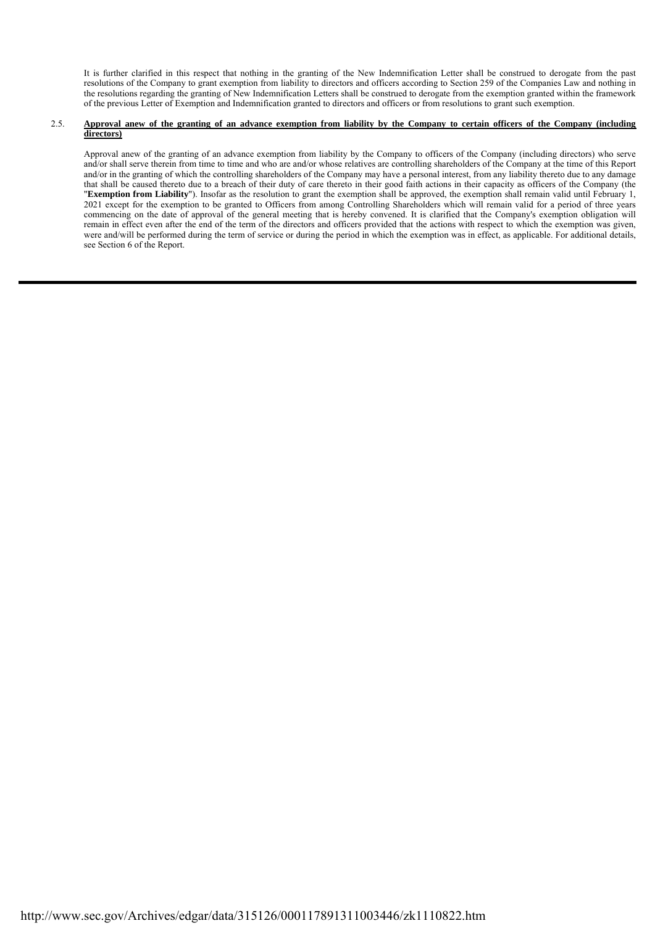It is further clarified in this respect that nothing in the granting of the New Indemnification Letter shall be construed to derogate from the past resolutions of the Company to grant exemption from liability to directors and officers according to Section 259 of the Companies Law and nothing in the resolutions regarding the granting of New Indemnification Letters shall be construed to derogate from the exemption granted within the framework of the previous Letter of Exemption and Indemnification granted to directors and officers or from resolutions to grant such exemption.

# 2.5. **Approval anew of the granting of an advance exemption from liability by the Company to certain officers of the Company (including directors)**

Approval anew of the granting of an advance exemption from liability by the Company to officers of the Company (including directors) who serve and/or shall serve therein from time to time and who are and/or whose relatives are controlling shareholders of the Company at the time of this Report and/or in the granting of which the controlling shareholders of the Company may have a personal interest, from any liability thereto due to any damage that shall be caused thereto due to a breach of their duty of care thereto in their good faith actions in their capacity as officers of the Company (the "**Exemption from Liability**"). Insofar as the resolution to grant the exemption shall be approved, the exemption shall remain valid until February 1, 2021 except for the exemption to be granted to Officers from among Controlling Shareholders which will remain valid for a period of three years commencing on the date of approval of the general meeting that is hereby convened. It is clarified that the Company's exemption obligation will remain in effect even after the end of the term of the directors and officers provided that the actions with respect to which the exemption was given, were and/will be performed during the term of service or during the period in which the exemption was in effect, as applicable. For additional details, see Section 6 of the Report.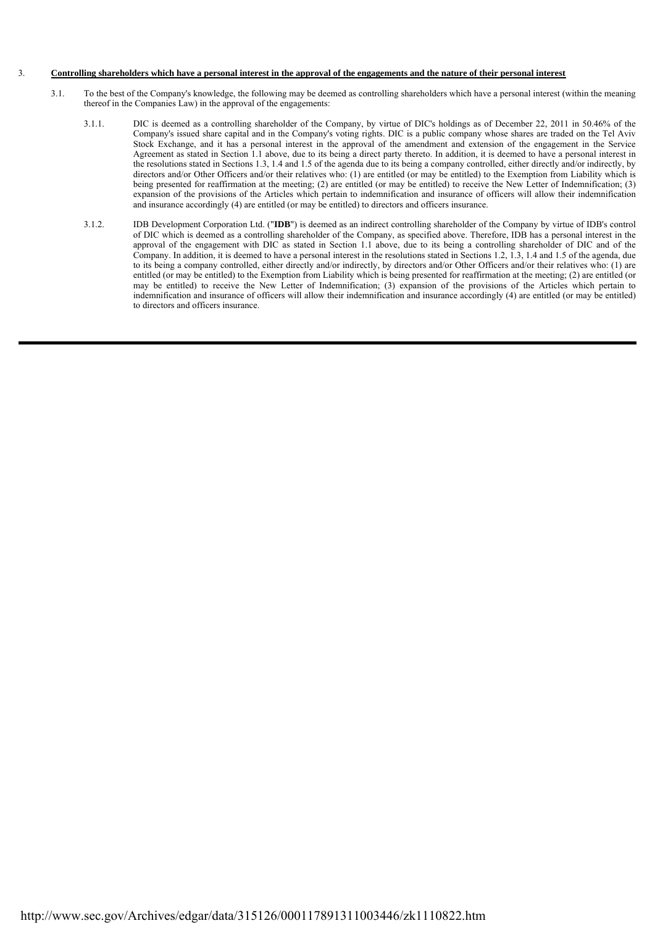## 3. **Controlling shareholders which have a personal interest in the approval of the engagements and the nature of their personal interest**

- 3.1. To the best of the Company's knowledge, the following may be deemed as controlling shareholders which have a personal interest (within the meaning thereof in the Companies Law) in the approval of the engagements:
	- 3.1.1. DIC is deemed as a controlling shareholder of the Company, by virtue of DIC's holdings as of December 22, 2011 in 50.46% of the Company's issued share capital and in the Company's voting rights. DIC is a public company whose shares are traded on the Tel Aviv Stock Exchange, and it has a personal interest in the approval of the amendment and extension of the engagement in the Service Agreement as stated in Section 1.1 above, due to its being a direct party thereto. In addition, it is deemed to have a personal interest in the resolutions stated in Sections 1.3, 1.4 and 1.5 of the agenda due to its being a company controlled, either directly and/or indirectly, by directors and/or Other Officers and/or their relatives who: (1) are entitled (or may be entitled) to the Exemption from Liability which is being presented for reaffirmation at the meeting; (2) are entitled (or may be entitled) to receive the New Letter of Indemnification; (3) expansion of the provisions of the Articles which pertain to indemnification and insurance of officers will allow their indemnification and insurance accordingly (4) are entitled (or may be entitled) to directors and officers insurance.
	- 3.1.2. IDB Development Corporation Ltd. ("**IDB**") is deemed as an indirect controlling shareholder of the Company by virtue of IDB's control of DIC which is deemed as a controlling shareholder of the Company, as specified above. Therefore, IDB has a personal interest in the approval of the engagement with DIC as stated in Section 1.1 above, due to its being a controlling shareholder of DIC and of the Company. In addition, it is deemed to have a personal interest in the resolutions stated in Sections 1.2, 1.3, 1.4 and 1.5 of the agenda, due to its being a company controlled, either directly and/or indirectly, by directors and/or Other Officers and/or their relatives who: (1) are entitled (or may be entitled) to the Exemption from Liability which is being presented for reaffirmation at the meeting; (2) are entitled (or may be entitled) to receive the New Letter of Indemnification; (3) expansion of the provisions of the Articles which pertain to indemnification and insurance of officers will allow their indemnification and insurance accordingly (4) are entitled (or may be entitled) to directors and officers insurance.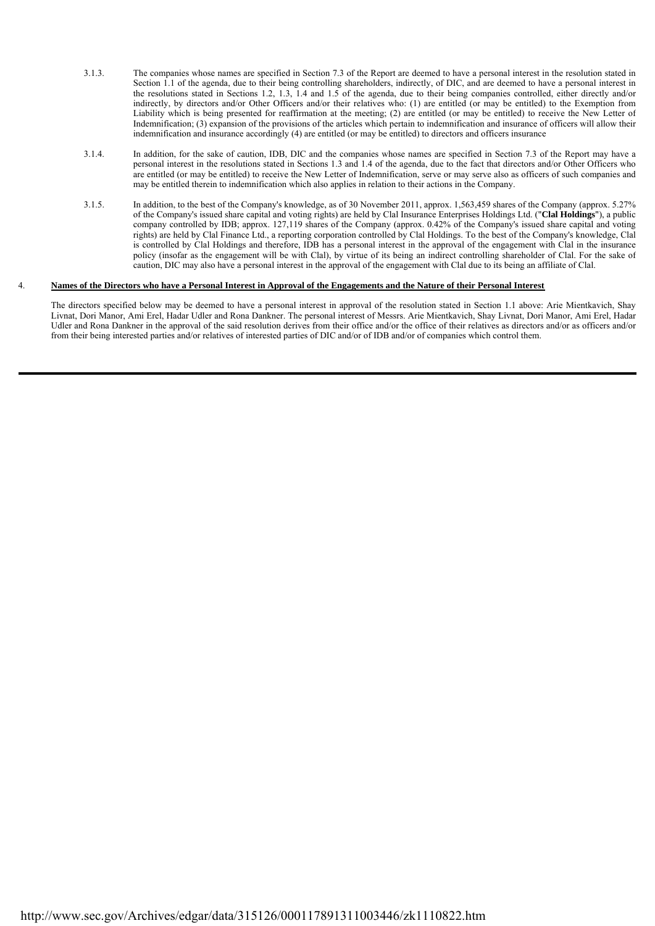- 3.1.3. The companies whose names are specified in Section 7.3 of the Report are deemed to have a personal interest in the resolution stated in Section 1.1 of the agenda, due to their being controlling shareholders, indirectly, of DIC, and are deemed to have a personal interest in the resolutions stated in Sections 1.2, 1.3, 1.4 and 1.5 of the agenda, due to their being companies controlled, either directly and/or indirectly, by directors and/or Other Officers and/or their relatives who: (1) are entitled (or may be entitled) to the Exemption from Liability which is being presented for reaffirmation at the meeting; (2) are entitled (or may be entitled) to receive the New Letter of Indemnification; (3) expansion of the provisions of the articles which pertain to indemnification and insurance of officers will allow their indemnification and insurance accordingly (4) are entitled (or may be entitled) to directors and officers insurance
- 3.1.4. In addition, for the sake of caution, IDB, DIC and the companies whose names are specified in Section 7.3 of the Report may have a personal interest in the resolutions stated in Sections 1.3 and 1.4 of the agenda, due to the fact that directors and/or Other Officers who are entitled (or may be entitled) to receive the New Letter of Indemnification, serve or may serve also as officers of such companies and may be entitled therein to indemnification which also applies in relation to their actions in the Company.
- 3.1.5. In addition, to the best of the Company's knowledge, as of 30 November 2011, approx. 1,563,459 shares of the Company (approx. 5.27% of the Company's issued share capital and voting rights) are held by Clal Insurance Enterprises Holdings Ltd. ("**Clal Holdings**"), a public company controlled by IDB; approx. 127,119 shares of the Company (approx. 0.42% of the Company's issued share capital and voting rights) are held by Clal Finance Ltd., a reporting corporation controlled by Clal Holdings. To the best of the Company's knowledge, Clal is controlled by Clal Holdings and therefore, IDB has a personal interest in the approval of the engagement with Clal in the insurance policy (insofar as the engagement will be with Clal), by virtue of its being an indirect controlling shareholder of Clal. For the sake of caution, DIC may also have a personal interest in the approval of the engagement with Clal due to its being an affiliate of Clal.

## 4. **Names of the Directors who have a Personal Interest in Approval of the Engagements and the Nature of their Personal Interest**

The directors specified below may be deemed to have a personal interest in approval of the resolution stated in Section 1.1 above: Arie Mientkavich, Shay Livnat, Dori Manor, Ami Erel, Hadar Udler and Rona Dankner. The personal interest of Messrs. Arie Mientkavich, Shay Livnat, Dori Manor, Ami Erel, Hadar Udler and Rona Dankner in the approval of the said resolution derives from their office and/or the office of their relatives as directors and/or as officers and/or from their being interested parties and/or relatives of interested parties of DIC and/or of IDB and/or of companies which control them.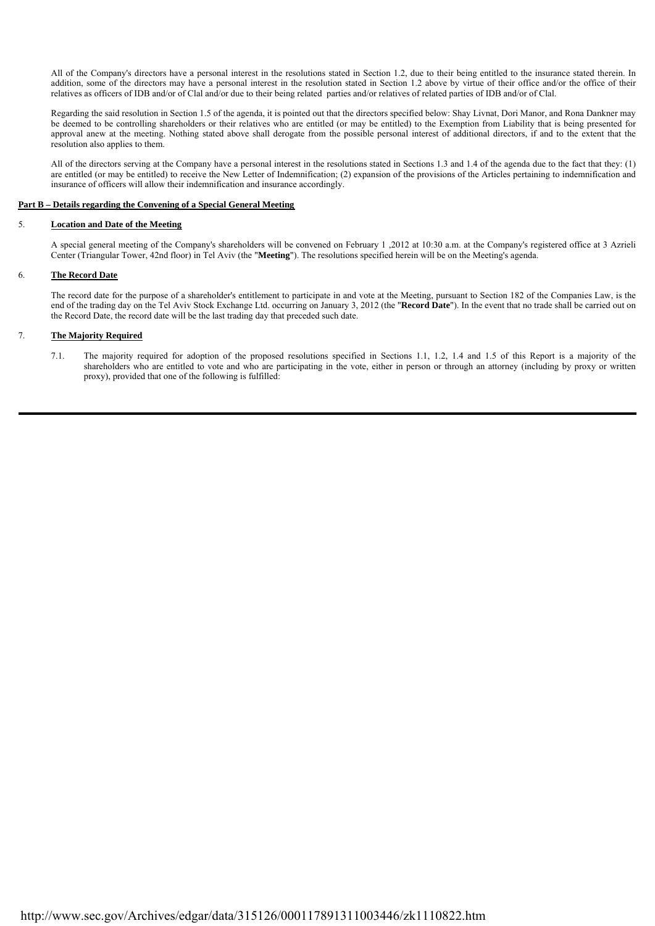All of the Company's directors have a personal interest in the resolutions stated in Section 1.2, due to their being entitled to the insurance stated therein. In addition, some of the directors may have a personal interest in the resolution stated in Section 1.2 above by virtue of their office and/or the office of their relatives as officers of IDB and/or of Clal and/or due to their being related parties and/or relatives of related parties of IDB and/or of Clal.

Regarding the said resolution in Section 1.5 of the agenda, it is pointed out that the directors specified below: Shay Livnat, Dori Manor, and Rona Dankner may be deemed to be controlling shareholders or their relatives who are entitled (or may be entitled) to the Exemption from Liability that is being presented for approval anew at the meeting. Nothing stated above shall derogate from the possible personal interest of additional directors, if and to the extent that the resolution also applies to them.

All of the directors serving at the Company have a personal interest in the resolutions stated in Sections 1.3 and 1.4 of the agenda due to the fact that they: (1) are entitled (or may be entitled) to receive the New Letter of Indemnification; (2) expansion of the provisions of the Articles pertaining to indemnification and insurance of officers will allow their indemnification and insurance accordingly.

## **Part B – Details regarding the Convening of a Special General Meeting**

# 5. **Location and Date of the Meeting**

A special general meeting of the Company's shareholders will be convened on February 1 ,2012 at 10:30 a.m. at the Company's registered office at 3 Azrieli Center (Triangular Tower, 42nd floor) in Tel Aviv (the "**Meeting**"). The resolutions specified herein will be on the Meeting's agenda.

# 6. **The Record Date**

The record date for the purpose of a shareholder's entitlement to participate in and vote at the Meeting, pursuant to Section 182 of the Companies Law, is the end of the trading day on the Tel Aviv Stock Exchange Ltd. occurring on January 3, 2012 (the "**Record Date**"). In the event that no trade shall be carried out on the Record Date, the record date will be the last trading day that preceded such date.

# 7. **The Majority Required**

 7.1. The majority required for adoption of the proposed resolutions specified in Sections 1.1, 1.2, 1.4 and 1.5 of this Report is a majority of the shareholders who are entitled to vote and who are participating in the vote, either in person or through an attorney (including by proxy or written proxy), provided that one of the following is fulfilled: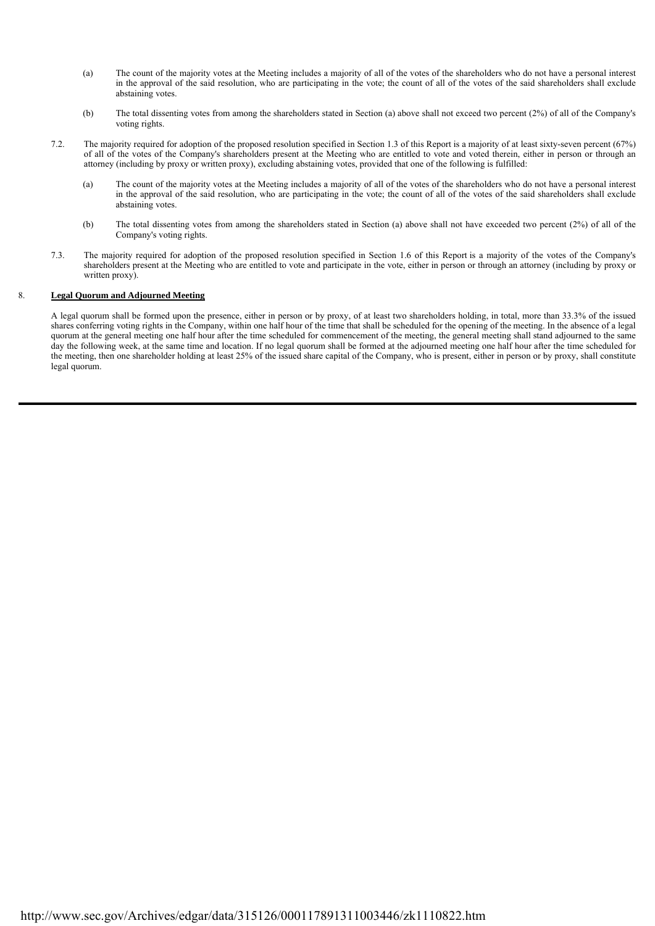- (a) The count of the majority votes at the Meeting includes a majority of all of the votes of the shareholders who do not have a personal interest in the approval of the said resolution, who are participating in the vote; the count of all of the votes of the said shareholders shall exclude abstaining votes.
- (b) The total dissenting votes from among the shareholders stated in Section (a) above shall not exceed two percent (2%) of all of the Company's voting rights.
- 7.2. The majority required for adoption of the proposed resolution specified in Section 1.3 of this Report is a majority of at least sixty-seven percent (67%) of all of the votes of the Company's shareholders present at the Meeting who are entitled to vote and voted therein, either in person or through an attorney (including by proxy or written proxy), excluding abstaining votes, provided that one of the following is fulfilled:
	- (a) The count of the majority votes at the Meeting includes a majority of all of the votes of the shareholders who do not have a personal interest in the approval of the said resolution, who are participating in the vote; the count of all of the votes of the said shareholders shall exclude abstaining votes.
	- (b) The total dissenting votes from among the shareholders stated in Section (a) above shall not have exceeded two percent (2%) of all of the Company's voting rights.
- 7.3. The majority required for adoption of the proposed resolution specified in Section 1.6 of this Report is a majority of the votes of the Company's shareholders present at the Meeting who are entitled to vote and participate in the vote, either in person or through an attorney (including by proxy or written proxy).

# 8. **Legal Quorum and Adjourned Meeting**

A legal quorum shall be formed upon the presence, either in person or by proxy, of at least two shareholders holding, in total, more than 33.3% of the issued shares conferring voting rights in the Company, within one half hour of the time that shall be scheduled for the opening of the meeting. In the absence of a legal quorum at the general meeting one half hour after the time scheduled for commencement of the meeting, the general meeting shall stand adjourned to the same day the following week, at the same time and location. If no legal quorum shall be formed at the adjourned meeting one half hour after the time scheduled for the meeting, then one shareholder holding at least 25% of the issued share capital of the Company, who is present, either in person or by proxy, shall constitute legal quorum.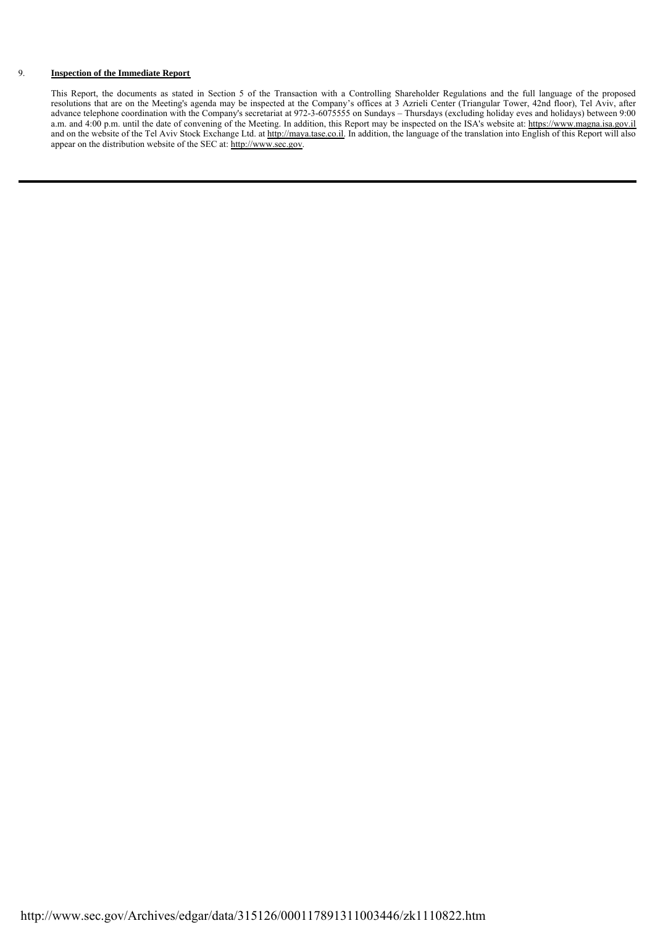#### 9. 9. **Inspection of the Immediate Report**

This Report, the documents as stated in Section 5 of the Transaction with a Controlling Shareholder Regulations and the full language of the proposed resolutions that are on the Meeting's agenda may be inspected at the Company's offices at 3 Azrieli Center (Triangular Tower, 42nd floor), Tel Aviv, after advance telephone coordination with the Company's secretariat at 972-3-6075555 on Sundays – Thursdays (excluding holiday eves and holidays) between 9:00 a.m. and 4:00 p.m. until the date of convening of the Meeting. In addition, this Report may be inspected on the ISA's website at: https://www.magna.isa.gov.il and on the website of the Tel Aviv Stock Exchange Ltd. at http://maya.tase.co.il. In addition, the language of the translation into English of this Report will also appear on the distribution website of the SEC at: http://www.sec.gov.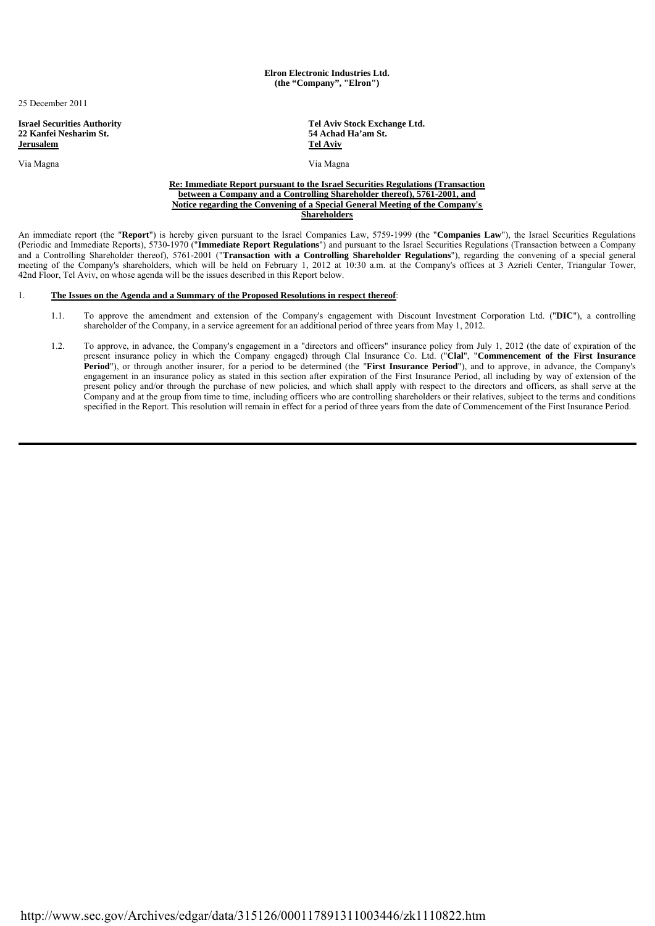**Elron Electronic Industries Ltd. (the "Company", "Elron")**

25 December 2011

**Israel Securities Authority**<br> **Tel Aviv Stock Exchange Ltd.**<br> **Performance 22 Kanfei Nesharim St.**<br> **Performance 24 Achad Ha'am St. 22 Kanfei Nesharim St. Jerusalem Tel Aviv**

Via Magna Via Magna

#### **Re: Immediate Report pursuant to the Israel Securities Regulations (Transaction between a Company and a Controlling Shareholder thereof), 5761-2001, and Notice regarding the Convening of a Special General Meeting of the Company's Shareholders**

An immediate report (the "**Report**") is hereby given pursuant to the Israel Companies Law, 5759-1999 (the "**Companies Law**"), the Israel Securities Regulations (Periodic and Immediate Reports), 5730-1970 ("**Immediate Report Regulations**") and pursuant to the Israel Securities Regulations (Transaction between a Company and a Controlling Shareholder thereof), 5761-2001 ("**Transaction with a Controlling Shareholder Regulations**"), regarding the convening of a special general meeting of the Company's shareholders, which will be held on February 1, 2012 at 10:30 a.m. at the Company's offices at 3 Azrieli Center, Triangular Tower, 42nd Floor, Tel Aviv, on whose agenda will be the issues described in this Report below.

# 1. **The Issues on the Agenda and a Summary of the Proposed Resolutions in respect thereof**:

- 1.1. To approve the amendment and extension of the Company's engagement with Discount Investment Corporation Ltd. ("**DIC**"), a controlling shareholder of the Company, in a service agreement for an additional period of three years from May 1, 2012.
- 1.2. To approve, in advance, the Company's engagement in a "directors and officers" insurance policy from July 1, 2012 (the date of expiration of the present insurance policy in which the Company engaged) through Clal Insurance Co. Ltd. ("**Clal**", "**Commencement of the First Insurance Period**"), or through another insurer, for a period to be determined (the "**First Insurance Period**"), and to approve, in advance, the Company's engagement in an insurance policy as stated in this section after expiration of the First Insurance Period, all including by way of extension of the present policy and/or through the purchase of new policies, and which shall apply with respect to the directors and officers, as shall serve at the Company and at the group from time to time, including officers who are controlling shareholders or their relatives, subject to the terms and conditions specified in the Report. This resolution will remain in effect for a period of three years from the date of Commencement of the First Insurance Period.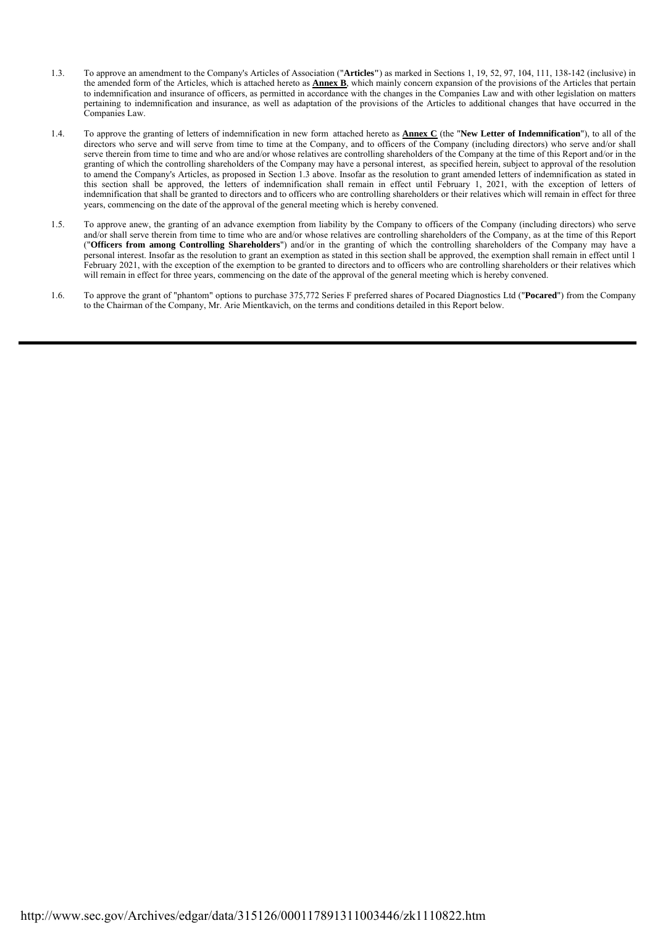- 1.3. To approve an amendment to the Company's Articles of Association ("**Articles"**) as marked in Sections 1, 19, 52, 97, 104, 111, 138-142 (inclusive) in the amended form of the Articles, which is attached hereto as **Annex B**, which mainly concern expansion of the provisions of the Articles that pertain to indemnification and insurance of officers, as permitted in accordance with the changes in the Companies Law and with other legislation on matters pertaining to indemnification and insurance, as well as adaptation of the provisions of the Articles to additional changes that have occurred in the Companies Law.
- 1.4. To approve the granting of letters of indemnification in new form attached hereto as **Annex C** (the "**New Letter of Indemnification**"), to all of the directors who serve and will serve from time to time at the Company, and to officers of the Company (including directors) who serve and/or shall serve therein from time to time and who are and/or whose relatives are controlling shareholders of the Company at the time of this Report and/or in the granting of which the controlling shareholders of the Company may have a personal interest, as specified herein, subject to approval of the resolution to amend the Company's Articles, as proposed in Section 1.3 above. Insofar as the resolution to grant amended letters of indemnification as stated in this section shall be approved, the letters of indemnification shall remain in effect until February 1, 2021, with the exception of letters of indemnification that shall be granted to directors and to officers who are controlling shareholders or their relatives which will remain in effect for three years, commencing on the date of the approval of the general meeting which is hereby convened.
- 1.5. To approve anew, the granting of an advance exemption from liability by the Company to officers of the Company (including directors) who serve and/or shall serve therein from time to time who are and/or whose relatives are controlling shareholders of the Company, as at the time of this Report ("**Officers from among Controlling Shareholders**") and/or in the granting of which the controlling shareholders of the Company may have a personal interest. Insofar as the resolution to grant an exemption as stated in this section shall be approved, the exemption shall remain in effect until 1 February 2021, with the exception of the exemption to be granted to directors and to officers who are controlling shareholders or their relatives which will remain in effect for three years, commencing on the date of the approval of the general meeting which is hereby convened.
- 1.6. To approve the grant of "phantom" options to purchase 375,772 Series F preferred shares of Pocared Diagnostics Ltd ("**Pocared**") from the Company to the Chairman of the Company, Mr. Arie Mientkavich, on the terms and conditions detailed in this Report below.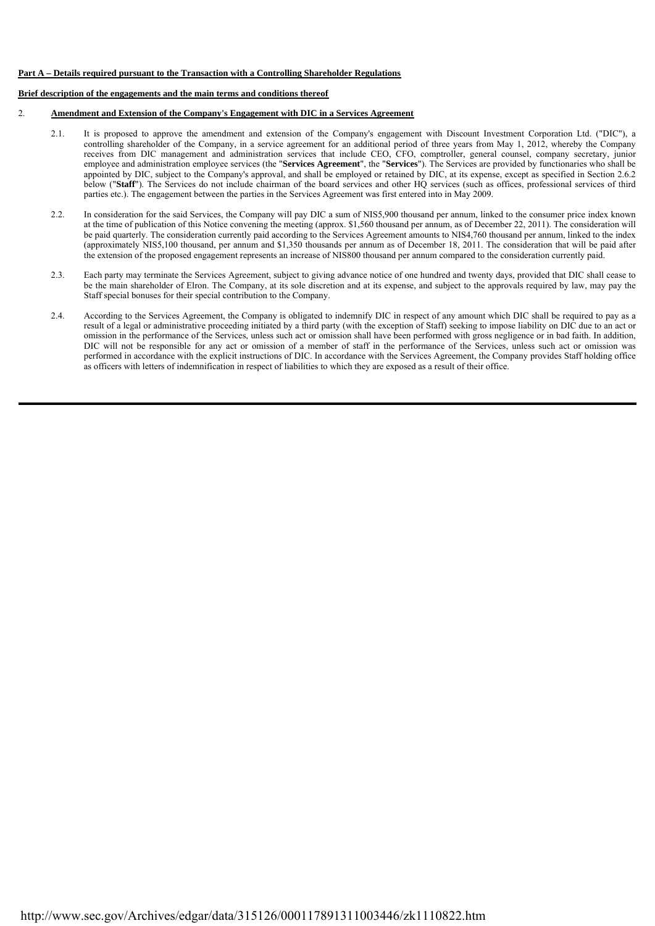# **Part A – Details required pursuant to the Transaction with a Controlling Shareholder Regulations**

# **Brief description of the engagements and the main terms and conditions thereof**

# 2. **Amendment and Extension of the Company's Engagement with DIC in a Services Agreement**

- 2.1. It is proposed to approve the amendment and extension of the Company's engagement with Discount Investment Corporation Ltd. ("DIC"), a controlling shareholder of the Company, in a service agreement for an additional period of three years from May 1, 2012, whereby the Company receives from DIC management and administration services that include CEO, CFO, comptroller, general counsel, company secretary, junior employee and administration employee services (the "**Services Agreement**", the "**Services**"). The Services are provided by functionaries who shall be appointed by DIC, subject to the Company's approval, and shall be employed or retained by DIC, at its expense, except as specified in Section 2.6.2 below ("**Staff**"). The Services do not include chairman of the board services and other HQ services (such as offices, professional services of third parties etc.). The engagement between the parties in the Services Agreement was first entered into in May 2009.
- 2.2. In consideration for the said Services, the Company will pay DIC a sum of NIS5,900 thousand per annum, linked to the consumer price index known at the time of publication of this Notice convening the meeting (approx. \$1,560 thousand per annum, as of December 22, 2011). The consideration will be paid quarterly. The consideration currently paid according to the Services Agreement amounts to NIS4,760 thousand per annum, linked to the index (approximately NIS5,100 thousand, per annum and \$1,350 thousands per annum as of December 18, 2011. The consideration that will be paid after the extension of the proposed engagement represents an increase of NIS800 thousand per annum compared to the consideration currently paid.
- 2.3. Each party may terminate the Services Agreement, subject to giving advance notice of one hundred and twenty days, provided that DIC shall cease to be the main shareholder of Elron. The Company, at its sole discretion and at its expense, and subject to the approvals required by law, may pay the Staff special bonuses for their special contribution to the Company.
- 2.4. According to the Services Agreement, the Company is obligated to indemnify DIC in respect of any amount which DIC shall be required to pay as a result of a legal or administrative proceeding initiated by a third party (with the exception of Staff) seeking to impose liability on DIC due to an act or omission in the performance of the Services, unless such act or omission shall have been performed with gross negligence or in bad faith. In addition, DIC will not be responsible for any act or omission of a member of staff in the performance of the Services, unless such act or omission was performed in accordance with the explicit instructions of DIC. In accordance with the Services Agreement, the Company provides Staff holding office as officers with letters of indemnification in respect of liabilities to which they are exposed as a result of their office.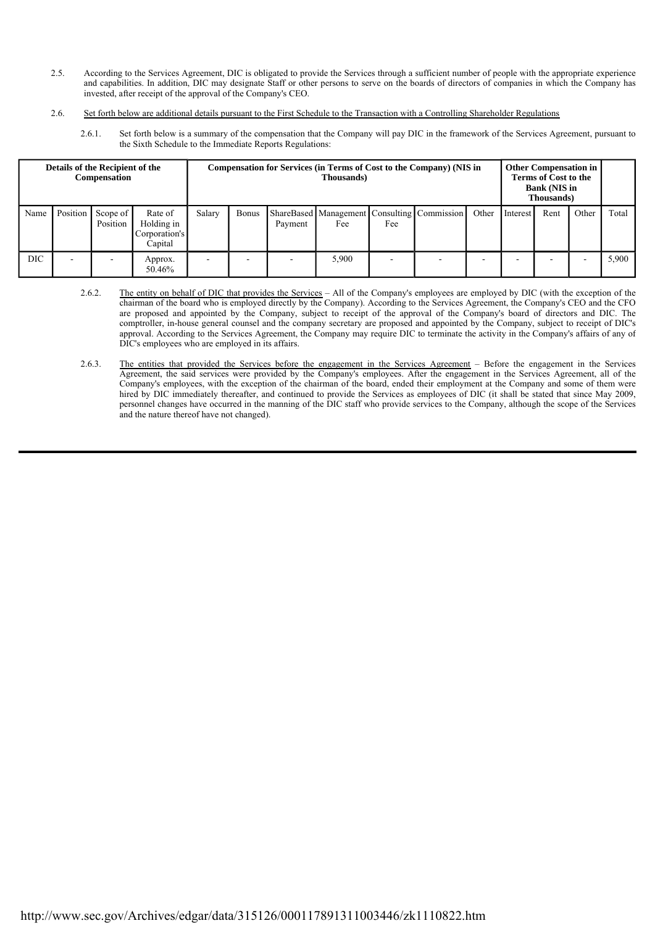- 2.5. According to the Services Agreement, DIC is obligated to provide the Services through a sufficient number of people with the appropriate experience and capabilities. In addition, DIC may designate Staff or other persons to serve on the boards of directors of companies in which the Company has invested, after receipt of the approval of the Company's CEO.
- 2.6. Set forth below are additional details pursuant to the First Schedule to the Transaction with a Controlling Shareholder Regulations
	- 2.6.1. Set forth below is a summary of the compensation that the Company will pay DIC in the framework of the Services Agreement, pursuant to the Sixth Schedule to the Immediate Reports Regulations:

| Details of the Recipient of the<br><b>Compensation</b> |          |                      |                                                   | Compensation for Services (in Terms of Cost to the Company) (NIS in<br>Thousands) |              |         |                                                    |     |  |       | <b>Other Compensation in</b><br><b>Terms of Cost to the</b><br><b>Bank (NIS in</b><br><b>Thousands</b> ) |      |       |       |
|--------------------------------------------------------|----------|----------------------|---------------------------------------------------|-----------------------------------------------------------------------------------|--------------|---------|----------------------------------------------------|-----|--|-------|----------------------------------------------------------------------------------------------------------|------|-------|-------|
| Name                                                   | Position | Scope of<br>Position | Rate of<br>Holding in<br>Corporation's<br>Capital | Salary                                                                            | <b>Bonus</b> | Payment | ShareBased Management Consulting Commission<br>Fee | Fee |  | Other | Interest                                                                                                 | Rent | Other | Total |
| DIC                                                    |          |                      | Approx.<br>50.46%                                 |                                                                                   |              |         | 5,900                                              |     |  |       |                                                                                                          |      |       | 5,900 |

- 2.6.2. The entity on behalf of DIC that provides the Services All of the Company's employees are employed by DIC (with the exception of the chairman of the board who is employed directly by the Company). According to the Services Agreement, the Company's CEO and the CFO are proposed and appointed by the Company, subject to receipt of the approval of the Company's board of directors and DIC. The comptroller, in-house general counsel and the company secretary are proposed and appointed by the Company, subject to receipt of DIC's approval. According to the Services Agreement, the Company may require DIC to terminate the activity in the Company's affairs of any of DIC's employees who are employed in its affairs.
- 2.6.3. The entities that provided the Services before the engagement in the Services Agreement Before the engagement in the Services Agreement, the said services were provided by the Company's employees. After the engagement in the Services Agreement, all of the Company's employees, with the exception of the chairman of the board, ended their employment at the Company and some of them were hired by DIC immediately thereafter, and continued to provide the Services as employees of DIC (it shall be stated that since May 2009, personnel changes have occurred in the manning of the DIC staff who provide services to the Company, although the scope of the Services and the nature thereof have not changed).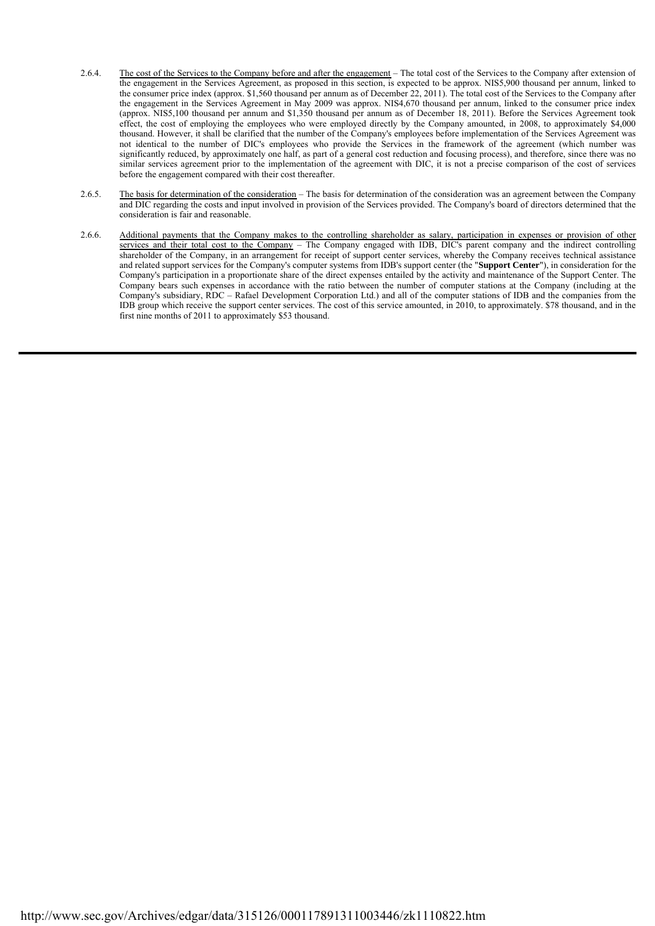- 2.6.4. The cost of the Services to the Company before and after the engagement The total cost of the Services to the Company after extension of the engagement in the Services Agreement, as proposed in this section, is expected to be approx. NIS5,900 thousand per annum, linked to the consumer price index (approx. \$1,560 thousand per annum as of December 22, 2011). The total cost of the Services to the Company after the engagement in the Services Agreement in May 2009 was approx. NIS4,670 thousand per annum, linked to the consumer price index (approx. NIS5,100 thousand per annum and \$1,350 thousand per annum as of December 18, 2011). Before the Services Agreement took effect, the cost of employing the employees who were employed directly by the Company amounted, in 2008, to approximately \$4,000 thousand. However, it shall be clarified that the number of the Company's employees before implementation of the Services Agreement was not identical to the number of DIC's employees who provide the Services in the framework of the agreement (which number was significantly reduced, by approximately one half, as part of a general cost reduction and focusing process), and therefore, since there was no similar services agreement prior to the implementation of the agreement with DIC, it is not a precise comparison of the cost of services before the engagement compared with their cost thereafter.
- 2.6.5. The basis for determination of the consideration The basis for determination of the consideration was an agreement between the Company and DIC regarding the costs and input involved in provision of the Services provided. The Company's board of directors determined that the consideration is fair and reasonable.
- 2.6.6. Additional payments that the Company makes to the controlling shareholder as salary, participation in expenses or provision of other services and their total cost to the Company – The Company engaged with IDB, DIC's parent company and the indirect controlling shareholder of the Company, in an arrangement for receipt of support center services, whereby the Company receives technical assistance and related support services for the Company's computer systems from IDB's support center (the "**Support Center**"), in consideration for the Company's participation in a proportionate share of the direct expenses entailed by the activity and maintenance of the Support Center. The Company bears such expenses in accordance with the ratio between the number of computer stations at the Company (including at the Company's subsidiary, RDC – Rafael Development Corporation Ltd.) and all of the computer stations of IDB and the companies from the IDB group which receive the support center services. The cost of this service amounted, in 2010, to approximately. \$78 thousand, and in the first nine months of 2011 to approximately \$53 thousand.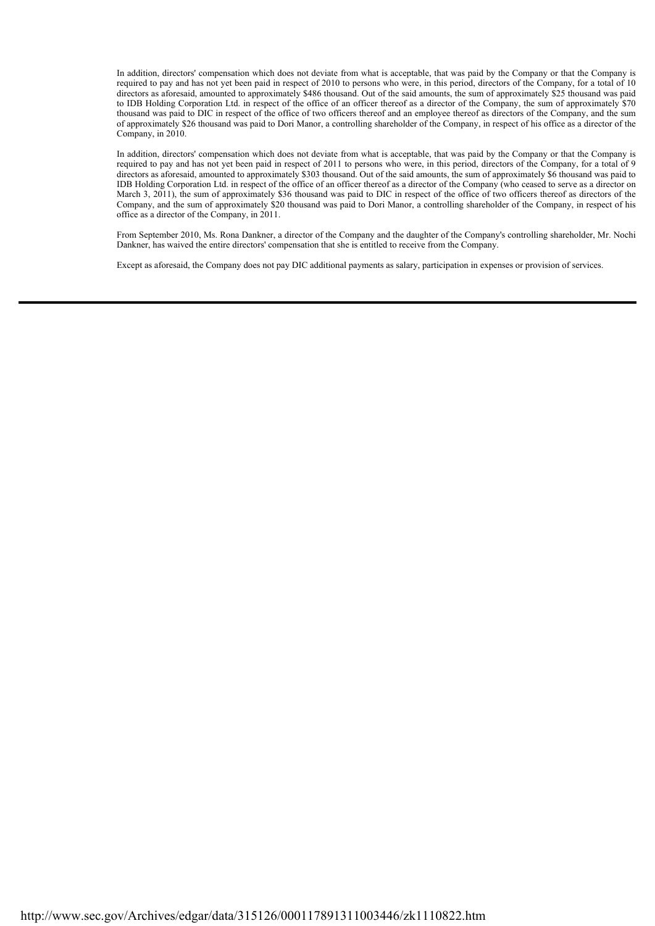In addition, directors' compensation which does not deviate from what is acceptable, that was paid by the Company or that the Company is required to pay and has not yet been paid in respect of 2010 to persons who were, in this period, directors of the Company, for a total of 10 directors as aforesaid, amounted to approximately \$486 thousand. Out of the said amounts, the sum of approximately \$25 thousand was paid to IDB Holding Corporation Ltd. in respect of the office of an officer thereof as a director of the Company, the sum of approximately \$70 thousand was paid to DIC in respect of the office of two officers thereof and an employee thereof as directors of the Company, and the sum of approximately \$26 thousand was paid to Dori Manor, a controlling shareholder of the Company, in respect of his office as a director of the Company, in 2010.

In addition, directors' compensation which does not deviate from what is acceptable, that was paid by the Company or that the Company is required to pay and has not yet been paid in respect of 2011 to persons who were, in this period, directors of the Company, for a total of 9 directors as aforesaid, amounted to approximately \$303 thousand. Out of the said amounts, the sum of approximately \$6 thousand was paid to IDB Holding Corporation Ltd. in respect of the office of an officer thereof as a director of the Company (who ceased to serve as a director on March 3, 2011), the sum of approximately \$36 thousand was paid to DIC in respect of the office of two officers thereof as directors of the Company, and the sum of approximately \$20 thousand was paid to Dori Manor, a controlling shareholder of the Company, in respect of his office as a director of the Company, in 2011.

From September 2010, Ms. Rona Dankner, a director of the Company and the daughter of the Company's controlling shareholder, Mr. Nochi Dankner, has waived the entire directors' compensation that she is entitled to receive from the Company.

Except as aforesaid, the Company does not pay DIC additional payments as salary, participation in expenses or provision of services.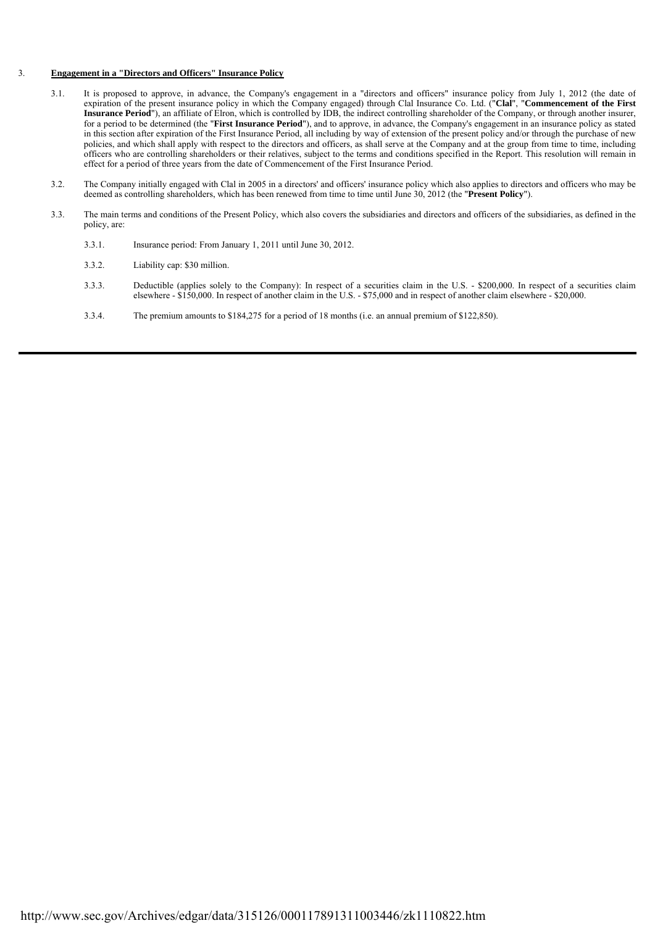# 3. **Engagement in a "Directors and Officers" Insurance Policy**

- 3.1. It is proposed to approve, in advance, the Company's engagement in a "directors and officers" insurance policy from July 1, 2012 (the date of expiration of the present insurance policy in which the Company engaged) through Clal Insurance Co. Ltd. ("**Clal**", "**Commencement of the First Insurance Period**"), an affiliate of Elron, which is controlled by IDB, the indirect controlling shareholder of the Company, or through another insurer, for a period to be determined (the "**First Insurance Period**"), and to approve, in advance, the Company's engagement in an insurance policy as stated in this section after expiration of the First Insurance Period, all including by way of extension of the present policy and/or through the purchase of new policies, and which shall apply with respect to the directors and officers, as shall serve at the Company and at the group from time to time, including officers who are controlling shareholders or their relatives, subject to the terms and conditions specified in the Report. This resolution will remain in effect for a period of three years from the date of Commencement of the First Insurance Period.
	- 3.2. The Company initially engaged with Clal in 2005 in a directors' and officers' insurance policy which also applies to directors and officers who may be deemed as controlling shareholders, which has been renewed from time to time until June 30, 2012 (the "**Present Policy**").
	- 3.3. The main terms and conditions of the Present Policy, which also covers the subsidiaries and directors and officers of the subsidiaries, as defined in the policy, are:
		- 3.3.1. Insurance period: From January 1, 2011 until June 30, 2012.
		- 3.3.2. Liability cap: \$30 million.
		- 3.3.3. Deductible (applies solely to the Company): In respect of a securities claim in the U.S. \$200,000. In respect of a securities claim elsewhere - \$150,000. In respect of another claim in the U.S. - \$75,000 and in respect of another claim elsewhere - \$20,000.
		- 3.3.4. The premium amounts to \$184,275 for a period of 18 months (i.e. an annual premium of \$122,850).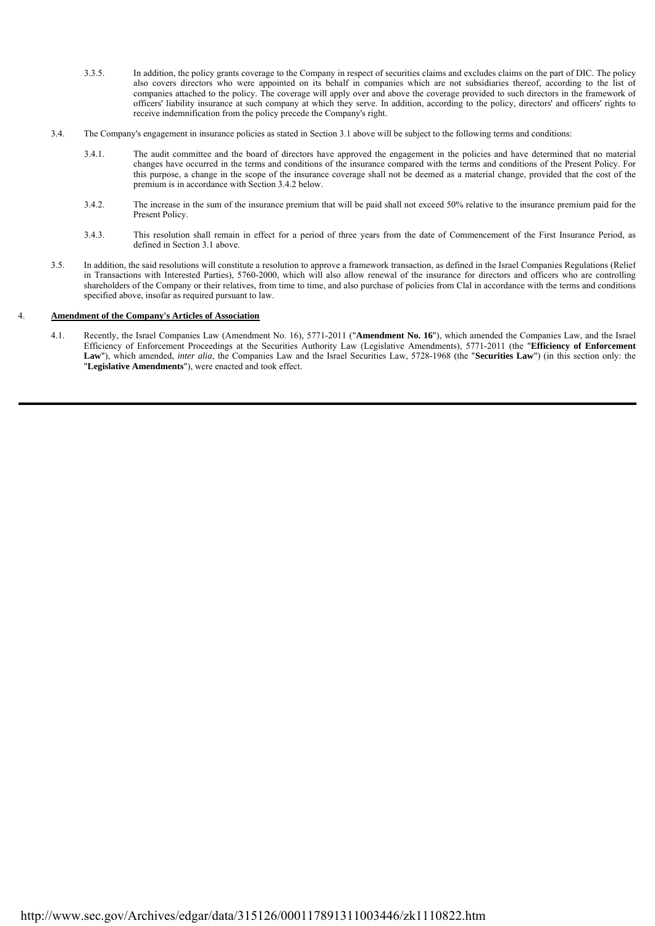- 3.3.5. In addition, the policy grants coverage to the Company in respect of securities claims and excludes claims on the part of DIC. The policy also covers directors who were appointed on its behalf in companies which are not subsidiaries thereof, according to the list of companies attached to the policy. The coverage will apply over and above the coverage provided to such directors in the framework of officers' liability insurance at such company at which they serve. In addition, according to the policy, directors' and officers' rights to receive indemnification from the policy precede the Company's right.
- 3.4. The Company's engagement in insurance policies as stated in Section 3.1 above will be subject to the following terms and conditions:
	- 3.4.1. The audit committee and the board of directors have approved the engagement in the policies and have determined that no material changes have occurred in the terms and conditions of the insurance compared with the terms and conditions of the Present Policy. For this purpose, a change in the scope of the insurance coverage shall not be deemed as a material change, provided that the cost of the premium is in accordance with Section 3.4.2 below.
	- 3.4.2. The increase in the sum of the insurance premium that will be paid shall not exceed 50% relative to the insurance premium paid for the Present Policy.
	- 3.4.3. This resolution shall remain in effect for a period of three years from the date of Commencement of the First Insurance Period, as defined in Section 3.1 above.
- 3.5. In addition, the said resolutions will constitute a resolution to approve a framework transaction, as defined in the Israel Companies Regulations (Relief in Transactions with Interested Parties), 5760-2000, which will also allow renewal of the insurance for directors and officers who are controlling shareholders of the Company or their relatives, from time to time, and also purchase of policies from Clal in accordance with the terms and conditions specified above, insofar as required pursuant to law.

## 4. **Amendment of the Company's Articles of Association**

 4.1. Recently, the Israel Companies Law (Amendment No. 16), 5771-2011 ("**Amendment No. 16**"), which amended the Companies Law, and the Israel Efficiency of Enforcement Proceedings at the Securities Authority Law (Legislative Amendments), 5771-2011 (the "**Efficiency of Enforcement Law**"), which amended, *inter alia*, the Companies Law and the Israel Securities Law, 5728-1968 (the "**Securities Law**") (in this section only: the "**Legislative Amendments**"), were enacted and took effect.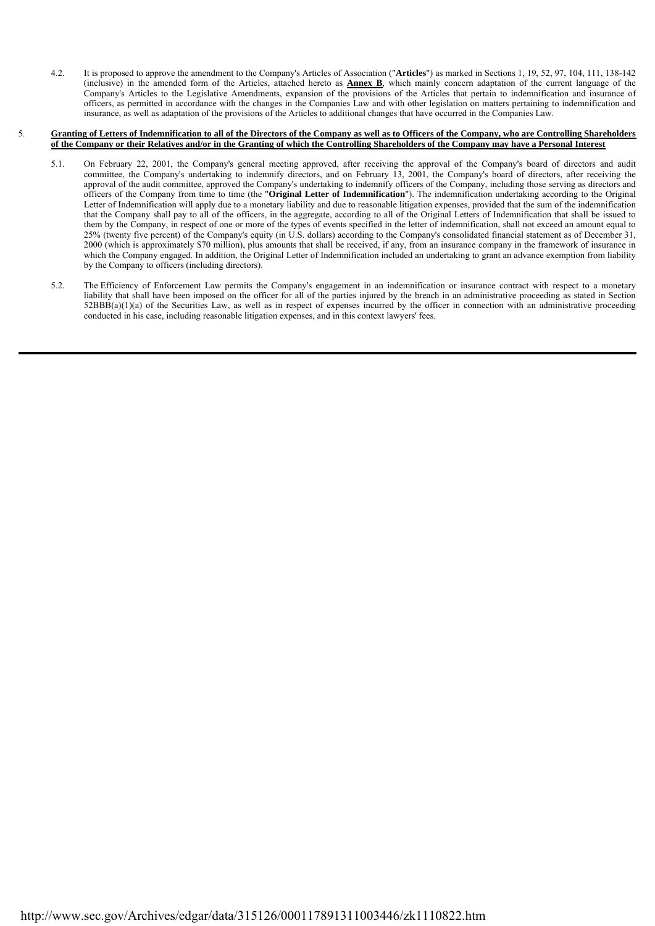4.2. It is proposed to approve the amendment to the Company's Articles of Association ("**Articles**") as marked in Sections 1, 19, 52, 97, 104, 111, 138-142 (inclusive) in the amended form of the Articles, attached hereto as **Annex B**, which mainly concern adaptation of the current language of the Company's Articles to the Legislative Amendments, expansion of the provisions of the Articles that pertain to indemnification and insurance of officers, as permitted in accordance with the changes in the Companies Law and with other legislation on matters pertaining to indemnification and insurance, as well as adaptation of the provisions of the Articles to additional changes that have occurred in the Companies Law.

#### 5. **Granting of Letters of Indemnification to all of the Directors of the Company as well as to Officers of the Company, who are Controlling Shareholders of the Company or their Relatives and/or in the Granting of which the Controlling Shareholders of the Company may have a Personal Interest**

- 5.1. On February 22, 2001, the Company's general meeting approved, after receiving the approval of the Company's board of directors and audit committee, the Company's undertaking to indemnify directors, and on February 13, 2001, the Company's board of directors, after receiving the approval of the audit committee, approved the Company's undertaking to indemnify officers of the Company, including those serving as directors and officers of the Company from time to time (the "**Original Letter of Indemnification**"). The indemnification undertaking according to the Original Letter of Indemnification will apply due to a monetary liability and due to reasonable litigation expenses, provided that the sum of the indemnification that the Company shall pay to all of the officers, in the aggregate, according to all of the Original Letters of Indemnification that shall be issued to them by the Company, in respect of one or more of the types of events specified in the letter of indemnification, shall not exceed an amount equal to 25% (twenty five percent) of the Company's equity (in U.S. dollars) according to the Company's consolidated financial statement as of December 31, 2000 (which is approximately \$70 million), plus amounts that shall be received, if any, from an insurance company in the framework of insurance in which the Company engaged. In addition, the Original Letter of Indemnification included an undertaking to grant an advance exemption from liability by the Company to officers (including directors).
- 5.2. The Efficiency of Enforcement Law permits the Company's engagement in an indemnification or insurance contract with respect to a monetary liability that shall have been imposed on the officer for all of the parties injured by the breach in an administrative proceeding as stated in Section  $52BBB(a)(1)(a)$  of the Securities Law, as well as in respect of expenses incurred by the officer in connection with an administrative proceeding conducted in his case, including reasonable litigation expenses, and in this context lawyers' fees.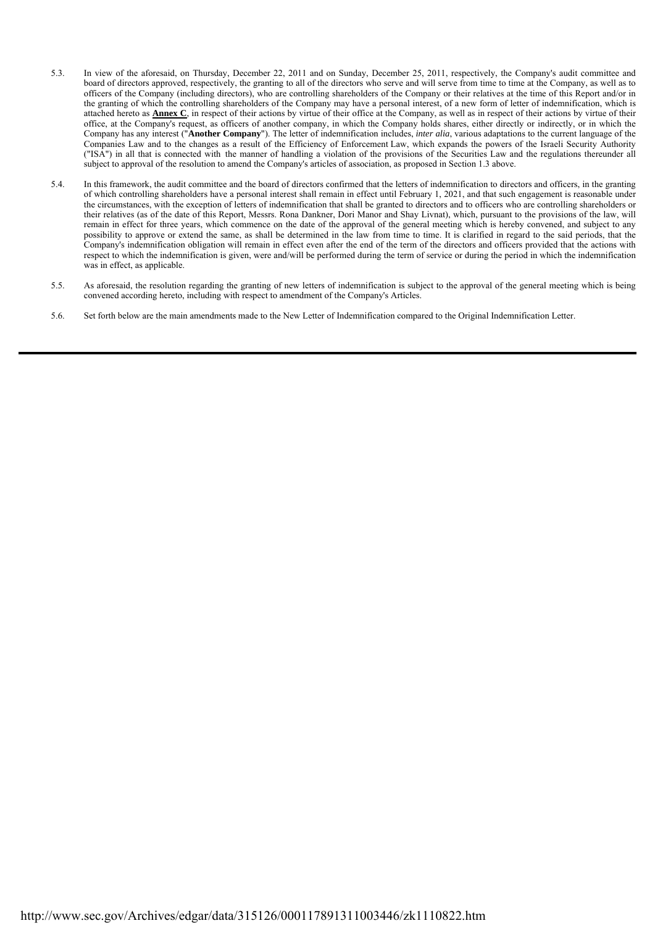- 5.3. In view of the aforesaid, on Thursday, December 22, 2011 and on Sunday, December 25, 2011, respectively, the Company's audit committee and board of directors approved, respectively, the granting to all of the directors who serve and will serve from time to time at the Company, as well as to officers of the Company (including directors), who are controlling shareholders of the Company or their relatives at the time of this Report and/or in the granting of which the controlling shareholders of the Company may have a personal interest, of a new form of letter of indemnification, which is attached hereto as **Annex C**, in respect of their actions by virtue of their office at the Company, as well as in respect of their actions by virtue of their office, at the Company's request, as officers of another company, in which the Company holds shares, either directly or indirectly, or in which the Company has any interest ("**Another Company**"). The letter of indemnification includes, *inter alia*, various adaptations to the current language of the Companies Law and to the changes as a result of the Efficiency of Enforcement Law, which expands the powers of the Israeli Security Authority ("ISA") in all that is connected with the manner of handling a violation of the provisions of the Securities Law and the regulations thereunder all subject to approval of the resolution to amend the Company's articles of association, as proposed in Section 1.3 above.
- 5.4. In this framework, the audit committee and the board of directors confirmed that the letters of indemnification to directors and officers, in the granting of which controlling shareholders have a personal interest shall remain in effect until February 1, 2021, and that such engagement is reasonable under the circumstances, with the exception of letters of indemnification that shall be granted to directors and to officers who are controlling shareholders or their relatives (as of the date of this Report, Messrs. Rona Dankner, Dori Manor and Shay Livnat), which, pursuant to the provisions of the law, will remain in effect for three years, which commence on the date of the approval of the general meeting which is hereby convened, and subject to any possibility to approve or extend the same, as shall be determined in the law from time to time. It is clarified in regard to the said periods, that the Company's indemnification obligation will remain in effect even after the end of the term of the directors and officers provided that the actions with respect to which the indemnification is given, were and/will be performed during the term of service or during the period in which the indemnification was in effect, as applicable.
- 5.5. As aforesaid, the resolution regarding the granting of new letters of indemnification is subject to the approval of the general meeting which is being convened according hereto, including with respect to amendment of the Company's Articles.
- 5.6. Set forth below are the main amendments made to the New Letter of Indemnification compared to the Original Indemnification Letter.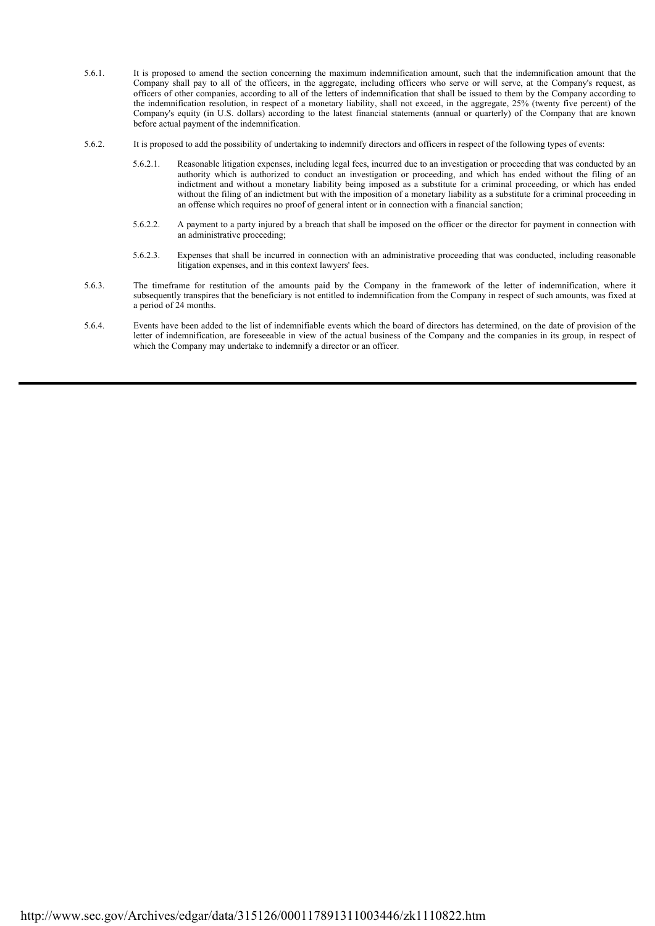- 5.6.1. It is proposed to amend the section concerning the maximum indemnification amount, such that the indemnification amount that the Company shall pay to all of the officers, in the aggregate, including officers who serve or will serve, at the Company's request, as officers of other companies, according to all of the letters of indemnification that shall be issued to them by the Company according to the indemnification resolution, in respect of a monetary liability, shall not exceed, in the aggregate, 25% (twenty five percent) of the Company's equity (in U.S. dollars) according to the latest financial statements (annual or quarterly) of the Company that are known before actual payment of the indemnification.
- 5.6.2. It is proposed to add the possibility of undertaking to indemnify directors and officers in respect of the following types of events:
	- 5.6.2.1. Reasonable litigation expenses, including legal fees, incurred due to an investigation or proceeding that was conducted by an authority which is authorized to conduct an investigation or proceeding, and which has ended without the filing of an indictment and without a monetary liability being imposed as a substitute for a criminal proceeding, or which has ended without the filing of an indictment but with the imposition of a monetary liability as a substitute for a criminal proceeding in an offense which requires no proof of general intent or in connection with a financial sanction;
	- 5.6.2.2. A payment to a party injured by a breach that shall be imposed on the officer or the director for payment in connection with an administrative proceeding;
	- 5.6.2.3. Expenses that shall be incurred in connection with an administrative proceeding that was conducted, including reasonable litigation expenses, and in this context lawyers' fees.
- 5.6.3. The timeframe for restitution of the amounts paid by the Company in the framework of the letter of indemnification, where it subsequently transpires that the beneficiary is not entitled to indemnification from the Company in respect of such amounts, was fixed at a period of 24 months.
- 5.6.4. Events have been added to the list of indemnifiable events which the board of directors has determined, on the date of provision of the letter of indemnification, are foreseeable in view of the actual business of the Company and the companies in its group, in respect of which the Company may undertake to indemnify a director or an officer.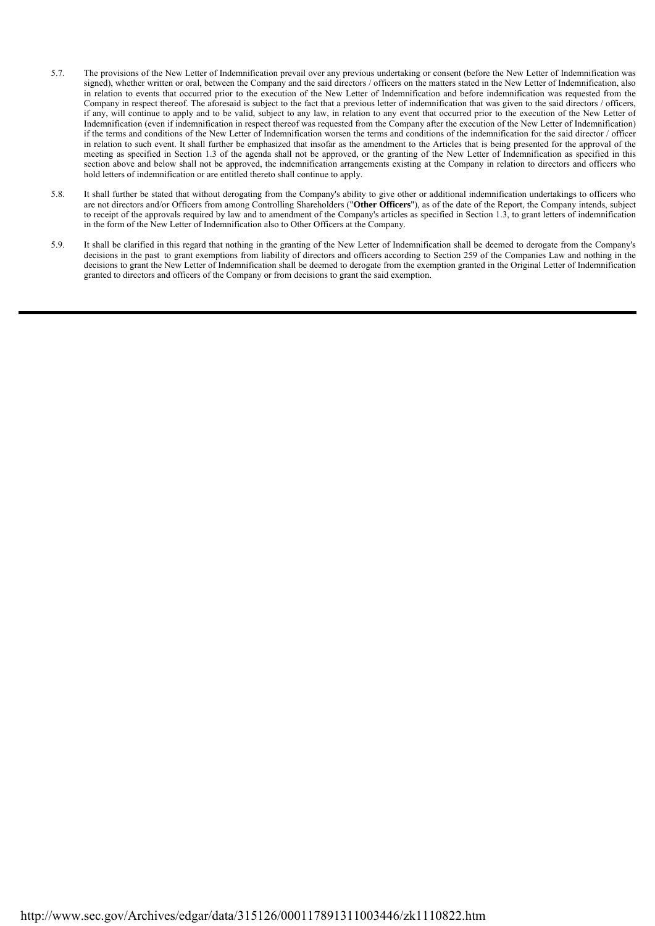- 5.7. The provisions of the New Letter of Indemnification prevail over any previous undertaking or consent (before the New Letter of Indemnification was signed), whether written or oral, between the Company and the said directors / officers on the matters stated in the New Letter of Indemnification, also in relation to events that occurred prior to the execution of the New Letter of Indemnification and before indemnification was requested from the Company in respect thereof. The aforesaid is subject to the fact that a previous letter of indemnification that was given to the said directors / officers, if any, will continue to apply and to be valid, subject to any law, in relation to any event that occurred prior to the execution of the New Letter of Indemnification (even if indemnification in respect thereof was requested from the Company after the execution of the New Letter of Indemnification) if the terms and conditions of the New Letter of Indemnification worsen the terms and conditions of the indemnification for the said director / officer in relation to such event. It shall further be emphasized that insofar as the amendment to the Articles that is being presented for the approval of the meeting as specified in Section 1.3 of the agenda shall not be approved, or the granting of the New Letter of Indemnification as specified in this section above and below shall not be approved, the indemnification arrangements existing at the Company in relation to directors and officers who hold letters of indemnification or are entitled thereto shall continue to apply.
- 5.8. It shall further be stated that without derogating from the Company's ability to give other or additional indemnification undertakings to officers who are not directors and/or Officers from among Controlling Shareholders ("**Other Officers**"), as of the date of the Report, the Company intends, subject to receipt of the approvals required by law and to amendment of the Company's articles as specified in Section 1.3, to grant letters of indemnification in the form of the New Letter of Indemnification also to Other Officers at the Company.
- 5.9. It shall be clarified in this regard that nothing in the granting of the New Letter of Indemnification shall be deemed to derogate from the Company's decisions in the past to grant exemptions from liability of directors and officers according to Section 259 of the Companies Law and nothing in the decisions to grant the New Letter of Indemnification shall be deemed to derogate from the exemption granted in the Original Letter of Indemnification granted to directors and officers of the Company or from decisions to grant the said exemption.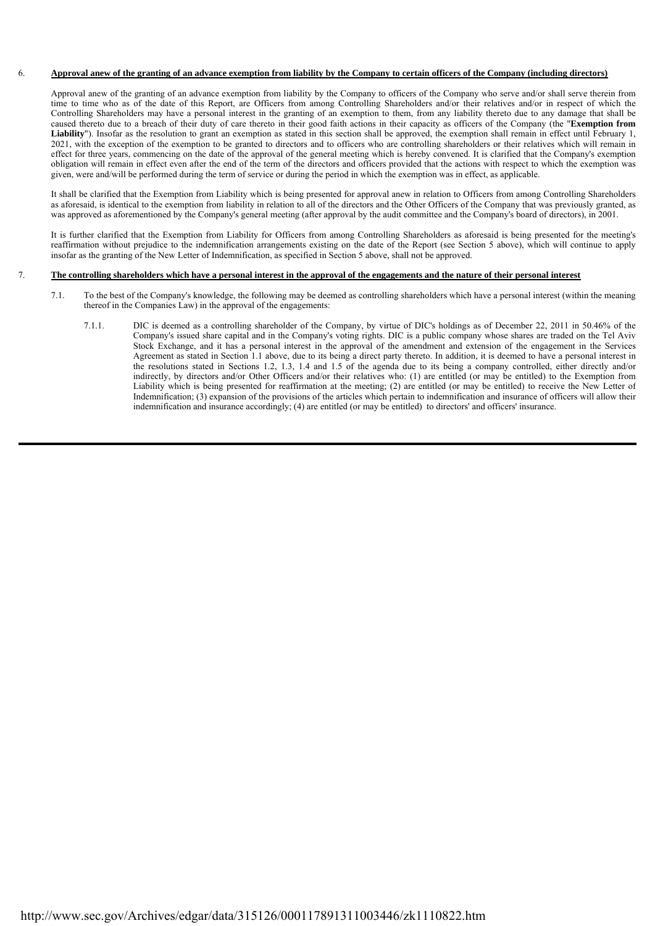# 6. **Approval anew of the granting of an advance exemption from liability by the Company to certain officers of the Company (including directors)**

Approval anew of the granting of an advance exemption from liability by the Company to officers of the Company who serve and/or shall serve therein from time to time who as of the date of this Report, are Officers from among Controlling Shareholders and/or their relatives and/or in respect of which the Controlling Shareholders may have a personal interest in the granting of an exemption to them, from any liability thereto due to any damage that shall be caused thereto due to a breach of their duty of care thereto in their good faith actions in their capacity as officers of the Company (the "**Exemption from**  Liability"). Insofar as the resolution to grant an exemption as stated in this section shall be approved, the exemption shall remain in effect until February 1, 2021, with the exception of the exemption to be granted to directors and to officers who are controlling shareholders or their relatives which will remain in effect for three years, commencing on the date of the approval of the general meeting which is hereby convened. It is clarified that the Company's exemption obligation will remain in effect even after the end of the term of the directors and officers provided that the actions with respect to which the exemption was given, were and/will be performed during the term of service or during the period in which the exemption was in effect, as applicable.

It shall be clarified that the Exemption from Liability which is being presented for approval anew in relation to Officers from among Controlling Shareholders as aforesaid, is identical to the exemption from liability in relation to all of the directors and the Other Officers of the Company that was previously granted, as was approved as aforementioned by the Company's general meeting (after approval by the audit committee and the Company's board of directors), in 2001.

It is further clarified that the Exemption from Liability for Officers from among Controlling Shareholders as aforesaid is being presented for the meeting's reaffirmation without prejudice to the indemnification arrangements existing on the date of the Report (see Section 5 above), which will continue to apply insofar as the granting of the New Letter of Indemnification, as specified in Section 5 above, shall not be approved.

# 7. **The controlling shareholders which have a personal interest in the approval of the engagements and the nature of their personal interest**

- 7.1. To the best of the Company's knowledge, the following may be deemed as controlling shareholders which have a personal interest (within the meaning thereof in the Companies Law) in the approval of the engagements:
	- 7.1.1. DIC is deemed as a controlling shareholder of the Company, by virtue of DIC's holdings as of December 22, 2011 in 50.46% of the Company's issued share capital and in the Company's voting rights. DIC is a public company whose shares are traded on the Tel Aviv Stock Exchange, and it has a personal interest in the approval of the amendment and extension of the engagement in the Services Agreement as stated in Section 1.1 above, due to its being a direct party thereto. In addition, it is deemed to have a personal interest in the resolutions stated in Sections 1.2, 1.3, 1.4 and 1.5 of the agenda due to its being a company controlled, either directly and/or indirectly, by directors and/or Other Officers and/or their relatives who: (1) are entitled (or may be entitled) to the Exemption from Liability which is being presented for reaffirmation at the meeting; (2) are entitled (or may be entitled) to receive the New Letter of Indemnification; (3) expansion of the provisions of the articles which pertain to indemnification and insurance of officers will allow their indemnification and insurance accordingly; (4) are entitled (or may be entitled) to directors' and officers' insurance.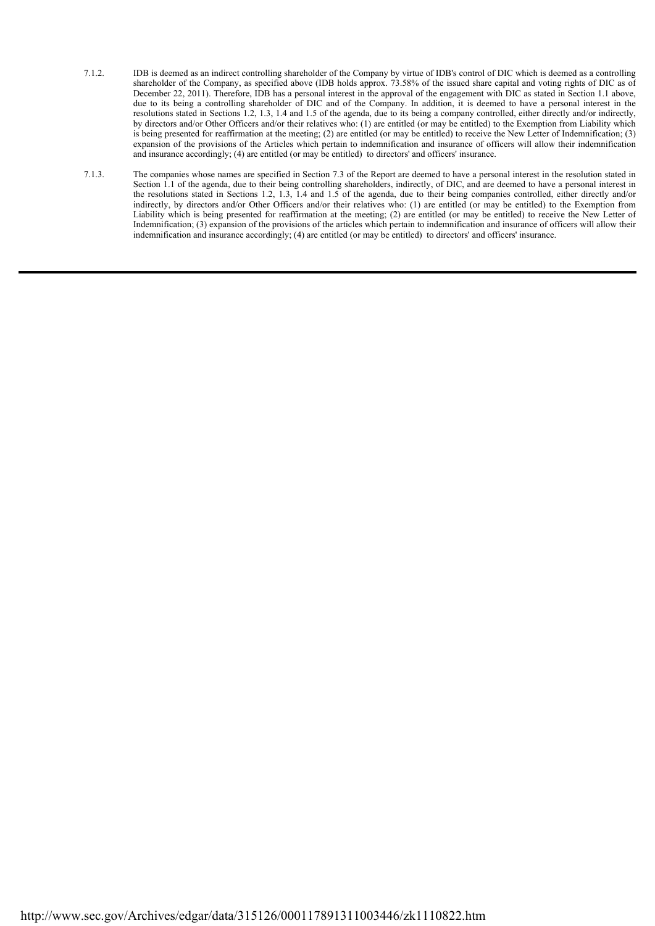- 7.1.2. IDB is deemed as an indirect controlling shareholder of the Company by virtue of IDB's control of DIC which is deemed as a controlling shareholder of the Company, as specified above (IDB holds approx. 73.58% of the issued share capital and voting rights of DIC as of December 22, 2011). Therefore, IDB has a personal interest in the approval of the engagement with DIC as stated in Section 1.1 above, due to its being a controlling shareholder of DIC and of the Company. In addition, it is deemed to have a personal interest in the resolutions stated in Sections 1.2, 1.3, 1.4 and 1.5 of the agenda, due to its being a company controlled, either directly and/or indirectly, by directors and/or Other Officers and/or their relatives who: (1) are entitled (or may be entitled) to the Exemption from Liability which is being presented for reaffirmation at the meeting; (2) are entitled (or may be entitled) to receive the New Letter of Indemnification; (3) expansion of the provisions of the Articles which pertain to indemnification and insurance of officers will allow their indemnification and insurance accordingly; (4) are entitled (or may be entitled) to directors' and officers' insurance.
- 7.1.3. The companies whose names are specified in Section 7.3 of the Report are deemed to have a personal interest in the resolution stated in Section 1.1 of the agenda, due to their being controlling shareholders, indirectly, of DIC, and are deemed to have a personal interest in the resolutions stated in Sections 1.2, 1.3, 1.4 and 1.5 of the agenda, due to their being companies controlled, either directly and/or indirectly, by directors and/or Other Officers and/or their relatives who: (1) are entitled (or may be entitled) to the Exemption from Liability which is being presented for reaffirmation at the meeting; (2) are entitled (or may be entitled) to receive the New Letter of Indemnification; (3) expansion of the provisions of the articles which pertain to indemnification and insurance of officers will allow their indemnification and insurance accordingly; (4) are entitled (or may be entitled) to directors' and officers' insurance.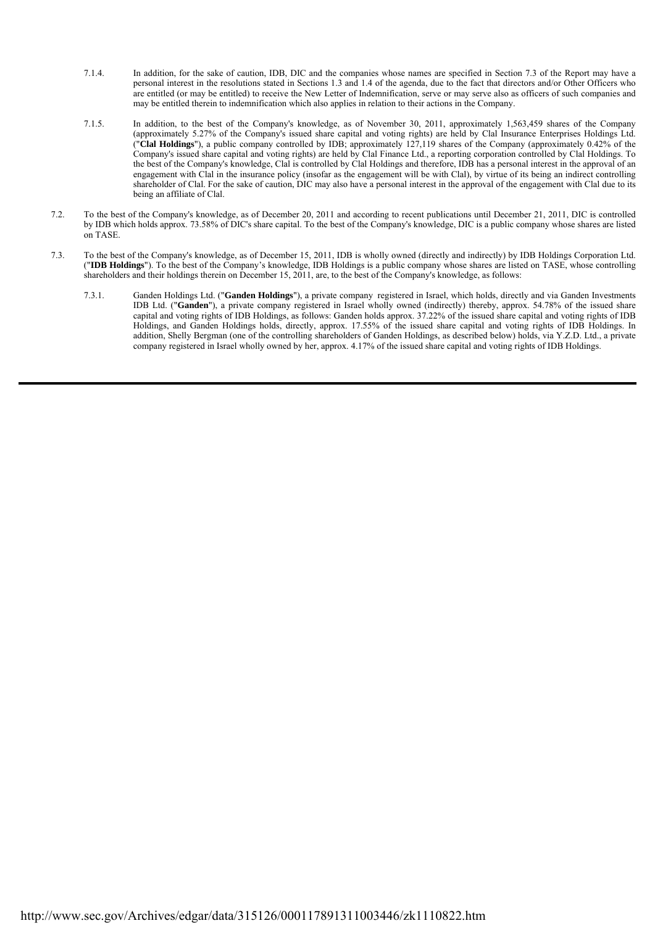- 7.1.4. In addition, for the sake of caution, IDB, DIC and the companies whose names are specified in Section 7.3 of the Report may have a personal interest in the resolutions stated in Sections 1.3 and 1.4 of the agenda, due to the fact that directors and/or Other Officers who are entitled (or may be entitled) to receive the New Letter of Indemnification, serve or may serve also as officers of such companies and may be entitled therein to indemnification which also applies in relation to their actions in the Company.
- 7.1.5. In addition, to the best of the Company's knowledge, as of November 30, 2011, approximately 1,563,459 shares of the Company (approximately 5.27% of the Company's issued share capital and voting rights) are held by Clal Insurance Enterprises Holdings Ltd. ("**Clal Holdings**"), a public company controlled by IDB; approximately 127,119 shares of the Company (approximately 0.42% of the Company's issued share capital and voting rights) are held by Clal Finance Ltd., a reporting corporation controlled by Clal Holdings. To the best of the Company's knowledge, Clal is controlled by Clal Holdings and therefore, IDB has a personal interest in the approval of an engagement with Clal in the insurance policy (insofar as the engagement will be with Clal), by virtue of its being an indirect controlling shareholder of Clal. For the sake of caution, DIC may also have a personal interest in the approval of the engagement with Clal due to its being an affiliate of Clal.
- 7.2. To the best of the Company's knowledge, as of December 20, 2011 and according to recent publications until December 21, 2011, DIC is controlled by IDB which holds approx. 73.58% of DIC's share capital. To the best of the Company's knowledge, DIC is a public company whose shares are listed on TASE.
- 7.3. To the best of the Company's knowledge, as of December 15, 2011, IDB is wholly owned (directly and indirectly) by IDB Holdings Corporation Ltd. ("**IDB Holdings**"). To the best of the Company's knowledge, IDB Holdings is a public company whose shares are listed on TASE, whose controlling shareholders and their holdings therein on December 15, 2011, are, to the best of the Company's knowledge, as follows:
	- 7.3.1. Ganden Holdings Ltd. ("**Ganden Holdings**"), a private company registered in Israel, which holds, directly and via Ganden Investments IDB Ltd. ("**Ganden**"), a private company registered in Israel wholly owned (indirectly) thereby, approx. 54.78% of the issued share capital and voting rights of IDB Holdings, as follows: Ganden holds approx. 37.22% of the issued share capital and voting rights of IDB Holdings, and Ganden Holdings holds, directly, approx. 17.55% of the issued share capital and voting rights of IDB Holdings. In addition, Shelly Bergman (one of the controlling shareholders of Ganden Holdings, as described below) holds, via Y.Z.D. Ltd., a private company registered in Israel wholly owned by her, approx. 4.17% of the issued share capital and voting rights of IDB Holdings.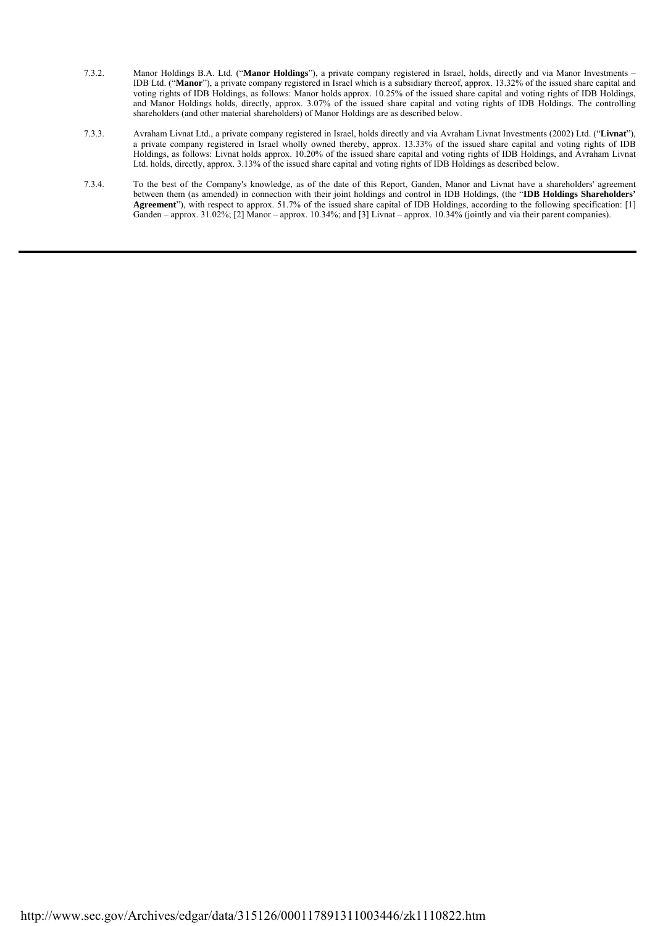- 7.3.2. Manor Holdings B.A. Ltd. ("**Manor Holdings**"), a private company registered in Israel, holds, directly and via Manor Investments IDB Ltd. ("**Manor**"), a private company registered in Israel which is a subsidiary thereof, approx. 13.32% of the issued share capital and voting rights of IDB Holdings, as follows: Manor holds approx. 10.25% of the issued share capital and voting rights of IDB Holdings, and Manor Holdings holds, directly, approx. 3.07% of the issued share capital and voting rights of IDB Holdings. The controlling shareholders (and other material shareholders) of Manor Holdings are as described below.
- 7.3.3. Avraham Livnat Ltd., a private company registered in Israel, holds directly and via Avraham Livnat Investments (2002) Ltd. ("**Livnat**"), a private company registered in Israel wholly owned thereby, approx. 13.33% of the issued share capital and voting rights of IDB Holdings, as follows: Livnat holds approx. 10.20% of the issued share capital and voting rights of IDB Holdings, and Avraham Livnat Ltd. holds, directly, approx. 3.13% of the issued share capital and voting rights of IDB Holdings as described below.
- 7.3.4. To the best of the Company's knowledge, as of the date of this Report, Ganden, Manor and Livnat have a shareholders' agreement between them (as amended) in connection with their joint holdings and control in IDB Holdings, (the "**IDB Holdings Shareholders' Agreement**"), with respect to approx. 51.7% of the issued share capital of IDB Holdings, according to the following specification: [1] Ganden – approx. 31.02%; [2] Manor – approx. 10.34%; and [3] Livnat – approx. 10.34% (jointly and via their parent companies).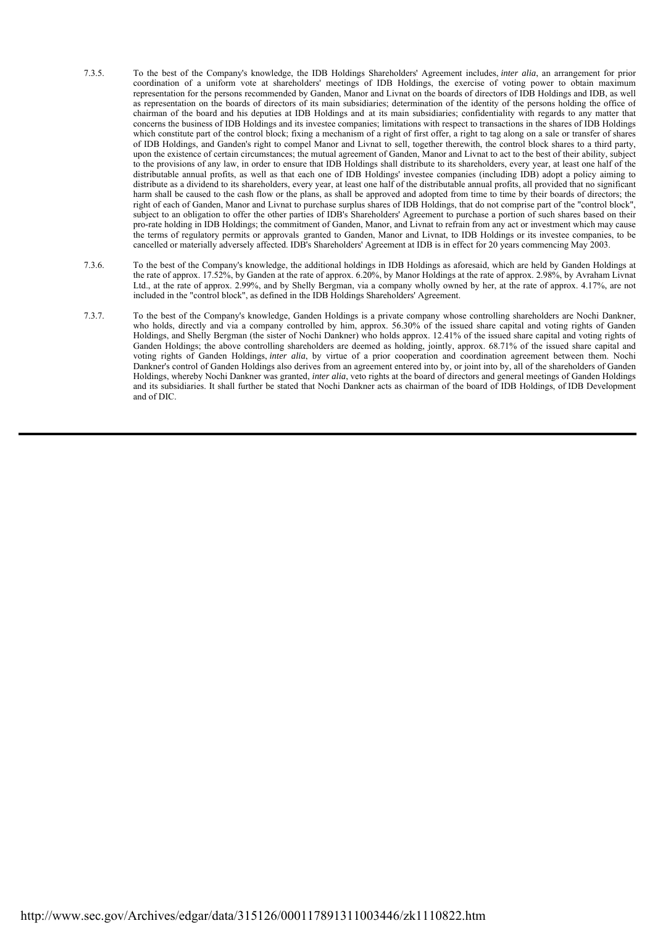- 7.3.5. To the best of the Company's knowledge, the IDB Holdings Shareholders' Agreement includes, *inter alia*, an arrangement for prior coordination of a uniform vote at shareholders' meetings of IDB Holdings, the exercise of voting power to obtain maximum representation for the persons recommended by Ganden, Manor and Livnat on the boards of directors of IDB Holdings and IDB, as well as representation on the boards of directors of its main subsidiaries; determination of the identity of the persons holding the office of chairman of the board and his deputies at IDB Holdings and at its main subsidiaries; confidentiality with regards to any matter that concerns the business of IDB Holdings and its investee companies; limitations with respect to transactions in the shares of IDB Holdings which constitute part of the control block; fixing a mechanism of a right of first offer, a right to tag along on a sale or transfer of shares of IDB Holdings, and Ganden's right to compel Manor and Livnat to sell, together therewith, the control block shares to a third party, upon the existence of certain circumstances; the mutual agreement of Ganden, Manor and Livnat to act to the best of their ability, subject to the provisions of any law, in order to ensure that IDB Holdings shall distribute to its shareholders, every year, at least one half of the distributable annual profits, as well as that each one of IDB Holdings' investee companies (including IDB) adopt a policy aiming to distribute as a dividend to its shareholders, every year, at least one half of the distributable annual profits, all provided that no significant harm shall be caused to the cash flow or the plans, as shall be approved and adopted from time to time by their boards of directors; the right of each of Ganden, Manor and Livnat to purchase surplus shares of IDB Holdings, that do not comprise part of the "control block", subject to an obligation to offer the other parties of IDB's Shareholders' Agreement to purchase a portion of such shares based on their pro-rate holding in IDB Holdings; the commitment of Ganden, Manor, and Livnat to refrain from any act or investment which may cause the terms of regulatory permits or approvals granted to Ganden, Manor and Livnat, to IDB Holdings or its investee companies, to be cancelled or materially adversely affected. IDB's Shareholders' Agreement at IDB is in effect for 20 years commencing May 2003.
- 7.3.6. To the best of the Company's knowledge, the additional holdings in IDB Holdings as aforesaid, which are held by Ganden Holdings at the rate of approx. 17.52%, by Ganden at the rate of approx. 6.20%, by Manor Holdings at the rate of approx. 2.98%, by Avraham Livnat Ltd., at the rate of approx. 2.99%, and by Shelly Bergman, via a company wholly owned by her, at the rate of approx. 4.17%, are not included in the "control block", as defined in the IDB Holdings Shareholders' Agreement.
- 7.3.7. To the best of the Company's knowledge, Ganden Holdings is a private company whose controlling shareholders are Nochi Dankner, who holds, directly and via a company controlled by him, approx. 56.30% of the issued share capital and voting rights of Ganden Holdings, and Shelly Bergman (the sister of Nochi Dankner) who holds approx. 12.41% of the issued share capital and voting rights of Ganden Holdings; the above controlling shareholders are deemed as holding, jointly, approx. 68.71% of the issued share capital and voting rights of Ganden Holdings, *inter alia*, by virtue of a prior cooperation and coordination agreement between them. Nochi Dankner's control of Ganden Holdings also derives from an agreement entered into by, or joint into by, all of the shareholders of Ganden Holdings, whereby Nochi Dankner was granted, *inter alia*, veto rights at the board of directors and general meetings of Ganden Holdings and its subsidiaries. It shall further be stated that Nochi Dankner acts as chairman of the board of IDB Holdings, of IDB Development and of DIC.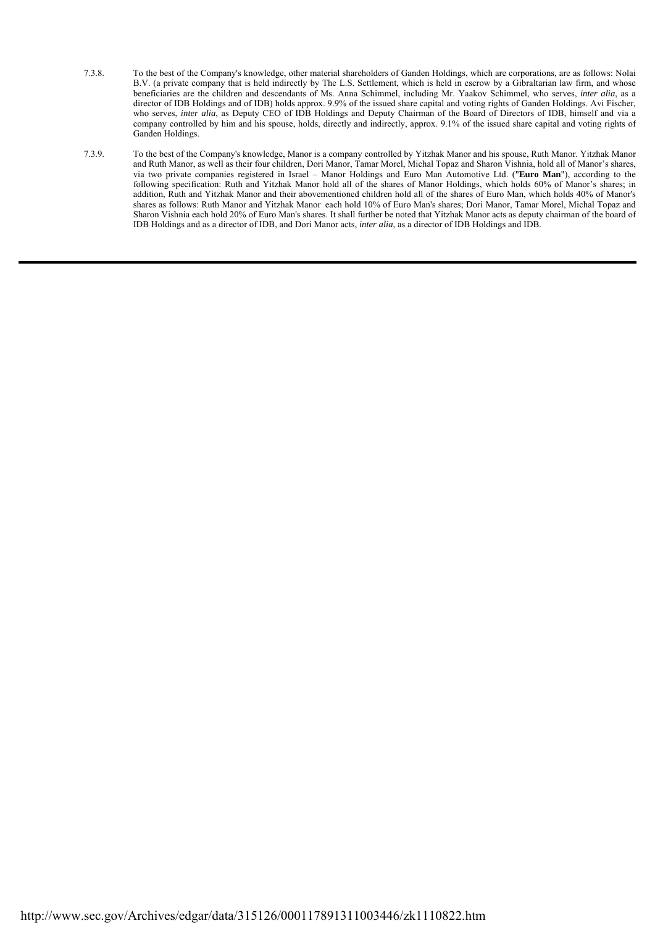- 7.3.8. To the best of the Company's knowledge, other material shareholders of Ganden Holdings, which are corporations, are as follows: Nolai B.V. (a private company that is held indirectly by The L.S. Settlement, which is held in escrow by a Gibraltarian law firm, and whose beneficiaries are the children and descendants of Ms. Anna Schimmel, including Mr. Yaakov Schimmel, who serves, *inter alia*, as a director of IDB Holdings and of IDB) holds approx. 9.9% of the issued share capital and voting rights of Ganden Holdings. Avi Fischer, who serves, *inter alia*, as Deputy CEO of IDB Holdings and Deputy Chairman of the Board of Directors of IDB, himself and via a company controlled by him and his spouse, holds, directly and indirectly, approx. 9.1% of the issued share capital and voting rights of Ganden Holdings.
- 7.3.9. To the best of the Company's knowledge, Manor is a company controlled by Yitzhak Manor and his spouse, Ruth Manor. Yitzhak Manor and Ruth Manor, as well as their four children, Dori Manor, Tamar Morel, Michal Topaz and Sharon Vishnia, hold all of Manor's shares, via two private companies registered in Israel – Manor Holdings and Euro Man Automotive Ltd. ("**Euro Man**"), according to the following specification: Ruth and Yitzhak Manor hold all of the shares of Manor Holdings, which holds 60% of Manor's shares; in addition, Ruth and Yitzhak Manor and their abovementioned children hold all of the shares of Euro Man, which holds 40% of Manor's shares as follows: Ruth Manor and Yitzhak Manor each hold 10% of Euro Man's shares; Dori Manor, Tamar Morel, Michal Topaz and Sharon Vishnia each hold 20% of Euro Man's shares. It shall further be noted that Yitzhak Manor acts as deputy chairman of the board of IDB Holdings and as a director of IDB, and Dori Manor acts, *inter alia*, as a director of IDB Holdings and IDB.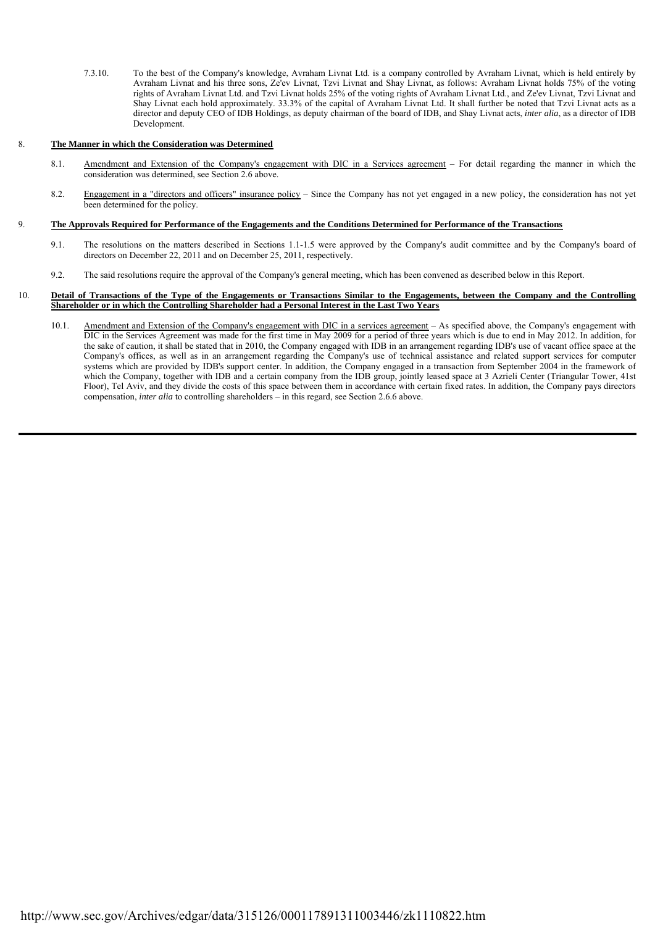7.3.10. To the best of the Company's knowledge, Avraham Livnat Ltd. is a company controlled by Avraham Livnat, which is held entirely by Avraham Livnat and his three sons, Ze'ev Livnat, Tzvi Livnat and Shay Livnat, as follows: Avraham Livnat holds 75% of the voting rights of Avraham Livnat Ltd. and Tzvi Livnat holds 25% of the voting rights of Avraham Livnat Ltd., and Ze'ev Livnat, Tzvi Livnat and Shay Livnat each hold approximately. 33.3% of the capital of Avraham Livnat Ltd. It shall further be noted that Tzvi Livnat acts as a director and deputy CEO of IDB Holdings, as deputy chairman of the board of IDB, and Shay Livnat acts, *inter alia*, as a director of IDB Development.

## 8. **The Manner in which the Consideration was Determined**

- 8.1. Amendment and Extension of the Company's engagement with DIC in a Services agreement For detail regarding the manner in which the consideration was determined, see Section 2.6 above.
- 8.2. Engagement in a "directors and officers" insurance policy Since the Company has not yet engaged in a new policy, the consideration has not yet been determined for the policy.

## 9. **The Approvals Required for Performance of the Engagements and the Conditions Determined for Performance of the Transactions**

- 9.1. The resolutions on the matters described in Sections 1.1-1.5 were approved by the Company's audit committee and by the Company's board of directors on December 22, 2011 and on December 25, 2011, respectively.
- 9.2. The said resolutions require the approval of the Company's general meeting, which has been convened as described below in this Report.

#### 10. **Detail of Transactions of the Type of the Engagements or Transactions Similar to the Engagements, between the Company and the Controlling Shareholder or in which the Controlling Shareholder had a Personal Interest in the Last Two Years**

10.1. Amendment and Extension of the Company's engagement with DIC in a services agreement - As specified above, the Company's engagement with DIC in the Services Agreement was made for the first time in May 2009 for a period of three years which is due to end in May 2012. In addition, for the sake of caution, it shall be stated that in 2010, the Company engaged with IDB in an arrangement regarding IDB's use of vacant office space at the Company's offices, as well as in an arrangement regarding the Company's use of technical assistance and related support services for computer systems which are provided by IDB's support center. In addition, the Company engaged in a transaction from September 2004 in the framework of which the Company, together with IDB and a certain company from the IDB group, jointly leased space at 3 Azrieli Center (Triangular Tower, 41st Floor), Tel Aviv, and they divide the costs of this space between them in accordance with certain fixed rates. In addition, the Company pays directors compensation, *inter alia* to controlling shareholders – in this regard, see Section 2.6.6 above.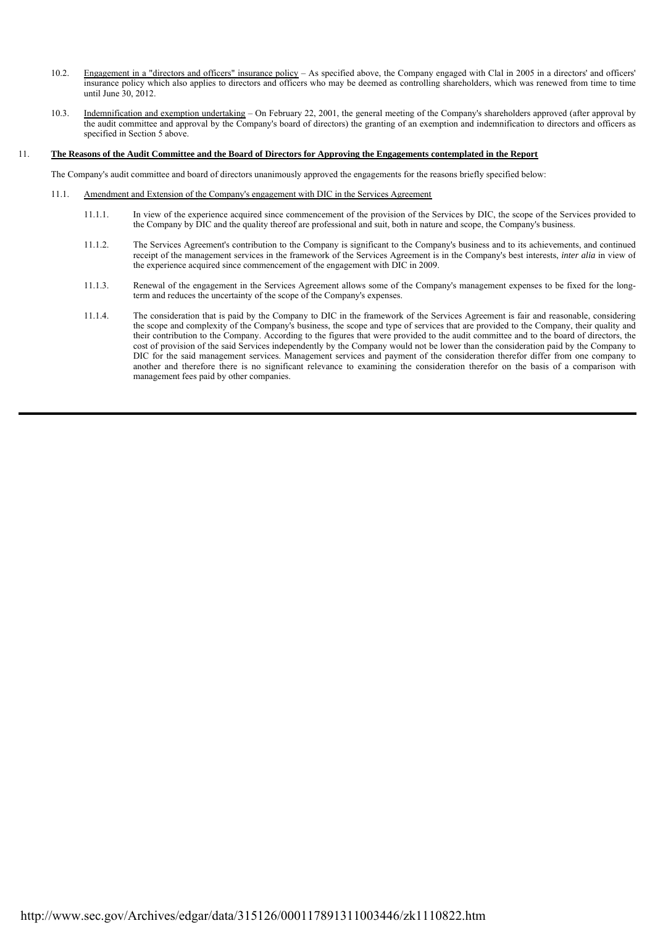- 10.2. Engagement in a "directors and officers" insurance policy As specified above, the Company engaged with Clal in 2005 in a directors' and officers' insurance policy which also applies to directors and officers who may be deemed as controlling shareholders, which was renewed from time to time until June 30, 2012.
- 10.3. Indemnification and exemption undertaking On February 22, 2001, the general meeting of the Company's shareholders approved (after approval by the audit committee and approval by the Company's board of directors) the granting of an exemption and indemnification to directors and officers as specified in Section 5 above.

#### 11. **The Reasons of the Audit Committee and the Board of Directors for Approving the Engagements contemplated in the Report**

The Company's audit committee and board of directors unanimously approved the engagements for the reasons briefly specified below:

- 11.1. Amendment and Extension of the Company's engagement with DIC in the Services Agreement
	- 11.1.1. In view of the experience acquired since commencement of the provision of the Services by DIC, the scope of the Services provided to the Company by DIC and the quality thereof are professional and suit, both in nature and scope, the Company's business.
	- 11.1.2. The Services Agreement's contribution to the Company is significant to the Company's business and to its achievements, and continued receipt of the management services in the framework of the Services Agreement is in the Company's best interests, *inter alia* in view of the experience acquired since commencement of the engagement with DIC in 2009.
	- 11.1.3. Renewal of the engagement in the Services Agreement allows some of the Company's management expenses to be fixed for the longterm and reduces the uncertainty of the scope of the Company's expenses.
	- 11.1.4. The consideration that is paid by the Company to DIC in the framework of the Services Agreement is fair and reasonable, considering the scope and complexity of the Company's business, the scope and type of services that are provided to the Company, their quality and their contribution to the Company. According to the figures that were provided to the audit committee and to the board of directors, the cost of provision of the said Services independently by the Company would not be lower than the consideration paid by the Company to DIC for the said management services. Management services and payment of the consideration therefor differ from one company to another and therefore there is no significant relevance to examining the consideration therefor on the basis of a comparison with management fees paid by other companies.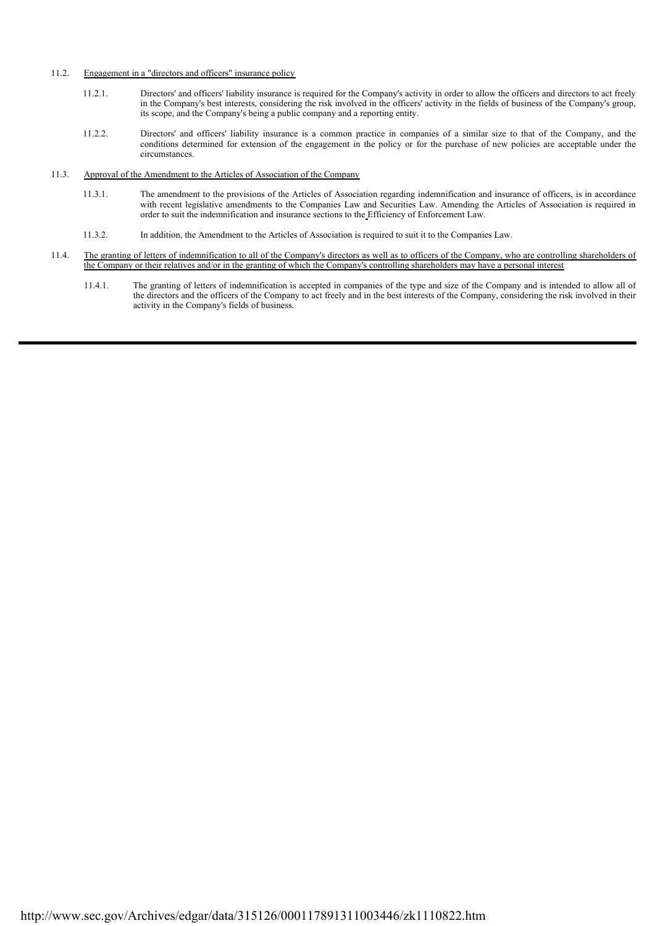# 11.2. Engagement in a "directors and officers" insurance policy

- 11.2.1. Directors' and officers' liability insurance is required for the Company's activity in order to allow the officers and directors to act freely in the Company's best interests, considering the risk involved in the officers' activity in the fields of business of the Company's group, its scope, and the Company's being a public company and a reporting entity.
- 11.2.2. Directors' and officers' liability insurance is a common practice in companies of a similar size to that of the Company, and the conditions determined for extension of the engagement in the policy or for the purchase of new policies are acceptable under the circumstances.

# 11.3. Approval of the Amendment to the Articles of Association of the Company

- 11.3.1. The amendment to the provisions of the Articles of Association regarding indemnification and insurance of officers, is in accordance with recent legislative amendments to the Companies Law and Securities Law. Amending the Articles of Association is required in order to suit the indemnification and insurance sections to the Efficiency of Enforcement Law.
- 11.3.2. In addition, the Amendment to the Articles of Association is required to suit it to the Companies Law.
- 11.4. The granting of letters of indemnification to all of the Company's directors as well as to officers of the Company, who are controlling shareholders of the Company or their relatives and/or in the granting of which the Company's controlling shareholders may have a personal interest
	- 11.4.1. The granting of letters of indemnification is accepted in companies of the type and size of the Company and is intended to allow all of the directors and the officers of the Company to act freely and in the best interests of the Company, considering the risk involved in their activity in the Company's fields of business.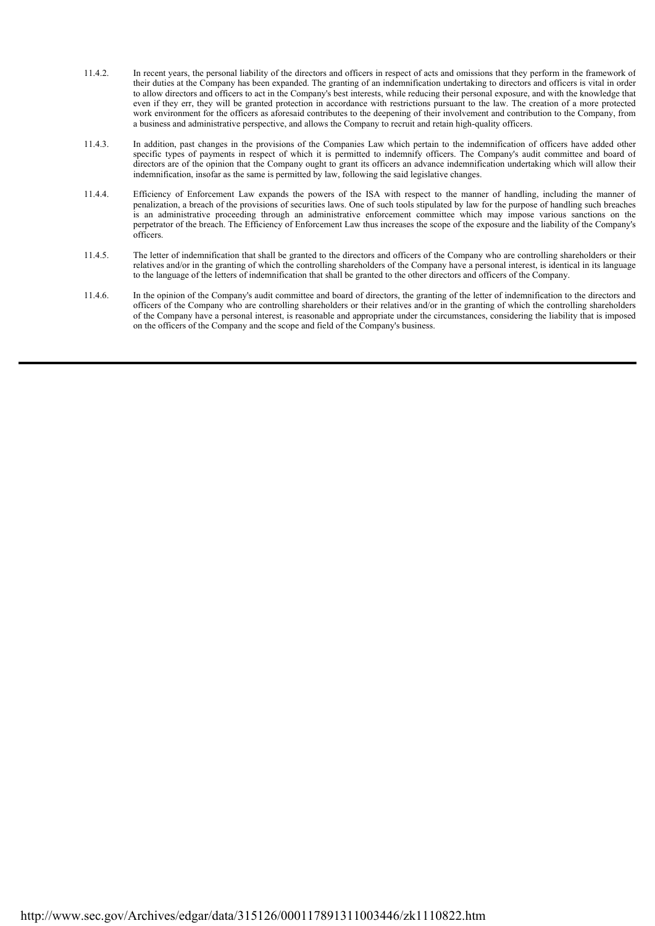- 11.4.2. In recent years, the personal liability of the directors and officers in respect of acts and omissions that they perform in the framework of their duties at the Company has been expanded. The granting of an indemnification undertaking to directors and officers is vital in order to allow directors and officers to act in the Company's best interests, while reducing their personal exposure, and with the knowledge that even if they err, they will be granted protection in accordance with restrictions pursuant to the law. The creation of a more protected work environment for the officers as aforesaid contributes to the deepening of their involvement and contribution to the Company, from a business and administrative perspective, and allows the Company to recruit and retain high-quality officers.
- 11.4.3. In addition, past changes in the provisions of the Companies Law which pertain to the indemnification of officers have added other specific types of payments in respect of which it is permitted to indemnify officers. The Company's audit committee and board of directors are of the opinion that the Company ought to grant its officers an advance indemnification undertaking which will allow their indemnification, insofar as the same is permitted by law, following the said legislative changes.
- 11.4.4. Efficiency of Enforcement Law expands the powers of the ISA with respect to the manner of handling, including the manner of penalization, a breach of the provisions of securities laws. One of such tools stipulated by law for the purpose of handling such breaches is an administrative proceeding through an administrative enforcement committee which may impose various sanctions on the perpetrator of the breach. The Efficiency of Enforcement Law thus increases the scope of the exposure and the liability of the Company's officers.
- 11.4.5. The letter of indemnification that shall be granted to the directors and officers of the Company who are controlling shareholders or their relatives and/or in the granting of which the controlling shareholders of the Company have a personal interest, is identical in its language to the language of the letters of indemnification that shall be granted to the other directors and officers of the Company.
- 11.4.6. In the opinion of the Company's audit committee and board of directors, the granting of the letter of indemnification to the directors and officers of the Company who are controlling shareholders or their relatives and/or in the granting of which the controlling shareholders of the Company have a personal interest, is reasonable and appropriate under the circumstances, considering the liability that is imposed on the officers of the Company and the scope and field of the Company's business.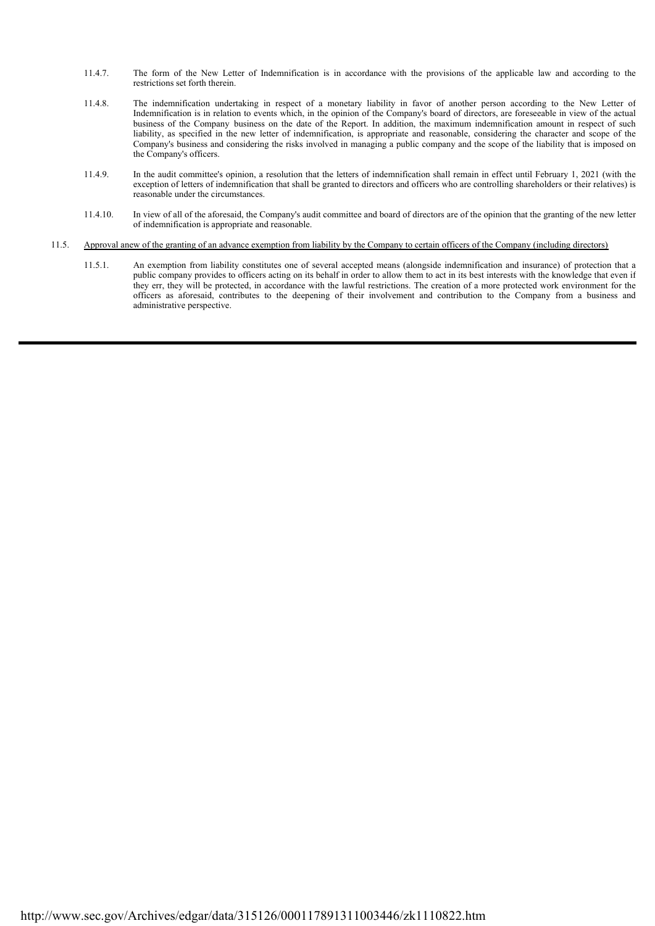- 11.4.7. The form of the New Letter of Indemnification is in accordance with the provisions of the applicable law and according to the restrictions set forth therein.
- 11.4.8. The indemnification undertaking in respect of a monetary liability in favor of another person according to the New Letter of Indemnification is in relation to events which, in the opinion of the Company's board of directors, are foreseeable in view of the actual business of the Company business on the date of the Report. In addition, the maximum indemnification amount in respect of such liability, as specified in the new letter of indemnification, is appropriate and reasonable, considering the character and scope of the Company's business and considering the risks involved in managing a public company and the scope of the liability that is imposed on the Company's officers.
- 11.4.9. In the audit committee's opinion, a resolution that the letters of indemnification shall remain in effect until February 1, 2021 (with the exception of letters of indemnification that shall be granted to directors and officers who are controlling shareholders or their relatives) is reasonable under the circumstances.
- 11.4.10. In view of all of the aforesaid, the Company's audit committee and board of directors are of the opinion that the granting of the new letter of indemnification is appropriate and reasonable.

# 11.5. Approval anew of the granting of an advance exemption from liability by the Company to certain officers of the Company (including directors)

 11.5.1. An exemption from liability constitutes one of several accepted means (alongside indemnification and insurance) of protection that a public company provides to officers acting on its behalf in order to allow them to act in its best interests with the knowledge that even if they err, they will be protected, in accordance with the lawful restrictions. The creation of a more protected work environment for the officers as aforesaid, contributes to the deepening of their involvement and contribution to the Company from a business and administrative perspective.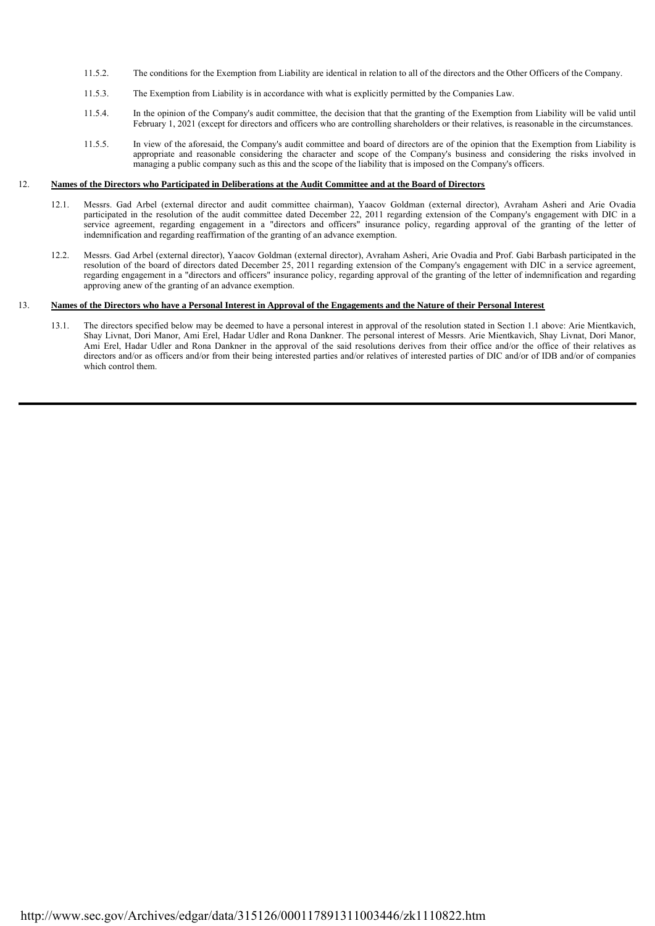- 11.5.2. The conditions for the Exemption from Liability are identical in relation to all of the directors and the Other Officers of the Company.
- 11.5.3. The Exemption from Liability is in accordance with what is explicitly permitted by the Companies Law.
- 11.5.4. In the opinion of the Company's audit committee, the decision that that the granting of the Exemption from Liability will be valid until February 1, 2021 (except for directors and officers who are controlling shareholders or their relatives, is reasonable in the circumstances.
- 11.5.5. In view of the aforesaid, the Company's audit committee and board of directors are of the opinion that the Exemption from Liability is appropriate and reasonable considering the character and scope of the Company's business and considering the risks involved in managing a public company such as this and the scope of the liability that is imposed on the Company's officers.

#### 12. **Names of the Directors who Participated in Deliberations at the Audit Committee and at the Board of Directors**

- 12.1. Messrs. Gad Arbel (external director and audit committee chairman), Yaacov Goldman (external director), Avraham Asheri and Arie Ovadia participated in the resolution of the audit committee dated December 22, 2011 regarding extension of the Company's engagement with DIC in a service agreement, regarding engagement in a "directors and officers" insurance policy, regarding approval of the granting of the letter of indemnification and regarding reaffirmation of the granting of an advance exemption.
	- 12.2. Messrs. Gad Arbel (external director), Yaacov Goldman (external director), Avraham Asheri, Arie Ovadia and Prof. Gabi Barbash participated in the resolution of the board of directors dated December 25, 2011 regarding extension of the Company's engagement with DIC in a service agreement, regarding engagement in a "directors and officers" insurance policy, regarding approval of the granting of the letter of indemnification and regarding approving anew of the granting of an advance exemption.

#### $13.$ 13. **Names of the Directors who have a Personal Interest in Approval of the Engagements and the Nature of their Personal Interest**

 13.1. The directors specified below may be deemed to have a personal interest in approval of the resolution stated in Section 1.1 above: Arie Mientkavich, Shay Livnat, Dori Manor, Ami Erel, Hadar Udler and Rona Dankner. The personal interest of Messrs. Arie Mientkavich, Shay Livnat, Dori Manor, Ami Erel, Hadar Udler and Rona Dankner in the approval of the said resolutions derives from their office and/or the office of their relatives as directors and/or as officers and/or from their being interested parties and/or relatives of interested parties of DIC and/or of IDB and/or of companies which control them.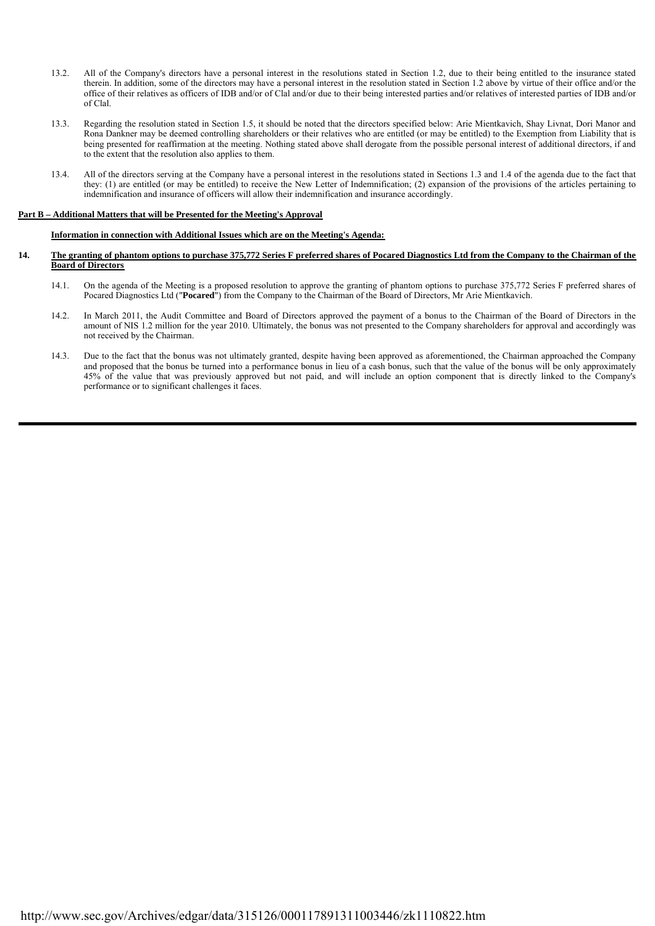- 13.2. All of the Company's directors have a personal interest in the resolutions stated in Section 1.2, due to their being entitled to the insurance stated therein. In addition, some of the directors may have a personal interest in the resolution stated in Section 1.2 above by virtue of their office and/or the office of their relatives as officers of IDB and/or of Clal and/or due to their being interested parties and/or relatives of interested parties of IDB and/or of Clal.
- 13.3. Regarding the resolution stated in Section 1.5, it should be noted that the directors specified below: Arie Mientkavich, Shay Livnat, Dori Manor and Rona Dankner may be deemed controlling shareholders or their relatives who are entitled (or may be entitled) to the Exemption from Liability that is being presented for reaffirmation at the meeting. Nothing stated above shall derogate from the possible personal interest of additional directors, if and to the extent that the resolution also applies to them.
- 13.4. All of the directors serving at the Company have a personal interest in the resolutions stated in Sections 1.3 and 1.4 of the agenda due to the fact that they: (1) are entitled (or may be entitled) to receive the New Letter of Indemnification; (2) expansion of the provisions of the articles pertaining to indemnification and insurance of officers will allow their indemnification and insurance accordingly.

## **Part B – Additional Matters that will be Presented for the Meeting's Approval**

## **Information in connection with Additional Issues which are on the Meeting's Agenda:**

- **14. The granting of phantom options to purchase 375,772 Series F preferred shares of Pocared Diagnostics Ltd from the Company to the Chairman of the Board of Directors**
	- 14.1. On the agenda of the Meeting is a proposed resolution to approve the granting of phantom options to purchase 375,772 Series F preferred shares of Pocared Diagnostics Ltd ("Pocared<sup>"</sup>) from the Company to the Chairman of the Board of Directors, Mr Arie Mientkavich.
	- 14.2. In March 2011, the Audit Committee and Board of Directors approved the payment of a bonus to the Chairman of the Board of Directors in the amount of NIS 1.2 million for the year 2010. Ultimately, the bonus was not presented to the Company shareholders for approval and accordingly was not received by the Chairman.
	- 14.3. Due to the fact that the bonus was not ultimately granted, despite having been approved as aforementioned, the Chairman approached the Company and proposed that the bonus be turned into a performance bonus in lieu of a cash bonus, such that the value of the bonus will be only approximately 45% of the value that was previously approved but not paid, and will include an option component that is directly linked to the Company's performance or to significant challenges it faces.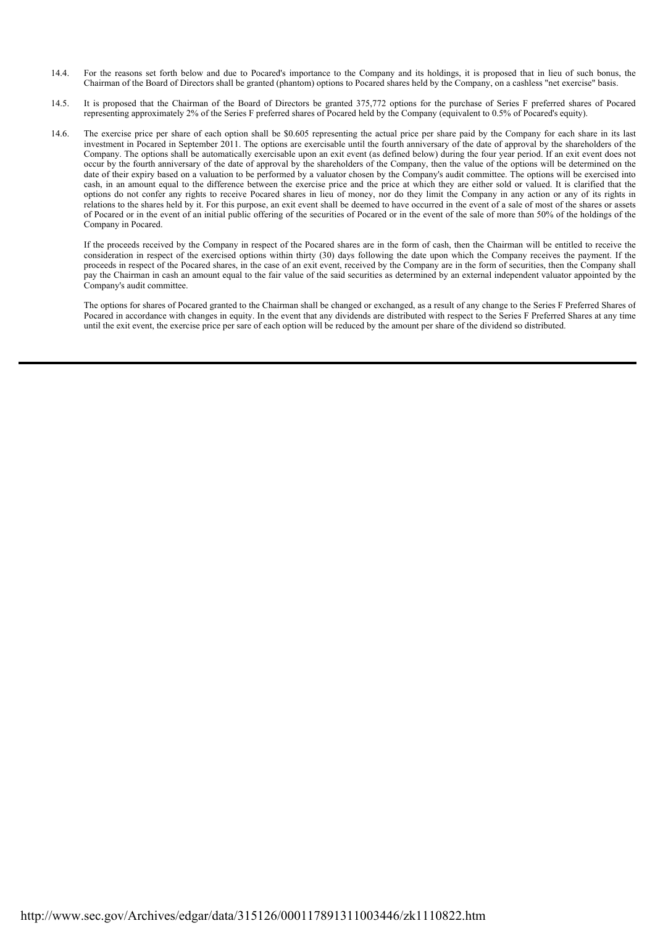- 14.4. For the reasons set forth below and due to Pocared's importance to the Company and its holdings, it is proposed that in lieu of such bonus, the Chairman of the Board of Directors shall be granted (phantom) options to Pocared shares held by the Company, on a cashless "net exercise" basis.
- 14.5. It is proposed that the Chairman of the Board of Directors be granted 375,772 options for the purchase of Series F preferred shares of Pocared representing approximately 2% of the Series F preferred shares of Pocared held by the Company (equivalent to 0.5% of Pocared's equity).
- 14.6. The exercise price per share of each option shall be \$0.605 representing the actual price per share paid by the Company for each share in its last investment in Pocared in September 2011. The options are exercisable until the fourth anniversary of the date of approval by the shareholders of the Company. The options shall be automatically exercisable upon an exit event (as defined below) during the four year period. If an exit event does not occur by the fourth anniversary of the date of approval by the shareholders of the Company, then the value of the options will be determined on the date of their expiry based on a valuation to be performed by a valuator chosen by the Company's audit committee. The options will be exercised into cash, in an amount equal to the difference between the exercise price and the price at which they are either sold or valued. It is clarified that the options do not confer any rights to receive Pocared shares in lieu of money, nor do they limit the Company in any action or any of its rights in relations to the shares held by it. For this purpose, an exit event shall be deemed to have occurred in the event of a sale of most of the shares or assets of Pocared or in the event of an initial public offering of the securities of Pocared or in the event of the sale of more than 50% of the holdings of the Company in Pocared.

If the proceeds received by the Company in respect of the Pocared shares are in the form of cash, then the Chairman will be entitled to receive the consideration in respect of the exercised options within thirty (30) days following the date upon which the Company receives the payment. If the proceeds in respect of the Pocared shares, in the case of an exit event, received by the Company are in the form of securities, then the Company shall pay the Chairman in cash an amount equal to the fair value of the said securities as determined by an external independent valuator appointed by the Company's audit committee.

The options for shares of Pocared granted to the Chairman shall be changed or exchanged, as a result of any change to the Series F Preferred Shares of Pocared in accordance with changes in equity. In the event that any dividends are distributed with respect to the Series F Preferred Shares at any time until the exit event, the exercise price per sare of each option will be reduced by the amount per share of the dividend so distributed.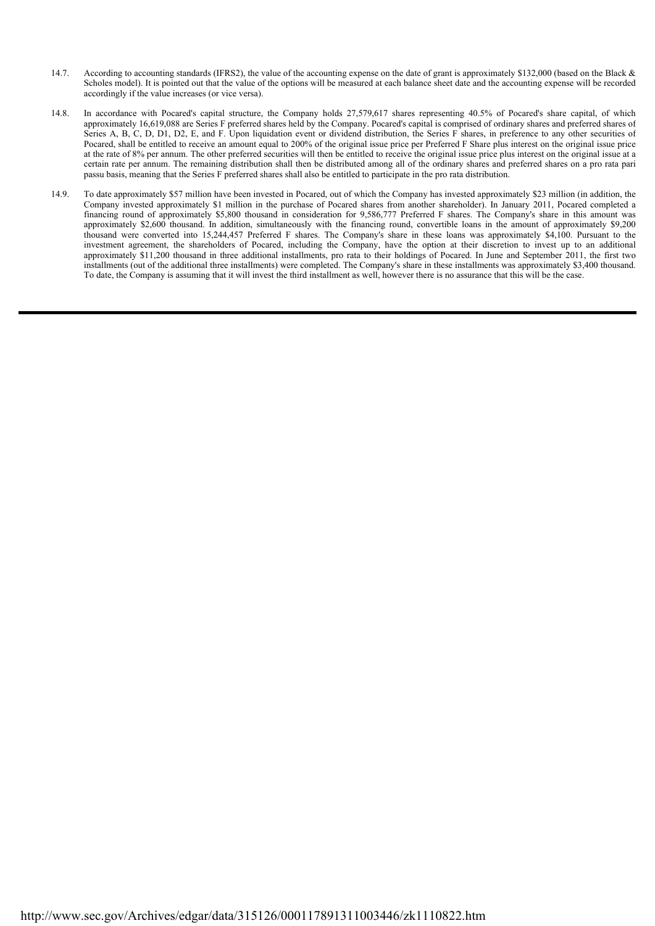- 14.7. According to accounting standards (IFRS2), the value of the accounting expense on the date of grant is approximately \$132,000 (based on the Black & Scholes model). It is pointed out that the value of the options will be measured at each balance sheet date and the accounting expense will be recorded accordingly if the value increases (or vice versa).
- 14.8. In accordance with Pocared's capital structure, the Company holds 27,579,617 shares representing 40.5% of Pocared's share capital, of which approximately 16,619,088 are Series F preferred shares held by the Company. Pocared's capital is comprised of ordinary shares and preferred shares of Series A, B, C, D, D1, D2, E, and F. Upon liquidation event or dividend distribution, the Series F shares, in preference to any other securities of Pocared, shall be entitled to receive an amount equal to 200% of the original issue price per Preferred F Share plus interest on the original issue price at the rate of 8% per annum. The other preferred securities will then be entitled to receive the original issue price plus interest on the original issue at a certain rate per annum. The remaining distribution shall then be distributed among all of the ordinary shares and preferred shares on a pro rata pari passu basis, meaning that the Series F preferred shares shall also be entitled to participate in the pro rata distribution.
- 14.9. To date approximately \$57 million have been invested in Pocared, out of which the Company has invested approximately \$23 million (in addition, the Company invested approximately \$1 million in the purchase of Pocared shares from another shareholder). In January 2011, Pocared completed a financing round of approximately \$5,800 thousand in consideration for 9,586,777 Preferred F shares. The Company's share in this amount was approximately \$2,600 thousand. In addition, simultaneously with the financing round, convertible loans in the amount of approximately \$9,200 thousand were converted into 15,244,457 Preferred F shares. The Company's share in these loans was approximately \$4,100. Pursuant to the investment agreement, the shareholders of Pocared, including the Company, have the option at their discretion to invest up to an additional approximately \$11,200 thousand in three additional installments, pro rata to their holdings of Pocared. In June and September 2011, the first two installments (out of the additional three installments) were completed. The Company's share in these installments was approximately \$3,400 thousand. To date, the Company is assuming that it will invest the third installment as well, however there is no assurance that this will be the case.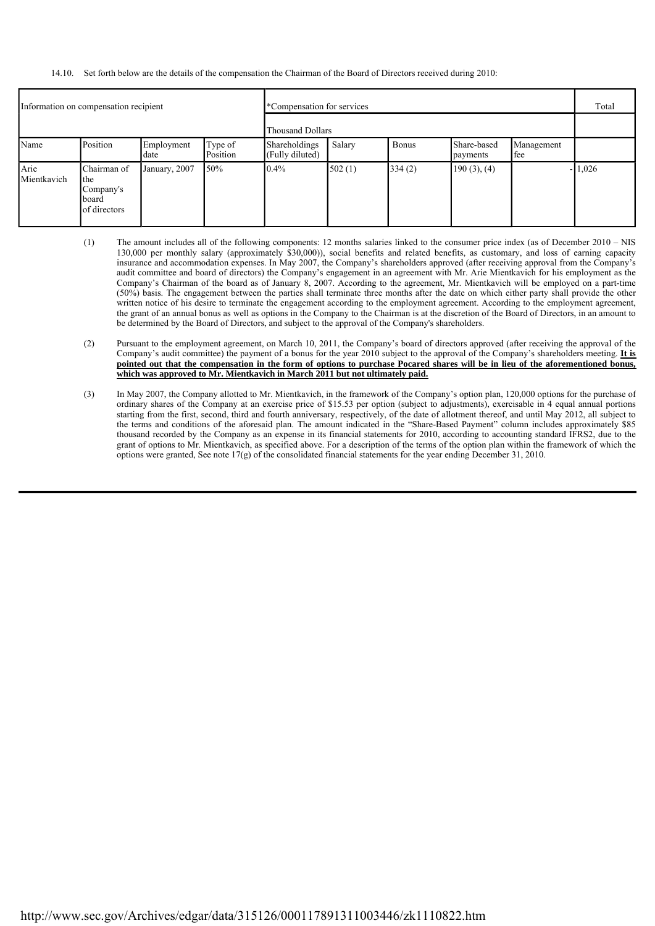# 14.10. Set forth below are the details of the compensation the Chairman of the Board of Directors received during 2010:

| Information on compensation recipient |                                                                 |                    | *Compensation for services |                                  |        |              |                         | Total             |          |
|---------------------------------------|-----------------------------------------------------------------|--------------------|----------------------------|----------------------------------|--------|--------------|-------------------------|-------------------|----------|
|                                       |                                                                 |                    | Thousand Dollars           |                                  |        |              |                         |                   |          |
| Name                                  | Position                                                        | Employment<br>date | Type of<br>Position        | Shareholdings<br>(Fully diluted) | Salary | <b>Bonus</b> | Share-based<br>payments | Management<br>fee |          |
| Arie<br>Mientkavich                   | Chairman of<br>the<br>Company's<br><b>board</b><br>of directors | January, 2007      | 150%                       | $0.4\%$                          | 502(1) | 334(2)       | $190(3)$ , $(4)$        |                   | $-1,026$ |

- (1) The amount includes all of the following components: 12 months salaries linked to the consumer price index (as of December 2010 NIS 130,000 per monthly salary (approximately \$30,000)), social benefits and related benefits, as customary, and loss of earning capacity insurance and accommodation expenses. In May 2007, the Company's shareholders approved (after receiving approval from the Company's audit committee and board of directors) the Company's engagement in an agreement with Mr. Arie Mientkavich for his employment as the Company's Chairman of the board as of January 8, 2007. According to the agreement, Mr. Mientkavich will be employed on a part-time (50%) basis. The engagement between the parties shall terminate three months after the date on which either party shall provide the other written notice of his desire to terminate the engagement according to the employment agreement. According to the employment agreement, the grant of an annual bonus as well as options in the Company to the Chairman is at the discretion of the Board of Directors, in an amount to be determined by the Board of Directors, and subject to the approval of the Company's shareholders.
- (2) Pursuant to the employment agreement, on March 10, 2011, the Company's board of directors approved (after receiving the approval of the Company's audit committee) the payment of a bonus for the year 2010 subject to the approval of the Company's shareholders meeting. **It is pointed out that the compensation in the form of options to purchase Pocared shares will be in lieu of the aforementioned bonus,** which was approved to Mr. Mientkavich in March 2011 but not ultimately paid.
- (3) In May 2007, the Company allotted to Mr. Mientkavich, in the framework of the Company's option plan, 120,000 options for the purchase of ordinary shares of the Company at an exercise price of \$15.53 per option (subject to adjustments), exercisable in 4 equal annual portions starting from the first, second, third and fourth anniversary, respectively, of the date of allotment thereof, and until May 2012, all subject to the terms and conditions of the aforesaid plan. The amount indicated in the "Share-Based Payment" column includes approximately \$85 thousand recorded by the Company as an expense in its financial statements for 2010, according to accounting standard IFRS2, due to the grant of options to Mr. Mientkavich, as specified above. For a description of the terms of the option plan within the framework of which the options were granted, See note  $17(g)$  of the consolidated financial statements for the year ending December 31, 2010.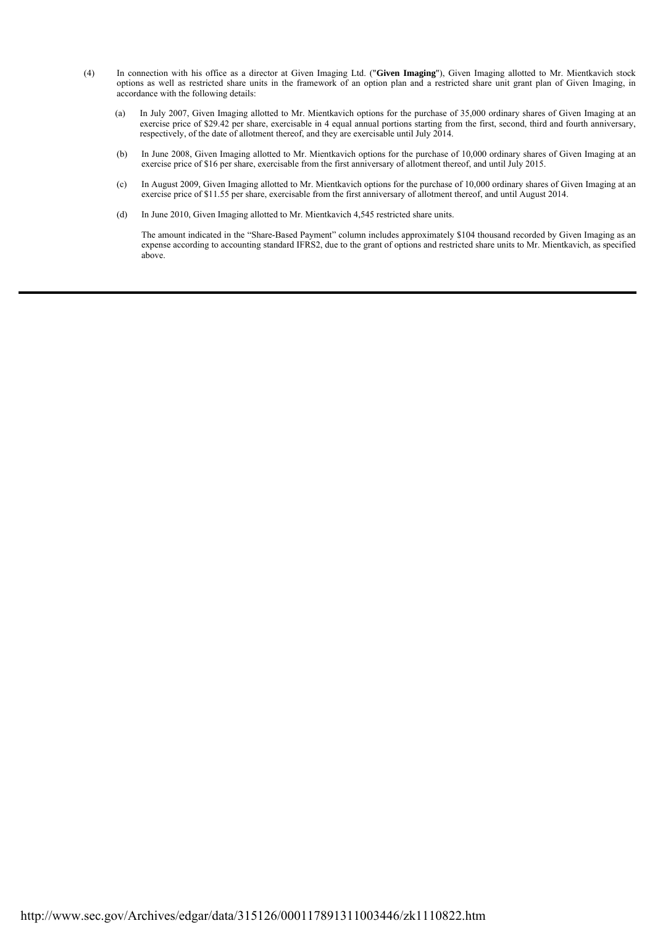- (4) In connection with his office as a director at Given Imaging Ltd. ("**Given Imaging**"), Given Imaging allotted to Mr. Mientkavich stock options as well as restricted share units in the framework of an option plan and a restricted share unit grant plan of Given Imaging, in accordance with the following details:
	- (a) In July 2007, Given Imaging allotted to Mr. Mientkavich options for the purchase of 35,000 ordinary shares of Given Imaging at an exercise price of \$29.42 per share, exercisable in 4 equal annual portions starting from the first, second, third and fourth anniversary, respectively, of the date of allotment thereof, and they are exercisable until July 2014.
	- (b) In June 2008, Given Imaging allotted to Mr. Mientkavich options for the purchase of 10,000 ordinary shares of Given Imaging at an exercise price of \$16 per share, exercisable from the first anniversary of allotment thereof, and until July 2015.
	- (c) In August 2009, Given Imaging allotted to Mr. Mientkavich options for the purchase of 10,000 ordinary shares of Given Imaging at an exercise price of \$11.55 per share, exercisable from the first anniversary of allotment thereof, and until August 2014.
	- (d) In June 2010, Given Imaging allotted to Mr. Mientkavich 4,545 restricted share units.

The amount indicated in the "Share-Based Payment" column includes approximately \$104 thousand recorded by Given Imaging as an expense according to accounting standard IFRS2, due to the grant of options and restricted share units to Mr. Mientkavich, as specified above.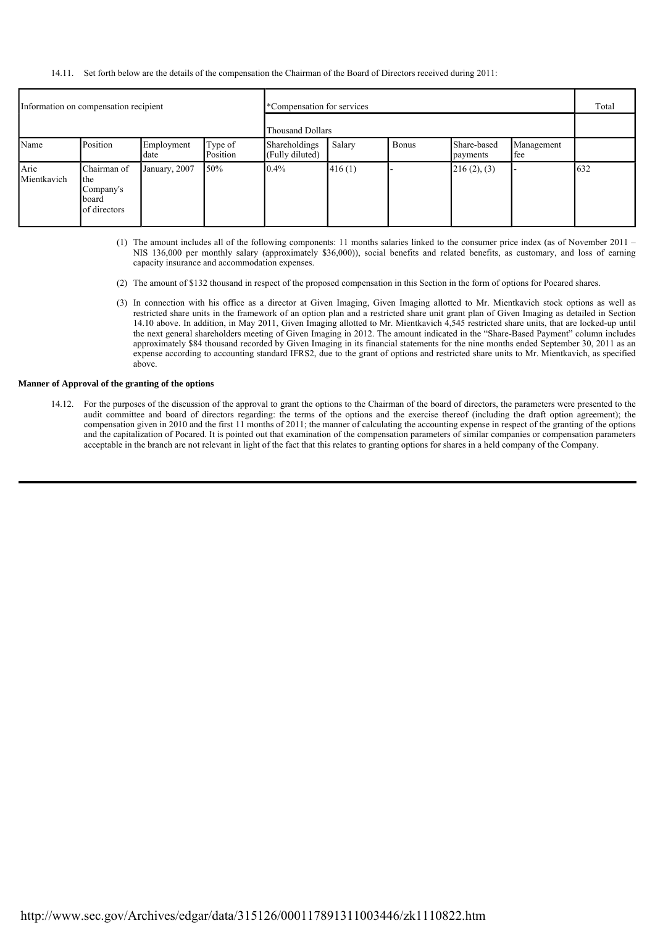14.11. Set forth below are the details of the compensation the Chairman of the Board of Directors received during 2011:

| Information on compensation recipient |                                                          |                    | *Compensation for services |                                         |        |              |                         | Total             |     |
|---------------------------------------|----------------------------------------------------------|--------------------|----------------------------|-----------------------------------------|--------|--------------|-------------------------|-------------------|-----|
|                                       |                                                          |                    | Thousand Dollars           |                                         |        |              |                         |                   |     |
| Name                                  | Position                                                 | Employment<br>date | Type of<br>Position        | <b>Shareholdings</b><br>(Fully diluted) | Salary | <b>Bonus</b> | Share-based<br>payments | Management<br>fee |     |
| Arie<br>Mientkavich                   | Chairman of<br>the<br>Company's<br>board<br>of directors | January, 2007      | 150%                       | $0.4\%$                                 | 416(1) |              | 216(2), (3)             |                   | 632 |

- (1) The amount includes all of the following components: 11 months salaries linked to the consumer price index (as of November 2011 NIS 136,000 per monthly salary (approximately \$36,000)), social benefits and related benefits, as customary, and loss of earning capacity insurance and accommodation expenses.
- (2) The amount of \$132 thousand in respect of the proposed compensation in this Section in the form of options for Pocared shares.
- (3) In connection with his office as a director at Given Imaging, Given Imaging allotted to Mr. Mientkavich stock options as well as restricted share units in the framework of an option plan and a restricted share unit grant plan of Given Imaging as detailed in Section 14.10 above. In addition, in May 2011, Given Imaging allotted to Mr. Mientkavich 4,545 restricted share units, that are locked-up until the next general shareholders meeting of Given Imaging in 2012. The amount indicated in the "Share-Based Payment" column includes approximately \$84 thousand recorded by Given Imaging in its financial statements for the nine months ended September 30, 2011 as an expense according to accounting standard IFRS2, due to the grant of options and restricted share units to Mr. Mientkavich, as specified above.

# **Manner of Approval of the granting of the options**

 14.12. For the purposes of the discussion of the approval to grant the options to the Chairman of the board of directors, the parameters were presented to the audit committee and board of directors regarding: the terms of the options and the exercise thereof (including the draft option agreement); the compensation given in 2010 and the first 11 months of 2011; the manner of calculating the accounting expense in respect of the granting of the options and the capitalization of Pocared. It is pointed out that examination of the compensation parameters of similar companies or compensation parameters acceptable in the branch are not relevant in light of the fact that this relates to granting options for shares in a held company of the Company.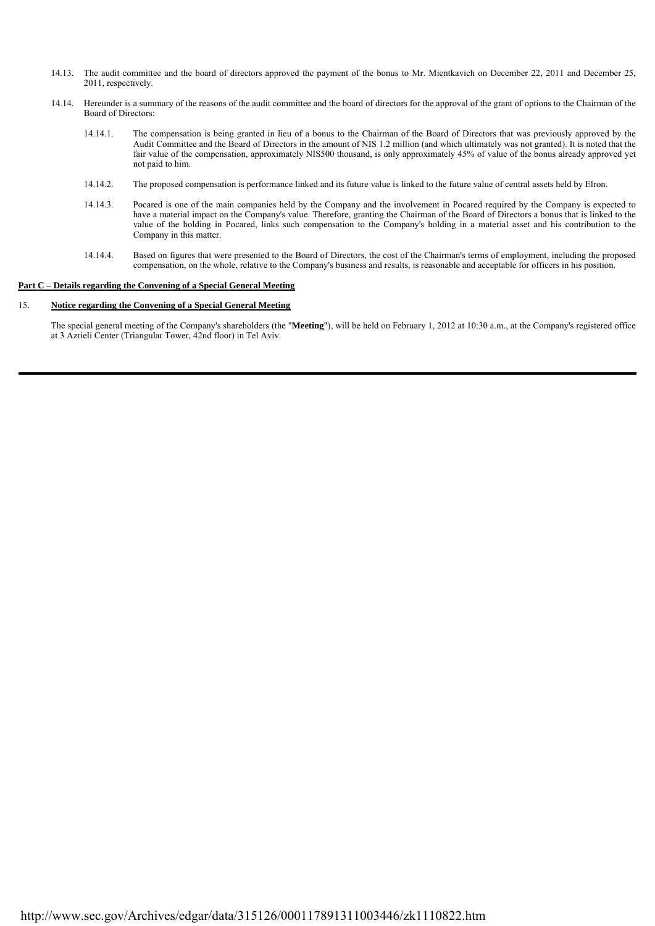- 14.13. The audit committee and the board of directors approved the payment of the bonus to Mr. Mientkavich on December 22, 2011 and December 25, 2011, respectively.
- 14.14. Hereunder is a summary of the reasons of the audit committee and the board of directors for the approval of the grant of options to the Chairman of the Board of Directors:
	- 14.14.1. The compensation is being granted in lieu of a bonus to the Chairman of the Board of Directors that was previously approved by the Audit Committee and the Board of Directors in the amount of NIS 1.2 million (and which ultimately was not granted). It is noted that the fair value of the compensation, approximately NIS500 thousand, is only approximately 45% of value of the bonus already approved yet not paid to him.
	- 14.14.2. The proposed compensation is performance linked and its future value is linked to the future value of central assets held by Elron.
- 14.14.3. Pocared is one of the main companies held by the Company and the involvement in Pocared required by the Company is expected to have a material impact on the Company's value. Therefore, granting the Chairman of the Board of Directors a bonus that is linked to the value of the holding in Pocared, links such compensation to the Company's holding in a material asset and his contribution to the Company in this matter.
	- 14.14.4. Based on figures that were presented to the Board of Directors, the cost of the Chairman's terms of employment, including the proposed compensation, on the whole, relative to the Company's business and results, is reasonable and acceptable for officers in his position.

## **Part C – Details regarding the Convening of a Special General Meeting**

#### $15.$ 15. **Notice regarding the Convening of a Special General Meeting**

The special general meeting of the Company's shareholders (the "**Meeting**"), will be held on February 1, 2012 at 10:30 a.m., at the Company's registered office at 3 Azrieli Center (Triangular Tower, 42nd floor) in Tel Aviv.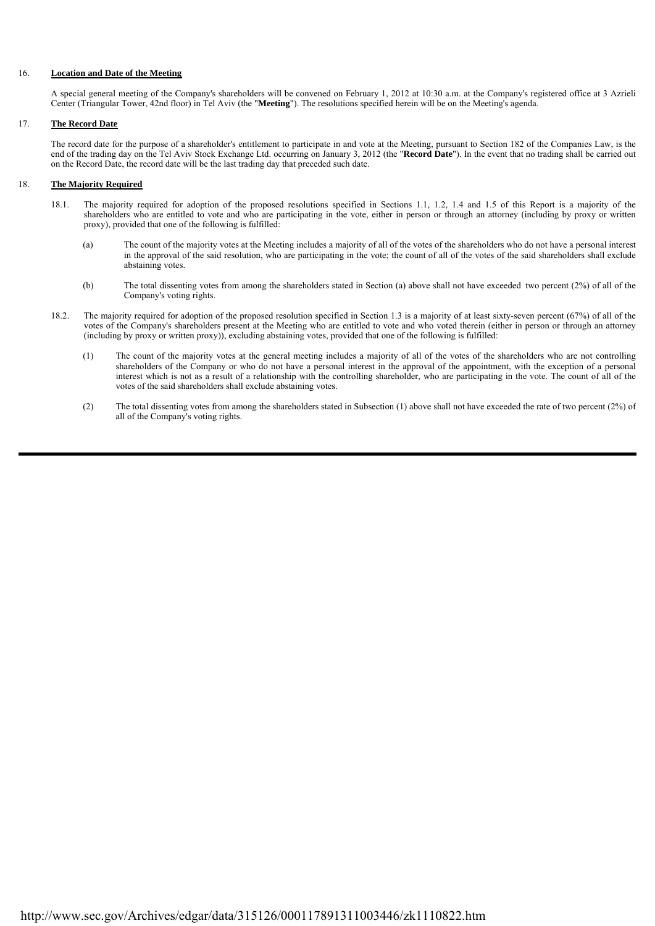# 16. **Location and Date of the Meeting**

A special general meeting of the Company's shareholders will be convened on February 1, 2012 at 10:30 a.m. at the Company's registered office at 3 Azrieli Center (Triangular Tower, 42nd floor) in Tel Aviv (the "**Meeting**"). The resolutions specified herein will be on the Meeting's agenda.

# 17. **The Record Date**

The record date for the purpose of a shareholder's entitlement to participate in and vote at the Meeting, pursuant to Section 182 of the Companies Law, is the end of the trading day on the Tel Aviv Stock Exchange Ltd. occurring on January 3, 2012 (the "**Record Date**"). In the event that no trading shall be carried out on the Record Date, the record date will be the last trading day that preceded such date.

## 18. **The Majority Required**

- 18.1. The majority required for adoption of the proposed resolutions specified in Sections 1.1, 1.2, 1.4 and 1.5 of this Report is a majority of the shareholders who are entitled to vote and who are participating in the vote, either in person or through an attorney (including by proxy or written proxy), provided that one of the following is fulfilled:
	- (a) The count of the majority votes at the Meeting includes a majority of all of the votes of the shareholders who do not have a personal interest in the approval of the said resolution, who are participating in the vote; the count of all of the votes of the said shareholders shall exclude abstaining votes.
	- (b) The total dissenting votes from among the shareholders stated in Section (a) above shall not have exceeded two percent (2%) of all of the Company's voting rights.
- 18.2. The majority required for adoption of the proposed resolution specified in Section 1.3 is a majority of at least sixty-seven percent (67%) of all of the votes of the Company's shareholders present at the Meeting who are entitled to vote and who voted therein (either in person or through an attorney (including by proxy or written proxy)), excluding abstaining votes, provided that one of the following is fulfilled:
	- (1) The count of the majority votes at the general meeting includes a majority of all of the votes of the shareholders who are not controlling shareholders of the Company or who do not have a personal interest in the approval of the appointment, with the exception of a personal interest which is not as a result of a relationship with the controlling shareholder, who are participating in the vote. The count of all of the votes of the said shareholders shall exclude abstaining votes.
	- (2) The total dissenting votes from among the shareholders stated in Subsection (1) above shall not have exceeded the rate of two percent (2%) of all of the Company's voting rights.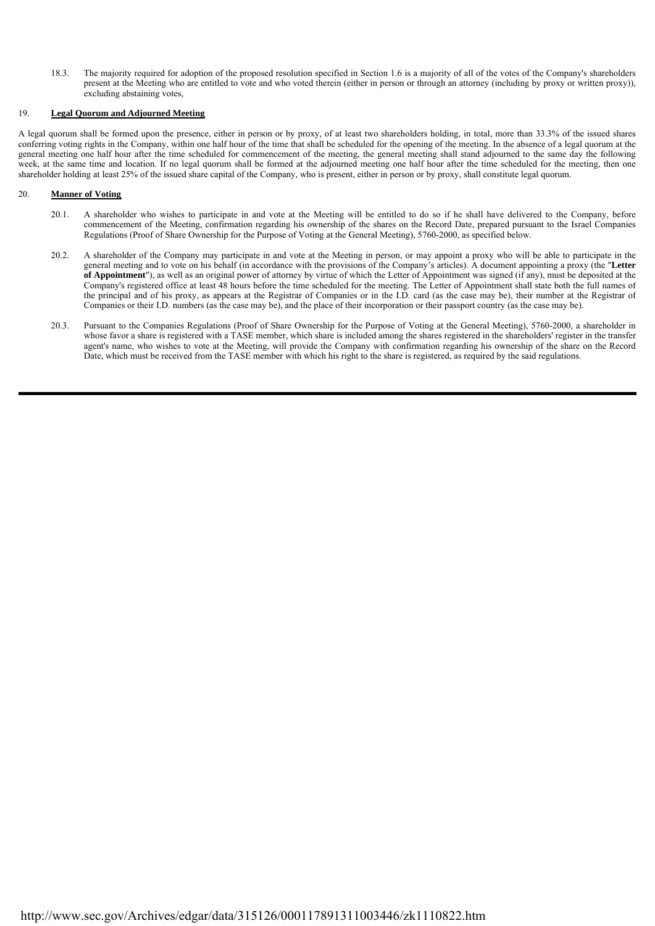18.3. The majority required for adoption of the proposed resolution specified in Section 1.6 is a majority of all of the votes of the Company's shareholders present at the Meeting who are entitled to vote and who voted therein (either in person or through an attorney (including by proxy or written proxy)), excluding abstaining votes,

#### $19$ 19. **Legal Quorum and Adjourned Meeting**

A legal quorum shall be formed upon the presence, either in person or by proxy, of at least two shareholders holding, in total, more than 33.3% of the issued shares conferring voting rights in the Company, within one half hour of the time that shall be scheduled for the opening of the meeting. In the absence of a legal quorum at the general meeting one half hour after the time scheduled for commencement of the meeting, the general meeting shall stand adjourned to the same day the following week, at the same time and location. If no legal quorum shall be formed at the adjourned meeting one half hour after the time scheduled for the meeting, then one shareholder holding at least 25% of the issued share capital of the Company, who is present, either in person or by proxy, shall constitute legal quorum.

## 20. **Manner of Voting**

- 20.1. A shareholder who wishes to participate in and vote at the Meeting will be entitled to do so if he shall have delivered to the Company, before commencement of the Meeting, confirmation regarding his ownership of the shares on the Record Date, prepared pursuant to the Israel Companies Regulations (Proof of Share Ownership for the Purpose of Voting at the General Meeting), 5760-2000, as specified below.
- 20.2. A shareholder of the Company may participate in and vote at the Meeting in person, or may appoint a proxy who will be able to participate in the general meeting and to vote on his behalf (in accordance with the provisions of the Company's articles). A document appointing a proxy (the "**Letter of Appointment**"), as well as an original power of attorney by virtue of which the Letter of Appointment was signed (if any), must be deposited at the Company's registered office at least 48 hours before the time scheduled for the meeting. The Letter of Appointment shall state both the full names of the principal and of his proxy, as appears at the Registrar of Companies or in the I.D. card (as the case may be), their number at the Registrar of Companies or their I.D. numbers (as the case may be), and the place of their incorporation or their passport country (as the case may be).
- 20.3. Pursuant to the Companies Regulations (Proof of Share Ownership for the Purpose of Voting at the General Meeting), 5760-2000, a shareholder in whose favor a share is registered with a TASE member, which share is included among the shares registered in the shareholders' register in the transfer agent's name, who wishes to vote at the Meeting, will provide the Company with confirmation regarding his ownership of the share on the Record Date, which must be received from the TASE member with which his right to the share is registered, as required by the said regulations.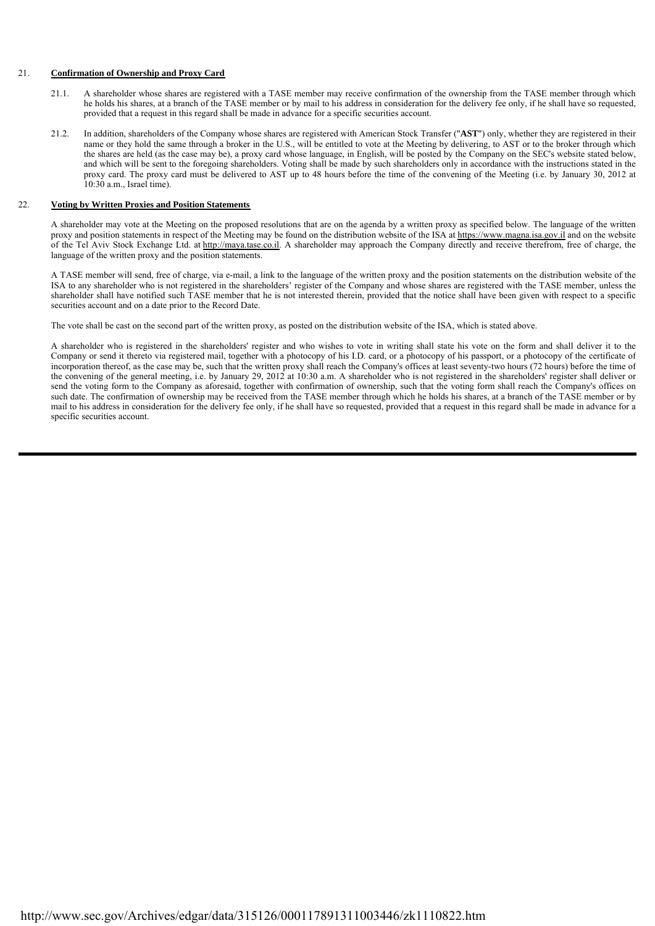# 21. **Confirmation of Ownership and Proxy Card**

- 21.1. A shareholder whose shares are registered with a TASE member may receive confirmation of the ownership from the TASE member through which he holds his shares, at a branch of the TASE member or by mail to his address in consideration for the delivery fee only, if he shall have so requested, provided that a request in this regard shall be made in advance for a specific securities account.
- 21.2. In addition, shareholders of the Company whose shares are registered with American Stock Transfer ("**AST**") only, whether they are registered in their name or they hold the same through a broker in the U.S., will be entitled to vote at the Meeting by delivering, to AST or to the broker through which the shares are held (as the case may be), a proxy card whose language, in English, will be posted by the Company on the SEC's website stated below, and which will be sent to the foregoing shareholders. Voting shall be made by such shareholders only in accordance with the instructions stated in the proxy card. The proxy card must be delivered to AST up to 48 hours before the time of the convening of the Meeting (i.e. by January 30, 2012 at 10:30 a.m., Israel time).

# 22. **Voting by Written Proxies and Position Statements**

A shareholder may vote at the Meeting on the proposed resolutions that are on the agenda by a written proxy as specified below. The language of the written proxy and position statements in respect of the Meeting may be found on the distribution website of the ISA at https://www.magna.isa.gov.il and on the website of the Tel Aviv Stock Exchange Ltd. at http://maya.tase.co.il. A shareholder may approach the Company directly and receive therefrom, free of charge, the language of the written proxy and the position statements.

A TASE member will send, free of charge, via e-mail, a link to the language of the written proxy and the position statements on the distribution website of the ISA to any shareholder who is not registered in the shareholders' register of the Company and whose shares are registered with the TASE member, unless the shareholder shall have notified such TASE member that he is not interested therein, provided that the notice shall have been given with respect to a specific securities account and on a date prior to the Record Date.

The vote shall be cast on the second part of the written proxy, as posted on the distribution website of the ISA, which is stated above.

A shareholder who is registered in the shareholders' register and who wishes to vote in writing shall state his vote on the form and shall deliver it to the Company or send it thereto via registered mail, together with a photocopy of his I.D. card, or a photocopy of his passport, or a photocopy of the certificate of incorporation thereof, as the case may be, such that the written proxy shall reach the Company's offices at least seventy-two hours (72 hours) before the time of the convening of the general meeting, i.e. by January 29, 2012 at 10:30 a.m. A shareholder who is not registered in the shareholders' register shall deliver or send the voting form to the Company as aforesaid, together with confirmation of ownership, such that the voting form shall reach the Company's offices on such date. The confirmation of ownership may be received from the TASE member through which he holds his shares, at a branch of the TASE member or by mail to his address in consideration for the delivery fee only, if he shall have so requested, provided that a request in this regard shall be made in advance for a specific securities account.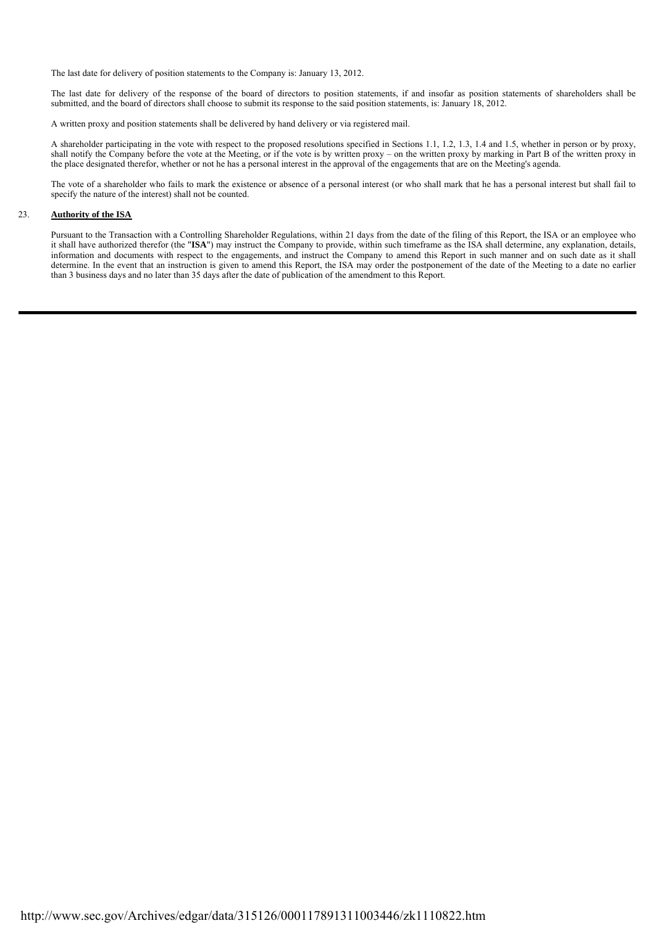The last date for delivery of position statements to the Company is: January 13, 2012.

The last date for delivery of the response of the board of directors to position statements, if and insofar as position statements of shareholders shall be submitted, and the board of directors shall choose to submit its response to the said position statements, is: January 18, 2012.

A written proxy and position statements shall be delivered by hand delivery or via registered mail.

A shareholder participating in the vote with respect to the proposed resolutions specified in Sections 1.1, 1.2, 1.3, 1.4 and 1.5, whether in person or by proxy, shall notify the Company before the vote at the Meeting, or if the vote is by written proxy – on the written proxy by marking in Part B of the written proxy in the place designated therefor, whether or not he has a personal interest in the approval of the engagements that are on the Meeting's agenda.

The vote of a shareholder who fails to mark the existence or absence of a personal interest (or who shall mark that he has a personal interest but shall fail to specify the nature of the interest) shall not be counted.

# 23. **Authority of the ISA**

Pursuant to the Transaction with a Controlling Shareholder Regulations, within 21 days from the date of the filing of this Report, the ISA or an employee who it shall have authorized therefor (the "**ISA**") may instruct the Company to provide, within such timeframe as the ISA shall determine, any explanation, details, information and documents with respect to the engagements, and instruct the Company to amend this Report in such manner and on such date as it shall determine. In the event that an instruction is given to amend this Report, the ISA may order the postponement of the date of the Meeting to a date no earlier than 3 business days and no later than 35 days after the date of publication of the amendment to this Report.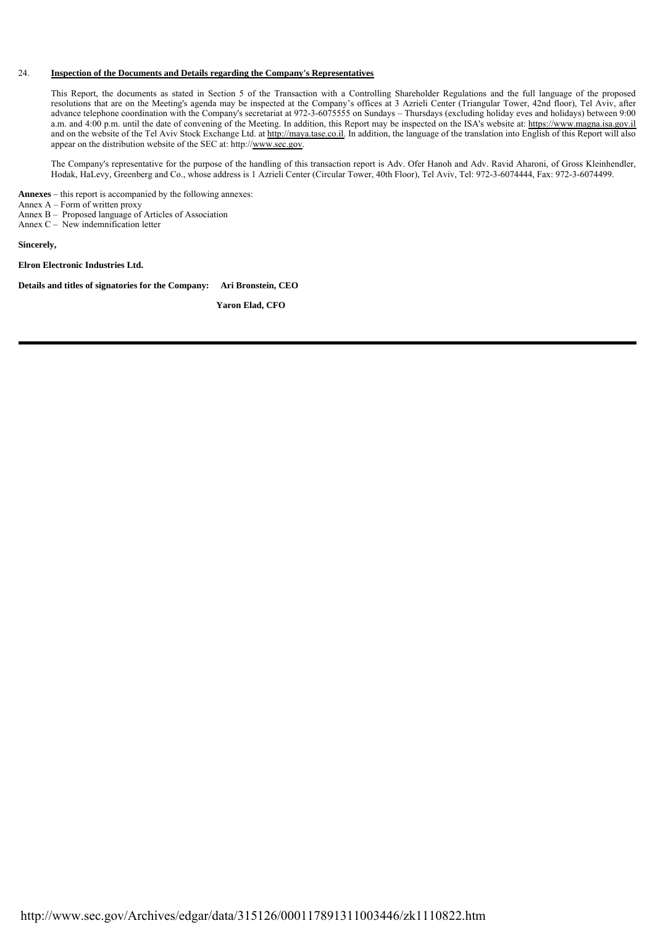## 24. **Inspection of the Documents and Details regarding the Company's Representatives**

This Report, the documents as stated in Section 5 of the Transaction with a Controlling Shareholder Regulations and the full language of the proposed resolutions that are on the Meeting's agenda may be inspected at the Company's offices at 3 Azrieli Center (Triangular Tower, 42nd floor), Tel Aviv, after advance telephone coordination with the Company's secretariat at 972-3-6075555 on Sundays – Thursdays (excluding holiday eves and holidays) between 9:00 a.m. and 4:00 p.m. until the date of convening of the Meeting. In addition, this Report may be inspected on the ISA's website at: https://www.magna.isa.gov.il and on the website of the Tel Aviv Stock Exchange Ltd. at http://maya.tase.co.il. In addition, the language of the translation into English of this Report will also appear on the distribution website of the SEC at: http://www.sec.gov.

The Company's representative for the purpose of the handling of this transaction report is Adv. Ofer Hanoh and Adv. Ravid Aharoni, of Gross Kleinhendler, Hodak, HaLevy, Greenberg and Co., whose address is 1 Azrieli Center (Circular Tower, 40th Floor), Tel Aviv, Tel: 972-3-6074444, Fax: 972-3-6074499.

**Annexes** – this report is accompanied by the following annexes:

Annex  $A - Form$  of written proxy

Annex B – Proposed language of Articles of Association

Annex C – New indemnification letter

**Sincerely,**

**Elron Electronic Industries Ltd.**

**Details and titles of signatories for the Company: Ari Bronstein, CEO**

 **Yaron Elad, CFO**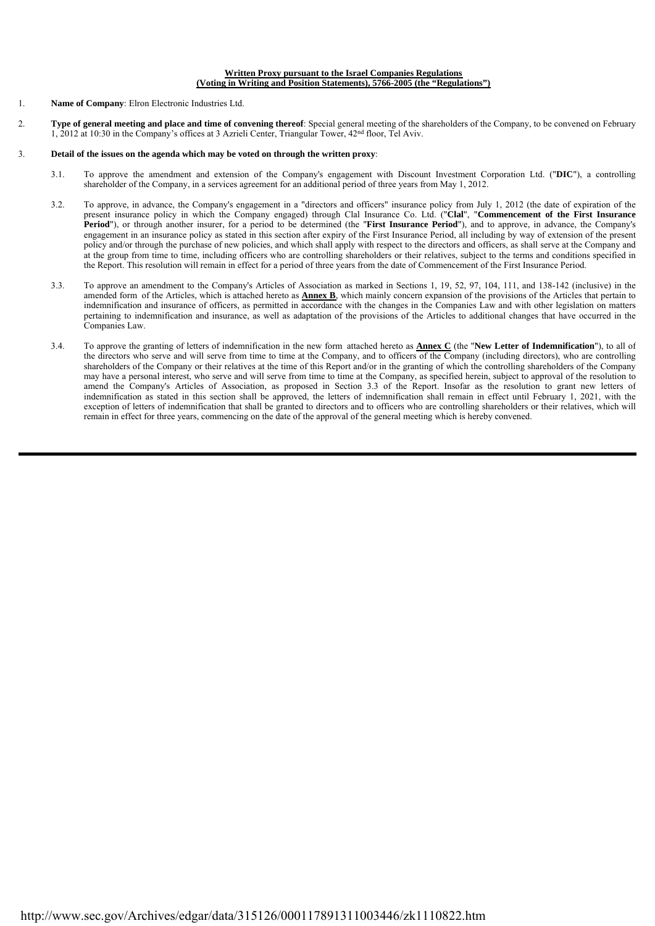#### **Written Proxy pursuant to the Israel Companies Regulations (Voting in Writing and Position Statements), 5766-2005 (the "Regulations")**

- 1. **Name of Company**: Elron Electronic Industries Ltd.
- 2. **Type of general meeting and place and time of convening thereof**: Special general meeting of the shareholders of the Company, to be convened on February 1, 2012 at 10:30 in the Company's offices at 3 Azrieli Center, Triangular Tower, 42nd floor, Tel Aviv.

## 3. **Detail of the issues on the agenda which may be voted on through the written proxy**:

- 3.1. To approve the amendment and extension of the Company's engagement with Discount Investment Corporation Ltd. ("**DIC**"), a controlling shareholder of the Company, in a services agreement for an additional period of three years from May 1, 2012.
- 3.2. To approve, in advance, the Company's engagement in a "directors and officers" insurance policy from July 1, 2012 (the date of expiration of the present insurance policy in which the Company engaged) through Clal Insurance Co. Ltd. ("**Clal**", "**Commencement of the First Insurance Period**"), or through another insurer, for a period to be determined (the "**First Insurance Period**"), and to approve, in advance, the Company's engagement in an insurance policy as stated in this section after expiry of the First Insurance Period, all including by way of extension of the present policy and/or through the purchase of new policies, and which shall apply with respect to the directors and officers, as shall serve at the Company and at the group from time to time, including officers who are controlling shareholders or their relatives, subject to the terms and conditions specified in the Report. This resolution will remain in effect for a period of three years from the date of Commencement of the First Insurance Period.
	- 3.3. To approve an amendment to the Company's Articles of Association as marked in Sections 1, 19, 52, 97, 104, 111, and 138-142 (inclusive) in the amended form of the Articles, which is attached hereto as **Annex B**, which mainly concern expansion of the provisions of the Articles that pertain to indemnification and insurance of officers, as permitted in accordance with the changes in the Companies Law and with other legislation on matters pertaining to indemnification and insurance, as well as adaptation of the provisions of the Articles to additional changes that have occurred in the Companies Law.
	- 3.4. To approve the granting of letters of indemnification in the new form attached hereto as **Annex C** (the "**New Letter of Indemnification**"), to all of the directors who serve and will serve from time to time at the Company, and to officers of the Company (including directors), who are controlling shareholders of the Company or their relatives at the time of this Report and/or in the granting of which the controlling shareholders of the Company may have a personal interest, who serve and will serve from time to time at the Company, as specified herein, subject to approval of the resolution to amend the Company's Articles of Association, as proposed in Section 3.3 of the Report. Insofar as the resolution to grant new letters of indemnification as stated in this section shall be approved, the letters of indemnification shall remain in effect until February 1, 2021, with the exception of letters of indemnification that shall be granted to directors and to officers who are controlling shareholders or their relatives, which will remain in effect for three years, commencing on the date of the approval of the general meeting which is hereby convened.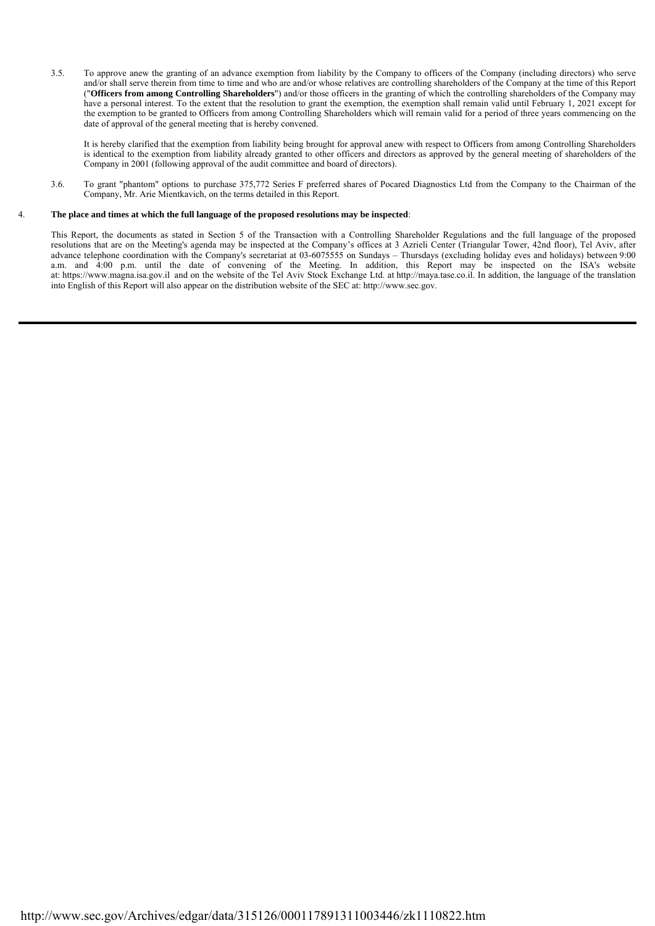3.5. To approve anew the granting of an advance exemption from liability by the Company to officers of the Company (including directors) who serve and/or shall serve therein from time to time and who are and/or whose relatives are controlling shareholders of the Company at the time of this Report ("**Officers from among Controlling Shareholders**") and/or those officers in the granting of which the controlling shareholders of the Company may have a personal interest. To the extent that the resolution to grant the exemption, the exemption shall remain valid until February 1, 2021 except for the exemption to be granted to Officers from among Controlling Shareholders which will remain valid for a period of three years commencing on the date of approval of the general meeting that is hereby convened.

It is hereby clarified that the exemption from liability being brought for approval anew with respect to Officers from among Controlling Shareholders is identical to the exemption from liability already granted to other officers and directors as approved by the general meeting of shareholders of the Company in 2001 (following approval of the audit committee and board of directors).

 3.6. To grant "phantom" options to purchase 375,772 Series F preferred shares of Pocared Diagnostics Ltd from the Company to the Chairman of the Company, Mr. Arie Mientkavich, on the terms detailed in this Report.

### 4. **The place and times at which the full language of the proposed resolutions may be inspected**:

This Report, the documents as stated in Section 5 of the Transaction with a Controlling Shareholder Regulations and the full language of the proposed resolutions that are on the Meeting's agenda may be inspected at the Company's offices at 3 Azrieli Center (Triangular Tower, 42nd floor), Tel Aviv, after advance telephone coordination with the Company's secretariat at 03-6075555 on Sundays – Thursdays (excluding holiday eves and holidays) between 9:00 a.m. and 4:00 p.m. until the date of convening of the Meeting. In addition, this Report may be inspected on the ISA's website at: https://www.magna.isa.gov.il and on the website of the Tel Aviv Stock Exchange Ltd. at http://maya.tase.co.il. In addition, the language of the translation into English of this Report will also appear on the distribution website of the SEC at: http://www.sec.gov.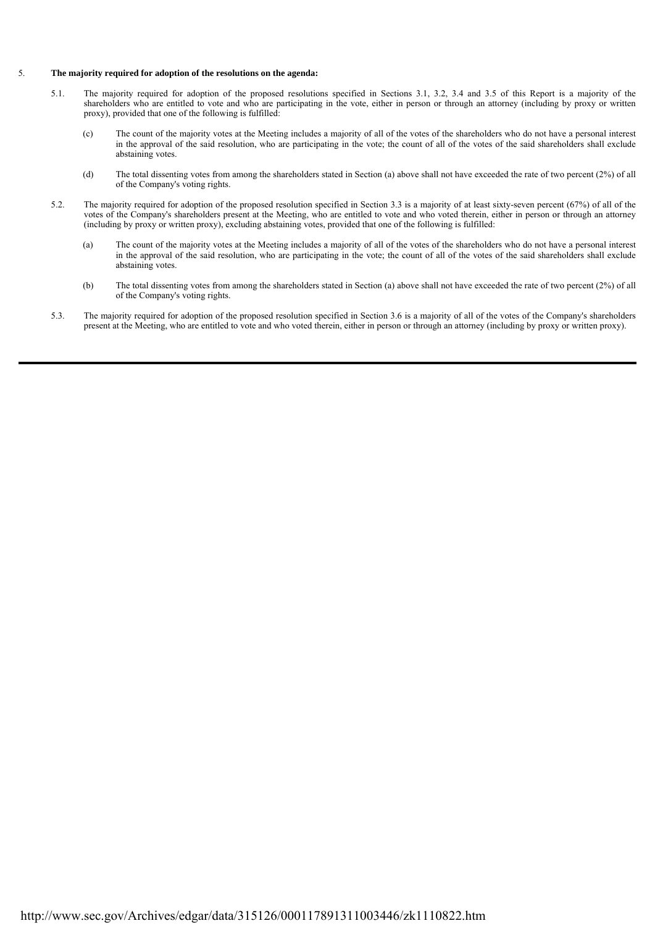#### 5. **The majority required for adoption of the resolutions on the agenda:**

- 5.1. The majority required for adoption of the proposed resolutions specified in Sections 3.1, 3.2, 3.4 and 3.5 of this Report is a majority of the shareholders who are entitled to vote and who are participating in the vote, either in person or through an attorney (including by proxy or written proxy), provided that one of the following is fulfilled:
	- (c) The count of the majority votes at the Meeting includes a majority of all of the votes of the shareholders who do not have a personal interest in the approval of the said resolution, who are participating in the vote; the count of all of the votes of the said shareholders shall exclude abstaining votes.
	- (d) The total dissenting votes from among the shareholders stated in Section (a) above shall not have exceeded the rate of two percent (2%) of all of the Company's voting rights.
- 5.2. The majority required for adoption of the proposed resolution specified in Section 3.3 is a majority of at least sixty-seven percent (67%) of all of the votes of the Company's shareholders present at the Meeting, who are entitled to vote and who voted therein, either in person or through an attorney (including by proxy or written proxy), excluding abstaining votes, provided that one of the following is fulfilled:
	- (a) The count of the majority votes at the Meeting includes a majority of all of the votes of the shareholders who do not have a personal interest in the approval of the said resolution, who are participating in the vote; the count of all of the votes of the said shareholders shall exclude abstaining votes.
	- (b) The total dissenting votes from among the shareholders stated in Section (a) above shall not have exceeded the rate of two percent (2%) of all of the Company's voting rights.
- 5.3. The majority required for adoption of the proposed resolution specified in Section 3.6 is a majority of all of the votes of the Company's shareholders present at the Meeting, who are entitled to vote and who voted therein, either in person or through an attorney (including by proxy or written proxy).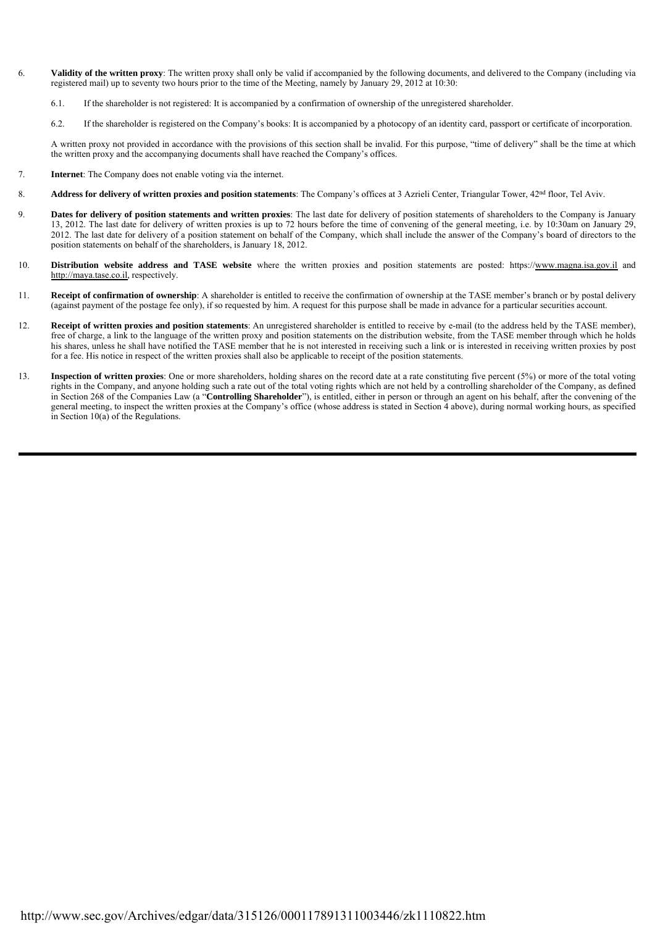- 6. **Validity of the written proxy**: The written proxy shall only be valid if accompanied by the following documents, and delivered to the Company (including via registered mail) up to seventy two hours prior to the time of the Meeting, namely by January 29, 2012 at 10:30:
	- 6.1. If the shareholder is not registered: It is accompanied by a confirmation of ownership of the unregistered shareholder.
	- 6.2. If the shareholder is registered on the Company's books: It is accompanied by a photocopy of an identity card, passport or certificate of incorporation.

A written proxy not provided in accordance with the provisions of this section shall be invalid. For this purpose, "time of delivery" shall be the time at which the written proxy and the accompanying documents shall have reached the Company's offices.

- 7. **Internet**: The Company does not enable voting via the internet.
- 8. **Address for delivery of written proxies and position statements**: The Company's offices at 3 Azrieli Center, Triangular Tower, 42nd floor, Tel Aviv.
- 9. **Dates for delivery of position statements and written proxies**: The last date for delivery of position statements of shareholders to the Company is January 13, 2012. The last date for delivery of written proxies is up to 72 hours before the time of convening of the general meeting, i.e. by 10:30am on January 29, 2012. The last date for delivery of a position statement on behalf of the Company, which shall include the answer of the Company's board of directors to the position statements on behalf of the shareholders, is January 18, 2012.
- 10. **Distribution website address and TASE website** where the written proxies and position statements are posted: https://www.magna.isa.gov.il and http://maya.tase.co.il, respectively.
- 11. **Receipt of confirmation of ownership**: A shareholder is entitled to receive the confirmation of ownership at the TASE member's branch or by postal delivery (against payment of the postage fee only), if so requested by him. A request for this purpose shall be made in advance for a particular securities account.
- 12. **Receipt of written proxies and position statements**: An unregistered shareholder is entitled to receive by e-mail (to the address held by the TASE member), free of charge, a link to the language of the written proxy and position statements on the distribution website, from the TASE member through which he holds his shares, unless he shall have notified the TASE member that he is not interested in receiving such a link or is interested in receiving written proxies by post for a fee. His notice in respect of the written proxies shall also be applicable to receipt of the position statements.
- 13. **Inspection of written proxies**: One or more shareholders, holding shares on the record date at a rate constituting five percent (5%) or more of the total voting rights in the Company, and anyone holding such a rate out of the total voting rights which are not held by a controlling shareholder of the Company, as defined in Section 268 of the Companies Law (a "**Controlling Shareholder**"), is entitled, either in person or through an agent on his behalf, after the convening of the general meeting, to inspect the written proxies at the Company's office (whose address is stated in Section 4 above), during normal working hours, as specified in Section 10(a) of the Regulations.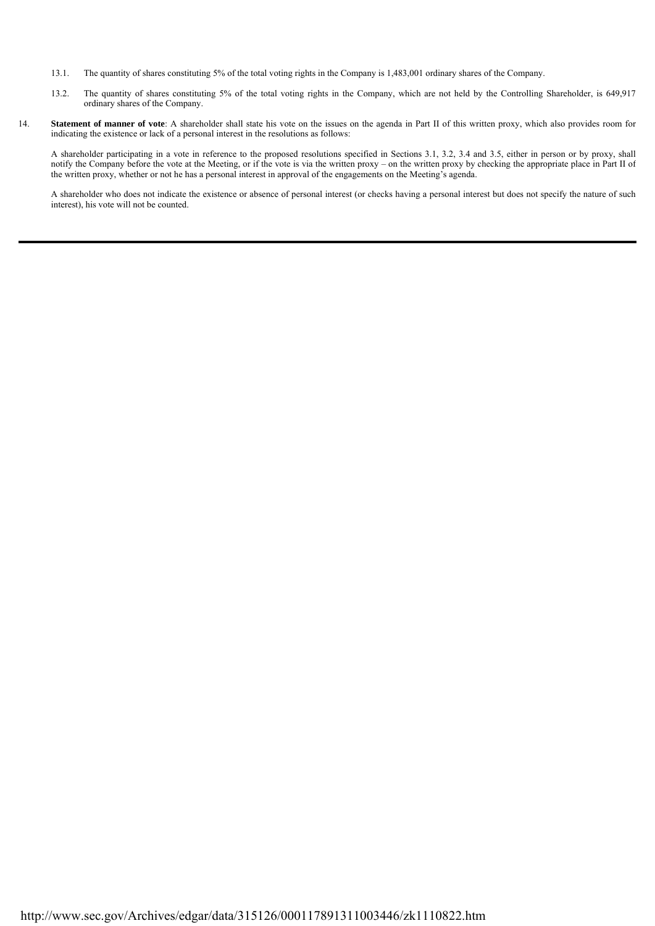- 13.1. The quantity of shares constituting 5% of the total voting rights in the Company is 1,483,001 ordinary shares of the Company.
- 13.2. The quantity of shares constituting 5% of the total voting rights in the Company, which are not held by the Controlling Shareholder, is 649,917 ordinary shares of the Company.
- 14. **Statement of manner of vote**: A shareholder shall state his vote on the issues on the agenda in Part II of this written proxy, which also provides room for indicating the existence or lack of a personal interest in the resolutions as follows:

A shareholder participating in a vote in reference to the proposed resolutions specified in Sections 3.1, 3.2, 3.4 and 3.5, either in person or by proxy, shall notify the Company before the vote at the Meeting, or if the vote is via the written proxy – on the written proxy by checking the appropriate place in Part II of the written proxy, whether or not he has a personal interest in approval of the engagements on the Meeting's agenda.

A shareholder who does not indicate the existence or absence of personal interest (or checks having a personal interest but does not specify the nature of such interest), his vote will not be counted.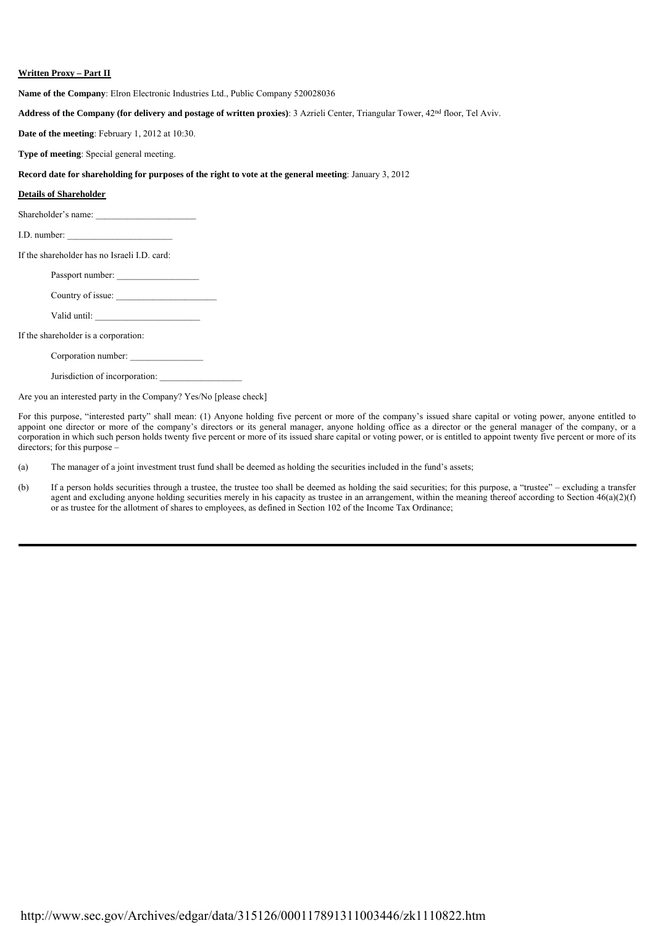# **Written Proxy – Part II**

**Name of the Company**: Elron Electronic Industries Ltd., Public Company 520028036

**Address of the Company (for delivery and postage of written proxies)**: 3 Azrieli Center, Triangular Tower, 42nd floor, Tel Aviv.

**Date of the meeting**: February 1, 2012 at 10:30.

**Type of meeting**: Special general meeting.

## **Record date for shareholding for purposes of the right to vote at the general meeting**: January 3, 2012

#### **Details of Shareholder**

| Shareholder's name: |  |
|---------------------|--|
|                     |  |

I.D. number:

If the shareholder has no Israeli I.D. card:

Passport number:

Country of issue:

Valid until:

If the shareholder is a corporation:

Corporation number:

Jurisdiction of incorporation:

Are you an interested party in the Company? Yes/No [please check]

For this purpose, "interested party" shall mean: (1) Anyone holding five percent or more of the company's issued share capital or voting power, anyone entitled to appoint one director or more of the company's directors or its general manager, anyone holding office as a director or the general manager of the company, or a corporation in which such person holds twenty five percent or more of its issued share capital or voting power, or is entitled to appoint twenty five percent or more of its directors; for this purpose –

(a) The manager of a joint investment trust fund shall be deemed as holding the securities included in the fund's assets;

(b) If a person holds securities through a trustee, the trustee too shall be deemed as holding the said securities; for this purpose, a "trustee" – excluding a transfer agent and excluding anyone holding securities merely in his capacity as trustee in an arrangement, within the meaning thereof according to Section  $46(a)(2)(f)$ or as trustee for the allotment of shares to employees, as defined in Section 102 of the Income Tax Ordinance;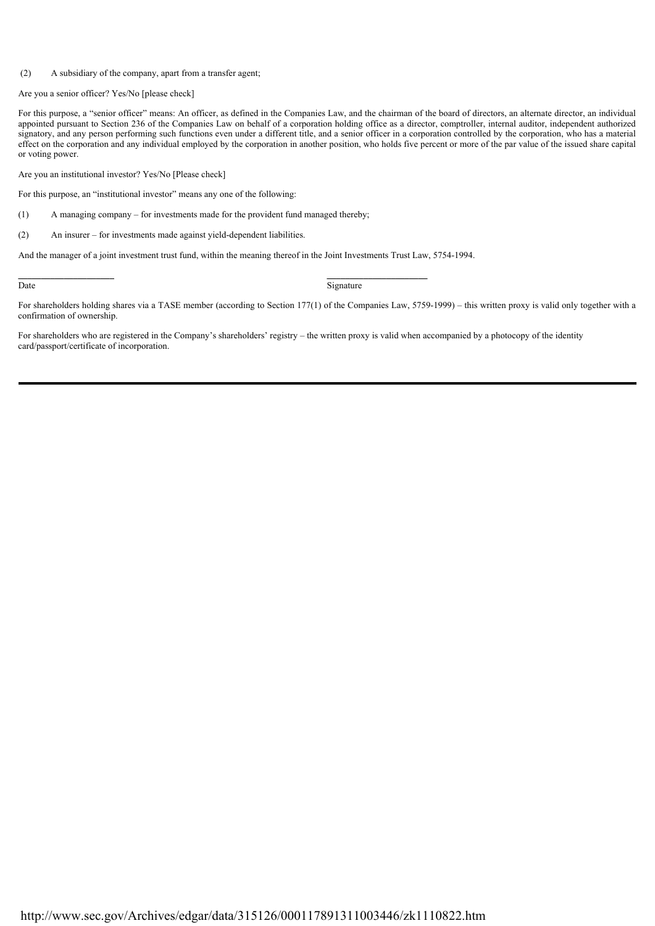## (2) A subsidiary of the company, apart from a transfer agent;

Are you a senior officer? Yes/No [please check]

For this purpose, a "senior officer" means: An officer, as defined in the Companies Law, and the chairman of the board of directors, an alternate director, an individual appointed pursuant to Section 236 of the Companies Law on behalf of a corporation holding office as a director, comptroller, internal auditor, independent authorized signatory, and any person performing such functions even under a different title, and a senior officer in a corporation controlled by the corporation, who has a material effect on the corporation and any individual employed by the corporation in another position, who holds five percent or more of the par value of the issued share capital or voting power.

Are you an institutional investor? Yes/No [Please check]

For this purpose, an "institutional investor" means any one of the following:

(1) A managing company – for investments made for the provident fund managed thereby;

 $(2)$ An insurer – for investments made against yield-dependent liabilities.

And the manager of a joint investment trust fund, within the meaning thereof in the Joint Investments Trust Law, 5754-1994.

**\_\_\_\_\_\_\_\_\_\_\_\_\_\_\_\_\_\_\_\_\_ \_\_\_\_\_\_\_\_\_\_\_\_\_\_\_\_\_\_\_\_\_\_**

Date Signature Signature

For shareholders holding shares via a TASE member (according to Section 177(1) of the Companies Law, 5759-1999) – this written proxy is valid only together with a confirmation of ownership.

For shareholders who are registered in the Company's shareholders' registry – the written proxy is valid when accompanied by a photocopy of the identity card/passport/certificate of incorporation.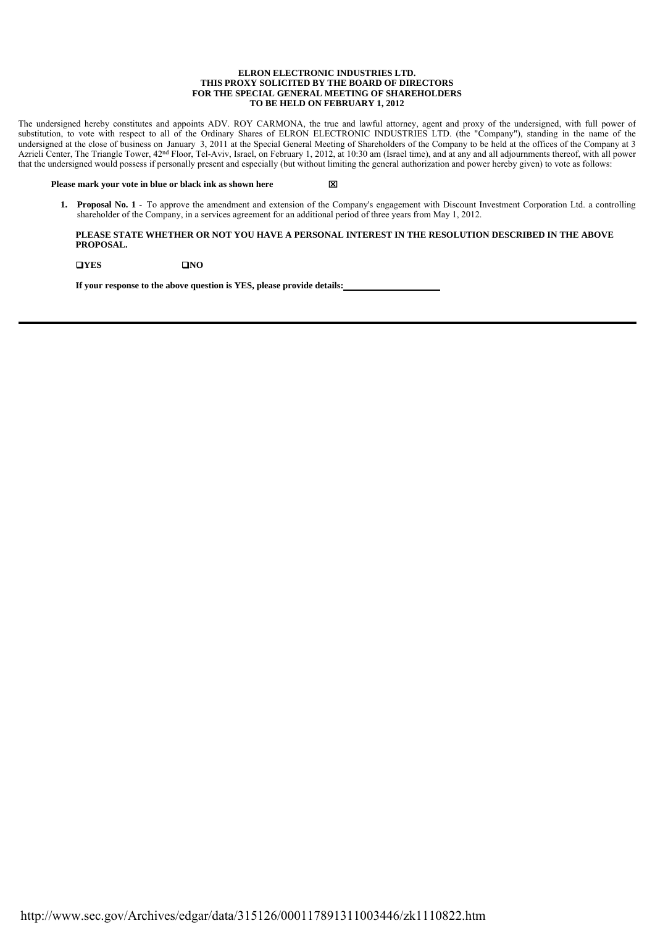#### **ELRON ELECTRONIC INDUSTRIES LTD. THIS PROXY SOLICITED BY THE BOARD OF DIRECTORS FOR THE SPECIAL GENERAL MEETING OF SHAREHOLDERS TO BE HELD ON FEBRUARY 1, 2012**

The undersigned hereby constitutes and appoints ADV. ROY CARMONA, the true and lawful attorney, agent and proxy of the undersigned, with full power of substitution, to vote with respect to all of the Ordinary Shares of ELRON ELECTRONIC INDUSTRIES LTD. (the "Company"), standing in the name of the undersigned at the close of business on January 3, 2011 at the Special General Meeting of Shareholders of the Company to be held at the offices of the Company at 3 Azrieli Center, The Triangle Tower, 42<sup>nd</sup> Floor, Tel-Aviv, Israel, on February 1, 2012, at 10:30 am (Israel time), and at any and all adjournments thereof, with all power that the undersigned would possess if personally present and especially (but without limiting the general authorization and power hereby given) to vote as follows:

#### **Please mark your vote in blue or black ink as shown here**

 **1. Proposal No. 1** - To approve the amendment and extension of the Company's engagement with Discount Investment Corporation Ltd. a controlling shareholder of the Company, in a services agreement for an additional period of three years from May 1, 2012.

# **PLEASE STATE WHETHER OR NOT YOU HAVE A PERSONAL INTEREST IN THE RESOLUTION DESCRIBED IN THE ABOVE PROPOSAL.**

**DIVES** DNO

**If your response to the above question is YES, please provide details:**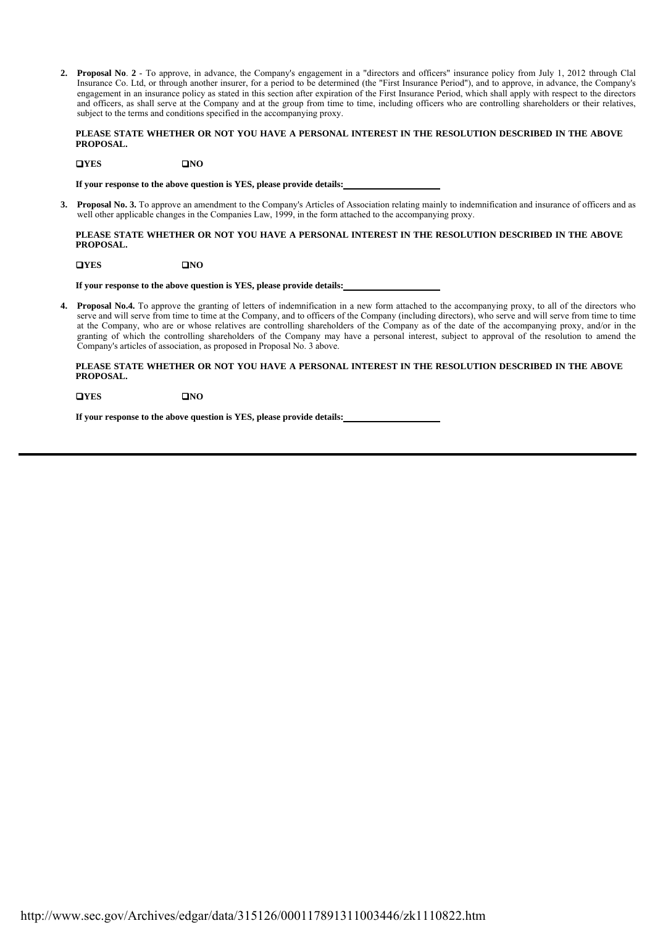**2. Proposal No**. **2** - To approve, in advance, the Company's engagement in a "directors and officers" insurance policy from July 1, 2012 through Clal Insurance Co. Ltd, or through another insurer, for a period to be determined (the "First Insurance Period"), and to approve, in advance, the Company's engagement in an insurance policy as stated in this section after expiration of the First Insurance Period, which shall apply with respect to the directors and officers, as shall serve at the Company and at the group from time to time, including officers who are controlling shareholders or their relatives, subject to the terms and conditions specified in the accompanying proxy.

## **PLEASE STATE WHETHER OR NOT YOU HAVE A PERSONAL INTEREST IN THE RESOLUTION DESCRIBED IN THE ABOVE PROPOSAL.**

# **DIVES** DNO

**If your response to the above question is YES, please provide details:** 

 **3. Proposal No. 3.** To approve an amendment to the Company's Articles of Association relating mainly to indemnification and insurance of officers and as well other applicable changes in the Companies Law, 1999, in the form attached to the accompanying proxy.

# **PLEASE STATE WHETHER OR NOT YOU HAVE A PERSONAL INTEREST IN THE RESOLUTION DESCRIBED IN THE ABOVE PROPOSAL.**

**DIVES** DNO

**If your response to the above question is YES, please provide details:** 

**4. Proposal No.4.** To approve the granting of letters of indemnification in a new form attached to the accompanying proxy, to all of the directors who serve and will serve from time to time at the Company, and to officers of the Company (including directors), who serve and will serve from time to time at the Company, who are or whose relatives are controlling shareholders of the Company as of the date of the accompanying proxy, and/or in the granting of which the controlling shareholders of the Company may have a personal interest, subject to approval of the resolution to amend the Company's articles of association, as proposed in Proposal No. 3 above.

## **PLEASE STATE WHETHER OR NOT YOU HAVE A PERSONAL INTEREST IN THE RESOLUTION DESCRIBED IN THE ABOVE PROPOSAL.**

**NONONO** 

**If your response to the above question is YES, please provide details:**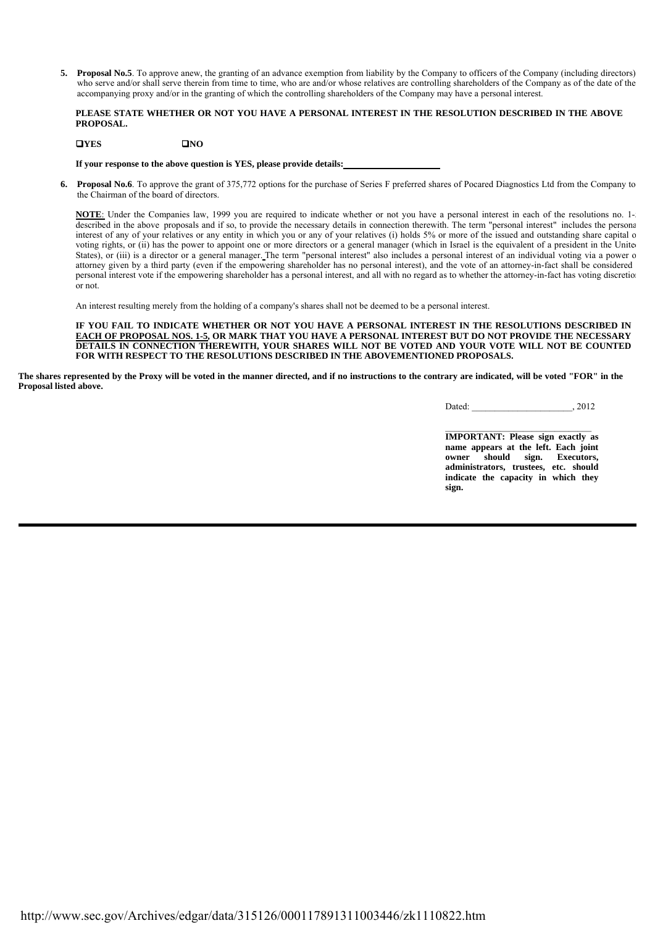**5. Proposal No.5**. To approve anew, the granting of an advance exemption from liability by the Company to officers of the Company (including directors) who serve and/or shall serve therein from time to time, who are and/or whose relatives are controlling shareholders of the Company as of the date of the accompanying proxy and/or in the granting of which the controlling shareholders of the Company may have a personal interest.

# **PLEASE STATE WHETHER OR NOT YOU HAVE A PERSONAL INTEREST IN THE RESOLUTION DESCRIBED IN THE ABOVE PROPOSAL.**

# **NO NO**

**If your response to the above question is YES, please provide details:** 

 **6. Proposal No.6**. To approve the grant of 375,772 options for the purchase of Series F preferred shares of Pocared Diagnostics Ltd from the Company to the Chairman of the board of directors.

**NOTE**: Under the Companies law, 1999 you are required to indicate whether or not you have a personal interest in each of the resolutions no. 1-5 described in the above proposals and if so, to provide the necessary details in connection therewith. The term "personal interest" includes the persona interest of any of your relatives or any entity in which you or any of your relatives (i) holds 5% or more of the issued and outstanding share capital o voting rights, or (ii) has the power to appoint one or more directors or a general manager (which in Israel is the equivalent of a president in the United States), or (iii) is a director or a general manager. The term "personal interest" also includes a personal interest of an individual voting via a power o attorney given by a third party (even if the empowering shareholder has no personal interest), and the vote of an attorney-in-fact shall be considered personal interest vote if the empowering shareholder has a personal interest, and all with no regard as to whether the attorney-in-fact has voting discretion or not.

An interest resulting merely from the holding of a company's shares shall not be deemed to be a personal interest.

**IF YOU FAIL TO INDICATE WHETHER OR NOT YOU HAVE A PERSONAL INTEREST IN THE RESOLUTIONS DESCRIBED IN EACH OF PROPOSAL NOS. 1-5, OR MARK THAT YOU HAVE A PERSONAL INTEREST BUT DO NOT PROVIDE THE NECESSARY DETAILS IN CONNECTION THEREWITH, YOUR SHARES WILL NOT BE VOTED AND YOUR VOTE WILL NOT BE COUNTED FOR WITH RESPECT TO THE RESOLUTIONS DESCRIBED IN THE ABOVEMENTIONED PROPOSALS.**

**The shares represented by the Proxy will be voted in the manner directed, and if no instructions to the contrary are indicated, will be voted "FOR" in the Proposal listed above.**

Dated: \_\_\_\_\_\_\_\_\_\_\_\_\_\_\_\_\_\_\_\_\_\_, 2012

 $\_$ **IMPORTANT: Please sign exactly as name appears at the left. Each joint owner should sign. Executors, administrators, trustees, etc. should indicate the capacity in which they sign.**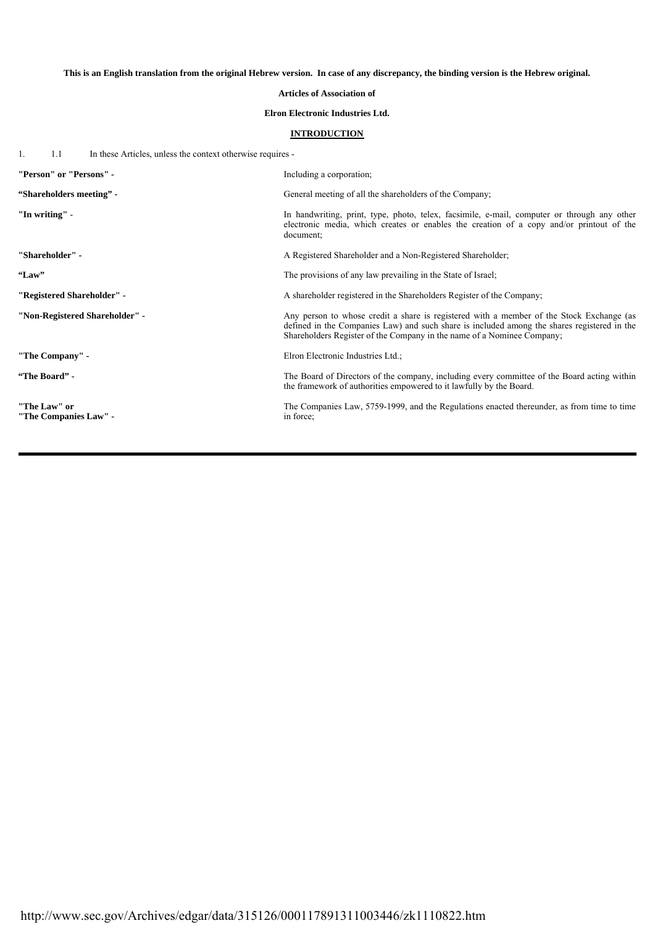**This is an English translation from the original Hebrew version. In case of any discrepancy, the binding version is the Hebrew original.**

# **Articles of Association of**

# **Elron Electronic Industries Ltd.**

# **INTRODUCTION**

 $\mathbf{u}$ 1. 1.1 In these Articles, unless the context otherwise requires -

| "Person" or "Persons" -               | Including a corporation;                                                                                                                                                                                                                                          |  |  |
|---------------------------------------|-------------------------------------------------------------------------------------------------------------------------------------------------------------------------------------------------------------------------------------------------------------------|--|--|
| "Shareholders meeting" -              | General meeting of all the shareholders of the Company;                                                                                                                                                                                                           |  |  |
| "In writing" -                        | In handwriting, print, type, photo, telex, facsimile, e-mail, computer or through any other<br>electronic media, which creates or enables the creation of a copy and/or printout of the<br>document:                                                              |  |  |
| "Shareholder" -                       | A Registered Shareholder and a Non-Registered Shareholder;                                                                                                                                                                                                        |  |  |
| "Law"                                 | The provisions of any law prevailing in the State of Israel;                                                                                                                                                                                                      |  |  |
| "Registered Shareholder" -            | A shareholder registered in the Shareholders Register of the Company;                                                                                                                                                                                             |  |  |
| "Non-Registered Shareholder" -        | Any person to whose credit a share is registered with a member of the Stock Exchange (as<br>defined in the Companies Law) and such share is included among the shares registered in the<br>Shareholders Register of the Company in the name of a Nominee Company; |  |  |
| "The Company" -                       | Elron Electronic Industries Ltd.;                                                                                                                                                                                                                                 |  |  |
| "The Board" -                         | The Board of Directors of the company, including every committee of the Board acting within<br>the framework of authorities empowered to it lawfully by the Board.                                                                                                |  |  |
| "The Law" or<br>"The Companies Law" - | The Companies Law, 5759-1999, and the Regulations enacted thereunder, as from time to time<br>in force;                                                                                                                                                           |  |  |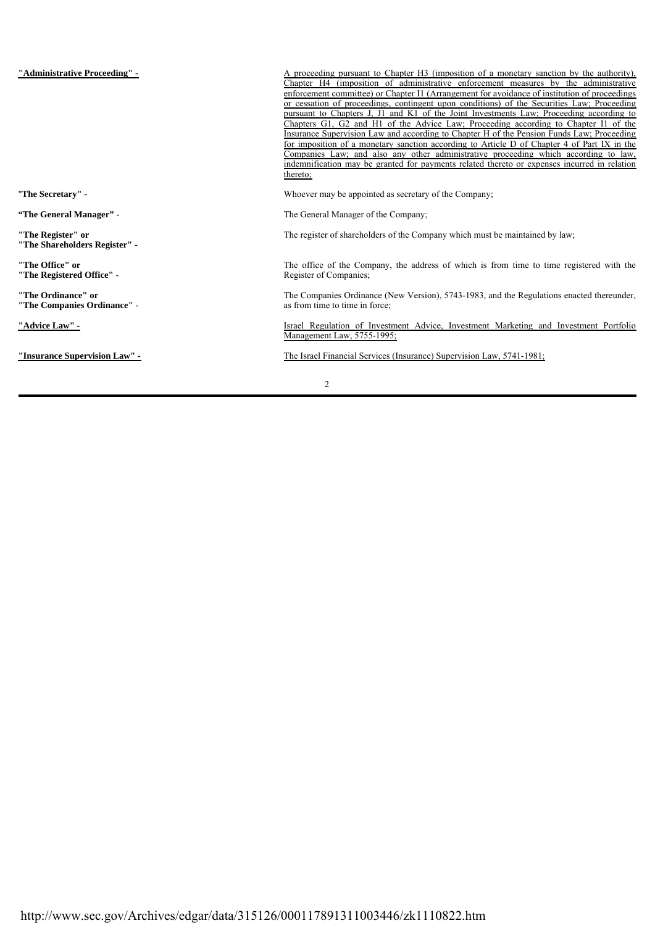| "Administrative Proceeding" -                      | A proceeding pursuant to Chapter H3 (imposition of a monetary sanction by the authority),<br>Chapter H4 (imposition of administrative enforcement measures by the administrative<br>enforcement committee) or Chapter I1 (Arrangement for avoidance of institution of proceedings<br>or cessation of proceedings, contingent upon conditions) of the Securities Law; Proceeding<br>pursuant to Chapters J, J1 and K1 of the Joint Investments Law; Proceeding according to<br>Chapters G1, G2 and H1 of the Advice Law; Proceeding according to Chapter I1 of the<br>Insurance Supervision Law and according to Chapter H of the Pension Funds Law; Proceeding<br>for imposition of a monetary sanction according to Article D of Chapter 4 of Part IX in the<br>Companies Law; and also any other administrative proceeding which according to law,<br>indemnification may be granted for payments related thereto or expenses incurred in relation<br>thereto; |
|----------------------------------------------------|------------------------------------------------------------------------------------------------------------------------------------------------------------------------------------------------------------------------------------------------------------------------------------------------------------------------------------------------------------------------------------------------------------------------------------------------------------------------------------------------------------------------------------------------------------------------------------------------------------------------------------------------------------------------------------------------------------------------------------------------------------------------------------------------------------------------------------------------------------------------------------------------------------------------------------------------------------------|
| "The Secretary" -                                  | Whoever may be appointed as secretary of the Company;                                                                                                                                                                                                                                                                                                                                                                                                                                                                                                                                                                                                                                                                                                                                                                                                                                                                                                            |
| "The General Manager" -                            | The General Manager of the Company;                                                                                                                                                                                                                                                                                                                                                                                                                                                                                                                                                                                                                                                                                                                                                                                                                                                                                                                              |
| "The Register" or<br>"The Shareholders Register" - | The register of shareholders of the Company which must be maintained by law;                                                                                                                                                                                                                                                                                                                                                                                                                                                                                                                                                                                                                                                                                                                                                                                                                                                                                     |
| "The Office" or<br>"The Registered Office" -       | The office of the Company, the address of which is from time to time registered with the<br>Register of Companies:                                                                                                                                                                                                                                                                                                                                                                                                                                                                                                                                                                                                                                                                                                                                                                                                                                               |
| "The Ordinance" or<br>"The Companies Ordinance" -  | The Companies Ordinance (New Version), 5743-1983, and the Regulations enacted thereunder,<br>as from time to time in force;                                                                                                                                                                                                                                                                                                                                                                                                                                                                                                                                                                                                                                                                                                                                                                                                                                      |
| "Advice Law" -                                     | Israel Regulation of Investment Advice, Investment Marketing and Investment Portfolio<br>Management Law, 5755-1995;                                                                                                                                                                                                                                                                                                                                                                                                                                                                                                                                                                                                                                                                                                                                                                                                                                              |
| "Insurance Supervision Law" -                      | The Israel Financial Services (Insurance) Supervision Law, 5741-1981;                                                                                                                                                                                                                                                                                                                                                                                                                                                                                                                                                                                                                                                                                                                                                                                                                                                                                            |
|                                                    | $\overline{c}$                                                                                                                                                                                                                                                                                                                                                                                                                                                                                                                                                                                                                                                                                                                                                                                                                                                                                                                                                   |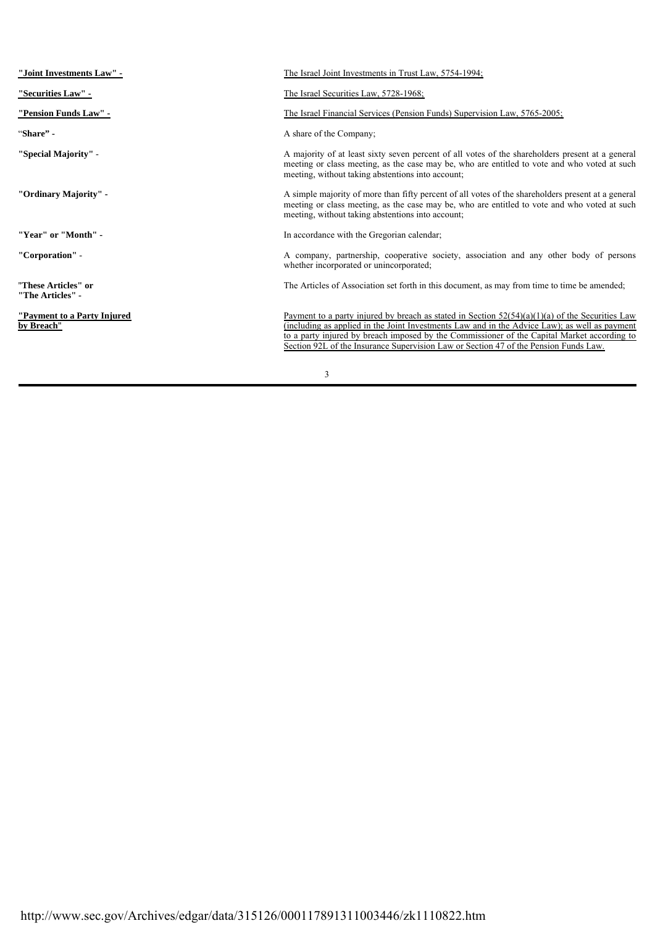| "Joint Investments Law" -                  | The Israel Joint Investments in Trust Law, 5754-1994;                                                                                                                                                                                                                                                                                                                                     |
|--------------------------------------------|-------------------------------------------------------------------------------------------------------------------------------------------------------------------------------------------------------------------------------------------------------------------------------------------------------------------------------------------------------------------------------------------|
| "Securities Law" -                         | The Israel Securities Law, 5728-1968;                                                                                                                                                                                                                                                                                                                                                     |
| "Pension Funds Law" -                      | The Israel Financial Services (Pension Funds) Supervision Law, 5765-2005;                                                                                                                                                                                                                                                                                                                 |
| "Share" -                                  | A share of the Company;                                                                                                                                                                                                                                                                                                                                                                   |
| "Special Majority" -                       | A majority of at least sixty seven percent of all votes of the shareholders present at a general<br>meeting or class meeting, as the case may be, who are entitled to vote and who voted at such<br>meeting, without taking abstentions into account;                                                                                                                                     |
| "Ordinary Majority" -                      | A simple majority of more than fifty percent of all votes of the shareholders present at a general<br>meeting or class meeting, as the case may be, who are entitled to vote and who voted at such<br>meeting, without taking abstentions into account;                                                                                                                                   |
| "Year" or "Month" -                        | In accordance with the Gregorian calendar;                                                                                                                                                                                                                                                                                                                                                |
| "Corporation" -                            | A company, partnership, cooperative society, association and any other body of persons<br>whether incorporated or unincorporated;                                                                                                                                                                                                                                                         |
| "These Articles" or<br>"The Articles" -    | The Articles of Association set forth in this document, as may from time to time be amended;                                                                                                                                                                                                                                                                                              |
| "Payment to a Party Injured"<br>by Breach" | Payment to a party injured by breach as stated in Section $52(54)(a)(1)(a)$ of the Securities Law<br>(including as applied in the Joint Investments Law and in the Advice Law); as well as payment<br>to a party injured by breach imposed by the Commissioner of the Capital Market according to<br>Section 92L of the Insurance Supervision Law or Section 47 of the Pension Funds Law. |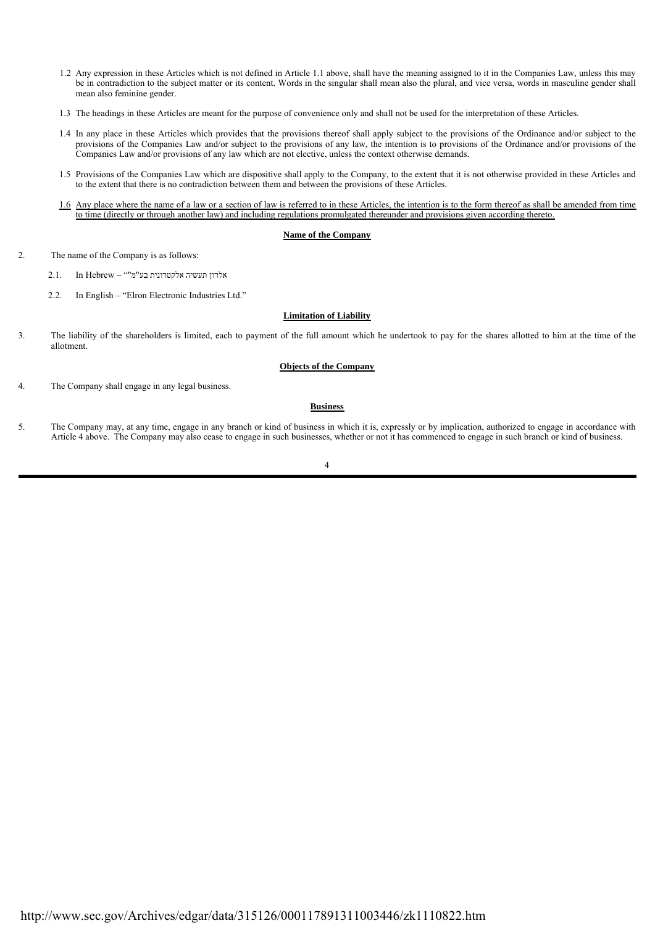- 1.2 Any expression in these Articles which is not defined in Article 1.1 above, shall have the meaning assigned to it in the Companies Law, unless this may be in contradiction to the subject matter or its content. Words in the singular shall mean also the plural, and vice versa, words in masculine gender shall mean also feminine gender.
- 1.3 The headings in these Articles are meant for the purpose of convenience only and shall not be used for the interpretation of these Articles.
- 1.4 In any place in these Articles which provides that the provisions thereof shall apply subject to the provisions of the Ordinance and/or subject to the provisions of the Companies Law and/or subject to the provisions of any law, the intention is to provisions of the Ordinance and/or provisions of the Companies Law and/or provisions of any law which are not elective, unless the context otherwise demands.
- 1.5 Provisions of the Companies Law which are dispositive shall apply to the Company, to the extent that it is not otherwise provided in these Articles and to the extent that there is no contradiction between them and between the provisions of these Articles.
- 1.6 Any place where the name of a law or a section of law is referred to in these Articles, the intention is to the form thereof as shall be amended from time to time (directly or through another law) and including regulations promulgated thereunder and provisions given according thereto.

## **Name of the Company**

- 2. The name of the Company is as follows:
	- אלרון תעשיה אלקטרונית בע"מ"" Hebrew In 2.1.
	- 2.2. In English "Elron Electronic Industries Ltd."

#### **Limitation of Liability**

3. The liability of the shareholders is limited, each to payment of the full amount which he undertook to pay for the shares allotted to him at the time of the allotment.

#### **Objects of the Company**

4. The Company shall engage in any legal business.

## **Business**

5. The Company may, at any time, engage in any branch or kind of business in which it is, expressly or by implication, authorized to engage in accordance with Article 4 above. The Company may also cease to engage in such businesses, whether or not it has commenced to engage in such branch or kind of business.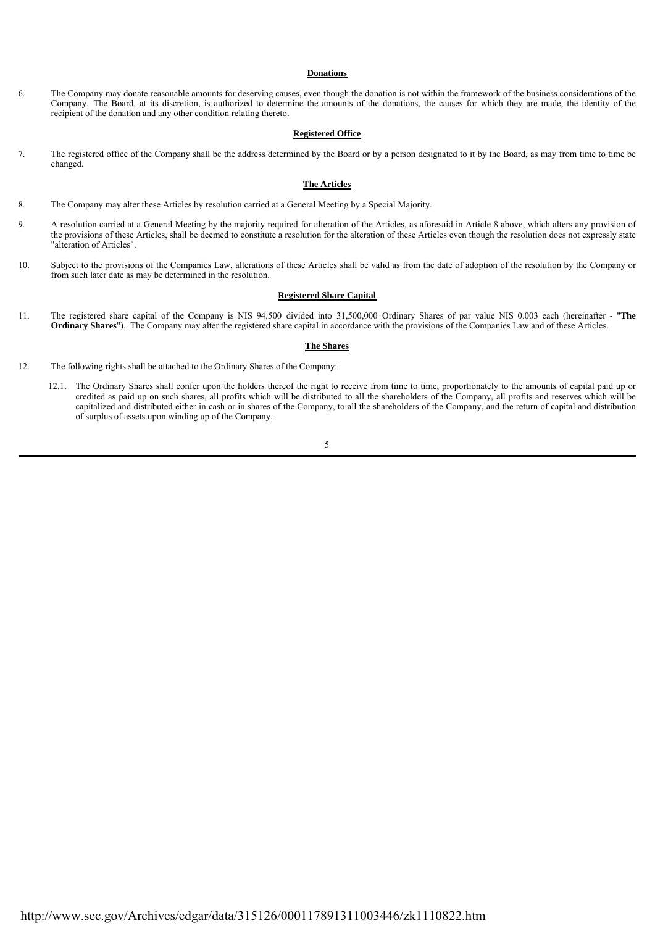#### **Donations**

6. The Company may donate reasonable amounts for deserving causes, even though the donation is not within the framework of the business considerations of the Company. The Board, at its discretion, is authorized to determine the amounts of the donations, the causes for which they are made, the identity of the recipient of the donation and any other condition relating thereto.

#### **Registered Office**

7. The registered office of the Company shall be the address determined by the Board or by a person designated to it by the Board, as may from time to time be changed.

## **The Articles**

- 8. The Company may alter these Articles by resolution carried at a General Meeting by a Special Majority.
- 9. A resolution carried at a General Meeting by the majority required for alteration of the Articles, as aforesaid in Article 8 above, which alters any provision of the provisions of these Articles, shall be deemed to constitute a resolution for the alteration of these Articles even though the resolution does not expressly state "alteration of Articles".
- 10. Subject to the provisions of the Companies Law, alterations of these Articles shall be valid as from the date of adoption of the resolution by the Company or from such later date as may be determined in the resolution.

#### **Registered Share Capital**

11. The registered share capital of the Company is NIS 94,500 divided into 31,500,000 Ordinary Shares of par value NIS 0.003 each (hereinafter - "**The Ordinary Shares**"). The Company may alter the registered share capital in accordance with the provisions of the Companies Law and of these Articles.

#### **The Shares**

- 12. The following rights shall be attached to the Ordinary Shares of the Company:
	- 12.1. The Ordinary Shares shall confer upon the holders thereof the right to receive from time to time, proportionately to the amounts of capital paid up or credited as paid up on such shares, all profits which will be distributed to all the shareholders of the Company, all profits and reserves which will be capitalized and distributed either in cash or in shares of the Company, to all the shareholders of the Company, and the return of capital and distribution of surplus of assets upon winding up of the Company.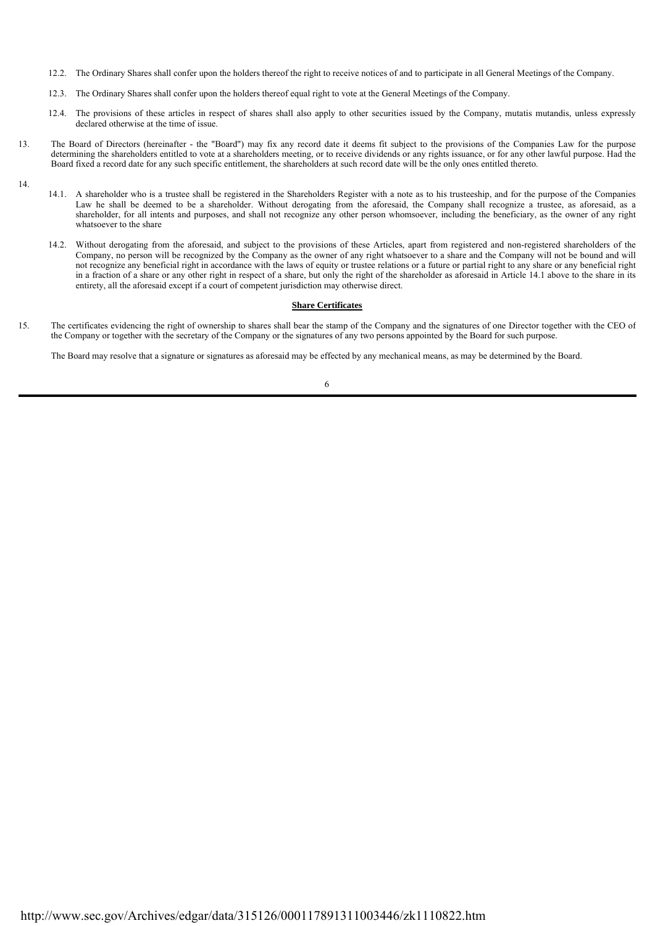- 12.2. The Ordinary Shares shall confer upon the holders thereof the right to receive notices of and to participate in all General Meetings of the Company.
- 12.3. The Ordinary Shares shall confer upon the holders thereof equal right to vote at the General Meetings of the Company.
- 12.4. The provisions of these articles in respect of shares shall also apply to other securities issued by the Company, mutatis mutandis, unless expressly declared otherwise at the time of issue.
- 13. The Board of Directors (hereinafter the "Board") may fix any record date it deems fit subject to the provisions of the Companies Law for the purpose determining the shareholders entitled to vote at a shareholders meeting, or to receive dividends or any rights issuance, or for any other lawful purpose. Had the Board fixed a record date for any such specific entitlement, the shareholders at such record date will be the only ones entitled thereto.
- 14.
- 14.1. A shareholder who is a trustee shall be registered in the Shareholders Register with a note as to his trusteeship, and for the purpose of the Companies Law he shall be deemed to be a shareholder. Without derogating from the aforesaid, the Company shall recognize a trustee, as aforesaid, as a shareholder, for all intents and purposes, and shall not recognize any other person whomsoever, including the beneficiary, as the owner of any right whatsoever to the share
- 14.2. Without derogating from the aforesaid, and subject to the provisions of these Articles, apart from registered and non-registered shareholders of the Company, no person will be recognized by the Company as the owner of any right whatsoever to a share and the Company will not be bound and will not recognize any beneficial right in accordance with the laws of equity or trustee relations or a future or partial right to any share or any beneficial right in a fraction of a share or any other right in respect of a share, but only the right of the shareholder as aforesaid in Article 14.1 above to the share in its entirety, all the aforesaid except if a court of competent jurisdiction may otherwise direct.

# **Share Certificates**

15. The certificates evidencing the right of ownership to shares shall bear the stamp of the Company and the signatures of one Director together with the CEO of the Company or together with the secretary of the Company or the signatures of any two persons appointed by the Board for such purpose.

The Board may resolve that a signature or signatures as aforesaid may be effected by any mechanical means, as may be determined by the Board.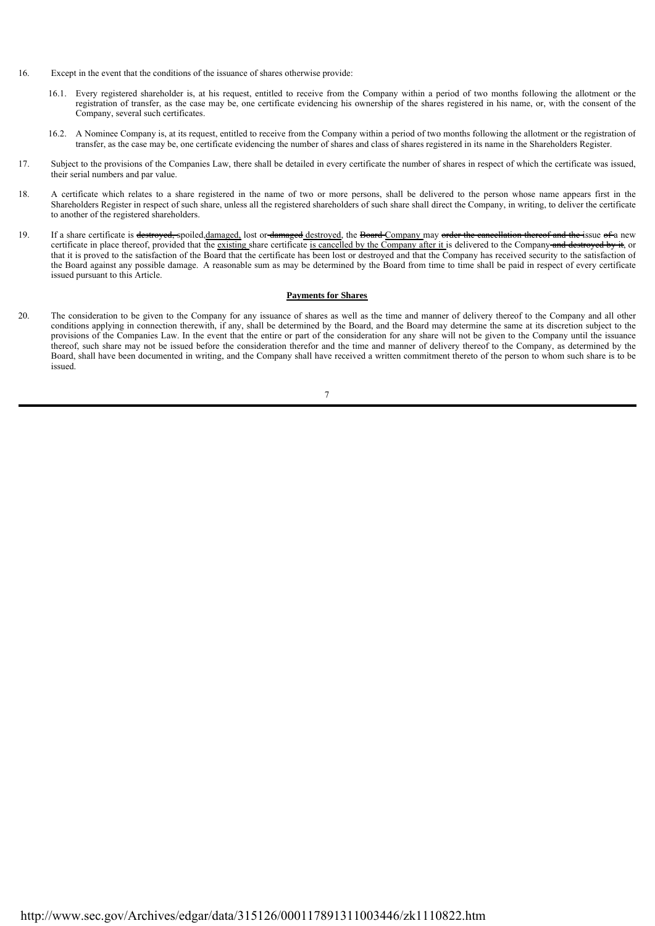- 16. Except in the event that the conditions of the issuance of shares otherwise provide:
	- 16.1. Every registered shareholder is, at his request, entitled to receive from the Company within a period of two months following the allotment or the registration of transfer, as the case may be, one certificate evidencing his ownership of the shares registered in his name, or, with the consent of the Company, several such certificates.
	- 16.2. A Nominee Company is, at its request, entitled to receive from the Company within a period of two months following the allotment or the registration of transfer, as the case may be, one certificate evidencing the number of shares and class of shares registered in its name in the Shareholders Register.
- 17. Subject to the provisions of the Companies Law, there shall be detailed in every certificate the number of shares in respect of which the certificate was issued, their serial numbers and par value.
- 18. A certificate which relates to a share registered in the name of two or more persons, shall be delivered to the person whose name appears first in the Shareholders Register in respect of such share, unless all the registered shareholders of such share shall direct the Company, in writing, to deliver the certificate to another of the registered shareholders.
- 19. If a share certificate is destroyed, spoiled,damaged, lost or damaged destroyed, the Board Company may order the cancellation thereof and the issue of a new certificate in place thereof, provided that the existing share certificate is cancelled by the Company after it is delivered to the Company and destroyed by it, or that it is proved to the satisfaction of the Board that the certificate has been lost or destroyed and that the Company has received security to the satisfaction of the Board against any possible damage. A reasonable sum as may be determined by the Board from time to time shall be paid in respect of every certificate issued pursuant to this Article.

## **Payments for Shares**

20. The consideration to be given to the Company for any issuance of shares as well as the time and manner of delivery thereof to the Company and all other conditions applying in connection therewith, if any, shall be determined by the Board, and the Board may determine the same at its discretion subject to the provisions of the Companies Law. In the event that the entire or part of the consideration for any share will not be given to the Company until the issuance thereof, such share may not be issued before the consideration therefor and the time and manner of delivery thereof to the Company, as determined by the Board, shall have been documented in writing, and the Company shall have received a written commitment thereto of the person to whom such share is to be issued.

<sup>7</sup>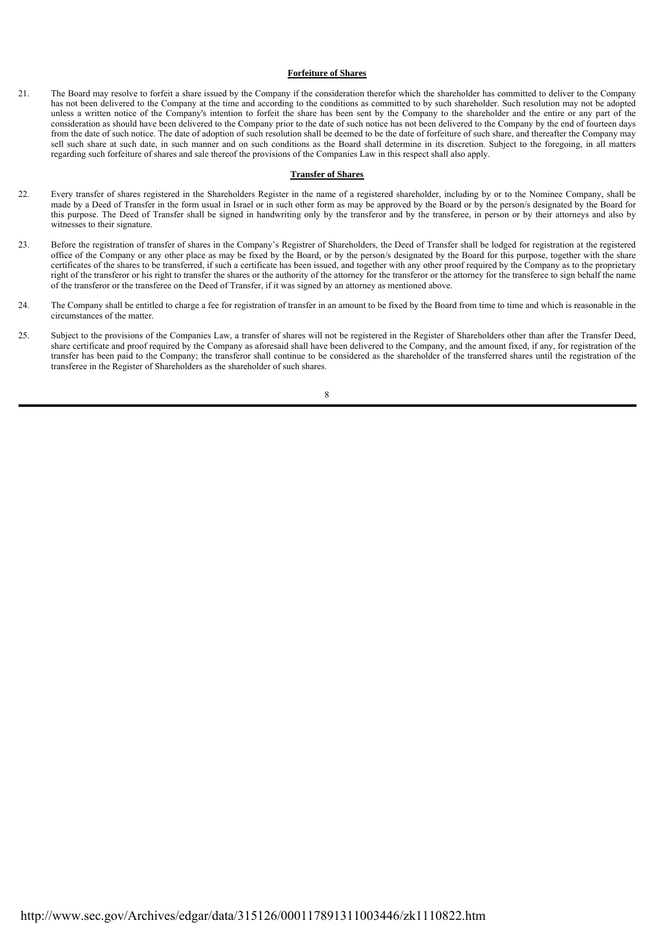## **Forfeiture of Shares**

21. The Board may resolve to forfeit a share issued by the Company if the consideration therefor which the shareholder has committed to deliver to the Company has not been delivered to the Company at the time and according to the conditions as committed to by such shareholder. Such resolution may not be adopted unless a written notice of the Company's intention to forfeit the share has been sent by the Company to the shareholder and the entire or any part of the consideration as should have been delivered to the Company prior to the date of such notice has not been delivered to the Company by the end of fourteen days from the date of such notice. The date of adoption of such resolution shall be deemed to be the date of forfeiture of such share, and thereafter the Company may sell such share at such date, in such manner and on such conditions as the Board shall determine in its discretion. Subject to the foregoing, in all matters regarding such forfeiture of shares and sale thereof the provisions of the Companies Law in this respect shall also apply.

## **Transfer of Shares**

- 22. Every transfer of shares registered in the Shareholders Register in the name of a registered shareholder, including by or to the Nominee Company, shall be made by a Deed of Transfer in the form usual in Israel or in such other form as may be approved by the Board or by the person/s designated by the Board for this purpose. The Deed of Transfer shall be signed in handwriting only by the transferor and by the transferee, in person or by their attorneys and also by witnesses to their signature.
- 23. Before the registration of transfer of shares in the Company's Registrer of Shareholders, the Deed of Transfer shall be lodged for registration at the registered office of the Company or any other place as may be fixed by the Board, or by the person/s designated by the Board for this purpose, together with the share certificates of the shares to be transferred, if such a certificate has been issued, and together with any other proof required by the Company as to the proprietary right of the transferor or his right to transfer the shares or the authority of the attorney for the transferor or the attorney for the transferee to sign behalf the name of the transferor or the transferee on the Deed of Transfer, if it was signed by an attorney as mentioned above.
- 24. The Company shall be entitled to charge a fee for registration of transfer in an amount to be fixed by the Board from time to time and which is reasonable in the circumstances of the matter.
- 25. Subject to the provisions of the Companies Law, a transfer of shares will not be registered in the Register of Shareholders other than after the Transfer Deed, share certificate and proof required by the Company as aforesaid shall have been delivered to the Company, and the amount fixed, if any, for registration of the transfer has been paid to the Company; the transferor shall continue to be considered as the shareholder of the transferred shares until the registration of the transferee in the Register of Shareholders as the shareholder of such shares.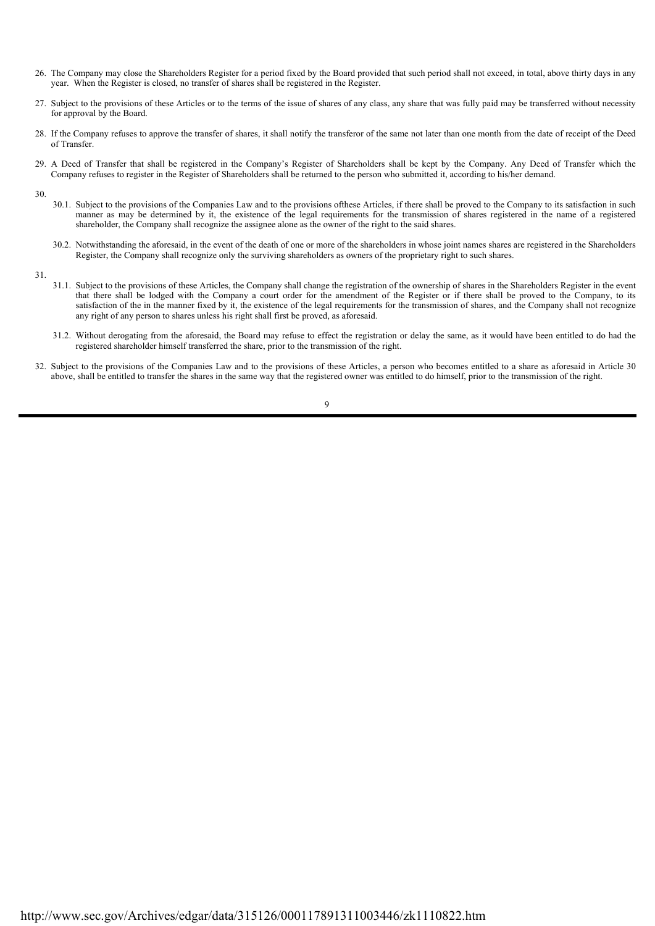- 26. The Company may close the Shareholders Register for a period fixed by the Board provided that such period shall not exceed, in total, above thirty days in any year. When the Register is closed, no transfer of shares shall be registered in the Register.
- 27. Subject to the provisions of these Articles or to the terms of the issue of shares of any class, any share that was fully paid may be transferred without necessity for approval by the Board.
- 28. If the Company refuses to approve the transfer of shares, it shall notify the transferor of the same not later than one month from the date of receipt of the Deed of Transfer.
- 29. A Deed of Transfer that shall be registered in the Company's Register of Shareholders shall be kept by the Company. Any Deed of Transfer which the Company refuses to register in the Register of Shareholders shall be returned to the person who submitted it, according to his/her demand.
- 30.
	- 30.1. Subject to the provisions of the Companies Law and to the provisions ofthese Articles, if there shall be proved to the Company to its satisfaction in such manner as may be determined by it, the existence of the legal requirements for the transmission of shares registered in the name of a registered shareholder, the Company shall recognize the assignee alone as the owner of the right to the said shares.
	- 30.2. Notwithstanding the aforesaid, in the event of the death of one or more of the shareholders in whose joint names shares are registered in the Shareholders Register, the Company shall recognize only the surviving shareholders as owners of the proprietary right to such shares.
- 31.
- 31.1. Subject to the provisions of these Articles, the Company shall change the registration of the ownership of shares in the Shareholders Register in the event that there shall be lodged with the Company a court order for the amendment of the Register or if there shall be proved to the Company, to its satisfaction of the in the manner fixed by it, the existence of the legal requirements for the transmission of shares, and the Company shall not recognize any right of any person to shares unless his right shall first be proved, as aforesaid.
- 31.2. Without derogating from the aforesaid, the Board may refuse to effect the registration or delay the same, as it would have been entitled to do had the registered shareholder himself transferred the share, prior to the transmission of the right.
- 32. Subject to the provisions of the Companies Law and to the provisions of these Articles, a person who becomes entitled to a share as aforesaid in Article 30 above, shall be entitled to transfer the shares in the same way that the registered owner was entitled to do himself, prior to the transmission of the right.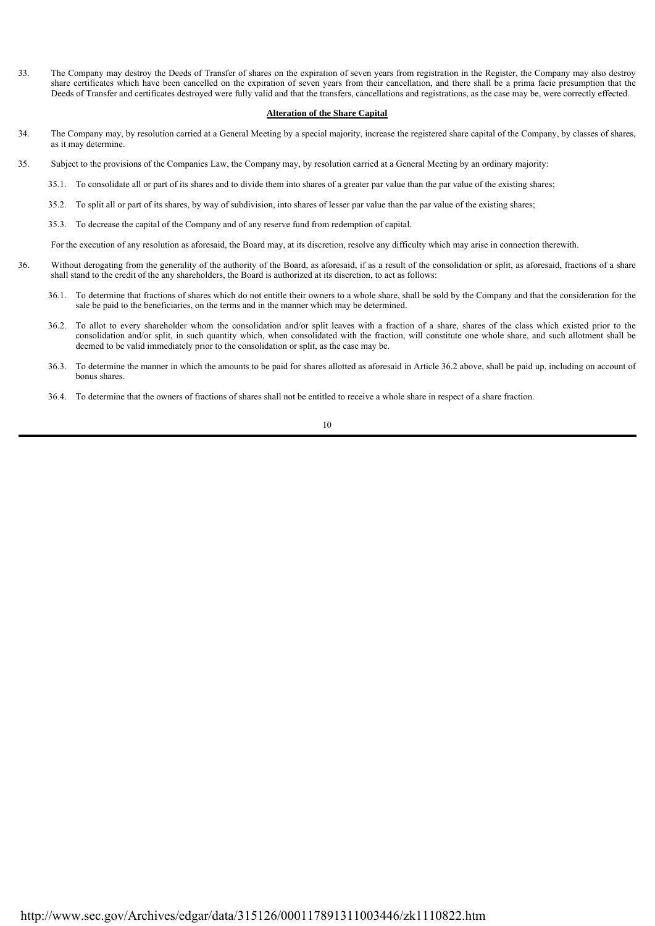33. The Company may destroy the Deeds of Transfer of shares on the expiration of seven years from registration in the Register, the Company may also destroy share certificates which have been cancelled on the expiration of seven years from their cancellation, and there shall be a prima facie presumption that the Deeds of Transfer and certificates destroyed were fully valid and that the transfers, cancellations and registrations, as the case may be, were correctly effected.

## **Alteration of the Share Capital**

- 34. The Company may, by resolution carried at a General Meeting by a special majority, increase the registered share capital of the Company, by classes of shares, as it may determine.
- 35. Subject to the provisions of the Companies Law, the Company may, by resolution carried at a General Meeting by an ordinary majority:
	- 35.1. To consolidate all or part of its shares and to divide them into shares of a greater par value than the par value of the existing shares;
	- 35.2. To split all or part of its shares, by way of subdivision, into shares of lesser par value than the par value of the existing shares;
	- 35.3. To decrease the capital of the Company and of any reserve fund from redemption of capital.

For the execution of any resolution as aforesaid, the Board may, at its discretion, resolve any difficulty which may arise in connection therewith.

- 36. Without derogating from the generality of the authority of the Board, as aforesaid, if as a result of the consolidation or split, as aforesaid, fractions of a share shall stand to the credit of the any shareholders, the Board is authorized at its discretion, to act as follows:
	- 36.1. To determine that fractions of shares which do not entitle their owners to a whole share, shall be sold by the Company and that the consideration for the sale be paid to the beneficiaries, on the terms and in the manner which may be determined.
	- 36.2. To allot to every shareholder whom the consolidation and/or split leaves with a fraction of a share, shares of the class which existed prior to the consolidation and/or split, in such quantity which, when consolidated with the fraction, will constitute one whole share, and such allotment shall be deemed to be valid immediately prior to the consolidation or split, as the case may be.
	- 36.3. To determine the manner in which the amounts to be paid for shares allotted as aforesaid in Article 36.2 above, shall be paid up, including on account of bonus shares.
	- 36.4. To determine that the owners of fractions of shares shall not be entitled to receive a whole share in respect of a share fraction.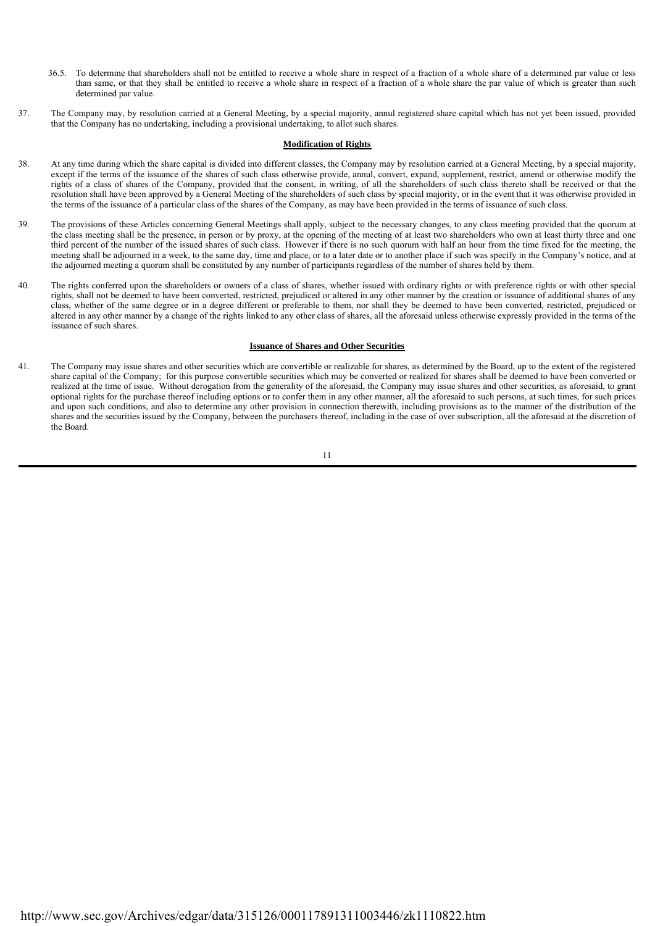- 36.5. To determine that shareholders shall not be entitled to receive a whole share in respect of a fraction of a whole share of a determined par value or less than same, or that they shall be entitled to receive a whole share in respect of a fraction of a whole share the par value of which is greater than such determined par value.
- 37. The Company may, by resolution carried at a General Meeting, by a special majority, annul registered share capital which has not yet been issued, provided that the Company has no undertaking, including a provisional undertaking, to allot such shares.

# **Modification of Rights**

- 38. At any time during which the share capital is divided into different classes, the Company may by resolution carried at a General Meeting, by a special majority, except if the terms of the issuance of the shares of such class otherwise provide, annul, convert, expand, supplement, restrict, amend or otherwise modify the rights of a class of shares of the Company, provided that the consent, in writing, of all the shareholders of such class thereto shall be received or that the resolution shall have been approved by a General Meeting of the shareholders of such class by special majority, or in the event that it was otherwise provided in the terms of the issuance of a particular class of the shares of the Company, as may have been provided in the terms of issuance of such class.
- 39. The provisions of these Articles concerning General Meetings shall apply, subject to the necessary changes, to any class meeting provided that the quorum at the class meeting shall be the presence, in person or by proxy, at the opening of the meeting of at least two shareholders who own at least thirty three and one third percent of the number of the issued shares of such class. However if there is no such quorum with half an hour from the time fixed for the meeting, the meeting shall be adjourned in a week, to the same day, time and place, or to a later date or to another place if such was specify in the Company's notice, and at the adjourned meeting a quorum shall be constituted by any number of participants regardless of the number of shares held by them.
- 40. The rights conferred upon the shareholders or owners of a class of shares, whether issued with ordinary rights or with preference rights or with other special rights, shall not be deemed to have been converted, restricted, prejudiced or altered in any other manner by the creation or issuance of additional shares of any class, whether of the same degree or in a degree different or preferable to them, nor shall they be deemed to have been converted, restricted, prejudiced or altered in any other manner by a change of the rights linked to any other class of shares, all the aforesaid unless otherwise expressly provided in the terms of the issuance of such shares.

## **Issuance of Shares and Other Securities**

41. The Company may issue shares and other securities which are convertible or realizable for shares, as determined by the Board, up to the extent of the registered share capital of the Company; for this purpose convertible securities which may be converted or realized for shares shall be deemed to have been converted or realized at the time of issue. Without derogation from the generality of the aforesaid, the Company may issue shares and other securities, as aforesaid, to grant optional rights for the purchase thereof including options or to confer them in any other manner, all the aforesaid to such persons, at such times, for such prices and upon such conditions, and also to determine any other provision in connection therewith, including provisions as to the manner of the distribution of the shares and the securities issued by the Company, between the purchasers thereof, including in the case of over subscription, all the aforesaid at the discretion of the Board.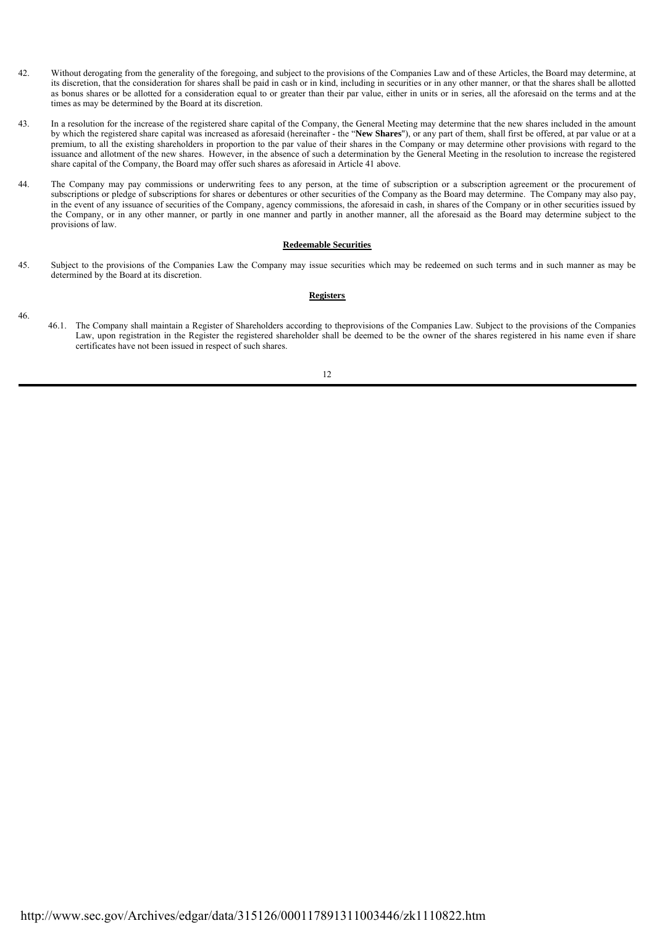- 42. Without derogating from the generality of the foregoing, and subject to the provisions of the Companies Law and of these Articles, the Board may determine, at its discretion, that the consideration for shares shall be paid in cash or in kind, including in securities or in any other manner, or that the shares shall be allotted as bonus shares or be allotted for a consideration equal to or greater than their par value, either in units or in series, all the aforesaid on the terms and at the times as may be determined by the Board at its discretion.
- 43. In a resolution for the increase of the registered share capital of the Company, the General Meeting may determine that the new shares included in the amount by which the registered share capital was increased as aforesaid (hereinafter - the "**New Shares**"), or any part of them, shall first be offered, at par value or at a premium, to all the existing shareholders in proportion to the par value of their shares in the Company or may determine other provisions with regard to the issuance and allotment of the new shares. However, in the absence of such a determination by the General Meeting in the resolution to increase the registered share capital of the Company, the Board may offer such shares as aforesaid in Article 41 above.
- 44. The Company may pay commissions or underwriting fees to any person, at the time of subscription or a subscription agreement or the procurement of subscriptions or pledge of subscriptions for shares or debentures or other securities of the Company as the Board may determine. The Company may also pay, in the event of any issuance of securities of the Company, agency commissions, the aforesaid in cash, in shares of the Company or in other securities issued by the Company, or in any other manner, or partly in one manner and partly in another manner, all the aforesaid as the Board may determine subject to the provisions of law.

## **Redeemable Securities**

45. Subject to the provisions of the Companies Law the Company may issue securities which may be redeemed on such terms and in such manner as may be determined by the Board at its discretion.

#### **Registers**

- 46.
- 46.1. The Company shall maintain a Register of Shareholders according to theprovisions of the Companies Law. Subject to the provisions of the Companies Law, upon registration in the Register the registered shareholder shall be deemed to be the owner of the shares registered in his name even if share certificates have not been issued in respect of such shares.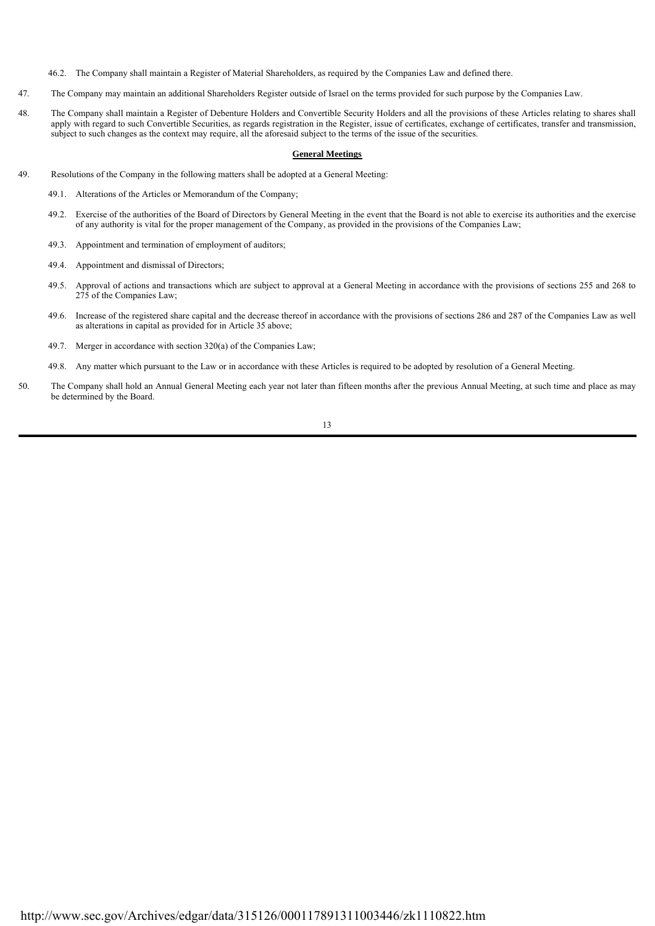46.2. The Company shall maintain a Register of Material Shareholders, as required by the Companies Law and defined there.

- 47. The Company may maintain an additional Shareholders Register outside of Israel on the terms provided for such purpose by the Companies Law.
- 48. The Company shall maintain a Register of Debenture Holders and Convertible Security Holders and all the provisions of these Articles relating to shares shall apply with regard to such Convertible Securities, as regards registration in the Register, issue of certificates, exchange of certificates, transfer and transmission, subject to such changes as the context may require, all the aforesaid subject to the terms of the issue of the securities.

## **General Meetings**

- 49. Resolutions of the Company in the following matters shall be adopted at a General Meeting:
	- 49.1. Alterations of the Articles or Memorandum of the Company;
	- 49.2. Exercise of the authorities of the Board of Directors by General Meeting in the event that the Board is not able to exercise its authorities and the exercise of any authority is vital for the proper management of the Company, as provided in the provisions of the Companies Law;
	- 49.3. Appointment and termination of employment of auditors;
	- 49.4. Appointment and dismissal of Directors;
	- 49.5. Approval of actions and transactions which are subject to approval at a General Meeting in accordance with the provisions of sections 255 and 268 to 275 of the Companies Law;
	- 49.6. Increase of the registered share capital and the decrease thereof in accordance with the provisions of sections 286 and 287 of the Companies Law as well as alterations in capital as provided for in Article 35 above;
	- 49.7. Merger in accordance with section 320(a) of the Companies Law;
	- 49.8. Any matter which pursuant to the Law or in accordance with these Articles is required to be adopted by resolution of a General Meeting.
- 50. The Company shall hold an Annual General Meeting each year not later than fifteen months after the previous Annual Meeting, at such time and place as may be determined by the Board.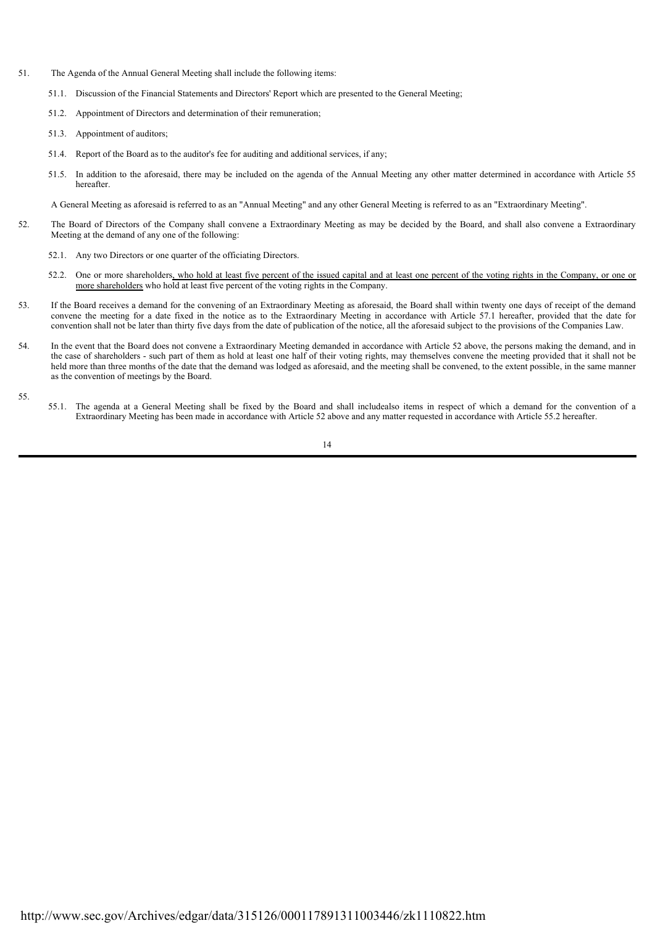- 51. The Agenda of the Annual General Meeting shall include the following items:
	- 51.1. Discussion of the Financial Statements and Directors' Report which are presented to the General Meeting;
	- 51.2. Appointment of Directors and determination of their remuneration;
	- 51.3. Appointment of auditors;
	- 51.4. Report of the Board as to the auditor's fee for auditing and additional services, if any;
	- 51.5. In addition to the aforesaid, there may be included on the agenda of the Annual Meeting any other matter determined in accordance with Article 55 hereafter.

A General Meeting as aforesaid is referred to as an "Annual Meeting" and any other General Meeting is referred to as an "Extraordinary Meeting".

- 52. The Board of Directors of the Company shall convene a Extraordinary Meeting as may be decided by the Board, and shall also convene a Extraordinary Meeting at the demand of any one of the following:
	- 52.1. Any two Directors or one quarter of the officiating Directors.
	- 52.2. One or more shareholders, who hold at least five percent of the issued capital and at least one percent of the voting rights in the Company, or one or more shareholders who hold at least five percent of the voting rights in the Company.
- 53. If the Board receives a demand for the convening of an Extraordinary Meeting as aforesaid, the Board shall within twenty one days of receipt of the demand convene the meeting for a date fixed in the notice as to the Extraordinary Meeting in accordance with Article 57.1 hereafter, provided that the date for convention shall not be later than thirty five days from the date of publication of the notice, all the aforesaid subject to the provisions of the Companies Law.
- 54. In the event that the Board does not convene a Extraordinary Meeting demanded in accordance with Article 52 above, the persons making the demand, and in the case of shareholders - such part of them as hold at least one half of their voting rights, may themselves convene the meeting provided that it shall not be held more than three months of the date that the demand was lodged as aforesaid, and the meeting shall be convened, to the extent possible, in the same manner as the convention of meetings by the Board.

55.

55.1. The agenda at a General Meeting shall be fixed by the Board and shall includealso items in respect of which a demand for the convention of a Extraordinary Meeting has been made in accordance with Article 52 above and any matter requested in accordance with Article 55.2 hereafter.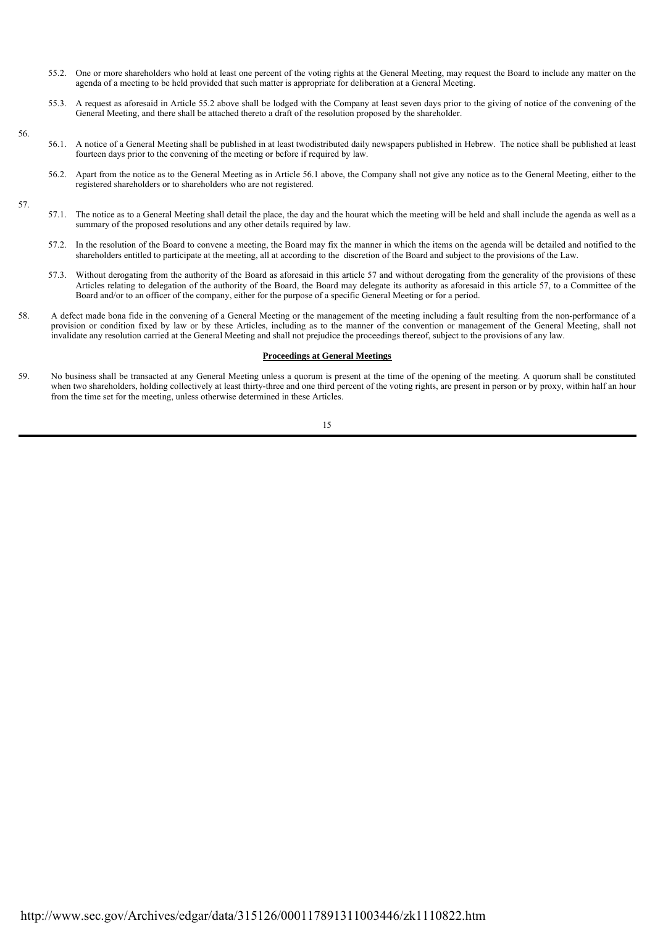- 55.2. One or more shareholders who hold at least one percent of the voting rights at the General Meeting, may request the Board to include any matter on the agenda of a meeting to be held provided that such matter is appropriate for deliberation at a General Meeting.
- 55.3. A request as aforesaid in Article 55.2 above shall be lodged with the Company at least seven days prior to the giving of notice of the convening of the General Meeting, and there shall be attached thereto a draft of the resolution proposed by the shareholder.
- 56.1. A notice of a General Meeting shall be published in at least twodistributed daily newspapers published in Hebrew. The notice shall be published at least fourteen days prior to the convening of the meeting or before if required by law.
	- 56.2. Apart from the notice as to the General Meeting as in Article 56.1 above, the Company shall not give any notice as to the General Meeting, either to the registered shareholders or to shareholders who are not registered.
- 57.

56.

- 57.1. The notice as to a General Meeting shall detail the place, the day and the hourat which the meeting will be held and shall include the agenda as well as a summary of the proposed resolutions and any other details required by law.
- 57.2. In the resolution of the Board to convene a meeting, the Board may fix the manner in which the items on the agenda will be detailed and notified to the shareholders entitled to participate at the meeting, all at according to the discretion of the Board and subject to the provisions of the Law.
- 57.3. Without derogating from the authority of the Board as aforesaid in this article 57 and without derogating from the generality of the provisions of these Articles relating to delegation of the authority of the Board, the Board may delegate its authority as aforesaid in this article 57, to a Committee of the Board and/or to an officer of the company, either for the purpose of a specific General Meeting or for a period.
- 58. A defect made bona fide in the convening of a General Meeting or the management of the meeting including a fault resulting from the non-performance of a provision or condition fixed by law or by these Articles, including as to the manner of the convention or management of the General Meeting, shall not invalidate any resolution carried at the General Meeting and shall not prejudice the proceedings thereof, subject to the provisions of any law.

#### **Proceedings at General Meetings**

59. No business shall be transacted at any General Meeting unless a quorum is present at the time of the opening of the meeting. A quorum shall be constituted when two shareholders, holding collectively at least thirty-three and one third percent of the voting rights, are present in person or by proxy, within half an hour from the time set for the meeting, unless otherwise determined in these Articles.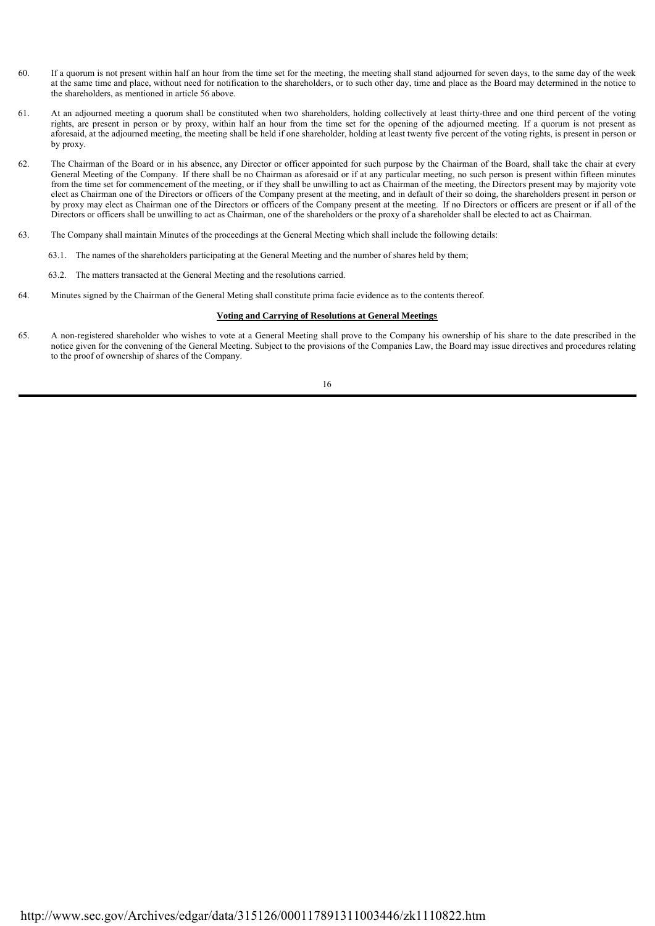- 60. If a quorum is not present within half an hour from the time set for the meeting, the meeting shall stand adjourned for seven days, to the same day of the week at the same time and place, without need for notification to the shareholders, or to such other day, time and place as the Board may determined in the notice to the shareholders, as mentioned in article 56 above.
- 61. At an adjourned meeting a quorum shall be constituted when two shareholders, holding collectively at least thirty-three and one third percent of the voting rights, are present in person or by proxy, within half an hour from the time set for the opening of the adjourned meeting. If a quorum is not present as aforesaid, at the adjourned meeting, the meeting shall be held if one shareholder, holding at least twenty five percent of the voting rights, is present in person or by proxy.
- 62. The Chairman of the Board or in his absence, any Director or officer appointed for such purpose by the Chairman of the Board, shall take the chair at every General Meeting of the Company. If there shall be no Chairman as aforesaid or if at any particular meeting, no such person is present within fifteen minutes from the time set for commencement of the meeting, or if they shall be unwilling to act as Chairman of the meeting, the Directors present may by majority vote elect as Chairman one of the Directors or officers of the Company present at the meeting, and in default of their so doing, the shareholders present in person or by proxy may elect as Chairman one of the Directors or officers of the Company present at the meeting. If no Directors or officers are present or if all of the Directors or officers shall be unwilling to act as Chairman, one of the shareholders or the proxy of a shareholder shall be elected to act as Chairman.
- 63. The Company shall maintain Minutes of the proceedings at the General Meeting which shall include the following details:
	- 63.1. The names of the shareholders participating at the General Meeting and the number of shares held by them;
	- 63.2. The matters transacted at the General Meeting and the resolutions carried.
- 64. Minutes signed by the Chairman of the General Meting shall constitute prima facie evidence as to the contents thereof.

#### **Voting and Carrying of Resolutions at General Meetings**

65. A non-registered shareholder who wishes to vote at a General Meeting shall prove to the Company his ownership of his share to the date prescribed in the notice given for the convening of the General Meeting. Subject to the provisions of the Companies Law, the Board may issue directives and procedures relating to the proof of ownership of shares of the Company.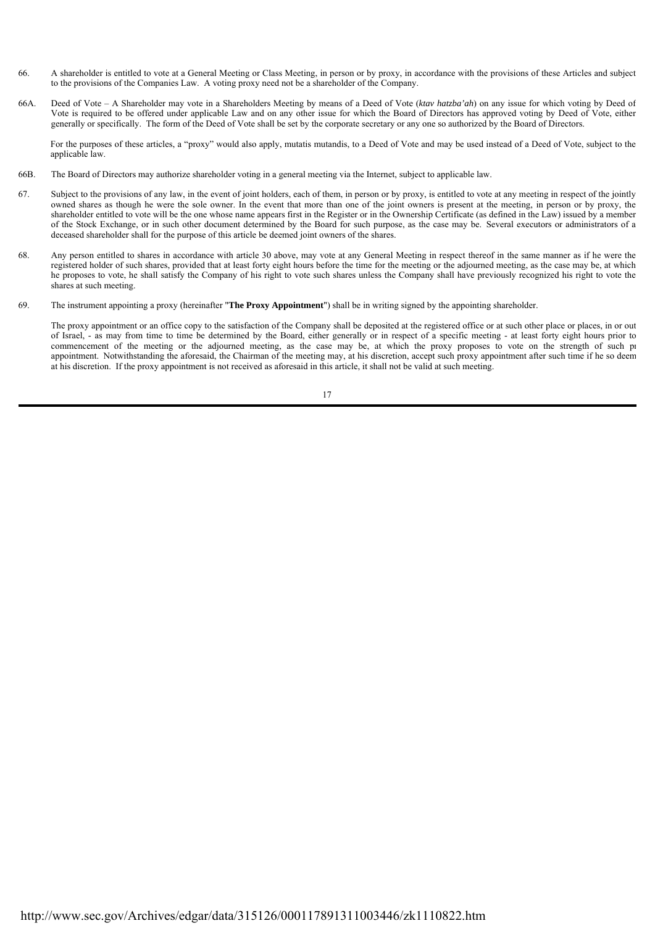- 66. A shareholder is entitled to vote at a General Meeting or Class Meeting, in person or by proxy, in accordance with the provisions of these Articles and subject to the provisions of the Companies Law. A voting proxy need not be a shareholder of the Company.
- 66A. Deed of Vote A Shareholder may vote in a Shareholders Meeting by means of a Deed of Vote (*ktav hatzba'ah*) on any issue for which voting by Deed of Vote is required to be offered under applicable Law and on any other issue for which the Board of Directors has approved voting by Deed of Vote, either generally or specifically. The form of the Deed of Vote shall be set by the corporate secretary or any one so authorized by the Board of Directors.

 For the purposes of these articles, a "proxy" would also apply, mutatis mutandis, to a Deed of Vote and may be used instead of a Deed of Vote, subject to the applicable law.

- 66B. The Board of Directors may authorize shareholder voting in a general meeting via the Internet, subject to applicable law.
- 67. Subject to the provisions of any law, in the event of joint holders, each of them, in person or by proxy, is entitled to vote at any meeting in respect of the jointly owned shares as though he were the sole owner. In the event that more than one of the joint owners is present at the meeting, in person or by proxy, the shareholder entitled to vote will be the one whose name appears first in the Register or in the Ownership Certificate (as defined in the Law) issued by a member of the Stock Exchange, or in such other document determined by the Board for such purpose, as the case may be. Several executors or administrators of a deceased shareholder shall for the purpose of this article be deemed joint owners of the shares.
- 68. Any person entitled to shares in accordance with article 30 above, may vote at any General Meeting in respect thereof in the same manner as if he were the registered holder of such shares, provided that at least forty eight hours before the time for the meeting or the adjourned meeting, as the case may be, at which he proposes to vote, he shall satisfy the Company of his right to vote such shares unless the Company shall have previously recognized his right to vote the shares at such meeting.
- 69 69. The instrument appointing a proxy (hereinafter "**The Proxy Appointment**") shall be in writing signed by the appointing shareholder.

The proxy appointment or an office copy to the satisfaction of the Company shall be deposited at the registered office or at such other place or places, in or out of Israel, - as may from time to time be determined by the Board, either generally or in respect of a specific meeting - at least forty eight hours prior to commencement of the meeting or the adjourned meeting, as the case may be, at which the proxy proposes to vote on the strength of such pr appointment. Notwithstanding the aforesaid, the Chairman of the meeting may, at his discretion, accept such proxy appointment after such time if he so deem at his discretion. If the proxy appointment is not received as aforesaid in this article, it shall not be valid at such meeting.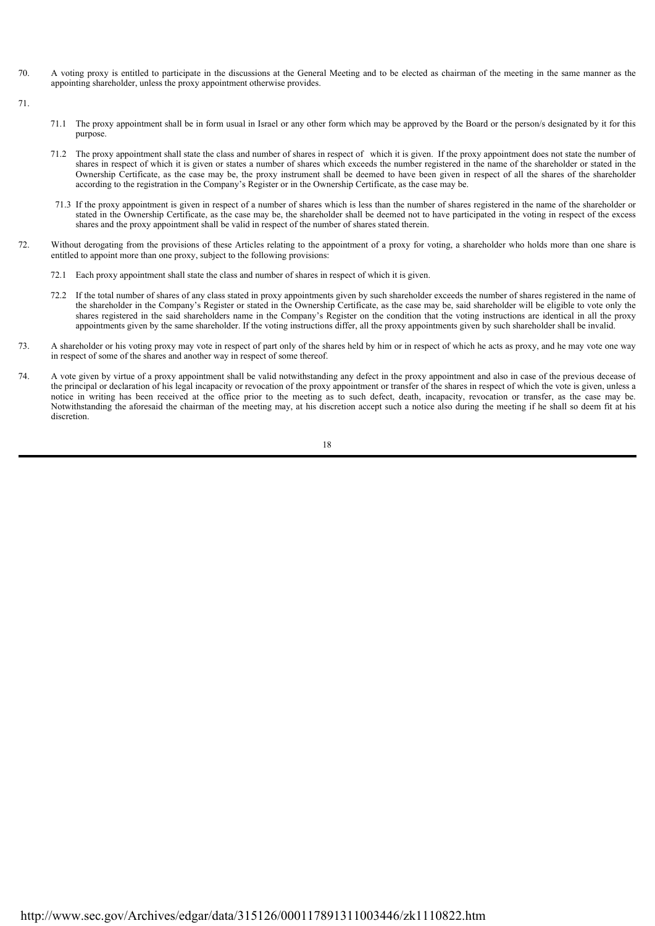- 70. A voting proxy is entitled to participate in the discussions at the General Meeting and to be elected as chairman of the meeting in the same manner as the appointing shareholder, unless the proxy appointment otherwise provides.
- 71.
- 71.1 The proxy appointment shall be in form usual in Israel or any other form which may be approved by the Board or the person/s designated by it for this purpose.
- 71.2 The proxy appointment shall state the class and number of shares in respect of which it is given. If the proxy appointment does not state the number of shares in respect of which it is given or states a number of shares which exceeds the number registered in the name of the shareholder or stated in the Ownership Certificate, as the case may be, the proxy instrument shall be deemed to have been given in respect of all the shares of the shareholder according to the registration in the Company's Register or in the Ownership Certificate, as the case may be.
- 71.3 If the proxy appointment is given in respect of a number of shares which is less than the number of shares registered in the name of the shareholder or stated in the Ownership Certificate, as the case may be, the shareholder shall be deemed not to have participated in the voting in respect of the excess shares and the proxy appointment shall be valid in respect of the number of shares stated therein.
- 72. Without derogating from the provisions of these Articles relating to the appointment of a proxy for voting, a shareholder who holds more than one share is entitled to appoint more than one proxy, subject to the following provisions:
	- 72.1 Each proxy appointment shall state the class and number of shares in respect of which it is given.
	- 72.2 If the total number of shares of any class stated in proxy appointments given by such shareholder exceeds the number of shares registered in the name of the shareholder in the Company's Register or stated in the Ownership Certificate, as the case may be, said shareholder will be eligible to vote only the shares registered in the said shareholders name in the Company's Register on the condition that the voting instructions are identical in all the proxy appointments given by the same shareholder. If the voting instructions differ, all the proxy appointments given by such shareholder shall be invalid.
- 73. A shareholder or his voting proxy may vote in respect of part only of the shares held by him or in respect of which he acts as proxy, and he may vote one way in respect of some of the shares and another way in respect of some thereof.
- 74. A vote given by virtue of a proxy appointment shall be valid notwithstanding any defect in the proxy appointment and also in case of the previous decease of the principal or declaration of his legal incapacity or revocation of the proxy appointment or transfer of the shares in respect of which the vote is given, unless a notice in writing has been received at the office prior to the meeting as to such defect, death, incapacity, revocation or transfer, as the case may be. Notwithstanding the aforesaid the chairman of the meeting may, at his discretion accept such a notice also during the meeting if he shall so deem fit at his discretion.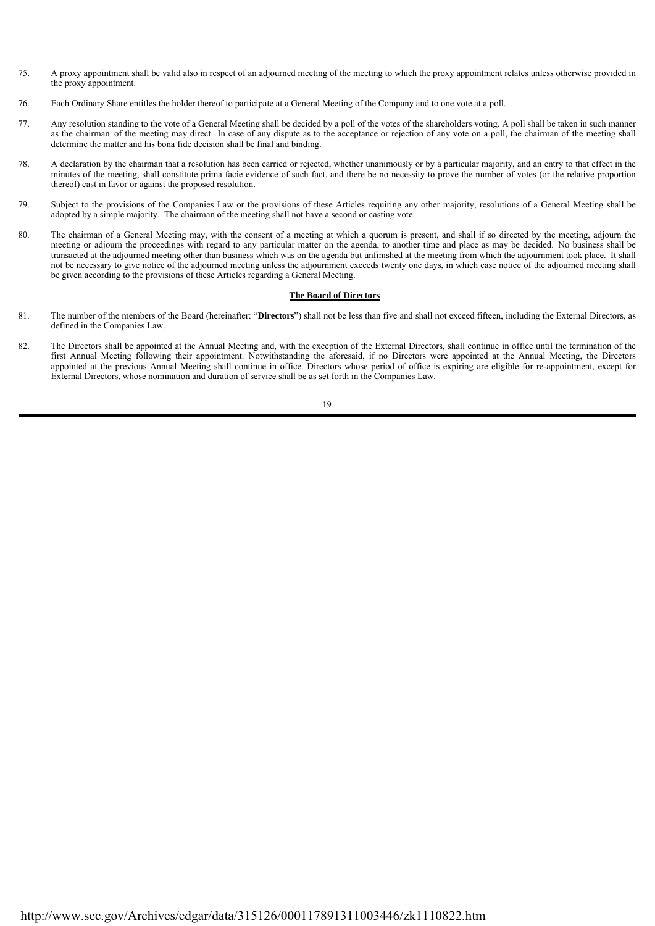- 75. A proxy appointment shall be valid also in respect of an adjourned meeting of the meeting to which the proxy appointment relates unless otherwise provided in the proxy appointment.
- 76. Each Ordinary Share entitles the holder thereof to participate at a General Meeting of the Company and to one vote at a poll.
- 77. Any resolution standing to the vote of a General Meeting shall be decided by a poll of the votes of the shareholders voting. A poll shall be taken in such manner as the chairman of the meeting may direct. In case of any dispute as to the acceptance or rejection of any vote on a poll, the chairman of the meeting shall determine the matter and his bona fide decision shall be final and binding.
- 78. A declaration by the chairman that a resolution has been carried or rejected, whether unanimously or by a particular majority, and an entry to that effect in the minutes of the meeting, shall constitute prima facie evidence of such fact, and there be no necessity to prove the number of votes (or the relative proportion thereof) cast in favor or against the proposed resolution.
- 79. Subject to the provisions of the Companies Law or the provisions of these Articles requiring any other majority, resolutions of a General Meeting shall be adopted by a simple majority. The chairman of the meeting shall not have a second or casting vote.
- 80. The chairman of a General Meeting may, with the consent of a meeting at which a quorum is present, and shall if so directed by the meeting, adjourn the meeting or adjourn the proceedings with regard to any particular matter on the agenda, to another time and place as may be decided. No business shall be transacted at the adjourned meeting other than business which was on the agenda but unfinished at the meeting from which the adjournment took place. It shall not be necessary to give notice of the adjourned meeting unless the adjournment exceeds twenty one days, in which case notice of the adjourned meeting shall be given according to the provisions of these Articles regarding a General Meeting.

#### **The Board of Directors**

- 81. The number of the members of the Board (hereinafter: "**Directors**") shall not be less than five and shall not exceed fifteen, including the External Directors, as defined in the Companies Law.
- 82. The Directors shall be appointed at the Annual Meeting and, with the exception of the External Directors, shall continue in office until the termination of the first Annual Meeting following their appointment. Notwithstanding the aforesaid, if no Directors were appointed at the Annual Meeting, the Directors appointed at the previous Annual Meeting shall continue in office. Directors whose period of office is expiring are eligible for re-appointment, except for External Directors, whose nomination and duration of service shall be as set forth in the Companies Law.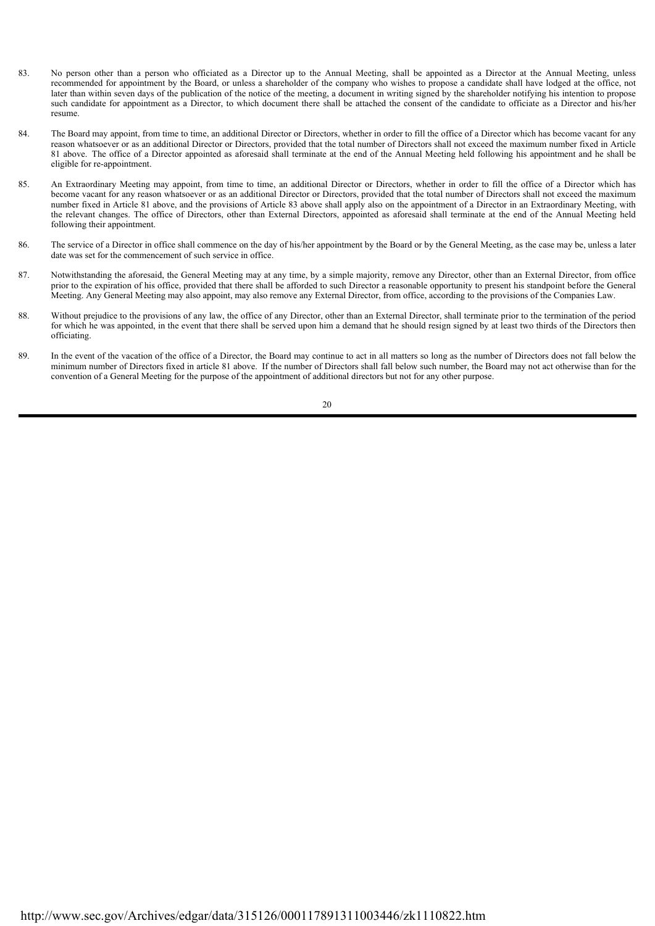- 83. No person other than a person who officiated as a Director up to the Annual Meeting, shall be appointed as a Director at the Annual Meeting, unless recommended for appointment by the Board, or unless a shareholder of the company who wishes to propose a candidate shall have lodged at the office, not later than within seven days of the publication of the notice of the meeting, a document in writing signed by the shareholder notifying his intention to propose such candidate for appointment as a Director, to which document there shall be attached the consent of the candidate to officiate as a Director and his/her resume.
- 84. The Board may appoint, from time to time, an additional Director or Directors, whether in order to fill the office of a Director which has become vacant for any reason whatsoever or as an additional Director or Directors, provided that the total number of Directors shall not exceed the maximum number fixed in Article 81 above. The office of a Director appointed as aforesaid shall terminate at the end of the Annual Meeting held following his appointment and he shall be eligible for re-appointment.
- 85. An Extraordinary Meeting may appoint, from time to time, an additional Director or Directors, whether in order to fill the office of a Director which has become vacant for any reason whatsoever or as an additional Director or Directors, provided that the total number of Directors shall not exceed the maximum number fixed in Article 81 above, and the provisions of Article 83 above shall apply also on the appointment of a Director in an Extraordinary Meeting, with the relevant changes. The office of Directors, other than External Directors, appointed as aforesaid shall terminate at the end of the Annual Meeting held following their appointment.
- 86. The service of a Director in office shall commence on the day of his/her appointment by the Board or by the General Meeting, as the case may be, unless a later date was set for the commencement of such service in office.
- 87. Notwithstanding the aforesaid, the General Meeting may at any time, by a simple majority, remove any Director, other than an External Director, from office prior to the expiration of his office, provided that there shall be afforded to such Director a reasonable opportunity to present his standpoint before the General Meeting. Any General Meeting may also appoint, may also remove any External Director, from office, according to the provisions of the Companies Law.
- 88. Without prejudice to the provisions of any law, the office of any Director, other than an External Director, shall terminate prior to the termination of the period for which he was appointed, in the event that there shall be served upon him a demand that he should resign signed by at least two thirds of the Directors then officiating.
- 89. In the event of the vacation of the office of a Director, the Board may continue to act in all matters so long as the number of Directors does not fall below the minimum number of Directors fixed in article 81 above. If the number of Directors shall fall below such number, the Board may not act otherwise than for the convention of a General Meeting for the purpose of the appointment of additional directors but not for any other purpose.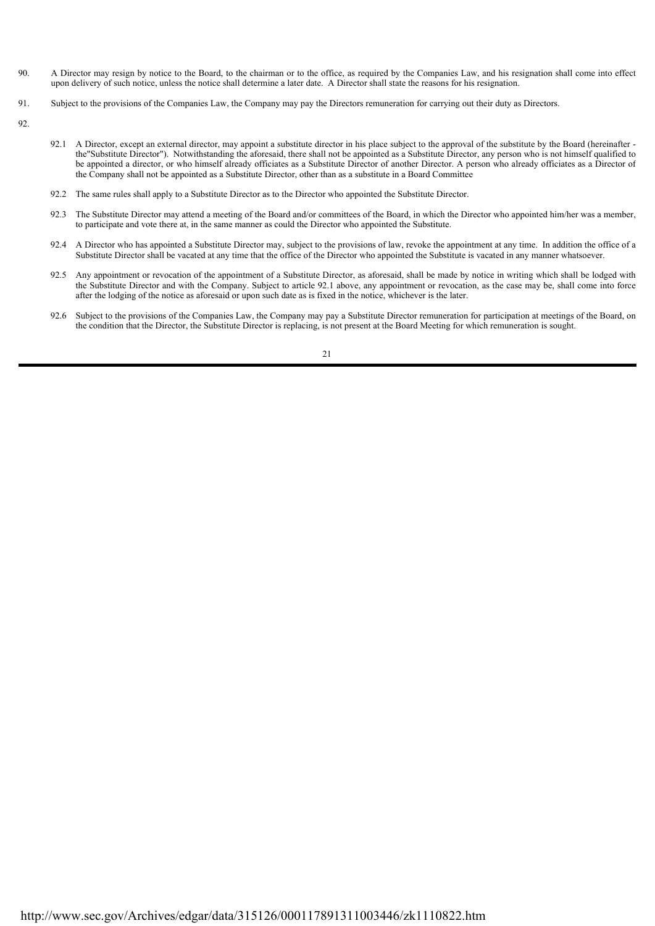- 90. A Director may resign by notice to the Board, to the chairman or to the office, as required by the Companies Law, and his resignation shall come into effect upon delivery of such notice, unless the notice shall determine a later date. A Director shall state the reasons for his resignation.
- 91. Subject to the provisions of the Companies Law, the Company may pay the Directors remuneration for carrying out their duty as Directors.
- 92.
- 92.1 A Director, except an external director, may appoint a substitute director in his place subject to the approval of the substitute by the Board (hereinafter the"Substitute Director"). Notwithstanding the aforesaid, there shall not be appointed as a Substitute Director, any person who is not himself qualified to be appointed a director, or who himself already officiates as a Substitute Director of another Director. A person who already officiates as a Director of the Company shall not be appointed as a Substitute Director, other than as a substitute in a Board Committee
- 92.2 The same rules shall apply to a Substitute Director as to the Director who appointed the Substitute Director.
- 92.3 The Substitute Director may attend a meeting of the Board and/or committees of the Board, in which the Director who appointed him/her was a member, to participate and vote there at, in the same manner as could the Director who appointed the Substitute.
- 92.4 A Director who has appointed a Substitute Director may, subject to the provisions of law, revoke the appointment at any time. In addition the office of a Substitute Director shall be vacated at any time that the office of the Director who appointed the Substitute is vacated in any manner whatsoever.
- 92.5 Any appointment or revocation of the appointment of a Substitute Director, as aforesaid, shall be made by notice in writing which shall be lodged with the Substitute Director and with the Company. Subject to article 92.1 above, any appointment or revocation, as the case may be, shall come into force after the lodging of the notice as aforesaid or upon such date as is fixed in the notice, whichever is the later.
- 92.6 Subject to the provisions of the Companies Law, the Company may pay a Substitute Director remuneration for participation at meetings of the Board, on the condition that the Director, the Substitute Director is replacing, is not present at the Board Meeting for which remuneration is sought.

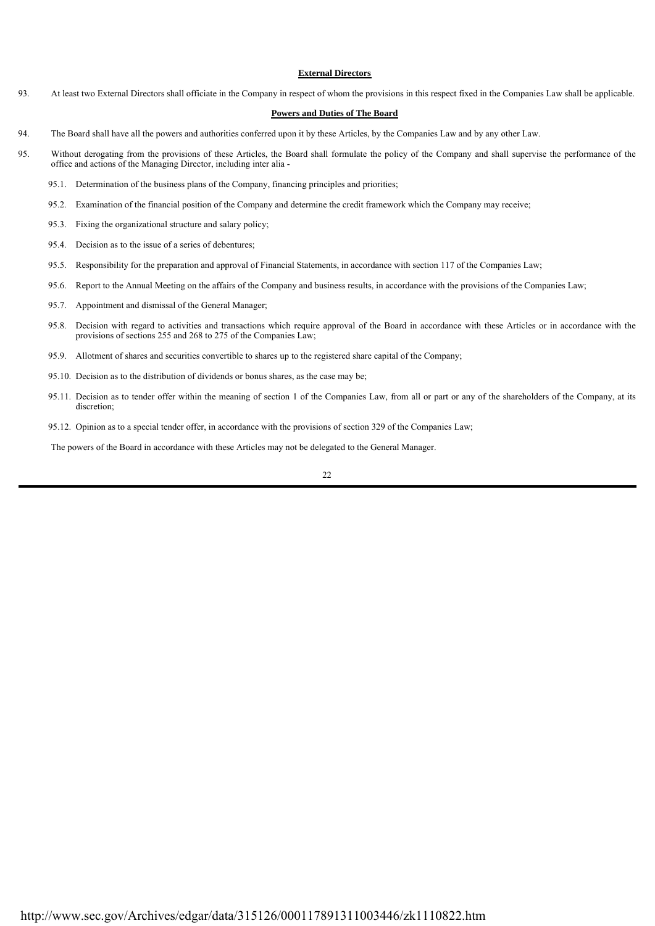#### **External Directors**

93. At least two External Directors shall officiate in the Company in respect of whom the provisions in this respect fixed in the Companies Law shall be applicable.

#### **Powers and Duties of The Board**

- 94. The Board shall have all the powers and authorities conferred upon it by these Articles, by the Companies Law and by any other Law.
- 95. Without derogating from the provisions of these Articles, the Board shall formulate the policy of the Company and shall supervise the performance of the office and actions of the Managing Director, including inter alia -
	- 95.1. Determination of the business plans of the Company, financing principles and priorities;
	- 95.2. Examination of the financial position of the Company and determine the credit framework which the Company may receive;
	- 95.3. Fixing the organizational structure and salary policy;
	- 95.4. Decision as to the issue of a series of debentures;
	- 95.5. Responsibility for the preparation and approval of Financial Statements, in accordance with section 117 of the Companies Law;
	- 95.6. Report to the Annual Meeting on the affairs of the Company and business results, in accordance with the provisions of the Companies Law;
	- 95.7. Appointment and dismissal of the General Manager;
	- 95.8. Decision with regard to activities and transactions which require approval of the Board in accordance with these Articles or in accordance with the provisions of sections 255 and 268 to 275 of the Companies Law;
	- 95.9. Allotment of shares and securities convertible to shares up to the registered share capital of the Company;
	- 95.10. Decision as to the distribution of dividends or bonus shares, as the case may be;
	- 95.11. Decision as to tender offer within the meaning of section 1 of the Companies Law, from all or part or any of the shareholders of the Company, at its discretion:
	- 95.12. Opinion as to a special tender offer, in accordance with the provisions of section 329 of the Companies Law;

The powers of the Board in accordance with these Articles may not be delegated to the General Manager.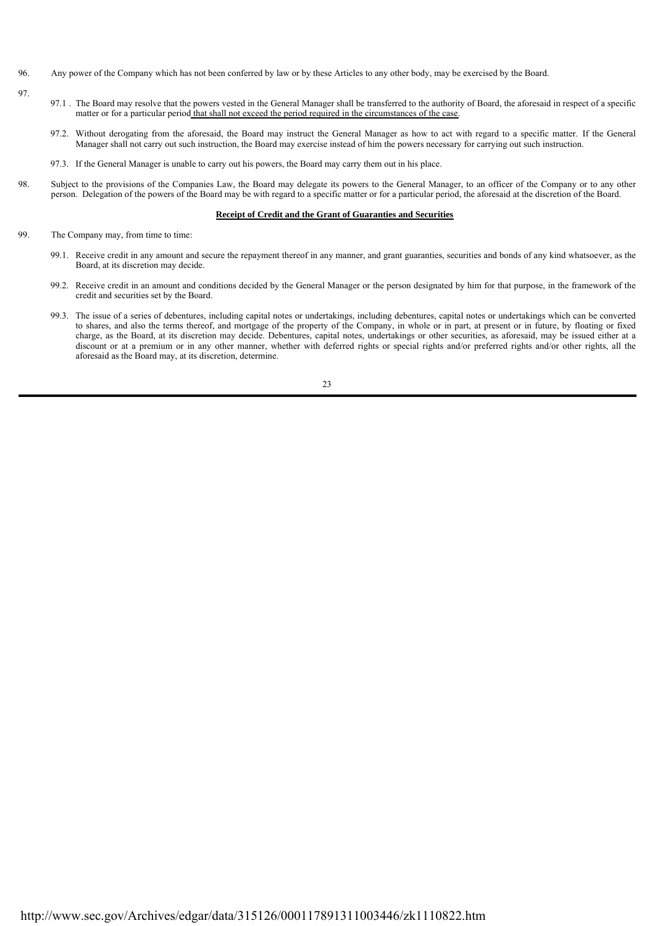- 96. Any power of the Company which has not been conferred by law or by these Articles to any other body, may be exercised by the Board.
- 97.
- 97.1 . The Board may resolve that the powers vested in the General Manager shall be transferred to the authority of Board, the aforesaid in respect of a specific matter or for a particular period that shall not exceed the period required in the circumstances of the case.
- 97.2. Without derogating from the aforesaid, the Board may instruct the General Manager as how to act with regard to a specific matter. If the General Manager shall not carry out such instruction, the Board may exercise instead of him the powers necessary for carrying out such instruction.
- 97.3. If the General Manager is unable to carry out his powers, the Board may carry them out in his place.
- 98. Subject to the provisions of the Companies Law, the Board may delegate its powers to the General Manager, to an officer of the Company or to any other person. Delegation of the powers of the Board may be with regard to a specific matter or for a particular period, the aforesaid at the discretion of the Board.

#### **Receipt of Credit and the Grant of Guaranties and Securities**

- 99. The Company may, from time to time:
	- 99.1. Receive credit in any amount and secure the repayment thereof in any manner, and grant guaranties, securities and bonds of any kind whatsoever, as the Board, at its discretion may decide.
	- 99.2. Receive credit in an amount and conditions decided by the General Manager or the person designated by him for that purpose, in the framework of the credit and securities set by the Board.
	- 99.3. The issue of a series of debentures, including capital notes or undertakings, including debentures, capital notes or undertakings which can be converted to shares, and also the terms thereof, and mortgage of the property of the Company, in whole or in part, at present or in future, by floating or fixed charge, as the Board, at its discretion may decide. Debentures, capital notes, undertakings or other securities, as aforesaid, may be issued either at a discount or at a premium or in any other manner, whether with deferred rights or special rights and/or preferred rights and/or other rights, all the aforesaid as the Board may, at its discretion, determine.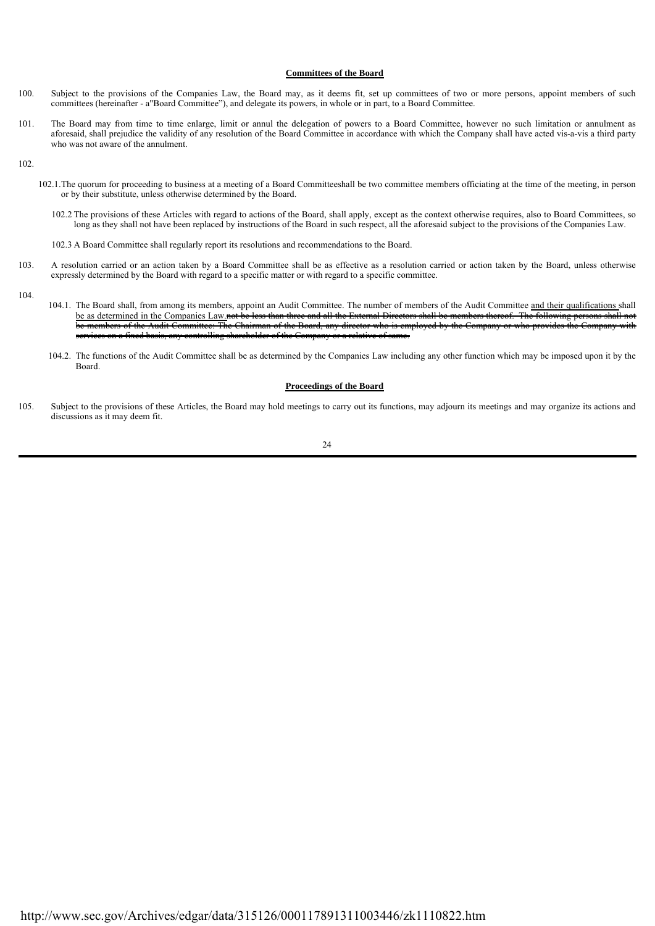#### **Committees of the Board**

- 100. Subject to the provisions of the Companies Law, the Board may, as it deems fit, set up committees of two or more persons, appoint members of such committees (hereinafter - a"Board Committee"), and delegate its powers, in whole or in part, to a Board Committee.
- 101. The Board may from time to time enlarge, limit or annul the delegation of powers to a Board Committee, however no such limitation or annulment as aforesaid, shall prejudice the validity of any resolution of the Board Committee in accordance with which the Company shall have acted vis-a-vis a third party who was not aware of the annulment.

102.

- 102.1. The quorum for proceeding to business at a meeting of a Board Committeeshall be two committee members officiating at the time of the meeting, in person or by their substitute, unless otherwise determined by the Board.
	- 102.2 The provisions of these Articles with regard to actions of the Board, shall apply, except as the context otherwise requires, also to Board Committees, so long as they shall not have been replaced by instructions of the Board in such respect, all the aforesaid subject to the provisions of the Companies Law.
	- 102.3 A Board Committee shall regularly report its resolutions and recommendations to the Board.
- 103. A resolution carried or an action taken by a Board Committee shall be as effective as a resolution carried or action taken by the Board, unless otherwise expressly determined by the Board with regard to a specific matter or with regard to a specific committee.

104.

- 104.1. The Board shall, from among its members, appoint an Audit Committee. The number of members of the Audit Committee and their qualifications shall be as determined in the Companies Law.not be less than three and all the External Directors shall be members thereof. The following persons shall not of the Audit Committee: The Chairman of the Board, any director who is employed by the Company or who provides the Company services on a fixed basis, any controlling shareholder of the Company or a relative of same.
- 104.2. The functions of the Audit Committee shall be as determined by the Companies Law including any other function which may be imposed upon it by the Board.

#### **Proceedings of the Board**

105. Subject to the provisions of these Articles, the Board may hold meetings to carry out its functions, may adjourn its meetings and may organize its actions and discussions as it may deem fit.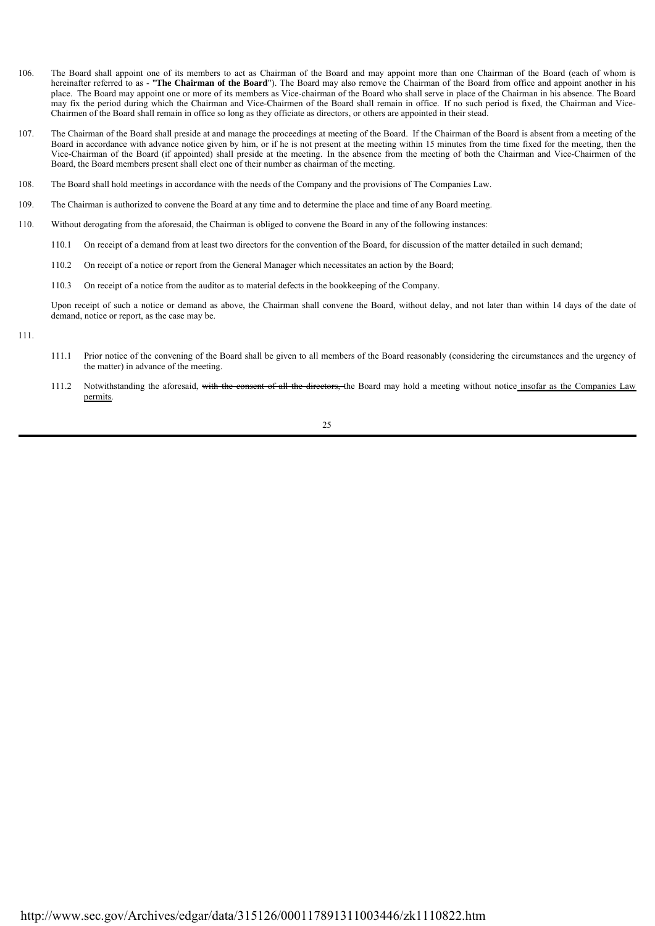- 106. The Board shall appoint one of its members to act as Chairman of the Board and may appoint more than one Chairman of the Board (each of whom is hereinafter referred to as - "**The Chairman of the Board**"). The Board may also remove the Chairman of the Board from office and appoint another in his place. The Board may appoint one or more of its members as Vice-chairman of the Board who shall serve in place of the Chairman in his absence. The Board may fix the period during which the Chairman and Vice-Chairmen of the Board shall remain in office. If no such period is fixed, the Chairman and Vice-Chairmen of the Board shall remain in office so long as they officiate as directors, or others are appointed in their stead.
- 107. The Chairman of the Board shall preside at and manage the proceedings at meeting of the Board. If the Chairman of the Board is absent from a meeting of the Board in accordance with advance notice given by him, or if he is not present at the meeting within 15 minutes from the time fixed for the meeting, then the Vice-Chairman of the Board (if appointed) shall preside at the meeting. In the absence from the meeting of both the Chairman and Vice-Chairmen of the Board, the Board members present shall elect one of their number as chairman of the meeting.
- 108. The Board shall hold meetings in accordance with the needs of the Company and the provisions of The Companies Law.
- 109. The Chairman is authorized to convene the Board at any time and to determine the place and time of any Board meeting.
- 110. Without derogating from the aforesaid, the Chairman is obliged to convene the Board in any of the following instances:
	- 110.1 On receipt of a demand from at least two directors for the convention of the Board, for discussion of the matter detailed in such demand;
		- 110.2 On receipt of a notice or report from the General Manager which necessitates an action by the Board;
		- 110.3 On receipt of a notice from the auditor as to material defects in the bookkeeping of the Company.

Upon receipt of such a notice or demand as above, the Chairman shall convene the Board, without delay, and not later than within 14 days of the date of demand, notice or report, as the case may be.

- 111.
- 111.1 Prior notice of the convening of the Board shall be given to all members of the Board reasonably (considering the circumstances and the urgency of the matter) in advance of the meeting.
- 111.2 Notwithstanding the aforesaid, with the consent of all the directors, the Board may hold a meeting without notice insofar as the Companies Law permits.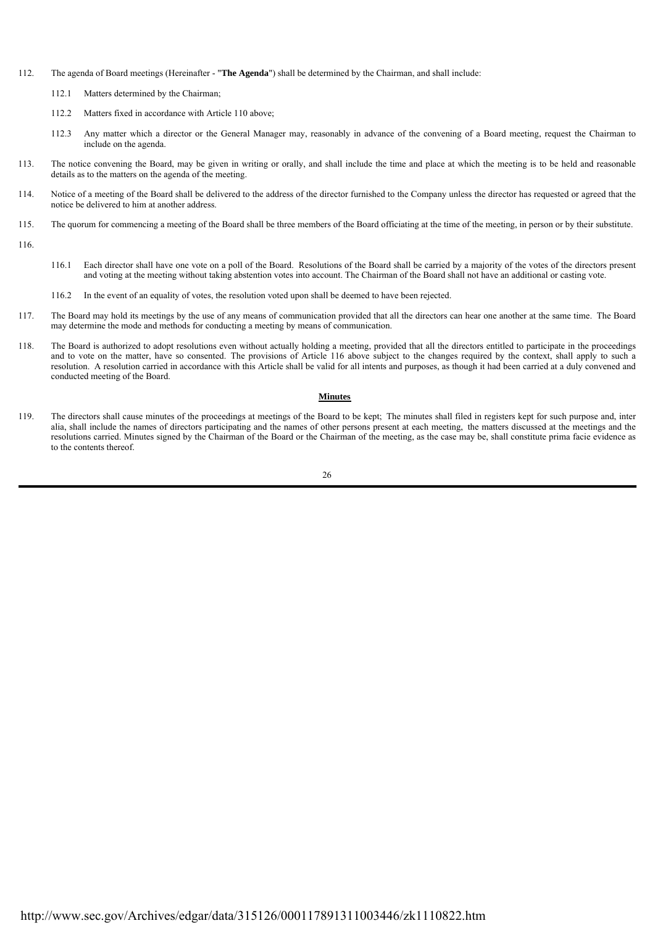- 112. The agenda of Board meetings (Hereinafter "**The Agenda**") shall be determined by the Chairman, and shall include:
	- 112.1 Matters determined by the Chairman;
	- 112.2 Matters fixed in accordance with Article 110 above;
	- 112.3 Any matter which a director or the General Manager may, reasonably in advance of the convening of a Board meeting, request the Chairman to include on the agenda.
- 113. The notice convening the Board, may be given in writing or orally, and shall include the time and place at which the meeting is to be held and reasonable details as to the matters on the agenda of the meeting.
- 114. Notice of a meeting of the Board shall be delivered to the address of the director furnished to the Company unless the director has requested or agreed that the notice be delivered to him at another address.
- 115. The quorum for commencing a meeting of the Board shall be three members of the Board officiating at the time of the meeting, in person or by their substitute.
- 116.
- 116.1 Each director shall have one vote on a poll of the Board. Resolutions of the Board shall be carried by a majority of the votes of the directors present and voting at the meeting without taking abstention votes into account. The Chairman of the Board shall not have an additional or casting vote.
- 116.2 In the event of an equality of votes, the resolution voted upon shall be deemed to have been rejected.
- 117. The Board may hold its meetings by the use of any means of communication provided that all the directors can hear one another at the same time. The Board may determine the mode and methods for conducting a meeting by means of communication.
- 118. The Board is authorized to adopt resolutions even without actually holding a meeting, provided that all the directors entitled to participate in the proceedings and to vote on the matter, have so consented. The provisions of Article 116 above subject to the changes required by the context, shall apply to such a resolution. A resolution carried in accordance with this Article shall be valid for all intents and purposes, as though it had been carried at a duly convened and conducted meeting of the Board.

#### **Minutes**

119. The directors shall cause minutes of the proceedings at meetings of the Board to be kept; The minutes shall filed in registers kept for such purpose and, inter alia, shall include the names of directors participating and the names of other persons present at each meeting, the matters discussed at the meetings and the resolutions carried. Minutes signed by the Chairman of the Board or the Chairman of the meeting, as the case may be, shall constitute prima facie evidence as to the contents thereof.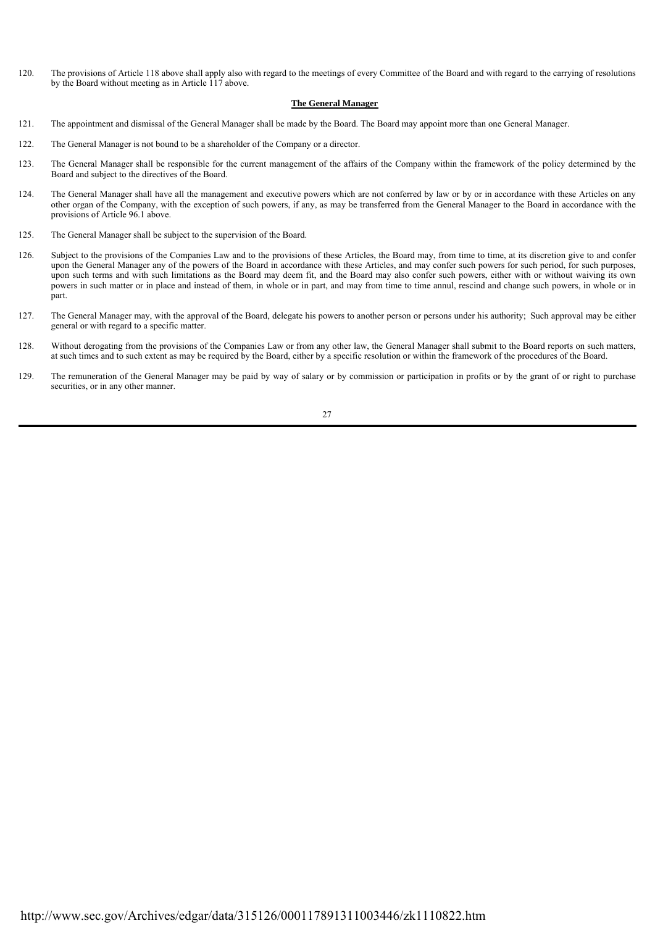120. The provisions of Article 118 above shall apply also with regard to the meetings of every Committee of the Board and with regard to the carrying of resolutions by the Board without meeting as in Article 117 above.

#### **The General Manager**

- 121. The appointment and dismissal of the General Manager shall be made by the Board. The Board may appoint more than one General Manager.
- 122. The General Manager is not bound to be a shareholder of the Company or a director.
- 123. The General Manager shall be responsible for the current management of the affairs of the Company within the framework of the policy determined by the Board and subject to the directives of the Board.
- 124. The General Manager shall have all the management and executive powers which are not conferred by law or by or in accordance with these Articles on any other organ of the Company, with the exception of such powers, if any, as may be transferred from the General Manager to the Board in accordance with the provisions of Article 96.1 above.
- 125. The General Manager shall be subject to the supervision of the Board.
- 126. Subject to the provisions of the Companies Law and to the provisions of these Articles, the Board may, from time to time, at its discretion give to and confer upon the General Manager any of the powers of the Board in accordance with these Articles, and may confer such powers for such period, for such purposes, upon such terms and with such limitations as the Board may deem fit, and the Board may also confer such powers, either with or without waiving its own powers in such matter or in place and instead of them, in whole or in part, and may from time to time annul, rescind and change such powers, in whole or in part.
- 127. The General Manager may, with the approval of the Board, delegate his powers to another person or persons under his authority; Such approval may be either general or with regard to a specific matter.
- 128. Without derogating from the provisions of the Companies Law or from any other law, the General Manager shall submit to the Board reports on such matters, at such times and to such extent as may be required by the Board, either by a specific resolution or within the framework of the procedures of the Board.
- 129. The remuneration of the General Manager may be paid by way of salary or by commission or participation in profits or by the grant of or right to purchase securities, or in any other manner.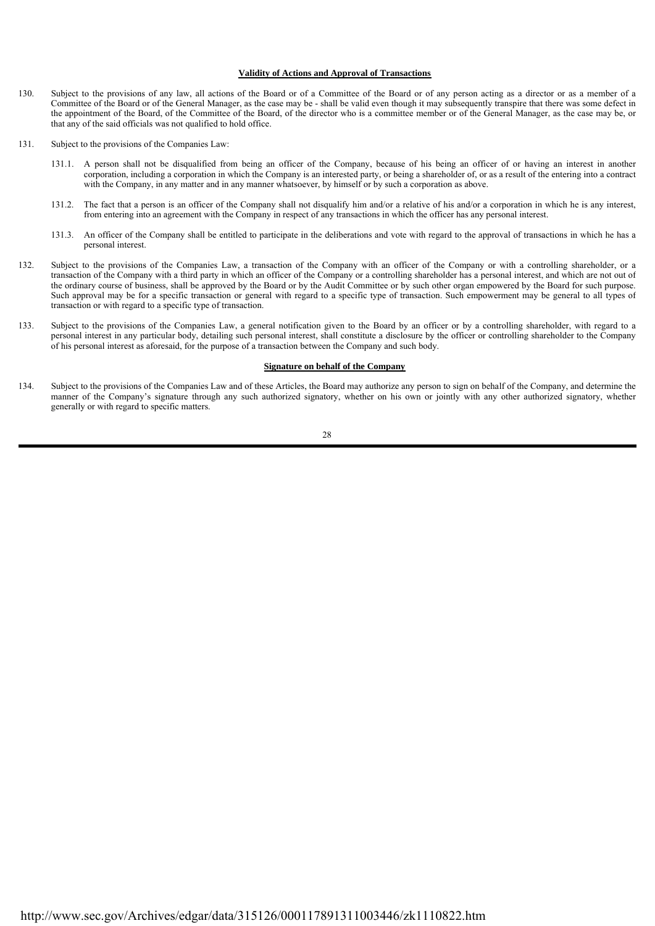#### **Validity of Actions and Approval of Transactions**

- 130. Subject to the provisions of any law, all actions of the Board or of a Committee of the Board or of any person acting as a director or as a member of a Committee of the Board or of the General Manager, as the case may be - shall be valid even though it may subsequently transpire that there was some defect in the appointment of the Board, of the Committee of the Board, of the director who is a committee member or of the General Manager, as the case may be, or that any of the said officials was not qualified to hold office.
- $131.$ Subject to the provisions of the Companies Law:
	- 131.1. A person shall not be disqualified from being an officer of the Company, because of his being an officer of or having an interest in another corporation, including a corporation in which the Company is an interested party, or being a shareholder of, or as a result of the entering into a contract with the Company, in any matter and in any manner whatsoever, by himself or by such a corporation as above.
	- 131.2. The fact that a person is an officer of the Company shall not disqualify him and/or a relative of his and/or a corporation in which he is any interest, from entering into an agreement with the Company in respect of any transactions in which the officer has any personal interest.
	- 131.3. An officer of the Company shall be entitled to participate in the deliberations and vote with regard to the approval of transactions in which he has a personal interest.
- 132. Subject to the provisions of the Companies Law, a transaction of the Company with an officer of the Company or with a controlling shareholder, or a transaction of the Company with a third party in which an officer of the Company or a controlling shareholder has a personal interest, and which are not out of the ordinary course of business, shall be approved by the Board or by the Audit Committee or by such other organ empowered by the Board for such purpose. Such approval may be for a specific transaction or general with regard to a specific type of transaction. Such empowerment may be general to all types of transaction or with regard to a specific type of transaction.
- 133. Subject to the provisions of the Companies Law, a general notification given to the Board by an officer or by a controlling shareholder, with regard to a personal interest in any particular body, detailing such personal interest, shall constitute a disclosure by the officer or controlling shareholder to the Company of his personal interest as aforesaid, for the purpose of a transaction between the Company and such body.

#### **Signature on behalf of the Company**

134. Subject to the provisions of the Companies Law and of these Articles, the Board may authorize any person to sign on behalf of the Company, and determine the manner of the Company's signature through any such authorized signatory, whether on his own or jointly with any other authorized signatory, whether generally or with regard to specific matters.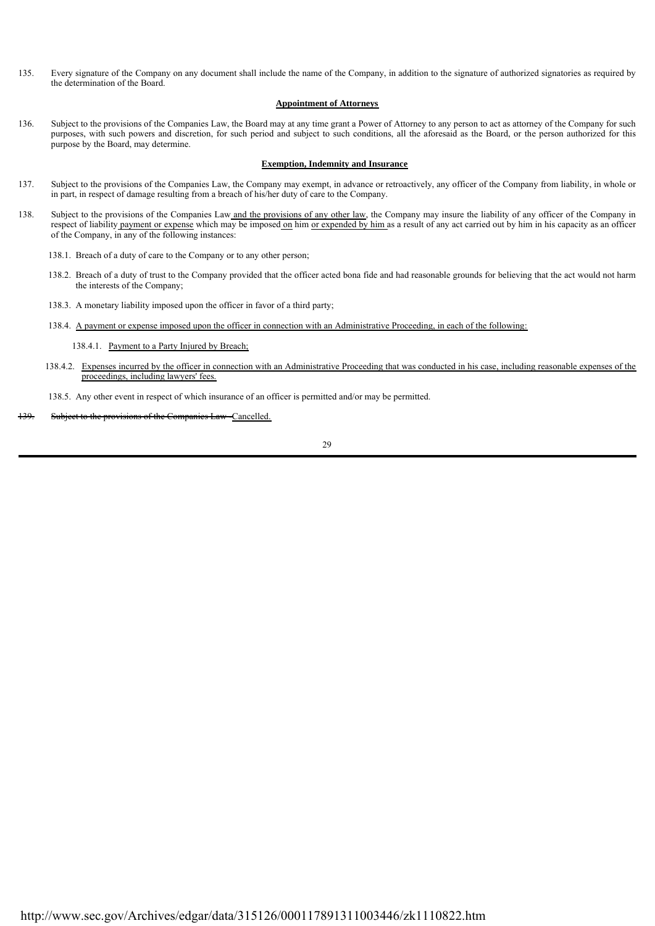135. Every signature of the Company on any document shall include the name of the Company, in addition to the signature of authorized signatories as required by the determination of the Board.

#### **Appointment of Attorneys**

136. Subject to the provisions of the Companies Law, the Board may at any time grant a Power of Attorney to any person to act as attorney of the Company for such purposes, with such powers and discretion, for such period and subject to such conditions, all the aforesaid as the Board, or the person authorized for this purpose by the Board, may determine.

#### **Exemption, Indemnity and Insurance**

- 137. Subject to the provisions of the Companies Law, the Company may exempt, in advance or retroactively, any officer of the Company from liability, in whole or in part, in respect of damage resulting from a breach of his/her duty of care to the Company.
- 138. Subject to the provisions of the Companies Law and the provisions of any other law, the Company may insure the liability of any officer of the Company in respect of liability payment or expense which may be imposed on him or expended by him as a result of any act carried out by him in his capacity as an officer of the Company, in any of the following instances:

138.1. Breach of a duty of care to the Company or to any other person;

- 138.2. Breach of a duty of trust to the Company provided that the officer acted bona fide and had reasonable grounds for believing that the act would not harm the interests of the Company;
- 138.3. A monetary liability imposed upon the officer in favor of a third party;
- 138.4. A payment or expense imposed upon the officer in connection with an Administrative Proceeding, in each of the following:
	- 138.4.1. Payment to a Party Injured by Breach;
- 138.4.2. Expenses incurred by the officer in connection with an Administrative Proceeding that was conducted in his case, including reasonable expenses of the proceedings, including lawyers' fees.

138.5. Any other event in respect of which insurance of an officer is permitted and/or may be permitted.

Subject to the provisions of the Companies Law -Cancelled.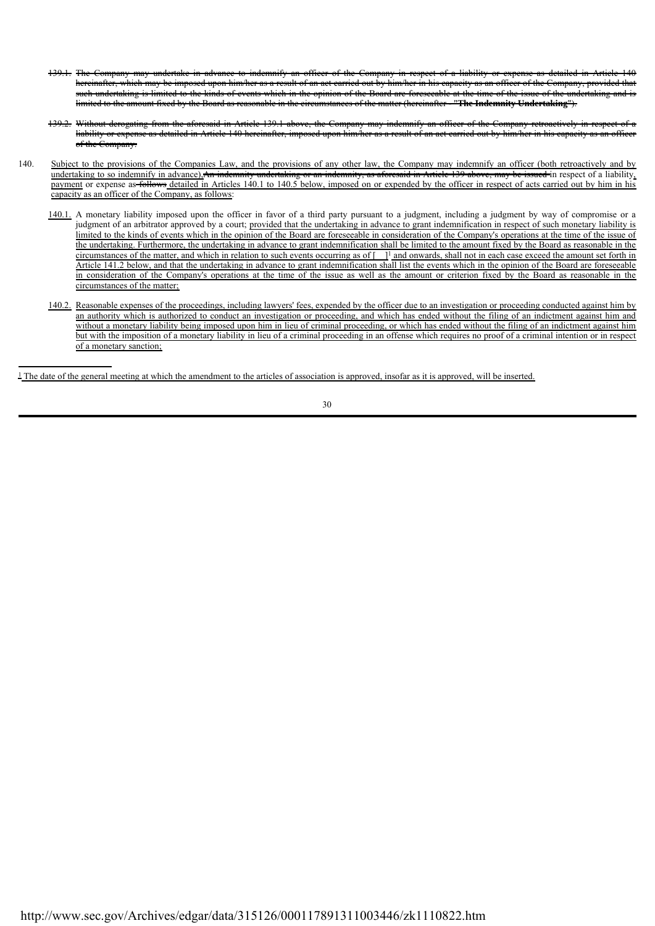- 139.1. The Company may undertake in advance to indemnify an officer of the Company in respect of a liability or expense as detailed in Article 140 hereinafter, which may be imposed upon him/her as a result of an act carried out by him/her in his capacity as an officer of the Company, provided such undertaking is limited to the kinds of events which in the opinion of the Board are foreseeable at the time of the issue of the undertaking and is limited to the amount fixed by the Board as reasonable in the circumstances of the matter (hereinafter - "**The Indemnity Undertaking**").
- 139.2. Without derogating from the aforesaid in Article 139.1 above, the Company may indemnify an officer of the Company retroactively in respect of a liability or expense as detailed in Article 140 hereinafter, imposed upon him/her as a result of an act carried out by him/her in his capacity as an officer of the Company.
- 140. Subject to the provisions of the Companies Law, and the provisions of any other law, the Company may indemnify an officer (both retroactively and by undertaking to so indemnify in advance),An indemnity undertaking or an indemnity, as aforesaid in Article 139 above, may be issued in respect of a liability, payment or expense as follows detailed in Articles 140.1 to 140.5 below, imposed on or expended by the officer in respect of acts carried out by him in his capacity as an officer of the Company, as follows:
	- 140.1. A monetary liability imposed upon the officer in favor of a third party pursuant to a judgment, including a judgment by way of compromise or a judgment of an arbitrator approved by a court; provided that the undertaking in advance to grant indemnification in respect of such monetary liability is limited to the kinds of events which in the opinion of the Board are foreseeable in consideration of the Company's operations at the time of the issue of the undertaking. Furthermore, the undertaking in advance to grant indemnification shall be limited to the amount fixed by the Board as reasonable in the circumstances of the matter, and which in relation to such events occurring as of  $\llbracket \cdot \rrbracket$  and onwards, shall not in each case exceed the amount set forth in Article 141.2 below, and that the undertaking in advance to grant indemnification shall list the events which in the opinion of the Board are foreseeable in consideration of the Company's operations at the time of the issue as well as the amount or criterion fixed by the Board as reasonable in the circumstances of the matter;
	- 140.2. Reasonable expenses of the proceedings, including lawyers' fees, expended by the officer due to an investigation or proceeding conducted against him by an authority which is authorized to conduct an investigation or proceeding, and which has ended without the filing of an indictment against him and without a monetary liability being imposed upon him in lieu of criminal proceeding, or which has ended without the filing of an indictment against him but with the imposition of a monetary liability in lieu of a criminal proceeding in an offense which requires no proof of a criminal intention or in respect of a monetary sanction;

1 The date of the general meeting at which the amendment to the articles of association is approved, insofar as it is approved, will be inserted.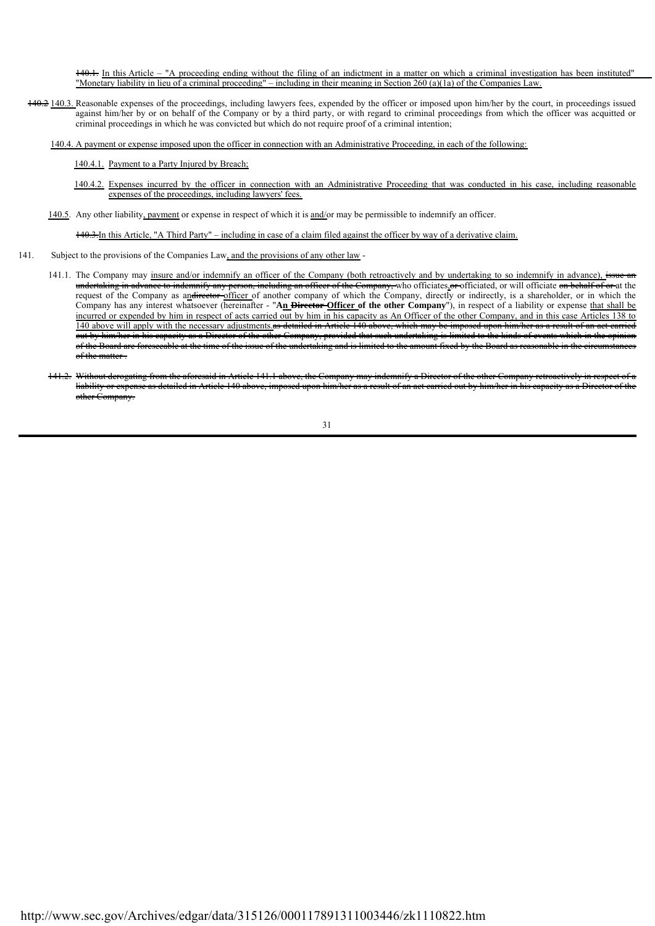140.1. In this Article – "A proceeding ending without the filing of an indictment in a matter on which a criminal investigation has been instituted" "Monetary liability in lieu of a criminal proceeding" – including in their meaning in Section 260 (a)(1a) of the Companies Law.

140.2 140.3. Reasonable expenses of the proceedings, including lawyers fees, expended by the officer or imposed upon him/her by the court, in proceedings issued against him/her by or on behalf of the Company or by a third party, or with regard to criminal proceedings from which the officer was acquitted or criminal proceedings in which he was convicted but which do not require proof of a criminal intention;

140.4. A payment or expense imposed upon the officer in connection with an Administrative Proceeding, in each of the following:

#### 140.4.1. Payment to a Party Injured by Breach;

- 140.4.2. Expenses incurred by the officer in connection with an Administrative Proceeding that was conducted in his case, including reasonable expenses of the proceedings, including lawyers' fees.
- 140.5. Any other liability, payment or expense in respect of which it is and/or may be permissible to indemnify an officer.

140.3.In this Article, "A Third Party" – including in case of a claim filed against the officer by way of a derivative claim.

- 141. Subject to the provisions of the Companies Law, and the provisions of any other law
	- 141.1. The Company may insure and/or indemnify an officer of the Company (both retroactively and by undertaking to so indemnify in advance), issue undertaking in advance to indemnify any person, including an officer of the Company, who officiates or officiated, or will officiate on behalf of or at the request of the Company as andirector officer of another company of which the Company, directly or indirectly, is a shareholder, or in which the Company has any interest whatsoever (hereinafter - "**An Director Officer of the other Company**"), in respect of a liability or expense that shall be incurred or expended by him in respect of acts carried out by him in his capacity as An Officer of the other Company, and in this case Articles 138 to 140 above will apply with the necessary adjustments.as detailed in Article 140 above, which may be imposed upon him/her as a result of an act carried out by him/her in his capacity as a Director of the other Company, provided that such undertaking is limited to the kinds of events which in the opinion of the Board are foreseeable at the time of the issue of the undertaking and is limited to the amount fixed by the Board as reasonable in the circumstances of the matter-
	- 141.2. Without derogating from the aforesaid in Article 141.1 above, the Company may indemnify a Director of the other Company retroactively in respect of a liability or expense as detailed in Article 140 above, imposed up other Company.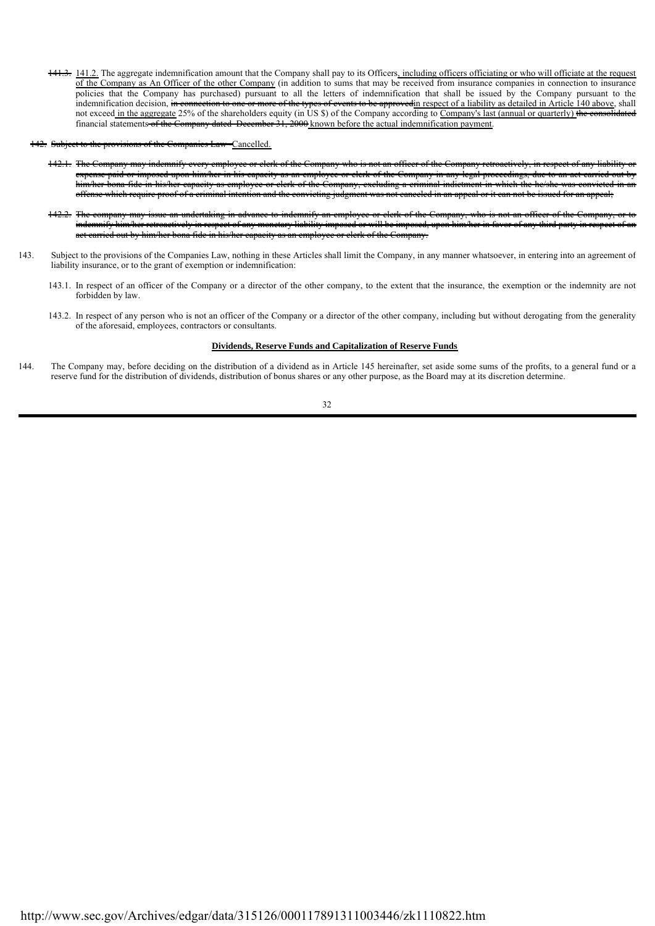- 141.3. 141.2. The aggregate indemnification amount that the Company shall pay to its Officers, including officers officiating or who will officiate at the request of the Company as An Officer of the other Company (in addition to sums that may be received from insurance companies in connection to insurance policies that the Company has purchased) pursuant to all the letters of indemnification that shall be issued by the Company pursuant to the indemnification decision, in connection to one or more of the types of events to be approved in respect of a liability as detailed in Article 140 above, shall not exceed in the aggregate 25% of the shareholders equity (in US \$) of the Company according to Company's last (annual or quarterly) the financial statements of the Company dated December 31, 2000 known before the actual indemnification payment.
- Cancelled.
	- 142.1. The Company may indemnify every employee or clerk of the Company who is not an officer of the Company retroactively, in respect of any liability or expense paid or imposed upon him/her in his capacity as an employee or clerk of the Company in any legal proceedings, due to an act carried out by him/her bona fide in his/her capacity as employee or clerk of the Company, excluding a criminal indictment in which the he/she was convicted in an offense which require proof of a criminal intention and the convicting judgment was not canceled in an appeal or it can not be issued for an appeal;
	- 142.2. The company may issue an undertaking in advance to indemnify an employee or clerk of the Company, who is not an officer of the Company, or to indemnify him/her retroactively in respect of any monetary liability imposed or will be imposed, upon him/her in favor of any third party in respect of an act carried out by him/her bona fide in his/her capacity as an employee or clerk of the Company.
- 143. Subject to the provisions of the Companies Law, nothing in these Articles shall limit the Company, in any manner whatsoever, in entering into an agreement of liability insurance, or to the grant of exemption or indemnification:
	- 143.1. In respect of an officer of the Company or a director of the other company, to the extent that the insurance, the exemption or the indemnity are not forbidden by law.
	- 143.2. In respect of any person who is not an officer of the Company or a director of the other company, including but without derogating from the generality of the aforesaid, employees, contractors or consultants.

#### **Dividends, Reserve Funds and Capitalization of Reserve Funds**

144. The Company may, before deciding on the distribution of a dividend as in Article 145 hereinafter, set aside some sums of the profits, to a general fund or a reserve fund for the distribution of dividends, distribution of bonus shares or any other purpose, as the Board may at its discretion determine.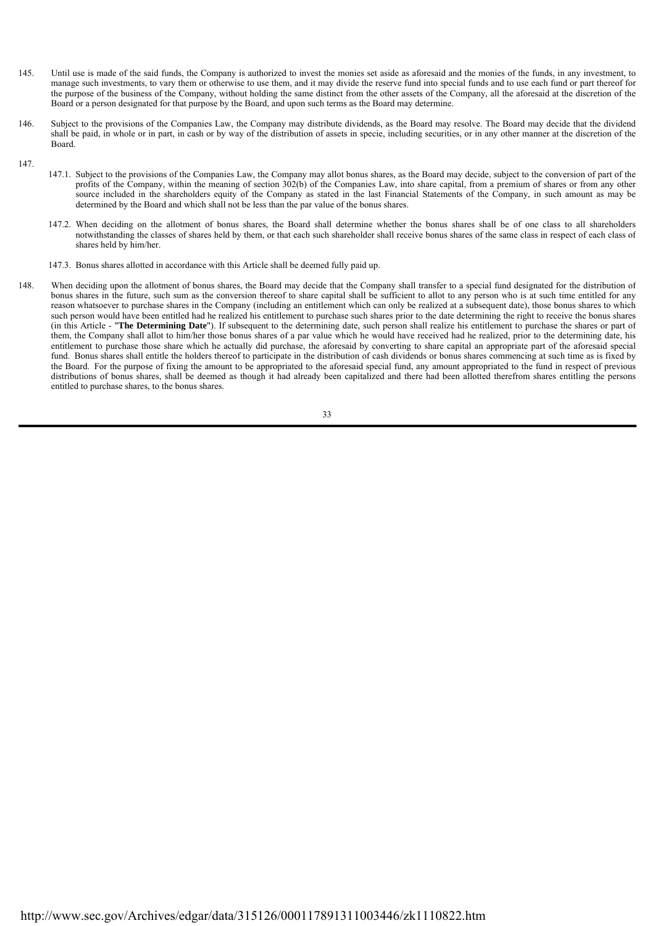- 145. Until use is made of the said funds, the Company is authorized to invest the monies set aside as aforesaid and the monies of the funds, in any investment, to manage such investments, to vary them or otherwise to use them, and it may divide the reserve fund into special funds and to use each fund or part thereof for the purpose of the business of the Company, without holding the same distinct from the other assets of the Company, all the aforesaid at the discretion of the Board or a person designated for that purpose by the Board, and upon such terms as the Board may determine.
- 146. Subject to the provisions of the Companies Law, the Company may distribute dividends, as the Board may resolve. The Board may decide that the dividend shall be paid, in whole or in part, in cash or by way of the distribution of assets in specie, including securities, or in any other manner at the discretion of the Board.
- 147.
- 147.1. Subject to the provisions of the Companies Law, the Company may allot bonus shares, as the Board may decide, subject to the conversion of part of the profits of the Company, within the meaning of section 302(b) of the Companies Law, into share capital, from a premium of shares or from any other source included in the shareholders equity of the Company as stated in the last Financial Statements of the Company, in such amount as may be determined by the Board and which shall not be less than the par value of the bonus shares.
- 147.2. When deciding on the allotment of bonus shares, the Board shall determine whether the bonus shares shall be of one class to all shareholders notwithstanding the classes of shares held by them, or that each such shareholder shall receive bonus shares of the same class in respect of each class of shares held by him/her.
- 147.3. Bonus shares allotted in accordance with this Article shall be deemed fully paid up.
- 148. When deciding upon the allotment of bonus shares, the Board may decide that the Company shall transfer to a special fund designated for the distribution of bonus shares in the future, such sum as the conversion thereof to share capital shall be sufficient to allot to any person who is at such time entitled for any reason whatsoever to purchase shares in the Company (including an entitlement which can only be realized at a subsequent date), those bonus shares to which such person would have been entitled had he realized his entitlement to purchase such shares prior to the date determining the right to receive the bonus shares (in this Article - "**The Determining Date**"). If subsequent to the determining date, such person shall realize his entitlement to purchase the shares or part of them, the Company shall allot to him/her those bonus shares of a par value which he would have received had he realized, prior to the determining date, his entitlement to purchase those share which he actually did purchase, the aforesaid by converting to share capital an appropriate part of the aforesaid special fund. Bonus shares shall entitle the holders thereof to participate in the distribution of cash dividends or bonus shares commencing at such time as is fixed by the Board. For the purpose of fixing the amount to be appropriated to the aforesaid special fund, any amount appropriated to the fund in respect of previous distributions of bonus shares, shall be deemed as though it had already been capitalized and there had been allotted therefrom shares entitling the persons entitled to purchase shares, to the bonus shares.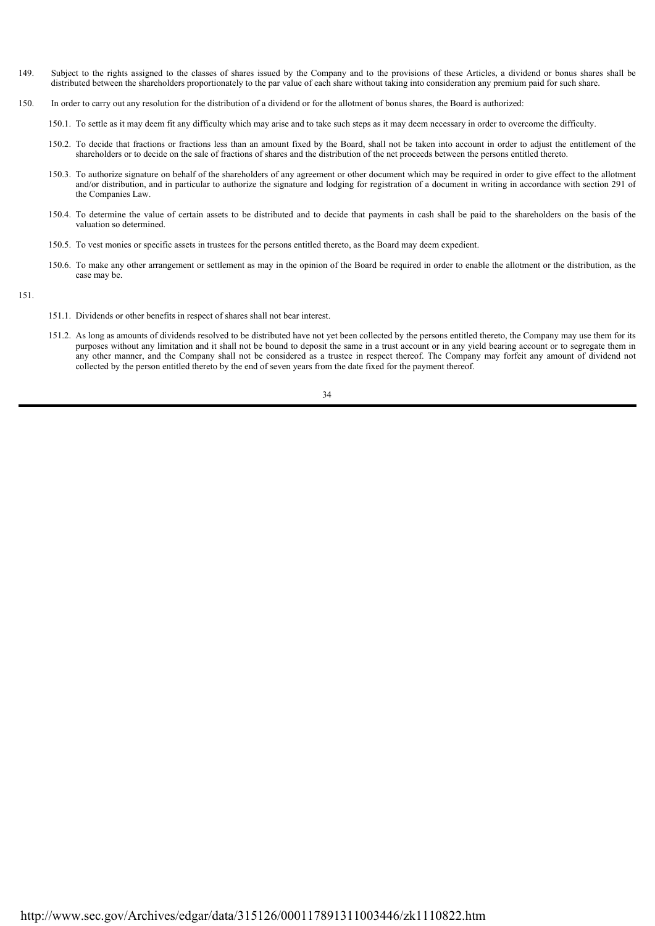- 149. Subject to the rights assigned to the classes of shares issued by the Company and to the provisions of these Articles, a dividend or bonus shares shall be distributed between the shareholders proportionately to the par value of each share without taking into consideration any premium paid for such share.
- 150. In order to carry out any resolution for the distribution of a dividend or for the allotment of bonus shares, the Board is authorized:
	- 150.1. To settle as it may deem fit any difficulty which may arise and to take such steps as it may deem necessary in order to overcome the difficulty.
	- 150.2. To decide that fractions or fractions less than an amount fixed by the Board, shall not be taken into account in order to adjust the entitlement of the shareholders or to decide on the sale of fractions of shares and the distribution of the net proceeds between the persons entitled thereto.
	- 150.3. To authorize signature on behalf of the shareholders of any agreement or other document which may be required in order to give effect to the allotment and/or distribution, and in particular to authorize the signature and lodging for registration of a document in writing in accordance with section 291 of the Companies Law.
	- 150.4. To determine the value of certain assets to be distributed and to decide that payments in cash shall be paid to the shareholders on the basis of the valuation so determined.
	- 150.5. To vest monies or specific assets in trustees for the persons entitled thereto, as the Board may deem expedient.
	- 150.6. To make any other arrangement or settlement as may in the opinion of the Board be required in order to enable the allotment or the distribution, as the case may be.
- 151.
- 151.1. Dividends or other benefits in respect of shares shall not bear interest.
- 151.2. As long as amounts of dividends resolved to be distributed have not yet been collected by the persons entitled thereto, the Company may use them for its purposes without any limitation and it shall not be bound to deposit the same in a trust account or in any yield bearing account or to segregate them in any other manner, and the Company shall not be considered as a trustee in respect thereof. The Company may forfeit any amount of dividend not collected by the person entitled thereto by the end of seven years from the date fixed for the payment thereof.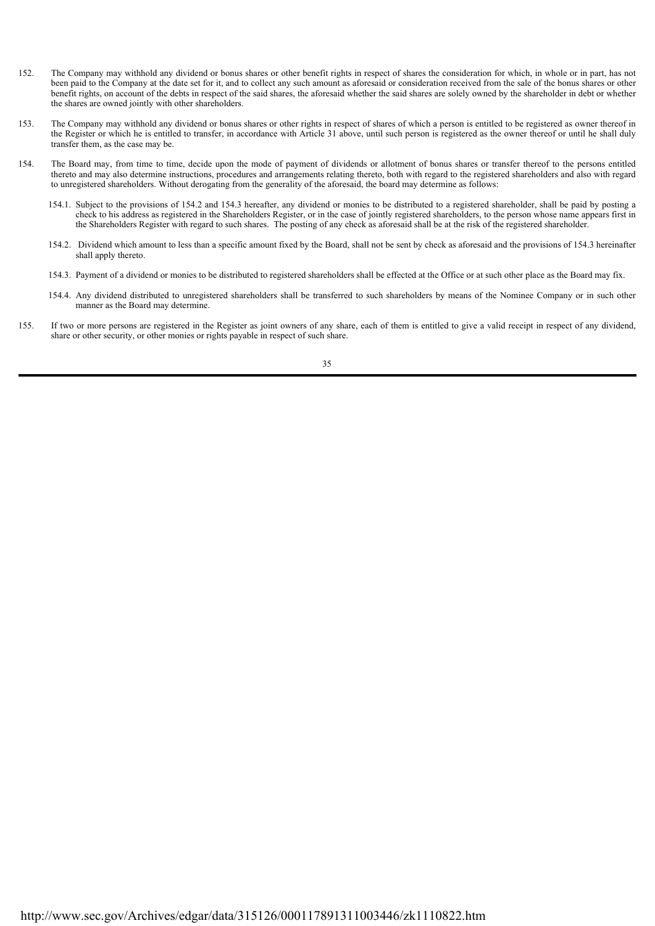- 152. The Company may withhold any dividend or bonus shares or other benefit rights in respect of shares the consideration for which, in whole or in part, has not been paid to the Company at the date set for it, and to collect any such amount as aforesaid or consideration received from the sale of the bonus shares or other benefit rights, on account of the debts in respect of the said shares, the aforesaid whether the said shares are solely owned by the shareholder in debt or whether the shares are owned jointly with other shareholders.
- 153. The Company may withhold any dividend or bonus shares or other rights in respect of shares of which a person is entitled to be registered as owner thereof in the Register or which he is entitled to transfer, in accordance with Article 31 above, until such person is registered as the owner thereof or until he shall duly transfer them, as the case may be.
- 154. The Board may, from time to time, decide upon the mode of payment of dividends or allotment of bonus shares or transfer thereof to the persons entitled thereto and may also determine instructions, procedures and arrangements relating thereto, both with regard to the registered shareholders and also with regard to unregistered shareholders. Without derogating from the generality of the aforesaid, the board may determine as follows:
	- 154.1. Subject to the provisions of 154.2 and 154.3 hereafter, any dividend or monies to be distributed to a registered shareholder, shall be paid by posting a check to his address as registered in the Shareholders Register, or in the case of jointly registered shareholders, to the person whose name appears first in the Shareholders Register with regard to such shares. The posting of any check as aforesaid shall be at the risk of the registered shareholder.
	- 154.2. Dividend which amount to less than a specific amount fixed by the Board, shall not be sent by check as aforesaid and the provisions of 154.3 hereinafter shall apply thereto.
	- 154.3. Payment of a dividend or monies to be distributed to registered shareholders shall be effected at the Office or at such other place as the Board may fix.
	- 154.4. Any dividend distributed to unregistered shareholders shall be transferred to such shareholders by means of the Nominee Company or in such other manner as the Board may determine.
- 155. If two or more persons are registered in the Register as joint owners of any share, each of them is entitled to give a valid receipt in respect of any dividend, share or other security, or other monies or rights payable in respect of such share.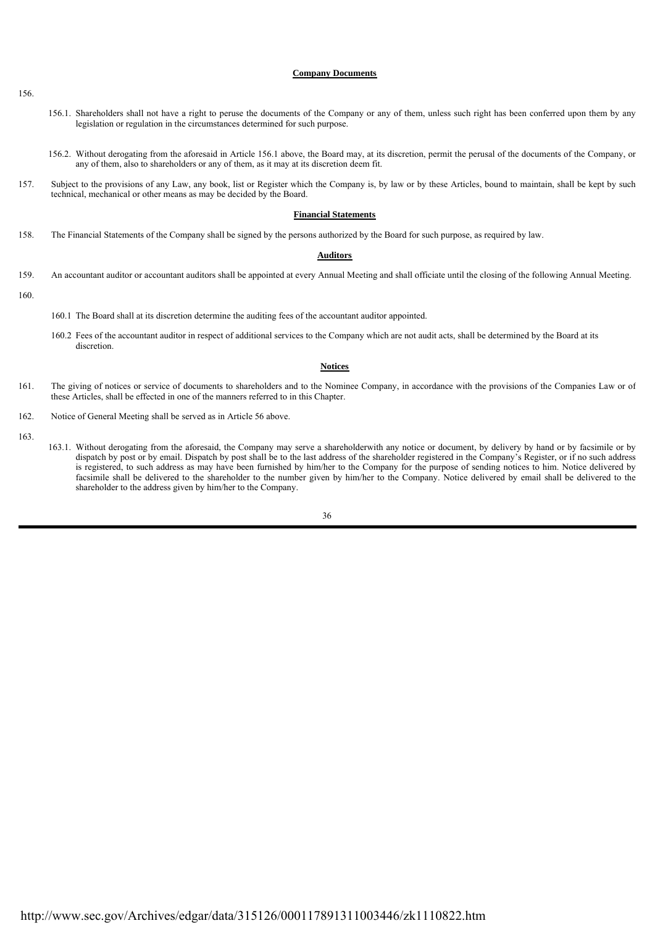#### **Company Documents**

- 156.1. Shareholders shall not have a right to peruse the documents of the Company or any of them, unless such right has been conferred upon them by any legislation or regulation in the circumstances determined for such purpose.
- 156.2. Without derogating from the aforesaid in Article 156.1 above, the Board may, at its discretion, permit the perusal of the documents of the Company, or any of them, also to shareholders or any of them, as it may at its discretion deem fit.
- 157. Subject to the provisions of any Law, any book, list or Register which the Company is, by law or by these Articles, bound to maintain, shall be kept by such technical, mechanical or other means as may be decided by the Board.

#### **Financial Statements**

158. The Financial Statements of the Company shall be signed by the persons authorized by the Board for such purpose, as required by law.

#### **Auditors**

- 159. An accountant auditor or accountant auditors shall be appointed at every Annual Meeting and shall officiate until the closing of the following Annual Meeting.
- 160.
- 160.1 The Board shall at its discretion determine the auditing fees of the accountant auditor appointed.
- 160.2 Fees of the accountant auditor in respect of additional services to the Company which are not audit acts, shall be determined by the Board at its discretion.

#### **Notices**

- 161. The giving of notices or service of documents to shareholders and to the Nominee Company, in accordance with the provisions of the Companies Law or of these Articles, shall be effected in one of the manners referred to in this Chapter.
- 162. Notice of General Meeting shall be served as in Article 56 above.
- 163.
- 163.1. Without derogating from the aforesaid, the Company may serve a shareholderwith any notice or document, by delivery by hand or by facsimile or by dispatch by post or by email. Dispatch by post shall be to the last address of the shareholder registered in the Company's Register, or if no such address is registered, to such address as may have been furnished by him/her to the Company for the purpose of sending notices to him. Notice delivered by facsimile shall be delivered to the shareholder to the number given by him/her to the Company. Notice delivered by email shall be delivered to the shareholder to the address given by him/her to the Company.

156.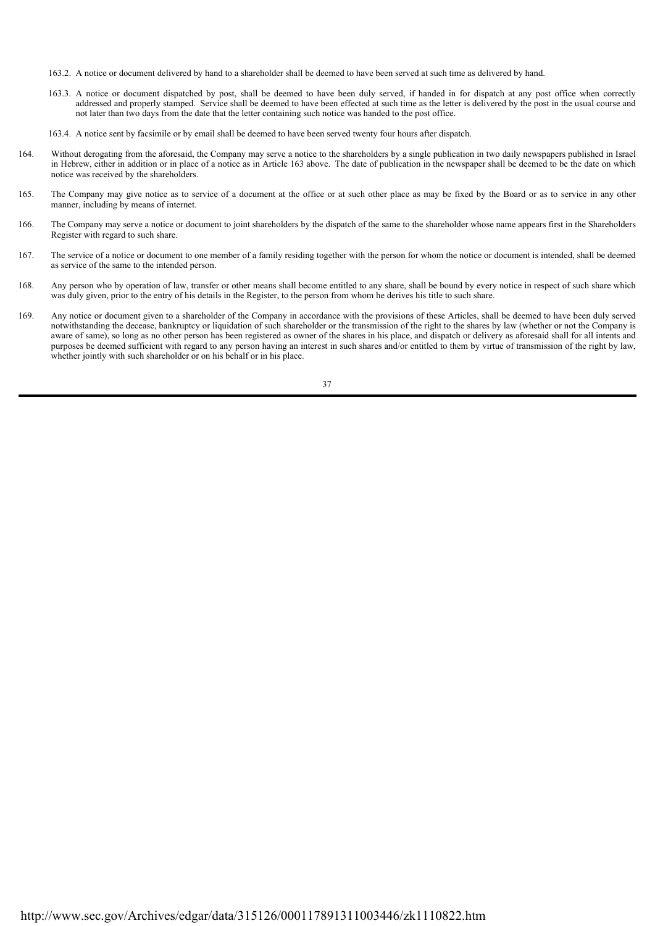- 163.2. A notice or document delivered by hand to a shareholder shall be deemed to have been served at such time as delivered by hand.
- 163.3. A notice or document dispatched by post, shall be deemed to have been duly served, if handed in for dispatch at any post office when correctly addressed and properly stamped. Service shall be deemed to have been effected at such time as the letter is delivered by the post in the usual course and not later than two days from the date that the letter containing such notice was handed to the post office.
- 163.4. A notice sent by facsimile or by email shall be deemed to have been served twenty four hours after dispatch.
- 164. Without derogating from the aforesaid, the Company may serve a notice to the shareholders by a single publication in two daily newspapers published in Israel in Hebrew, either in addition or in place of a notice as in Article 163 above. The date of publication in the newspaper shall be deemed to be the date on which notice was received by the shareholders.
- 165. The Company may give notice as to service of a document at the office or at such other place as may be fixed by the Board or as to service in any other manner, including by means of internet.
- 166. The Company may serve a notice or document to joint shareholders by the dispatch of the same to the shareholder whose name appears first in the Shareholders Register with regard to such share.
- 167. The service of a notice or document to one member of a family residing together with the person for whom the notice or document is intended, shall be deemed as service of the same to the intended person.
- 168. Any person who by operation of law, transfer or other means shall become entitled to any share, shall be bound by every notice in respect of such share which was duly given, prior to the entry of his details in the Register, to the person from whom he derives his title to such share.
- 169. Any notice or document given to a shareholder of the Company in accordance with the provisions of these Articles, shall be deemed to have been duly served notwithstanding the decease, bankruptcy or liquidation of such shareholder or the transmission of the right to the shares by law (whether or not the Company is aware of same), so long as no other person has been registered as owner of the shares in his place, and dispatch or delivery as aforesaid shall for all intents and purposes be deemed sufficient with regard to any person having an interest in such shares and/or entitled to them by virtue of transmission of the right by law, whether jointly with such shareholder or on his behalf or in his place.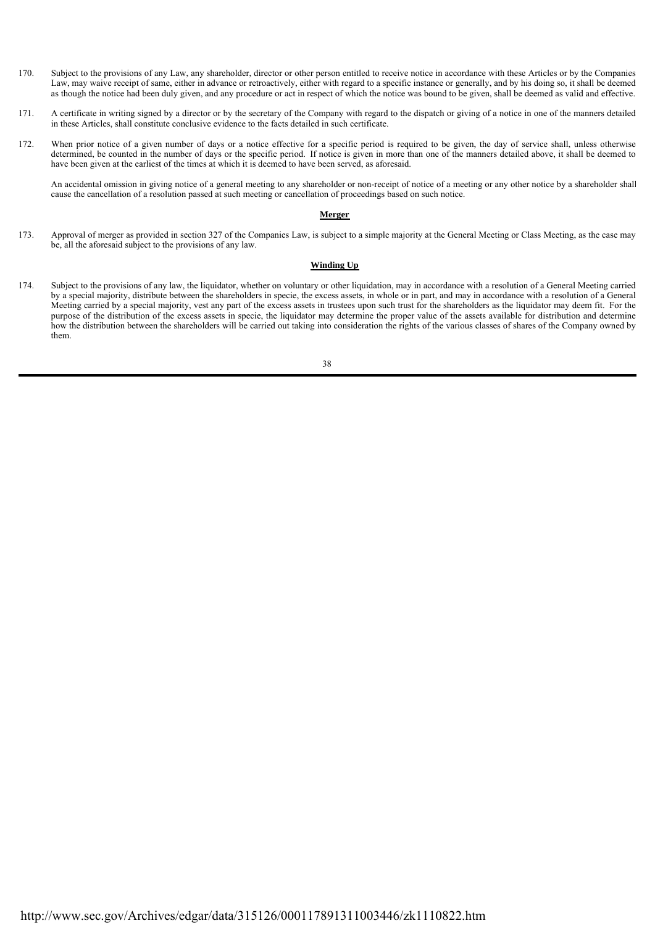- 170 Subject to the provisions of any Law, any shareholder, director or other person entitled to receive notice in accordance with these Articles or by the Companies Law, may waive receipt of same, either in advance or retroactively, either with regard to a specific instance or generally, and by his doing so, it shall be deemed as though the notice had been duly given, and any procedure or act in respect of which the notice was bound to be given, shall be deemed as valid and effective.
- 171 171. A certificate in writing signed by a director or by the secretary of the Company with regard to the dispatch or giving of a notice in one of the manners detailed in these Articles, shall constitute conclusive evidence to the facts detailed in such certificate.
- $172$ When prior notice of a given number of days or a notice effective for a specific period is required to be given, the day of service shall, unless otherwise determined, be counted in the number of days or the specific period. If notice is given in more than one of the manners detailed above, it shall be deemed to have been given at the earliest of the times at which it is deemed to have been served, as aforesaid.

An accidental omission in giving notice of a general meeting to any shareholder or non-receipt of notice of a meeting or any other notice by a shareholder shall cause the cancellation of a resolution passed at such meeting or cancellation of proceedings based on such notice.

#### **Merger**

173. Approval of merger as provided in section 327 of the Companies Law, is subject to a simple majority at the General Meeting or Class Meeting, as the case may be, all the aforesaid subject to the provisions of any law.

#### **Winding Up**

174. Subject to the provisions of any law, the liquidator, whether on voluntary or other liquidation, may in accordance with a resolution of a General Meeting carried by a special majority, distribute between the shareholders in specie, the excess assets, in whole or in part, and may in accordance with a resolution of a General Meeting carried by a special majority, vest any part of the excess assets in trustees upon such trust for the shareholders as the liquidator may deem fit. For the purpose of the distribution of the excess assets in specie, the liquidator may determine the proper value of the assets available for distribution and determine how the distribution between the shareholders will be carried out taking into consideration the rights of the various classes of shares of the Company owned by them.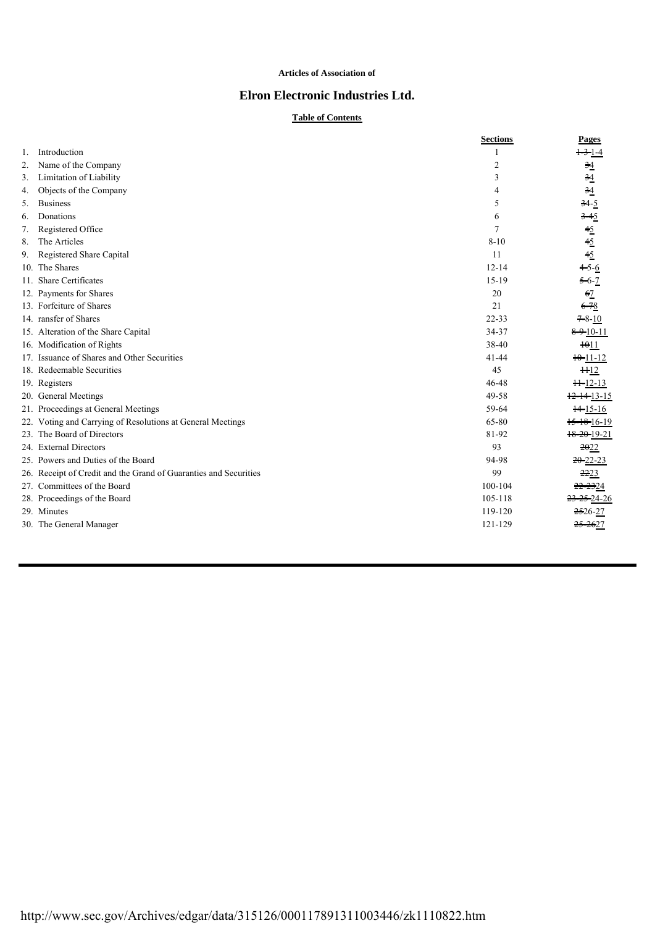### **Articles of Association of**

## **Elron Electronic Industries Ltd.**

## **Table of Contents**

|    |                                                                  | <b>Sections</b> | Pages                              |
|----|------------------------------------------------------------------|-----------------|------------------------------------|
| 1. | Introduction                                                     |                 | $+3$ -1-4                          |
| 2. | Name of the Company                                              | $\overline{2}$  | $\frac{34}{5}$                     |
| 3. | Limitation of Liability                                          | 3               | $\frac{34}{5}$                     |
| 4. | Objects of the Company                                           | $\overline{4}$  | $\frac{34}{5}$                     |
| 5. | <b>Business</b>                                                  | 5               | $34 - 5$                           |
| 6. | Donations                                                        | 6               | $3 - 45$                           |
| 7. | Registered Office                                                | $\tau$          | $\frac{45}{45}$<br>$\frac{45}{45}$ |
| 8. | The Articles                                                     | $8 - 10$        |                                    |
| 9. | Registered Share Capital                                         | 11              |                                    |
|    | 10. The Shares                                                   | $12 - 14$       | $+5-6$                             |
|    | 11. Share Certificates                                           | $15-19$         | $5 - 6 - 7$                        |
|    | 12. Payments for Shares                                          | 20              | 62                                 |
|    | 13. Forfeiture of Shares                                         | 21              | $6 - 78$                           |
|    | 14. ransfer of Shares                                            | $22 - 33$       | $7 - 8 - 10$                       |
|    | 15. Alteration of the Share Capital                              | 34-37           | $8 - 9 - 10 - 11$                  |
|    | 16. Modification of Rights                                       | 38-40           | $\frac{1011}{20}$                  |
|    | 17. Issuance of Shares and Other Securities                      | $41 - 44$       | $10 - 11 - 12$                     |
|    | 18. Redeemable Securities                                        | 45              | H12                                |
|    | 19. Registers                                                    | 46-48           | $H=12-13$                          |
|    | 20. General Meetings                                             | 49-58           | $+2-14-13-15$                      |
|    | 21. Proceedings at General Meetings                              | 59-64           | $+4-15-16$                         |
|    | 22. Voting and Carrying of Resolutions at General Meetings       | 65-80           | 15-18-16-19                        |
|    | 23. The Board of Directors                                       | 81-92           | $18 - 20 - 19 - 21$                |
|    | 24. External Directors                                           | 93              | 2022                               |
|    | 25. Powers and Duties of the Board                               | 94-98           | $20 - 22 - 23$                     |
|    | 26. Receipt of Credit and the Grand of Guaranties and Securities | 99              | 2223                               |
|    | 27. Committees of the Board                                      | 100-104         | 22-2324                            |
|    | 28. Proceedings of the Board                                     | 105-118         | <del>23-25-</del> 24-26            |
|    | 29. Minutes                                                      | 119-120         | $2526-27$                          |
|    | 30. The General Manager                                          | 121-129         | <del>25-26</del> 27                |
|    |                                                                  |                 |                                    |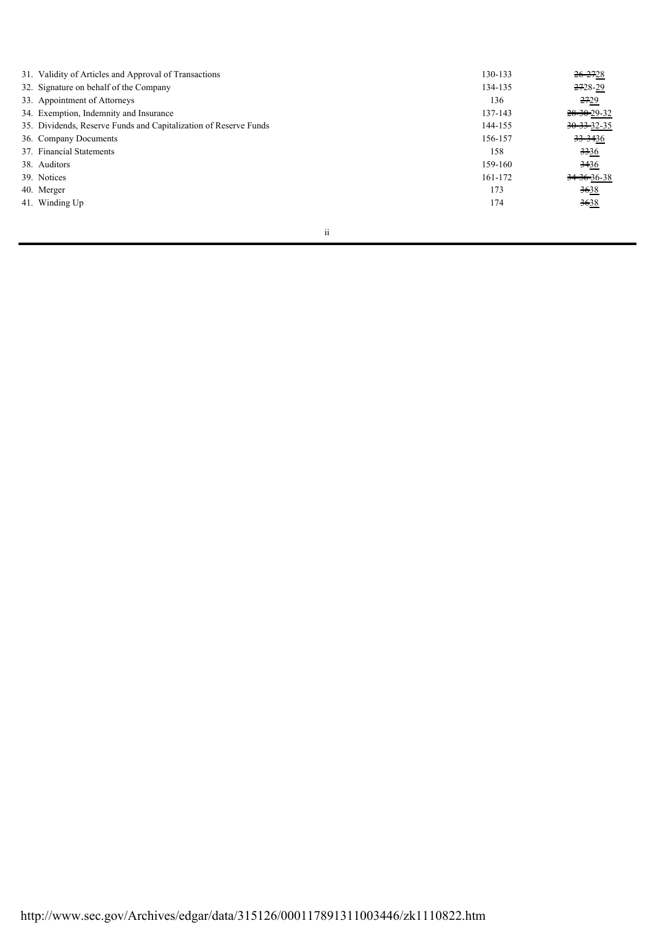| 31. Validity of Articles and Approval of Transactions            | 130-133 | <del>26-27</del> 28     |
|------------------------------------------------------------------|---------|-------------------------|
| 32. Signature on behalf of the Company                           | 134-135 | 2728-29                 |
| 33. Appointment of Attorneys                                     | 136     | 2729                    |
| 34. Exemption, Indemnity and Insurance                           | 137-143 | 28-30-29-32             |
| 35. Dividends, Reserve Funds and Capitalization of Reserve Funds | 144-155 | 30-33-32-35             |
| 36. Company Documents                                            | 156-157 | <del>33-34</del> 36     |
| 37. Financial Statements                                         | 158     | <del>33</del> 36        |
| 38. Auditors                                                     | 159-160 | <del>34</del> 36        |
| 39. Notices                                                      | 161-172 | <del>34-36-</del> 36-38 |
| 40. Merger                                                       | 173     | 3638                    |
| 41. Winding Up                                                   | 174     | 3638                    |
|                                                                  |         |                         |

ii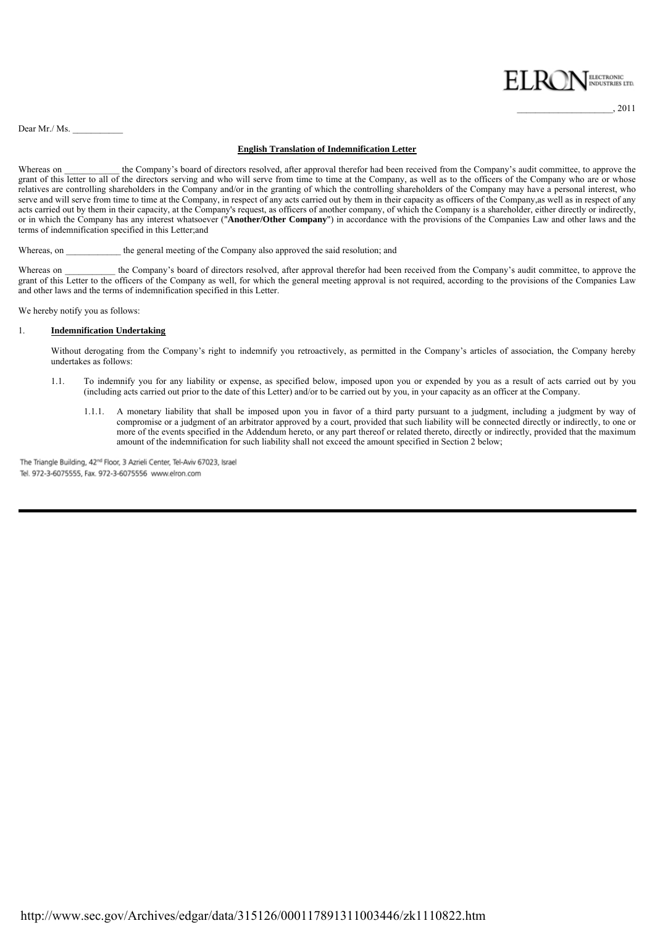

\_\_\_\_\_\_\_\_\_\_\_\_\_\_\_\_\_\_\_\_\_, 2011

Dear Mr./ Ms.  $\_\_$ 

#### **English Translation of Indemnification Letter**

Whereas on the Company's board of directors resolved, after approval therefor had been received from the Company's audit committee, to approve the grant of this letter to all of the directors serving and who will serve from time to time at the Company, as well as to the officers of the Company who are or whose relatives are controlling shareholders in the Company and/or in the granting of which the controlling shareholders of the Company may have a personal interest, who serve and will serve from time to time at the Company, in respect of any acts carried out by them in their capacity as officers of the Company, as well as in respect of any acts carried out by them in their capacity, at the Company's request, as officers of another company, of which the Company is a shareholder, either directly or indirectly, or in which the Company has any interest whatsoever ("**Another/Other Company**") in accordance with the provisions of the Companies Law and other laws and the terms of indemnification specified in this Letter;and

Whereas, on the general meeting of the Company also approved the said resolution; and

Whereas on \_\_\_\_\_\_\_\_\_\_ the Company's board of directors resolved, after approval therefor had been received from the Company's audit committee, to approve the grant of this Letter to the officers of the Company as well, for which the general meeting approval is not required, according to the provisions of the Companies Law and other laws and the terms of indemnification specified in this Letter.

We hereby notify you as follows:

#### 1. **Indemnification Undertaking**

Without derogating from the Company's right to indemnify you retroactively, as permitted in the Company's articles of association, the Company hereby undertakes as follows:

- 1.1. To indemnify you for any liability or expense, as specified below, imposed upon you or expended by you as a result of acts carried out by you (including acts carried out prior to the date of this Letter) and/or to be carried out by you, in your capacity as an officer at the Company.
	- 1.1.1. A monetary liability that shall be imposed upon you in favor of a third party pursuant to a judgment, including a judgment by way of compromise or a judgment of an arbitrator approved by a court, provided that such liability will be connected directly or indirectly, to one or more of the events specified in the Addendum hereto, or any part thereof or related thereto, directly or indirectly, provided that the maximum amount of the indemnification for such liability shall not exceed the amount specified in Section 2 below;

Tel. 972-3-6075555, Fax. 972-3-6075556 www.elron.com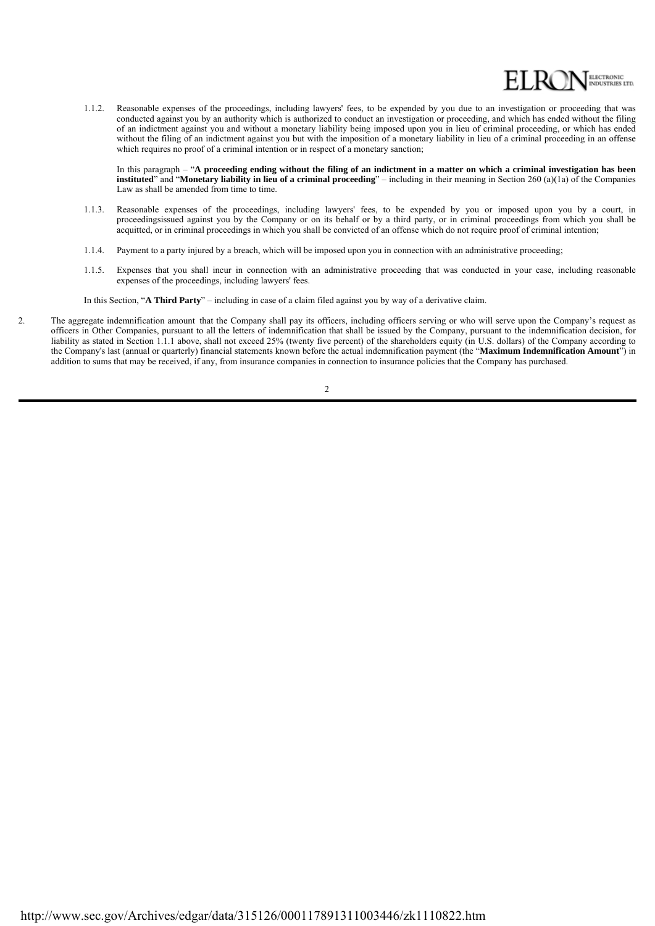

 1.1.2. Reasonable expenses of the proceedings, including lawyers' fees, to be expended by you due to an investigation or proceeding that was conducted against you by an authority which is authorized to conduct an investigation or proceeding, and which has ended without the filing of an indictment against you and without a monetary liability being imposed upon you in lieu of criminal proceeding, or which has ended without the filing of an indictment against you but with the imposition of a monetary liability in lieu of a criminal proceeding in an offense which requires no proof of a criminal intention or in respect of a monetary sanction;

In this paragraph – "**A proceeding ending without the filing of an indictment in a matter on which a criminal investigation has been instituted**" and "**Monetary liability in lieu of a criminal proceeding**" – including in their meaning in Section 260 (a)(1a) of the Companies Law as shall be amended from time to time.

- 1.1.3. Reasonable expenses of the proceedings, including lawyers' fees, to be expended by you or imposed upon you by a court, in proceedingsissued against you by the Company or on its behalf or by a third party, or in criminal proceedings from which you shall be acquitted, or in criminal proceedings in which you shall be convicted of an offense which do not require proof of criminal intention;
- 1.1.4. Payment to a party injured by a breach, which will be imposed upon you in connection with an administrative proceeding;
- 1.1.5. Expenses that you shall incur in connection with an administrative proceeding that was conducted in your case, including reasonable expenses of the proceedings, including lawyers' fees.

In this Section, "**A Third Party**" – including in case of a claim filed against you by way of a derivative claim.

2. The aggregate indemnification amount that the Company shall pay its officers, including officers serving or who will serve upon the Company's request as officers in Other Companies, pursuant to all the letters of indemnification that shall be issued by the Company, pursuant to the indemnification decision, for liability as stated in Section 1.1.1 above, shall not exceed 25% (twenty five percent) of the shareholders equity (in U.S. dollars) of the Company according to the Company's last (annual or quarterly) financial statements known before the actual indemnification payment (the "**Maximum Indemnification Amount**") in addition to sums that may be received, if any, from insurance companies in connection to insurance policies that the Company has purchased.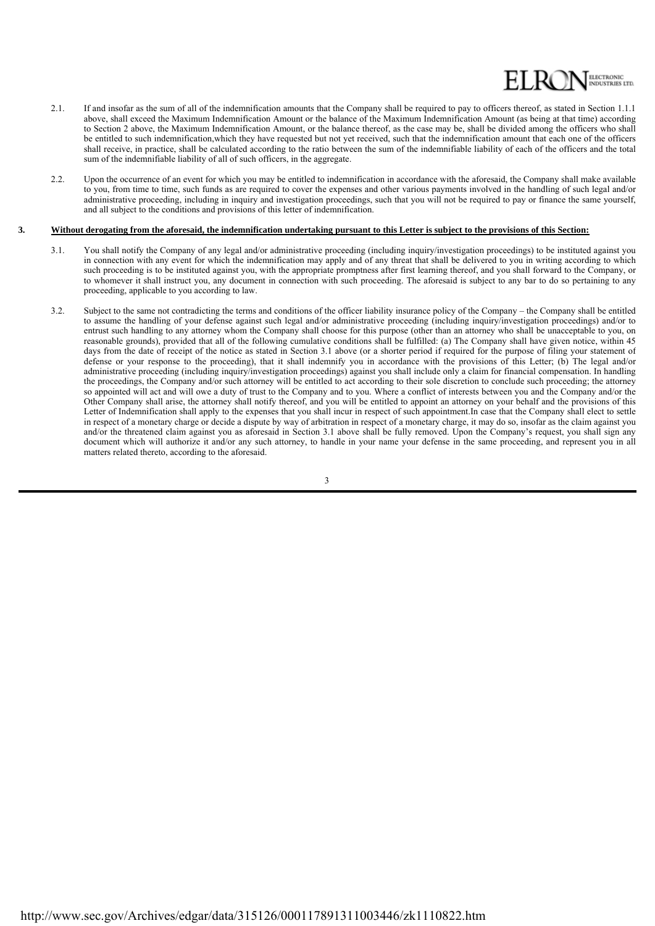

- 2.1. If and insofar as the sum of all of the indemnification amounts that the Company shall be required to pay to officers thereof, as stated in Section 1.1.1 above, shall exceed the Maximum Indemnification Amount or the balance of the Maximum Indemnification Amount (as being at that time) according to Section 2 above, the Maximum Indemnification Amount, or the balance thereof, as the case may be, shall be divided among the officers who shall be entitled to such indemnification,which they have requested but not yet received, such that the indemnification amount that each one of the officers shall receive, in practice, shall be calculated according to the ratio between the sum of the indemnifiable liability of each of the officers and the total sum of the indemnifiable liability of all of such officers, in the aggregate.
- 2.2. Upon the occurrence of an event for which you may be entitled to indemnification in accordance with the aforesaid, the Company shall make available to you, from time to time, such funds as are required to cover the expenses and other various payments involved in the handling of such legal and/or administrative proceeding, including in inquiry and investigation proceedings, such that you will not be required to pay or finance the same yourself, and all subject to the conditions and provisions of this letter of indemnification.

#### $\overline{3}$ . **3. Without derogating from the aforesaid, the indemnification undertaking pursuant to this Letter is subject to the provisions of this Section:**

- 3.1. You shall notify the Company of any legal and/or administrative proceeding (including inquiry/investigation proceedings) to be instituted against you in connection with any event for which the indemnification may apply and of any threat that shall be delivered to you in writing according to which such proceeding is to be instituted against you, with the appropriate promptness after first learning thereof, and you shall forward to the Company, or to whomever it shall instruct you, any document in connection with such proceeding. The aforesaid is subject to any bar to do so pertaining to any proceeding, applicable to you according to law.
- 3.2. Subject to the same not contradicting the terms and conditions of the officer liability insurance policy of the Company the Company shall be entitled to assume the handling of your defense against such legal and/or administrative proceeding (including inquiry/investigation proceedings) and/or to entrust such handling to any attorney whom the Company shall choose for this purpose (other than an attorney who shall be unacceptable to you, on reasonable grounds), provided that all of the following cumulative conditions shall be fulfilled: (a) The Company shall have given notice, within 45 days from the date of receipt of the notice as stated in Section 3.1 above (or a shorter period if required for the purpose of filing your statement of defense or your response to the proceeding), that it shall indemnify you in accordance with the provisions of this Letter; (b) The legal and/or administrative proceeding (including inquiry/investigation proceedings) against you shall include only a claim for financial compensation. In handling the proceedings, the Company and/or such attorney will be entitled to act according to their sole discretion to conclude such proceeding; the attorney so appointed will act and will owe a duty of trust to the Company and to you. Where a conflict of interests between you and the Company and/or the Other Company shall arise, the attorney shall notify thereof, and you will be entitled to appoint an attorney on your behalf and the provisions of this Letter of Indemnification shall apply to the expenses that you shall incur in respect of such appointment.In case that the Company shall elect to settle in respect of a monetary charge or decide a dispute by way of arbitration in respect of a monetary charge, it may do so, insofar as the claim against you and/or the threatened claim against you as aforesaid in Section 3.1 above shall be fully removed. Upon the Company's request, you shall sign any document which will authorize it and/or any such attorney, to handle in your name your defense in the same proceeding, and represent you in all matters related thereto, according to the aforesaid.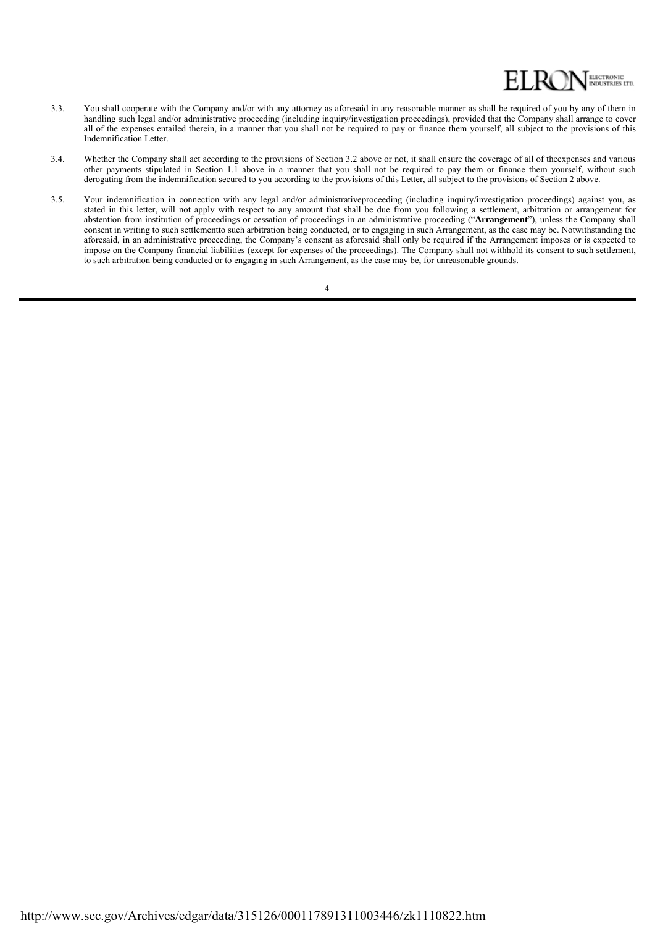

- 3.3. You shall cooperate with the Company and/or with any attorney as aforesaid in any reasonable manner as shall be required of you by any of them in handling such legal and/or administrative proceeding (including inquiry/investigation proceedings), provided that the Company shall arrange to cover all of the expenses entailed therein, in a manner that you shall not be required to pay or finance them yourself, all subject to the provisions of this Indemnification Letter.
- 3.4. Whether the Company shall act according to the provisions of Section 3.2 above or not, it shall ensure the coverage of all of theexpenses and various other payments stipulated in Section 1.1 above in a manner that you shall not be required to pay them or finance them yourself, without such derogating from the indemnification secured to you according to the provisions of this Letter, all subject to the provisions of Section 2 above.
- 3.5. Your indemnification in connection with any legal and/or administrativeproceeding (including inquiry/investigation proceedings) against you, as stated in this letter, will not apply with respect to any amount that shall be due from you following a settlement, arbitration or arrangement for abstention from institution of proceedings or cessation of proceedings in an administrative proceeding ("**Arrangement**"), unless the Company shall consent in writing to such settlementto such arbitration being conducted, or to engaging in such Arrangement, as the case may be. Notwithstanding the aforesaid, in an administrative proceeding, the Company's consent as aforesaid shall only be required if the Arrangement imposes or is expected to impose on the Company financial liabilities (except for expenses of the proceedings). The Company shall not withhold its consent to such settlement, to such arbitration being conducted or to engaging in such Arrangement, as the case may be, for unreasonable grounds.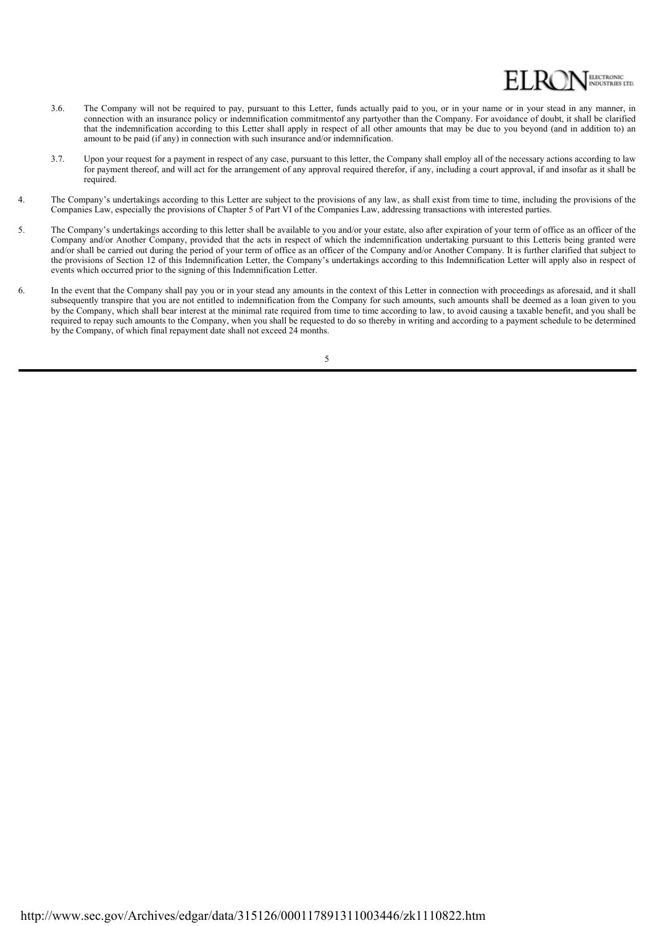

- 3.6. The Company will not be required to pay, pursuant to this Letter, funds actually paid to you, or in your name or in your stead in any manner, in connection with an insurance policy or indemnification commitmentof any partyother than the Company. For avoidance of doubt, it shall be clarified that the indemnification according to this Letter shall apply in respect of all other amounts that may be due to you beyond (and in addition to) an amount to be paid (if any) in connection with such insurance and/or indemnification.
- 3.7. Upon your request for a payment in respect of any case, pursuant to this letter, the Company shall employ all of the necessary actions according to law for payment thereof, and will act for the arrangement of any approval required therefor, if any, including a court approval, if and insofar as it shall be required.
- 4. The Company's undertakings according to this Letter are subject to the provisions of any law, as shall exist from time to time, including the provisions of the Companies Law, especially the provisions of Chapter 5 of Part VI of the Companies Law, addressing transactions with interested parties.
- 5. The Company's undertakings according to this letter shall be available to you and/or your estate, also after expiration of your term of office as an officer of the Company and/or Another Company, provided that the acts in respect of which the indemnification undertaking pursuant to this Letteris being granted were and/or shall be carried out during the period of your term of office as an officer of the Company and/or Another Company. It is further clarified that subject to the provisions of Section 12 of this Indemnification Letter, the Company's undertakings according to this Indemnification Letter will apply also in respect of events which occurred prior to the signing of this Indemnification Letter.
- 6. In the event that the Company shall pay you or in your stead any amounts in the context of this Letter in connection with proceedings as aforesaid, and it shall subsequently transpire that you are not entitled to indemnification from the Company for such amounts, such amounts shall be deemed as a loan given to you by the Company, which shall bear interest at the minimal rate required from time to time according to law, to avoid causing a taxable benefit, and you shall be required to repay such amounts to the Company, when you shall be requested to do so thereby in writing and according to a payment schedule to be determined by the Company, of which final repayment date shall not exceed 24 months.

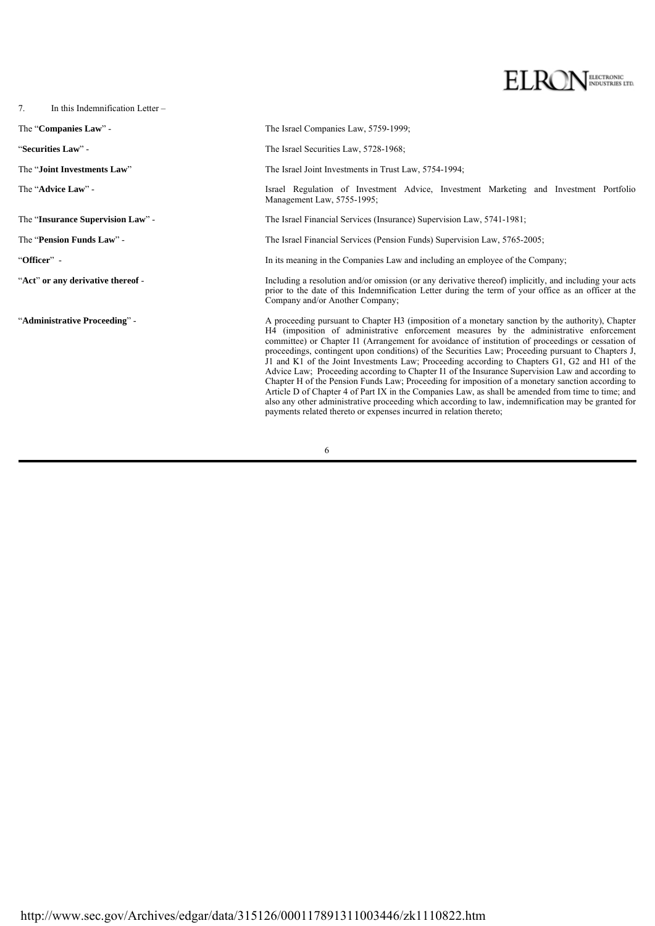# ELECTRONIC<br>INDUSTRIES LTD.

7. In this Indemnification Letter –

The "**Companies Law**" - The Israel Companies Law, 5759-1999;

"**Securities Law**" - The Israel Securities Law, 5728-1968;

The "**Joint Investments Law**" The Israel Joint Investments in Trust Law, 5754-1994;

The "**Advice Law**" - **Israel Regulation of Investment Advice**, Investment Marketing and Investment Portfolio Management Law, 5755-1995;

The "**Insurance Supervision Law**" - The Israel Financial Services (Insurance) Supervision Law, 5741-1981;

The "**Pension Funds Law**" - The Israel Financial Services (Pension Funds) Supervision Law, 5765-2005;

"**Officer**" - In its meaning in the Companies Law and including an employee of the Company;

"**Act**" **or any derivative thereof** - Including a resolution and/or omission (or any derivative thereof) implicitly, and including your acts prior to the date of this Indemnification Letter during the term of your office as an officer at the Company and/or Another Company;

"Administrative Proceeding" - A proceeding pursuant to Chapter H3 (imposition of a monetary sanction by the authority), Chapter H4 (imposition of administrative enforcement measures by the administrative enforcement committee) or Chapter I1 (Arrangement for avoidance of institution of proceedings or cessation of proceedings, contingent upon conditions) of the Securities Law; Proceeding pursuant to Chapters J, J1 and K1 of the Joint Investments Law; Proceeding according to Chapters G1, G2 and H1 of the Advice Law; Proceeding according to Chapter I1 of the Insurance Supervision Law and according to Chapter H of the Pension Funds Law; Proceeding for imposition of a monetary sanction according to Article D of Chapter 4 of Part IX in the Companies Law, as shall be amended from time to time; and also any other administrative proceeding which according to law, indemnification may be granted for payments related thereto or expenses incurred in relation thereto;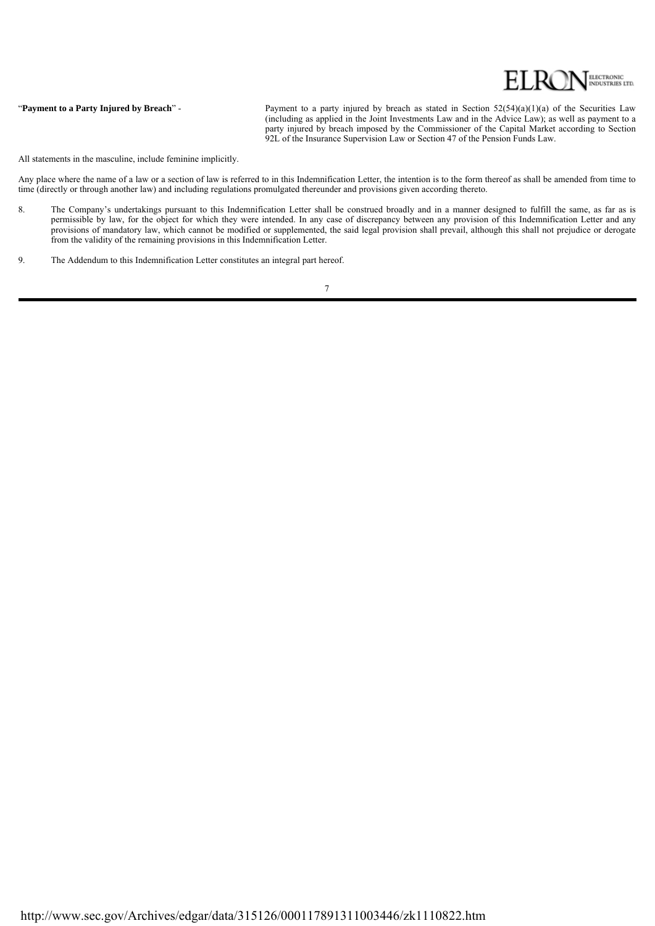

#### "Payment to a Party Injured by Breach" -

Payment to a party injured by breach as stated in Section 52(54)(a)(1)(a) of the Securities Law (including as applied in the Joint Investments Law and in the Advice Law); as well as payment to a party injured by breach imposed by the Commissioner of the Capital Market according to Section 92L of the Insurance Supervision Law or Section 47 of the Pension Funds Law.

All statements in the masculine, include feminine implicitly.

Any place where the name of a law or a section of law is referred to in this Indemnification Letter, the intention is to the form thereof as shall be amended from time to time (directly or through another law) and including regulations promulgated thereunder and provisions given according thereto.

- 8. The Company's undertakings pursuant to this Indemnification Letter shall be construed broadly and in a manner designed to fulfill the same, as far as is permissible by law, for the object for which they were intended. In any case of discrepancy between any provision of this Indemnification Letter and any provisions of mandatory law, which cannot be modified or supplemented, the said legal provision shall prevail, although this shall not prejudice or derogate from the validity of the remaining provisions in this Indemnification Letter.
- 9. The Addendum to this Indemnification Letter constitutes an integral part hereof.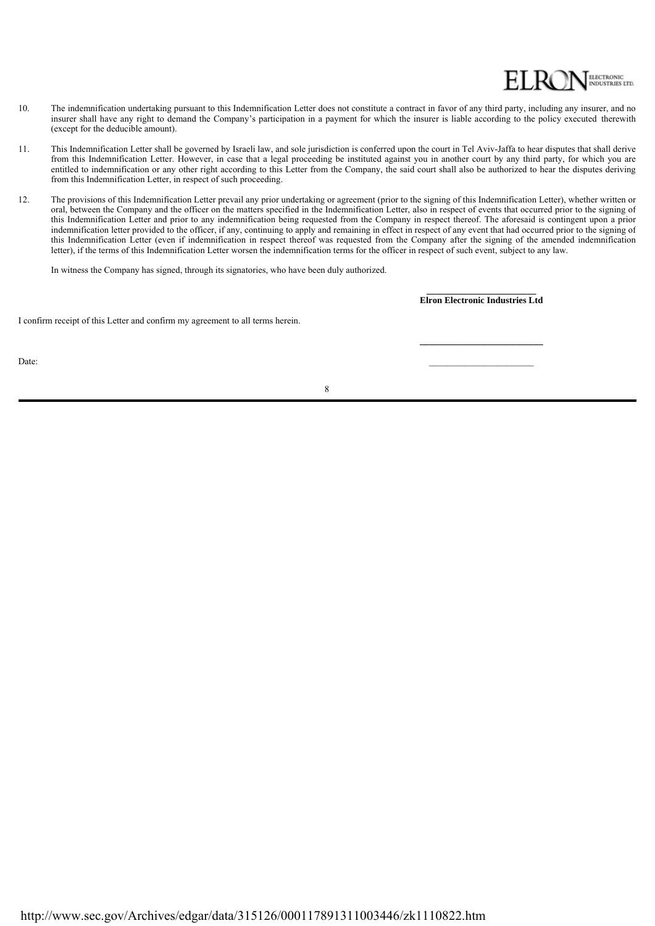## ELECTRONIC<br>INDUSTRIES LTD.

- 10. The indemnification undertaking pursuant to this Indemnification Letter does not constitute a contract in favor of any third party, including any insurer, and no insurer shall have any right to demand the Company's participation in a payment for which the insurer is liable according to the policy executed therewith (except for the deducible amount).
- 11. This Indemnification Letter shall be governed by Israeli law, and sole jurisdiction is conferred upon the court in Tel Aviv-Jaffa to hear disputes that shall derive from this Indemnification Letter. However, in case that a legal proceeding be instituted against you in another court by any third party, for which you are entitled to indemnification or any other right according to this Letter from the Company, the said court shall also be authorized to hear the disputes deriving from this Indemnification Letter, in respect of such proceeding.
- 12. The provisions of this Indemnification Letter prevail any prior undertaking or agreement (prior to the signing of this Indemnification Letter), whether written or oral, between the Company and the officer on the matters specified in the Indemnification Letter, also in respect of events that occurred prior to the signing of this Indemnification Letter and prior to any indemnification being requested from the Company in respect thereof. The aforesaid is contingent upon a prior indemnification letter provided to the officer, if any, continuing to apply and remaining in effect in respect of any event that had occurred prior to the signing of this Indemnification Letter (even if indemnification in respect thereof was requested from the Company after the signing of the amended indemnification letter), if the terms of this Indemnification Letter worsen the indemnification terms for the officer in respect of such event, subject to any law.

In witness the Company has signed, through its signatories, who have been duly authorized.

**\_\_\_\_\_\_\_\_\_\_\_\_\_\_\_\_\_\_\_\_\_\_\_\_ Elron Electronic Industries Ltd**

**\_\_\_\_\_\_\_\_\_\_\_\_\_\_\_\_\_\_\_\_\_\_\_\_\_\_\_**

I confirm receipt of this Letter and confirm my agreement to all terms herein.

Date: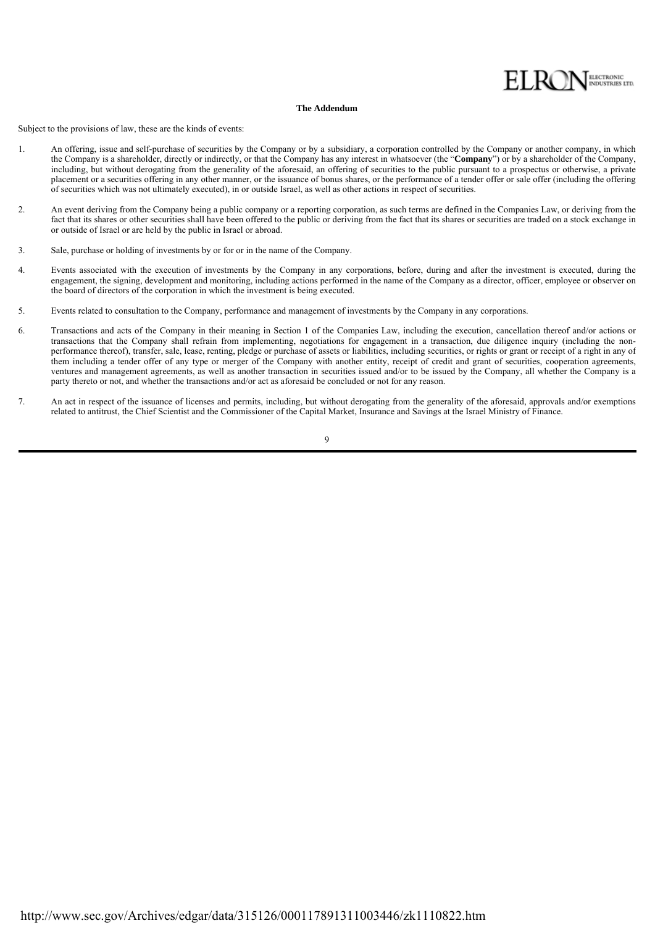

#### **The Addendum**

Subject to the provisions of law, these are the kinds of events:

- 1. An offering, issue and self-purchase of securities by the Company or by a subsidiary, a corporation controlled by the Company or another company, in which the Company is a shareholder, directly or indirectly, or that the Company has any interest in whatsoever (the "**Company**") or by a shareholder of the Company, including, but without derogating from the generality of the aforesaid, an offering of securities to the public pursuant to a prospectus or otherwise, a private placement or a securities offering in any other manner, or the issuance of bonus shares, or the performance of a tender offer or sale offer (including the offering of securities which was not ultimately executed), in or outside Israel, as well as other actions in respect of securities.
- 2. An event deriving from the Company being a public company or a reporting corporation, as such terms are defined in the Companies Law, or deriving from the fact that its shares or other securities shall have been offered to the public or deriving from the fact that its shares or securities are traded on a stock exchange in or outside of Israel or are held by the public in Israel or abroad.
- 3. Sale, purchase or holding of investments by or for or in the name of the Company.
- $\Delta$ Events associated with the execution of investments by the Company in any corporations, before, during and after the investment is executed, during the engagement, the signing, development and monitoring, including actions performed in the name of the Company as a director, officer, employee or observer on the board of directors of the corporation in which the investment is being executed.
- $\overline{\mathcal{L}}$ Events related to consultation to the Company, performance and management of investments by the Company in any corporations.
- 6. Transactions and acts of the Company in their meaning in Section 1 of the Companies Law, including the execution, cancellation thereof and/or actions or transactions that the Company shall refrain from implementing, negotiations for engagement in a transaction, due diligence inquiry (including the nonperformance thereof), transfer, sale, lease, renting, pledge or purchase of assets or liabilities, including securities, or rights or grant or receipt of a right in any of them including a tender offer of any type or merger of the Company with another entity, receipt of credit and grant of securities, cooperation agreements, ventures and management agreements, as well as another transaction in securities issued and/or to be issued by the Company, all whether the Company is a party thereto or not, and whether the transactions and/or act as aforesaid be concluded or not for any reason.
- 7. An act in respect of the issuance of licenses and permits, including, but without derogating from the generality of the aforesaid, approvals and/or exemptions related to antitrust, the Chief Scientist and the Commissioner of the Capital Market, Insurance and Savings at the Israel Ministry of Finance.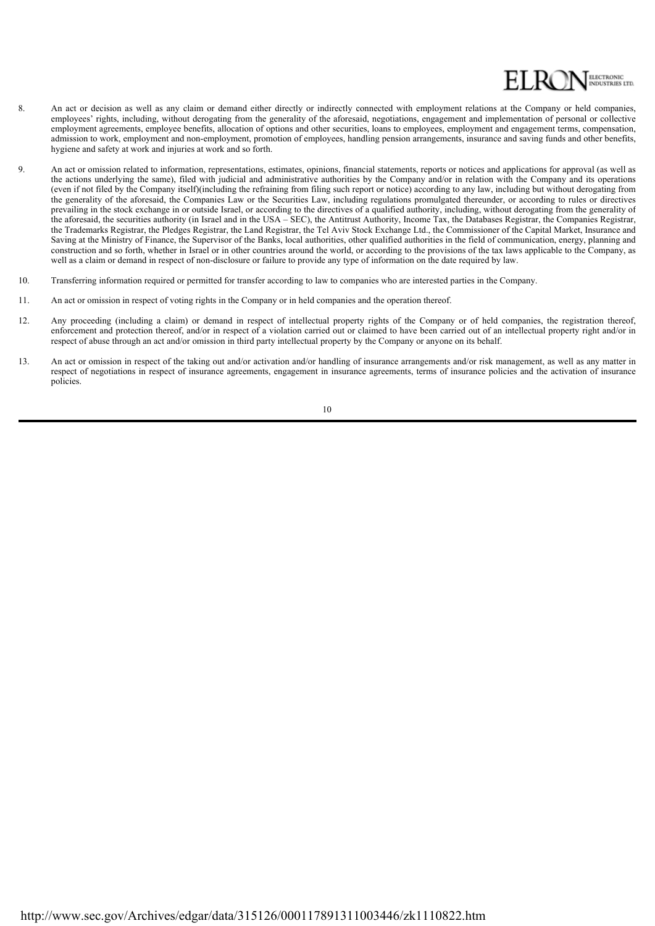

- 8. An act or decision as well as any claim or demand either directly or indirectly connected with employment relations at the Company or held companies, employees' rights, including, without derogating from the generality of the aforesaid, negotiations, engagement and implementation of personal or collective employment agreements, employee benefits, allocation of options and other securities, loans to employees, employment and engagement terms, compensation, admission to work, employment and non-employment, promotion of employees, handling pension arrangements, insurance and saving funds and other benefits, hygiene and safety at work and injuries at work and so forth.
- 9. An act or omission related to information, representations, estimates, opinions, financial statements, reports or notices and applications for approval (as well as the actions underlying the same), filed with judicial and administrative authorities by the Company and/or in relation with the Company and its operations (even if not filed by the Company itself)(including the refraining from filing such report or notice) according to any law, including but without derogating from the generality of the aforesaid, the Companies Law or the Securities Law, including regulations promulgated thereunder, or according to rules or directives prevailing in the stock exchange in or outside Israel, or according to the directives of a qualified authority, including, without derogating from the generality of the aforesaid, the securities authority (in Israel and in the USA – SEC), the Antitrust Authority, Income Tax, the Databases Registrar, the Companies Registrar, the Trademarks Registrar, the Pledges Registrar, the Land Registrar, the Tel Aviv Stock Exchange Ltd., the Commissioner of the Capital Market, Insurance and Saving at the Ministry of Finance, the Supervisor of the Banks, local authorities, other qualified authorities in the field of communication, energy, planning and construction and so forth, whether in Israel or in other countries around the world, or according to the provisions of the tax laws applicable to the Company, as well as a claim or demand in respect of non-disclosure or failure to provide any type of information on the date required by law.
- 10. Transferring information required or permitted for transfer according to law to companies who are interested parties in the Company.
- 11. An act or omission in respect of voting rights in the Company or in held companies and the operation thereof.
- 12. Any proceeding (including a claim) or demand in respect of intellectual property rights of the Company or of held companies, the registration thereof, enforcement and protection thereof, and/or in respect of a violation carried out or claimed to have been carried out of an intellectual property right and/or in respect of abuse through an act and/or omission in third party intellectual property by the Company or anyone on its behalf.
- 13. An act or omission in respect of the taking out and/or activation and/or handling of insurance arrangements and/or risk management, as well as any matter in respect of negotiations in respect of insurance agreements, engagement in insurance agreements, terms of insurance policies and the activation of insurance policies.

10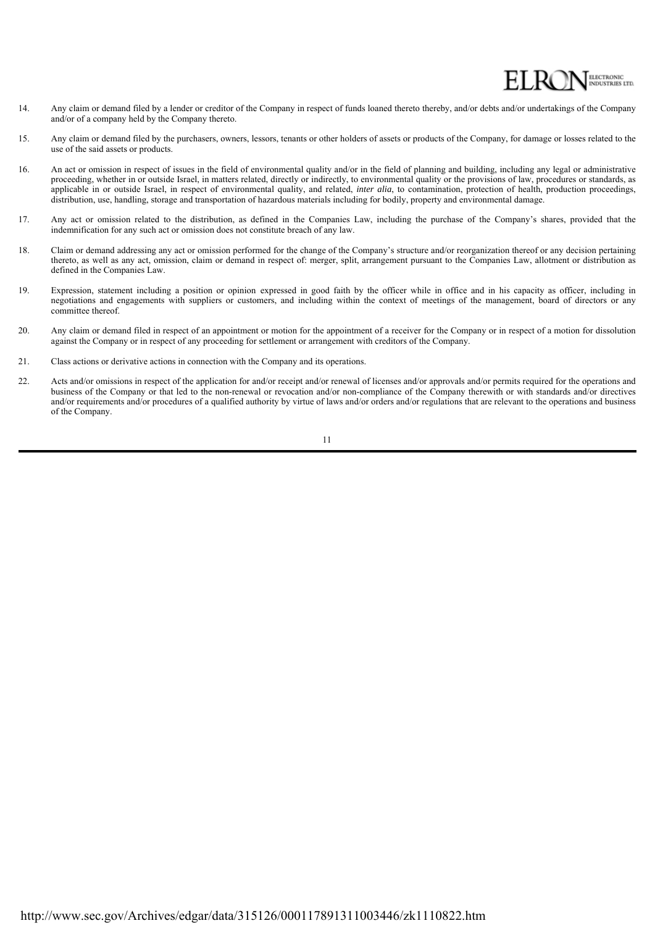## ELECTRONIC<br>INDUSTRIES LTD.

- 14. Any claim or demand filed by a lender or creditor of the Company in respect of funds loaned thereto thereby, and/or debts and/or undertakings of the Company and/or of a company held by the Company thereto.
- 15. Any claim or demand filed by the purchasers, owners, lessors, tenants or other holders of assets or products of the Company, for damage or losses related to the use of the said assets or products.
- 16. An act or omission in respect of issues in the field of environmental quality and/or in the field of planning and building, including any legal or administrative proceeding, whether in or outside Israel, in matters related, directly or indirectly, to environmental quality or the provisions of law, procedures or standards, as applicable in or outside Israel, in respect of environmental quality, and related, *inter alia*, to contamination, protection of health, production proceedings, distribution, use, handling, storage and transportation of hazardous materials including for bodily, property and environmental damage.
- 17. Any act or omission related to the distribution, as defined in the Companies Law, including the purchase of the Company's shares, provided that the indemnification for any such act or omission does not constitute breach of any law.
- 18. Claim or demand addressing any act or omission performed for the change of the Company's structure and/or reorganization thereof or any decision pertaining thereto, as well as any act, omission, claim or demand in respect of: merger, split, arrangement pursuant to the Companies Law, allotment or distribution as defined in the Companies Law.
- 19. Expression, statement including a position or opinion expressed in good faith by the officer while in office and in his capacity as officer, including in negotiations and engagements with suppliers or customers, and including within the context of meetings of the management, board of directors or any committee thereof.
- 20. Any claim or demand filed in respect of an appointment or motion for the appointment of a receiver for the Company or in respect of a motion for dissolution against the Company or in respect of any proceeding for settlement or arrangement with creditors of the Company.
- 21. Class actions or derivative actions in connection with the Company and its operations.
- $22.$ Acts and/or omissions in respect of the application for and/or receipt and/or renewal of licenses and/or approvals and/or permits required for the operations and business of the Company or that led to the non-renewal or revocation and/or non-compliance of the Company therewith or with standards and/or directives and/or requirements and/or procedures of a qualified authority by virtue of laws and/or orders and/or regulations that are relevant to the operations and business of the Company.

11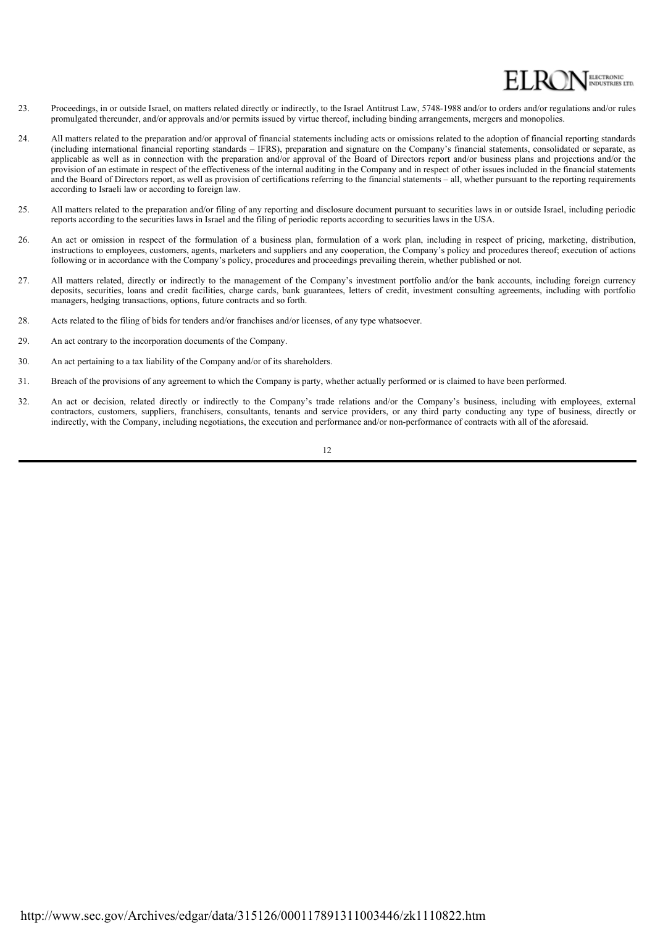

- 23. Proceedings, in or outside Israel, on matters related directly or indirectly, to the Israel Antitrust Law, 5748-1988 and/or to orders and/or regulations and/or rules promulgated thereunder, and/or approvals and/or permits issued by virtue thereof, including binding arrangements, mergers and monopolies.
- 24. All matters related to the preparation and/or approval of financial statements including acts or omissions related to the adoption of financial reporting standards (including international financial reporting standards – IFRS), preparation and signature on the Company's financial statements, consolidated or separate, as applicable as well as in connection with the preparation and/or approval of the Board of Directors report and/or business plans and projections and/or the provision of an estimate in respect of the effectiveness of the internal auditing in the Company and in respect of other issues included in the financial statements and the Board of Directors report, as well as provision of certifications referring to the financial statements – all, whether pursuant to the reporting requirements according to Israeli law or according to foreign law.
- 25. All matters related to the preparation and/or filing of any reporting and disclosure document pursuant to securities laws in or outside Israel, including periodic reports according to the securities laws in Israel and the filing of periodic reports according to securities laws in the USA.
- 26. An act or omission in respect of the formulation of a business plan, formulation of a work plan, including in respect of pricing, marketing, distribution, instructions to employees, customers, agents, marketers and suppliers and any cooperation, the Company's policy and procedures thereof; execution of actions following or in accordance with the Company's policy, procedures and proceedings prevailing therein, whether published or not.
- 27. All matters related, directly or indirectly to the management of the Company's investment portfolio and/or the bank accounts, including foreign currency deposits, securities, loans and credit facilities, charge cards, bank guarantees, letters of credit, investment consulting agreements, including with portfolio managers, hedging transactions, options, future contracts and so forth.
- 28. Acts related to the filing of bids for tenders and/or franchises and/or licenses, of any type whatsoever.
- 29. An act contrary to the incorporation documents of the Company.
- 30. An act pertaining to a tax liability of the Company and/or of its shareholders.
- $31$ 31. Breach of the provisions of any agreement to which the Company is party, whether actually performed or is claimed to have been performed.
- 32. An act or decision, related directly or indirectly to the Company's trade relations and/or the Company's business, including with employees, external contractors, customers, suppliers, franchisers, consultants, tenants and service providers, or any third party conducting any type of business, directly or indirectly, with the Company, including negotiations, the execution and performance and/or non-performance of contracts with all of the aforesaid.